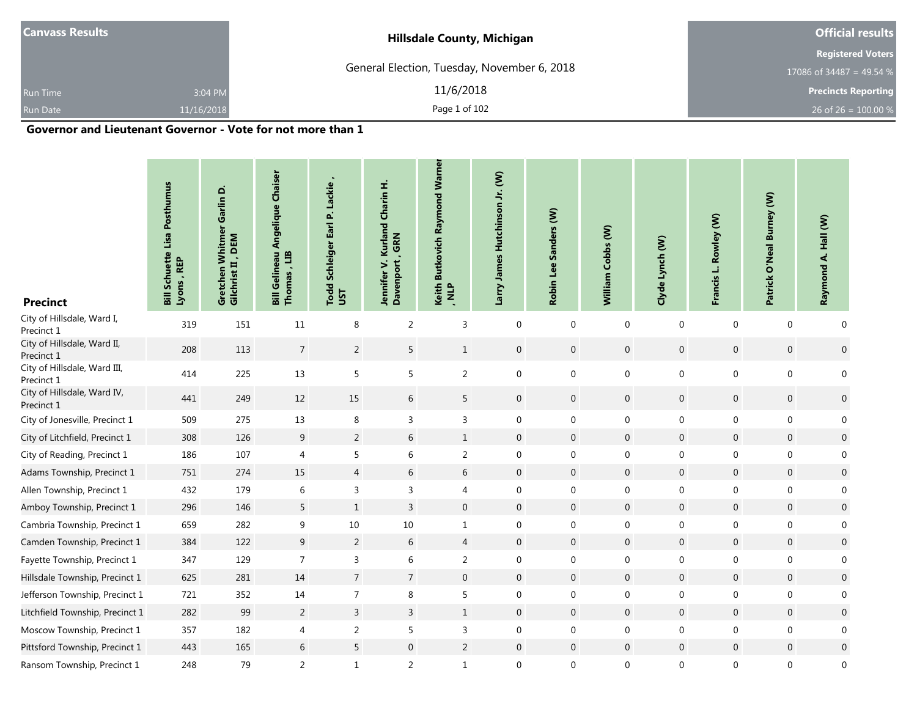| <b>Canvass Results</b> |            | <b>Hillsdale County, Michigan</b>           | <b>Official results</b>    |
|------------------------|------------|---------------------------------------------|----------------------------|
|                        |            |                                             | <b>Registered Voters</b>   |
|                        |            | General Election, Tuesday, November 6, 2018 | 17086 of 34487 = 49.54 %   |
| <b>Run Time</b>        | 3:04 PM    | 11/6/2018                                   | <b>Precincts Reporting</b> |
| <b>Run Date</b>        | 11/16/2018 | Page 1 of 102                               | 26 of 26 = $100.00\%$      |
|                        | - - -      | .<br>- - -                                  |                            |

#### **Governor and Lieutenant Governor - Vote for not more than 1**

| <b>Precinct</b>                            | <b>Bill Schuette Lisa Posthumus</b><br>Lyons, REP | Garlin D.<br>Gretchen Whitmer<br>Gilchrist II , DEM | <b>Angelique Chaiser</b><br>Gelineau<br>Thomas, LIB<br>$\overline{B}$ | Lackie<br>$\mathbf{a}^{\mathbf{\cdot}}$<br>Earl<br>Schleiger<br>Todd<br>UST | Jennifer V. Kurland Charin H.<br>GRN<br>Davenport | Keith Butkovich Raymond Warner<br>, NLP | Larry James Hutchinson Jr. (W) | Sanders (W)<br>Robin Lee | William Cobbs (W) | Clyde Lynch (W)  | Rowley (W)<br>Francis L. | <b>Burney (W)</b><br>Patrick O'Neal | Raymond A. Hall (W) |
|--------------------------------------------|---------------------------------------------------|-----------------------------------------------------|-----------------------------------------------------------------------|-----------------------------------------------------------------------------|---------------------------------------------------|-----------------------------------------|--------------------------------|--------------------------|-------------------|------------------|--------------------------|-------------------------------------|---------------------|
| City of Hillsdale, Ward I,<br>Precinct 1   | 319                                               | 151                                                 | 11                                                                    | 8                                                                           | $\overline{2}$                                    | 3                                       | $\mathbf 0$                    | $\mathbf 0$              | $\mathbf 0$       | $\mathbf 0$      | $\mathbf 0$              | $\mathbf 0$                         | $\mathbf 0$         |
| City of Hillsdale, Ward II,<br>Precinct 1  | 208                                               | 113                                                 | $\overline{7}$                                                        | $\overline{2}$                                                              | 5                                                 | $\mathbf{1}$                            | $\mathbf 0$                    | $\boldsymbol{0}$         | $\mathbf 0$       | $\boldsymbol{0}$ | $\boldsymbol{0}$         | $\pmb{0}$                           | $\boldsymbol{0}$    |
| City of Hillsdale, Ward III,<br>Precinct 1 | 414                                               | 225                                                 | 13                                                                    | 5                                                                           | 5                                                 | 2                                       | $\mathbf 0$                    | $\boldsymbol{0}$         | $\boldsymbol{0}$  | $\boldsymbol{0}$ | $\mathbf 0$              | $\boldsymbol{0}$                    | 0                   |
| City of Hillsdale, Ward IV,<br>Precinct 1  | 441                                               | 249                                                 | 12                                                                    | 15                                                                          | 6                                                 | 5                                       | $\boldsymbol{0}$               | $\boldsymbol{0}$         | $\mathbf 0$       | $\boldsymbol{0}$ | $\mathbf 0$              | $\mathbf 0$                         | $\boldsymbol{0}$    |
| City of Jonesville, Precinct 1             | 509                                               | 275                                                 | 13                                                                    | 8                                                                           | 3                                                 | 3                                       | $\mathbf 0$                    | $\mathbf 0$              | $\mathbf 0$       | $\boldsymbol{0}$ | $\boldsymbol{0}$         | $\mathbf 0$                         | 0                   |
| City of Litchfield, Precinct 1             | 308                                               | 126                                                 | 9                                                                     | $\overline{2}$                                                              | 6                                                 | $\mathbf{1}$                            | $\boldsymbol{0}$               | $\mathbf 0$              | $\mathbf 0$       | $\mathbf 0$      | $\mathbf 0$              | $\mathbf 0$                         | $\boldsymbol{0}$    |
| City of Reading, Precinct 1                | 186                                               | 107                                                 | 4                                                                     | 5                                                                           | 6                                                 | 2                                       | $\mathbf 0$                    | $\mathbf 0$              | $\mathbf 0$       | $\mathbf 0$      | $\mathbf 0$              | $\mathbf{0}$                        | 0                   |
| Adams Township, Precinct 1                 | 751                                               | 274                                                 | 15                                                                    | $\overline{4}$                                                              | 6                                                 | 6                                       | $\mathbf 0$                    | $\boldsymbol{0}$         | $\boldsymbol{0}$  | $\overline{0}$   | $\boldsymbol{0}$         | $\mathbf 0$                         | $\boldsymbol{0}$    |
| Allen Township, Precinct 1                 | 432                                               | 179                                                 | 6                                                                     | 3                                                                           | 3                                                 | 4                                       | $\boldsymbol{0}$               | $\mathbf 0$              | $\mathbf 0$       | $\mathbf 0$      | $\mathbf 0$              | $\boldsymbol{0}$                    | $\mathbf 0$         |
| Amboy Township, Precinct 1                 | 296                                               | 146                                                 | 5                                                                     | $\,1$                                                                       | 3                                                 | $\overline{0}$                          | $\boldsymbol{0}$               | $\mathbf 0$              | $\mathbf 0$       | $\mathbf 0$      | $\mathbf 0$              | $\mathbf 0$                         | $\mathbf 0$         |
| Cambria Township, Precinct 1               | 659                                               | 282                                                 | 9                                                                     | 10                                                                          | 10                                                | $\mathbf{1}$                            | $\mathbf 0$                    | $\mathbf{0}$             | $\mathbf 0$       | $\mathbf 0$      | $\mathbf 0$              | $\mathbf{0}$                        | $\mathbf 0$         |
| Camden Township, Precinct 1                | 384                                               | 122                                                 | $\overline{9}$                                                        | $\overline{2}$                                                              | 6                                                 | $\overline{4}$                          | $\mathbf 0$                    | $\boldsymbol{0}$         | $\boldsymbol{0}$  | $\mathbf 0$      | $\boldsymbol{0}$         | $\mathbf 0$                         | $\boldsymbol{0}$    |
| Fayette Township, Precinct 1               | 347                                               | 129                                                 | $\overline{7}$                                                        | 3                                                                           | 6                                                 | $\overline{2}$                          | $\mathbf 0$                    | $\mathbf 0$              | $\mathbf 0$       | $\mathbf 0$      | $\boldsymbol{0}$         | $\mathbf 0$                         | $\mathbf 0$         |
| Hillsdale Township, Precinct 1             | 625                                               | 281                                                 | 14                                                                    | $\overline{7}$                                                              | $\overline{7}$                                    | $\mathbf 0$                             | $\boldsymbol{0}$               | $\boldsymbol{0}$         | $\,0\,$           | $\mathbf 0$      | $\mathbf 0$              | $\mathbf 0$                         | $\boldsymbol{0}$    |
| Jefferson Township, Precinct 1             | 721                                               | 352                                                 | 14                                                                    | $\overline{7}$                                                              | 8                                                 | 5                                       | $\mathbf 0$                    | $\boldsymbol{0}$         | $\mathbf 0$       | $\boldsymbol{0}$ | $\boldsymbol{0}$         | $\boldsymbol{0}$                    | $\pmb{0}$           |
| Litchfield Township, Precinct 1            | 282                                               | 99                                                  | $\overline{2}$                                                        | $\overline{3}$                                                              | $\overline{3}$                                    | $\mathbf{1}$                            | $\mathbf 0$                    | $\boldsymbol{0}$         | $\,0\,$           | $\boldsymbol{0}$ | $\mathsf{O}\xspace$      | $\boldsymbol{0}$                    | $\boldsymbol{0}$    |
| Moscow Township, Precinct 1                | 357                                               | 182                                                 | 4                                                                     | $\overline{2}$                                                              | 5                                                 | 3                                       | $\boldsymbol{0}$               | $\mathbf 0$              | $\mathbf 0$       | $\mathbf 0$      | $\boldsymbol{0}$         | $\mathbf 0$                         | $\boldsymbol{0}$    |
| Pittsford Township, Precinct 1             | 443                                               | 165                                                 | 6                                                                     | 5                                                                           | 0                                                 | $\overline{2}$                          | $\mathbf 0$                    | $\boldsymbol{0}$         | $\,0\,$           | $\boldsymbol{0}$ | $\boldsymbol{0}$         | $\mathbf 0$                         | $\boldsymbol{0}$    |
| Ransom Township, Precinct 1                | 248                                               | 79                                                  | $\overline{2}$                                                        | $\mathbf{1}$                                                                | $\overline{c}$                                    | $\mathbf{1}$                            | $\boldsymbol{0}$               | $\mathbf 0$              | $\boldsymbol{0}$  | $\mathbf 0$      | $\boldsymbol{0}$         | $\boldsymbol{0}$                    | $\boldsymbol{0}$    |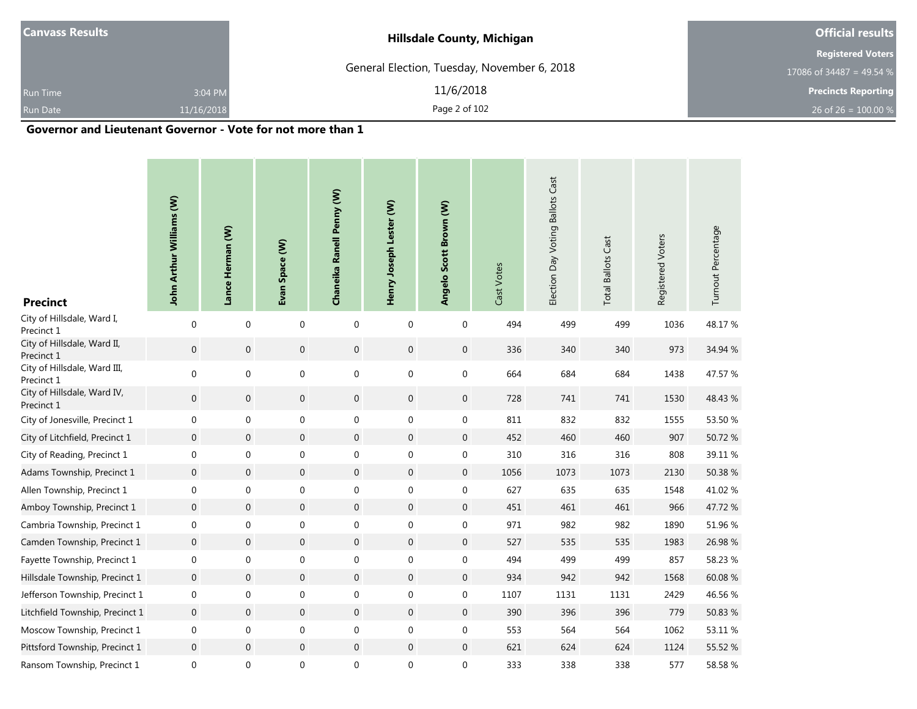|            | <b>Hillsdale County, Michigan</b>           | <b>Official results</b>    |
|------------|---------------------------------------------|----------------------------|
|            |                                             | <b>Registered Voters</b>   |
|            | General Election, Tuesday, November 6, 2018 | 17086 of 34487 = 49.54 %   |
| 3:04 PM    | 11/6/2018                                   | <b>Precincts Reporting</b> |
| 11/16/2018 | Page 2 of 102                               | 26 of 26 = $100.00\%$      |
|            |                                             |                            |

.

#### **Governor and Lieutenant Governor - Vote for not more than 1**

| <b>Precinct</b>                            | John Arthur Williams (W) | Lance Herman (W) | Evan Space (W)   | Chaneika Ranell Penny (W) | Henry Joseph Lester (W) | Angelo Scott Brown (W) | Cast Votes | Election Day Voting Ballots Cast | <b>Total Ballots Cast</b> | Registered Voters | Turnout Percentage |
|--------------------------------------------|--------------------------|------------------|------------------|---------------------------|-------------------------|------------------------|------------|----------------------------------|---------------------------|-------------------|--------------------|
| City of Hillsdale, Ward I,<br>Precinct 1   | $\mathbf{0}$             | $\mathbf{0}$     | $\mathbf{0}$     | $\mathbf 0$               | $\mathbf 0$             | $\boldsymbol{0}$       | 494        | 499                              | 499                       | 1036              | 48.17%             |
| City of Hillsdale, Ward II,<br>Precinct 1  | $\mathbf 0$              | $\mathbf 0$      | $\overline{0}$   | $\mathbf 0$               | $\boldsymbol{0}$        | $\mathbf 0$            | 336        | 340                              | 340                       | 973               | 34.94 %            |
| City of Hillsdale, Ward III,<br>Precinct 1 | 0                        | $\boldsymbol{0}$ | $\boldsymbol{0}$ | $\boldsymbol{0}$          | $\boldsymbol{0}$        | $\boldsymbol{0}$       | 664        | 684                              | 684                       | 1438              | 47.57 %            |
| City of Hillsdale, Ward IV,<br>Precinct 1  | $\mathbf 0$              | $\mathbf 0$      | $\overline{0}$   | $\mathbf 0$               | $\mathbf 0$             | $\mathbf 0$            | 728        | 741                              | 741                       | 1530              | 48.43 %            |
| City of Jonesville, Precinct 1             | 0                        | $\mathbf 0$      | $\boldsymbol{0}$ | 0                         | $\boldsymbol{0}$        | $\boldsymbol{0}$       | 811        | 832                              | 832                       | 1555              | 53.50 %            |
| City of Litchfield, Precinct 1             | $\boldsymbol{0}$         | $\boldsymbol{0}$ | $\overline{0}$   | $\boldsymbol{0}$          | $\boldsymbol{0}$        | $\mathbf 0$            | 452        | 460                              | 460                       | 907               | 50.72 %            |
| City of Reading, Precinct 1                | 0                        | $\mathbf 0$      | $\boldsymbol{0}$ | $\boldsymbol{0}$          | $\boldsymbol{0}$        | 0                      | 310        | 316                              | 316                       | 808               | 39.11 %            |
| Adams Township, Precinct 1                 | $\boldsymbol{0}$         | $\boldsymbol{0}$ | $\boldsymbol{0}$ | $\boldsymbol{0}$          | $\boldsymbol{0}$        | $\mathbf 0$            | 1056       | 1073                             | 1073                      | 2130              | 50.38 %            |
| Allen Township, Precinct 1                 | 0                        | $\mathbf 0$      | 0                | 0                         | $\boldsymbol{0}$        | 0                      | 627        | 635                              | 635                       | 1548              | 41.02%             |
| Amboy Township, Precinct 1                 | $\mathbf 0$              | $\boldsymbol{0}$ | $\overline{0}$   | $\boldsymbol{0}$          | $\overline{0}$          | $\mathbf 0$            | 451        | 461                              | 461                       | 966               | 47.72 %            |
| Cambria Township, Precinct 1               | 0                        | $\mathbf 0$      | $\mathbf 0$      | $\boldsymbol{0}$          | $\boldsymbol{0}$        | $\mathbf 0$            | 971        | 982                              | 982                       | 1890              | 51.96 %            |
| Camden Township, Precinct 1                | $\boldsymbol{0}$         | $\boldsymbol{0}$ | $\overline{0}$   | $\boldsymbol{0}$          | $\mathbf 0$             | $\mathbf 0$            | 527        | 535                              | 535                       | 1983              | 26.98 %            |
| Fayette Township, Precinct 1               | 0                        | $\mathbf 0$      | $\boldsymbol{0}$ | 0                         | $\boldsymbol{0}$        | $\mathbf 0$            | 494        | 499                              | 499                       | 857               | 58.23 %            |
| Hillsdale Township, Precinct 1             | 0                        | $\mathbf{0}$     | $\overline{0}$   | $\boldsymbol{0}$          | $\boldsymbol{0}$        | $\mathbf 0$            | 934        | 942                              | 942                       | 1568              | 60.08 %            |
| Jefferson Township, Precinct 1             | 0                        | $\mathbf 0$      | $\boldsymbol{0}$ | $\boldsymbol{0}$          | $\boldsymbol{0}$        | $\boldsymbol{0}$       | 1107       | 1131                             | 1131                      | 2429              | 46.56 %            |
| Litchfield Township, Precinct 1            | $\boldsymbol{0}$         | $\boldsymbol{0}$ | $\overline{0}$   | $\mathbf 0$               | $\boldsymbol{0}$        | $\mathbf 0$            | 390        | 396                              | 396                       | 779               | 50.83 %            |
| Moscow Township, Precinct 1                | 0                        | $\mathbf 0$      | $\boldsymbol{0}$ | $\boldsymbol{0}$          | $\boldsymbol{0}$        | 0                      | 553        | 564                              | 564                       | 1062              | 53.11 %            |
| Pittsford Township, Precinct 1             | 0                        | $\mathbf 0$      | $\mathbf 0$      | $\boldsymbol{0}$          | $\pmb{0}$               | $\mathbf 0$            | 621        | 624                              | 624                       | 1124              | 55.52 %            |
| Ransom Township, Precinct 1                | 0                        | $\mathbf 0$      | $\pmb{0}$        | 0                         | $\boldsymbol{0}$        | 0                      | 333        | 338                              | 338                       | 577               | 58.58 %            |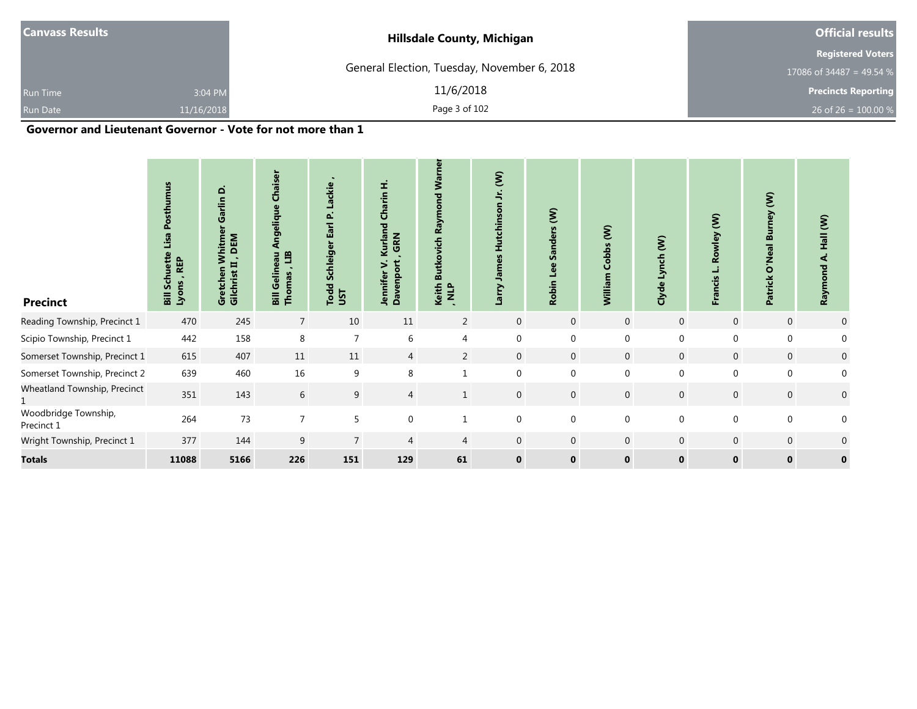| <b>Canvass Results</b> |            | <b>Hillsdale County, Michigan</b>           | <b>Official results</b>    |
|------------------------|------------|---------------------------------------------|----------------------------|
|                        |            |                                             | <b>Registered Voters</b>   |
|                        |            | General Election, Tuesday, November 6, 2018 | 17086 of 34487 = 49.54 %   |
| <b>Run Time</b>        | 3:04 PM    | 11/6/2018                                   | <b>Precincts Reporting</b> |
| <b>Run Date</b>        | 11/16/2018 | Page 3 of 102                               | 26 of 26 = $100.00\%$      |

#### **Governor and Lieutenant Governor - Vote for not more than 1**

and the control of the control of the control of the control of the control of

| <b>Precinct</b>                    | ម<br>ŧ<br><b>REP</b><br><u>ড়</u><br>Lyons<br>$\overline{\mathbf{a}}$ | Garlin D<br>DEM<br>Whitme<br>- 5<br>Ħ<br>Gretchen<br>Gilchrist I | Chaiser<br>ngelique<br>⋖<br>E<br>au<br>۵Ë<br>ă<br>Bill Ge<br>Thom: | Lackie<br>Δ.<br>Earl<br>Schleiger<br><b>Todd</b><br>JST | Kurland Charin H.<br>GRN<br>><br><b>Jennifer</b><br>Davenpo | <b>Warne</b><br><b>prd</b><br>Raym<br>utkovich<br>w<br>Keith<br>, NLP | $\mathbf{\hat{S}}$<br>÷,<br>Hutchinson<br>James<br>Larry | $\hat{\epsilon}$<br><b>Sanders</b><br>Lee<br><b>Robin</b> | Cobbs (W)<br>William | Lynch (W)<br>Clyde | ξ<br>Rowley<br>ង់<br>ប៉<br>Franc | mey (W)<br>m<br>Neal  <br>$\overline{\overline{\bullet}}$<br>Patrick | Hall (W)<br>નં<br>Raymond |
|------------------------------------|-----------------------------------------------------------------------|------------------------------------------------------------------|--------------------------------------------------------------------|---------------------------------------------------------|-------------------------------------------------------------|-----------------------------------------------------------------------|----------------------------------------------------------|-----------------------------------------------------------|----------------------|--------------------|----------------------------------|----------------------------------------------------------------------|---------------------------|
| Reading Township, Precinct 1       | 470                                                                   | 245                                                              | $\overline{7}$                                                     | 10                                                      | 11                                                          | $\overline{2}$                                                        | $\mathbf 0$                                              | $\mathbf 0$                                               | $\mathbf 0$          | $\overline{0}$     | $\mathbf 0$                      | $\mathbf 0$                                                          | $\overline{0}$            |
| Scipio Township, Precinct 1        | 442                                                                   | 158                                                              | 8                                                                  | $\overline{7}$                                          | 6                                                           | 4                                                                     | 0                                                        | $\mathbf 0$                                               | $\mathbf 0$          | 0                  | 0                                | 0                                                                    | 0                         |
| Somerset Township, Precinct 1      | 615                                                                   | 407                                                              | 11                                                                 | 11                                                      | 4                                                           | 2                                                                     | $\overline{0}$                                           | $\mathbf 0$                                               | $\mathbf 0$          | $\mathbf{0}$       | $\mathbf 0$                      | $\overline{0}$                                                       | $\mathbf 0$               |
| Somerset Township, Precinct 2      | 639                                                                   | 460                                                              | 16                                                                 | 9                                                       | 8                                                           |                                                                       | $\mathbf 0$                                              | $\mathbf{0}$                                              | $\mathbf 0$          | $\mathbf 0$        | 0                                | 0                                                                    | $\mathbf{0}$              |
| Wheatland Township, Precinct       | 351                                                                   | 143                                                              | 6                                                                  | 9                                                       | $\overline{4}$                                              |                                                                       | $\mathbf 0$                                              | $\mathbf 0$                                               | $\mathbf 0$          | $\overline{0}$     | $\mathbf 0$                      | $\mathbf 0$                                                          | $\mathbf 0$               |
| Woodbridge Township,<br>Precinct 1 | 264                                                                   | 73                                                               | $\overline{7}$                                                     | 5                                                       | $\mathbf{0}$                                                |                                                                       | $\pmb{0}$                                                | $\mathbf{0}$                                              | $\mathbf 0$          | 0                  | $\boldsymbol{0}$                 | 0                                                                    | $\mathbf 0$               |
| Wright Township, Precinct 1        | 377                                                                   | 144                                                              | 9                                                                  | $\overline{7}$                                          | $\overline{4}$                                              | 4                                                                     | $\mathbf 0$                                              | $\mathbf{0}$                                              | $\boldsymbol{0}$     | $\overline{0}$     | $\mathbf 0$                      | $\overline{0}$                                                       | $\mathbf 0$               |
| <b>Totals</b>                      | 11088                                                                 | 5166                                                             | 226                                                                | 151                                                     | 129                                                         | 61                                                                    | $\mathbf 0$                                              | $\mathbf 0$                                               | $\mathbf 0$          | $\mathbf{0}$       | $\bf{0}$                         | $\mathbf{0}$                                                         | $\mathbf 0$               |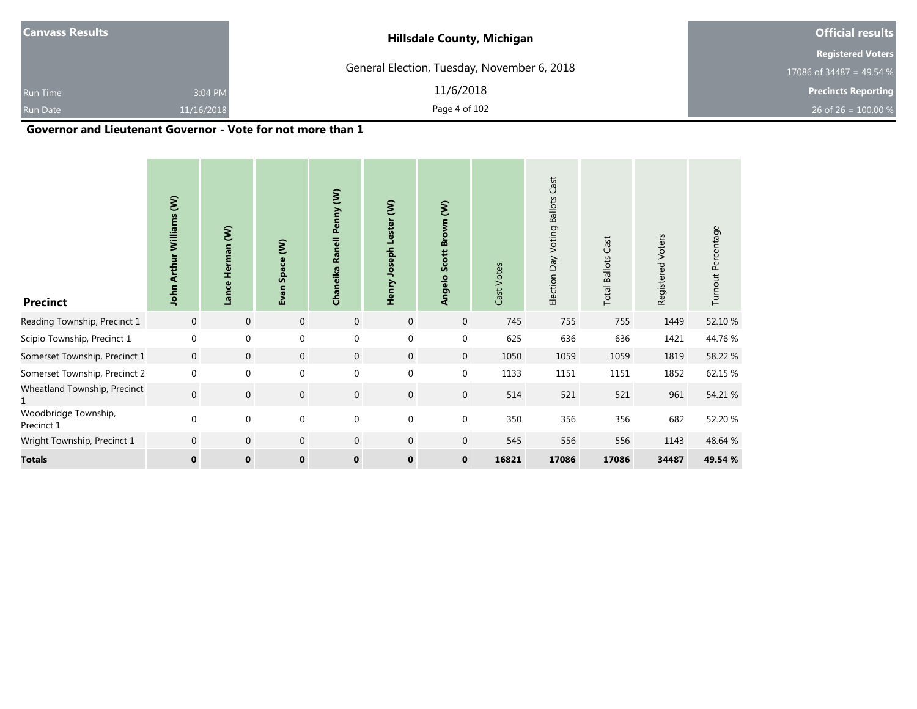|            | <b>Hillsdale County, Michigan</b>           | <b>Official results</b>    |
|------------|---------------------------------------------|----------------------------|
|            |                                             | <b>Registered Voters</b>   |
|            | General Election, Tuesday, November 6, 2018 | 17086 of 34487 = 49.54 %   |
| 3:04 PM    | 11/6/2018                                   | <b>Precincts Reporting</b> |
| 11/16/2018 | Page 4 of 102                               | 26 of 26 = $100.00\%$      |
|            |                                             |                            |

#### **Governor and Lieutenant Governor - Vote for not more than 1**

| <b>Precinct</b>                    | $\widehat{\boldsymbol{\epsilon}}$<br>Williams<br><b>Arthur</b><br>John | Herman (W)<br>Lance | Space (W)<br>Evan | Chaneika Ranell Penny (W) | ξ<br>Lester<br>Henry Joseph | Scott Brown (W)<br>Angelo | Cast Votes | Cast<br><b>Ballots</b><br>Voting<br>Election Day | <b>Total Ballots Cast</b> | Registered Voters | Turnout Percentage |
|------------------------------------|------------------------------------------------------------------------|---------------------|-------------------|---------------------------|-----------------------------|---------------------------|------------|--------------------------------------------------|---------------------------|-------------------|--------------------|
| Reading Township, Precinct 1       | $\mathbf 0$                                                            | $\mathbf 0$         | $\mathbf 0$       | $\mathbf 0$               | $\mathbf 0$                 | $\mathbf 0$               | 745        | 755                                              | 755                       | 1449              | 52.10 %            |
| Scipio Township, Precinct 1        | $\mathbf 0$                                                            | $\mathbf{0}$        | 0                 | $\mathbf 0$               | $\mathbf 0$                 | $\mathbf 0$               | 625        | 636                                              | 636                       | 1421              | 44.76 %            |
| Somerset Township, Precinct 1      | $\mathbf 0$                                                            | $\mathbf 0$         | $\mathbf 0$       | $\mathbf{0}$              | $\mathbf 0$                 | $\overline{0}$            | 1050       | 1059                                             | 1059                      | 1819              | 58.22 %            |
| Somerset Township, Precinct 2      | $\mathbf{0}$                                                           | $\mathbf{0}$        | $\mathbf 0$       | $\mathbf{0}$              | $\mathbf 0$                 | $\mathbf 0$               | 1133       | 1151                                             | 1151                      | 1852              | 62.15 %            |
| Wheatland Township, Precinct       | $\overline{0}$                                                         | $\boldsymbol{0}$    | $\boldsymbol{0}$  | $\mathbf 0$               | $\mathbf 0$                 | $\mathbf 0$               | 514        | 521                                              | 521                       | 961               | 54.21 %            |
| Woodbridge Township,<br>Precinct 1 | $\mathbf 0$                                                            | $\mathbf 0$         | $\boldsymbol{0}$  | $\mathbf 0$               | $\mathbf 0$                 | $\mathbf 0$               | 350        | 356                                              | 356                       | 682               | 52.20 %            |
| Wright Township, Precinct 1        | $\mathbf 0$                                                            | $\boldsymbol{0}$    | $\mathbf 0$       | $\mathbf 0$               | $\mathbf 0$                 | $\mathbf 0$               | 545        | 556                                              | 556                       | 1143              | 48.64 %            |
| <b>Totals</b>                      | $\mathbf{0}$                                                           | $\mathbf 0$         | $\mathbf{0}$      | $\mathbf{0}$              | $\mathbf 0$                 | $\mathbf{0}$              | 16821      | 17086                                            | 17086                     | 34487             | 49.54 %            |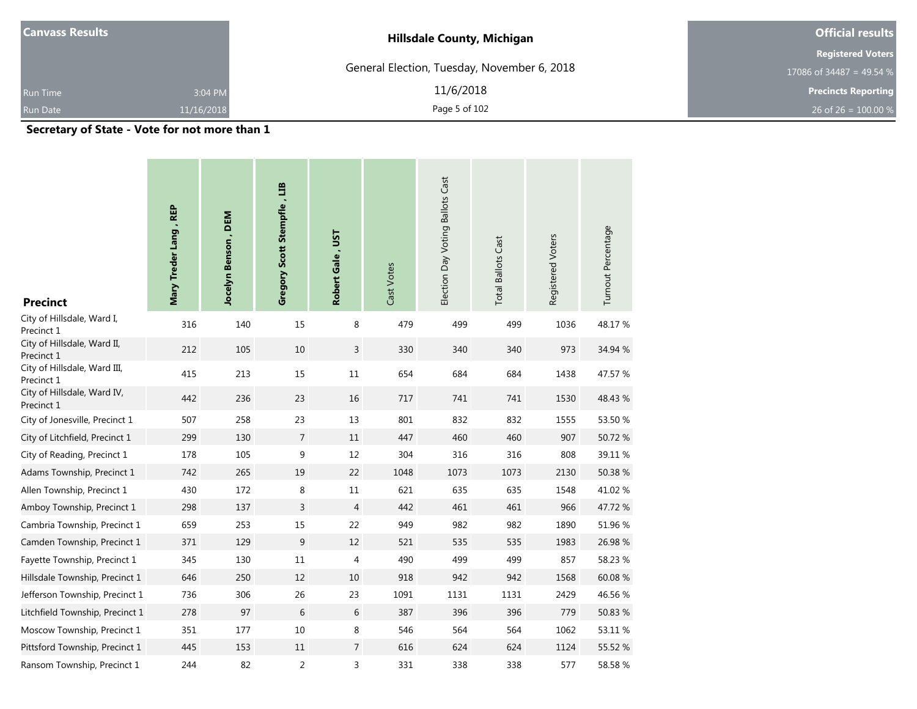| <b>Canvass Results</b> |                                                 | <b>Hillsdale County, Michigan</b>           | <b>Official results</b>    |
|------------------------|-------------------------------------------------|---------------------------------------------|----------------------------|
|                        |                                                 |                                             | <b>Registered Voters</b>   |
|                        |                                                 | General Election, Tuesday, November 6, 2018 | 17086 of 34487 = 49.54 %   |
| <b>Run Time</b>        | 3:04 PM                                         | 11/6/2018                                   | <b>Precincts Reporting</b> |
| Run Date               | 11/16/2018                                      | Page 5 of 102                               | 26 of 26 = $100.00\%$      |
|                        | the contract of the contract of the contract of |                                             |                            |

**Secretary of State - Vote for not more than 1**

| <b>Precinct</b>                            | Mary Treder Lang, REP | Jocelyn Benson, DEM | Gregory Scott Stempfle, LIB | Robert Gale, UST | Cast Votes | Election Day Voting Ballots Cast | <b>Total Ballots Cast</b> | Registered Voters | Turnout Percentage |
|--------------------------------------------|-----------------------|---------------------|-----------------------------|------------------|------------|----------------------------------|---------------------------|-------------------|--------------------|
| City of Hillsdale, Ward I,<br>Precinct 1   | 316                   | 140                 | 15                          | 8                | 479        | 499                              | 499                       | 1036              | 48.17%             |
| City of Hillsdale, Ward II,<br>Precinct 1  | 212                   | 105                 | 10                          | 3                | 330        | 340                              | 340                       | 973               | 34.94 %            |
| City of Hillsdale, Ward III,<br>Precinct 1 | 415                   | 213                 | 15                          | 11               | 654        | 684                              | 684                       | 1438              | 47.57 %            |
| City of Hillsdale, Ward IV,<br>Precinct 1  | 442                   | 236                 | 23                          | 16               | 717        | 741                              | 741                       | 1530              | 48.43 %            |
| City of Jonesville, Precinct 1             | 507                   | 258                 | 23                          | 13               | 801        | 832                              | 832                       | 1555              | 53.50 %            |
| City of Litchfield, Precinct 1             | 299                   | 130                 | $\overline{7}$              | 11               | 447        | 460                              | 460                       | 907               | 50.72 %            |
| City of Reading, Precinct 1                | 178                   | 105                 | 9                           | 12               | 304        | 316                              | 316                       | 808               | 39.11 %            |
| Adams Township, Precinct 1                 | 742                   | 265                 | 19                          | 22               | 1048       | 1073                             | 1073                      | 2130              | 50.38 %            |
| Allen Township, Precinct 1                 | 430                   | 172                 | 8                           | 11               | 621        | 635                              | 635                       | 1548              | 41.02 %            |
| Amboy Township, Precinct 1                 | 298                   | 137                 | 3                           | $\overline{4}$   | 442        | 461                              | 461                       | 966               | 47.72 %            |
| Cambria Township, Precinct 1               | 659                   | 253                 | 15                          | 22               | 949        | 982                              | 982                       | 1890              | 51.96 %            |
| Camden Township, Precinct 1                | 371                   | 129                 | $\boldsymbol{9}$            | 12               | 521        | 535                              | 535                       | 1983              | 26.98 %            |
| Fayette Township, Precinct 1               | 345                   | 130                 | 11                          | 4                | 490        | 499                              | 499                       | 857               | 58.23 %            |
| Hillsdale Township, Precinct 1             | 646                   | 250                 | 12                          | 10               | 918        | 942                              | 942                       | 1568              | 60.08%             |
| Jefferson Township, Precinct 1             | 736                   | 306                 | 26                          | 23               | 1091       | 1131                             | 1131                      | 2429              | 46.56 %            |
| Litchfield Township, Precinct 1            | 278                   | 97                  | 6                           | 6                | 387        | 396                              | 396                       | 779               | 50.83 %            |
| Moscow Township, Precinct 1                | 351                   | 177                 | 10                          | 8                | 546        | 564                              | 564                       | 1062              | 53.11 %            |
| Pittsford Township, Precinct 1             | 445                   | 153                 | 11                          | $\overline{7}$   | 616        | 624                              | 624                       | 1124              | 55.52 %            |
| Ransom Township, Precinct 1                | 244                   | 82                  | 2                           | 3                | 331        | 338                              | 338                       | 577               | 58.58%             |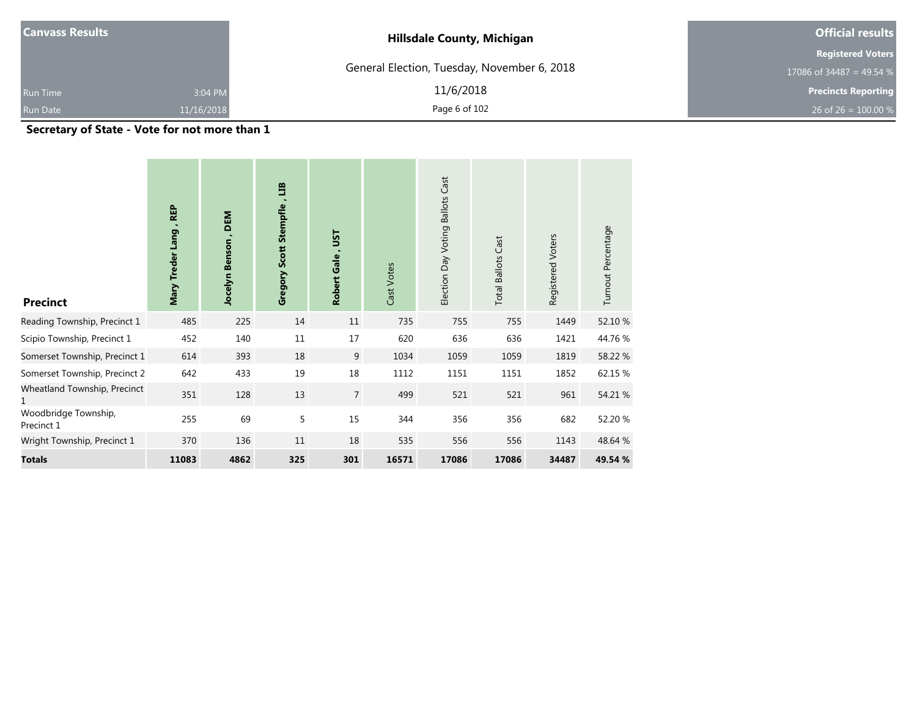| <b>Canvass Results</b> |                                     | <b>Hillsdale County, Michigan</b>           | <b>Official results</b>    |
|------------------------|-------------------------------------|---------------------------------------------|----------------------------|
|                        |                                     |                                             | <b>Registered Voters</b>   |
|                        |                                     | General Election, Tuesday, November 6, 2018 | 17086 of 34487 = 49.54 %   |
| <b>Run Time</b>        | 3:04 PM                             | 11/6/2018                                   | <b>Precincts Reporting</b> |
| <b>Run Date</b>        | 11/16/2018                          | Page 6 of 102                               | 26 of 26 = $100.00\%$      |
|                        | the contract of the contract of the |                                             |                            |

**Secretary of State - Vote for not more than 1**

| <b>Precinct</b>                    | <b>REP</b><br>Mary Treder Lang, | DEM<br>Jocelyn Benson | $\mathbf{H}$<br>Gregory Scott Stempfle | <b>LSL</b><br>Robert Gale, | Cast Votes | <b>Ballots Cast</b><br>Election Day Voting | <b>Total Ballots Cast</b> | Registered Voters | Turnout Percentage |
|------------------------------------|---------------------------------|-----------------------|----------------------------------------|----------------------------|------------|--------------------------------------------|---------------------------|-------------------|--------------------|
| Reading Township, Precinct 1       | 485                             | 225                   | 14                                     | 11                         | 735        | 755                                        | 755                       | 1449              | 52.10 %            |
| Scipio Township, Precinct 1        | 452                             | 140                   | 11                                     | 17                         | 620        | 636                                        | 636                       | 1421              | 44.76%             |
| Somerset Township, Precinct 1      | 614                             | 393                   | 18                                     | 9                          | 1034       | 1059                                       | 1059                      | 1819              | 58.22 %            |
| Somerset Township, Precinct 2      | 642                             | 433                   | 19                                     | 18                         | 1112       | 1151                                       | 1151                      | 1852              | 62.15 %            |
| Wheatland Township, Precinct<br>1  | 351                             | 128                   | 13                                     | $\overline{7}$             | 499        | 521                                        | 521                       | 961               | 54.21 %            |
| Woodbridge Township,<br>Precinct 1 | 255                             | 69                    | 5                                      | 15                         | 344        | 356                                        | 356                       | 682               | 52.20 %            |
| Wright Township, Precinct 1        | 370                             | 136                   | 11                                     | 18                         | 535        | 556                                        | 556                       | 1143              | 48.64 %            |
| <b>Totals</b>                      | 11083                           | 4862                  | 325                                    | 301                        | 16571      | 17086                                      | 17086                     | 34487             | 49.54 %            |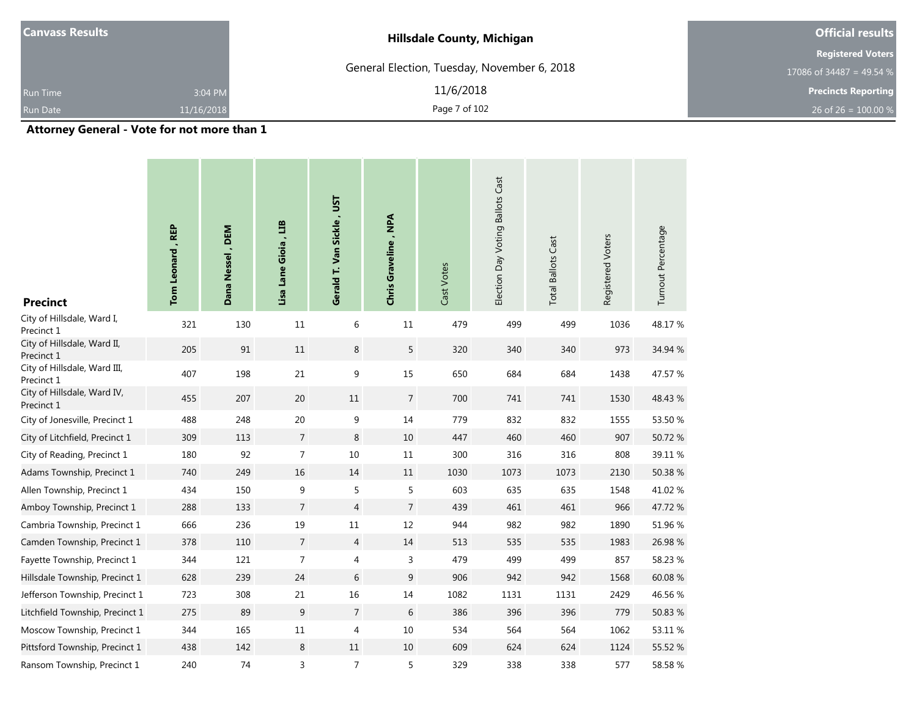| Canvass Results |                                                                                                                      | <b>Hillsdale County, Michigan</b>           | <b>Official results</b>    |
|-----------------|----------------------------------------------------------------------------------------------------------------------|---------------------------------------------|----------------------------|
|                 |                                                                                                                      |                                             | <b>Registered Voters</b>   |
|                 |                                                                                                                      | General Election, Tuesday, November 6, 2018 | 17086 of 34487 = 49.54 %   |
| <b>Run Time</b> | 3:04 PM                                                                                                              | 11/6/2018                                   | <b>Precincts Reporting</b> |
| <b>Run Date</b> | 11/16/2018                                                                                                           | Page 7 of 102                               | 26 of 26 = $100.00\%$      |
|                 | .<br>the contract of the contract of the contract of the contract of the contract of the contract of the contract of |                                             |                            |

**Attorney General - Vote for not more than 1**

| <b>Precinct</b>                            | Tom Leonard, REP | Dana Nessel, DEM | Lisa Lane Gioia, LIB | Gerald T. Van Sickle, UST | Chris Graveline, NPA | Cast Votes | Election Day Voting Ballots Cast | <b>Total Ballots Cast</b> | Registered Voters | Turnout Percentage |
|--------------------------------------------|------------------|------------------|----------------------|---------------------------|----------------------|------------|----------------------------------|---------------------------|-------------------|--------------------|
| City of Hillsdale, Ward I,<br>Precinct 1   | 321              | 130              | 11                   | 6                         | 11                   | 479        | 499                              | 499                       | 1036              | 48.17%             |
| City of Hillsdale, Ward II,<br>Precinct 1  | 205              | 91               | 11                   | 8                         | 5                    | 320        | 340                              | 340                       | 973               | 34.94 %            |
| City of Hillsdale, Ward III,<br>Precinct 1 | 407              | 198              | 21                   | $\boldsymbol{9}$          | 15                   | 650        | 684                              | 684                       | 1438              | 47.57 %            |
| City of Hillsdale, Ward IV,<br>Precinct 1  | 455              | 207              | 20                   | 11                        | $\overline{7}$       | 700        | 741                              | 741                       | 1530              | 48.43 %            |
| City of Jonesville, Precinct 1             | 488              | 248              | 20                   | 9                         | 14                   | 779        | 832                              | 832                       | 1555              | 53.50 %            |
| City of Litchfield, Precinct 1             | 309              | 113              | $\overline{7}$       | $\,8\,$                   | 10                   | 447        | 460                              | 460                       | 907               | 50.72%             |
| City of Reading, Precinct 1                | 180              | 92               | $\overline{7}$       | 10                        | 11                   | 300        | 316                              | 316                       | 808               | 39.11 %            |
| Adams Township, Precinct 1                 | 740              | 249              | 16                   | 14                        | 11                   | 1030       | 1073                             | 1073                      | 2130              | 50.38 %            |
| Allen Township, Precinct 1                 | 434              | 150              | 9                    | 5                         | 5                    | 603        | 635                              | 635                       | 1548              | 41.02%             |
| Amboy Township, Precinct 1                 | 288              | 133              | $\overline{7}$       | $\overline{4}$            | $\overline{7}$       | 439        | 461                              | 461                       | 966               | 47.72 %            |
| Cambria Township, Precinct 1               | 666              | 236              | 19                   | 11                        | 12                   | 944        | 982                              | 982                       | 1890              | 51.96%             |
| Camden Township, Precinct 1                | 378              | 110              | $\overline{7}$       | 4                         | 14                   | 513        | 535                              | 535                       | 1983              | 26.98 %            |
| Fayette Township, Precinct 1               | 344              | 121              | $\overline{7}$       | 4                         | 3                    | 479        | 499                              | 499                       | 857               | 58.23 %            |
| Hillsdale Township, Precinct 1             | 628              | 239              | 24                   | 6                         | 9                    | 906        | 942                              | 942                       | 1568              | 60.08%             |
| Jefferson Township, Precinct 1             | 723              | 308              | 21                   | 16                        | 14                   | 1082       | 1131                             | 1131                      | 2429              | 46.56 %            |
| Litchfield Township, Precinct 1            | 275              | 89               | 9                    | $\overline{7}$            | 6                    | 386        | 396                              | 396                       | 779               | 50.83 %            |
| Moscow Township, Precinct 1                | 344              | 165              | 11                   | $\overline{4}$            | 10                   | 534        | 564                              | 564                       | 1062              | 53.11 %            |
| Pittsford Township, Precinct 1             | 438              | 142              | 8                    | 11                        | 10                   | 609        | 624                              | 624                       | 1124              | 55.52 %            |
| Ransom Township, Precinct 1                | 240              | 74               | 3                    | $\overline{7}$            | 5                    | 329        | 338                              | 338                       | 577               | 58.58 %            |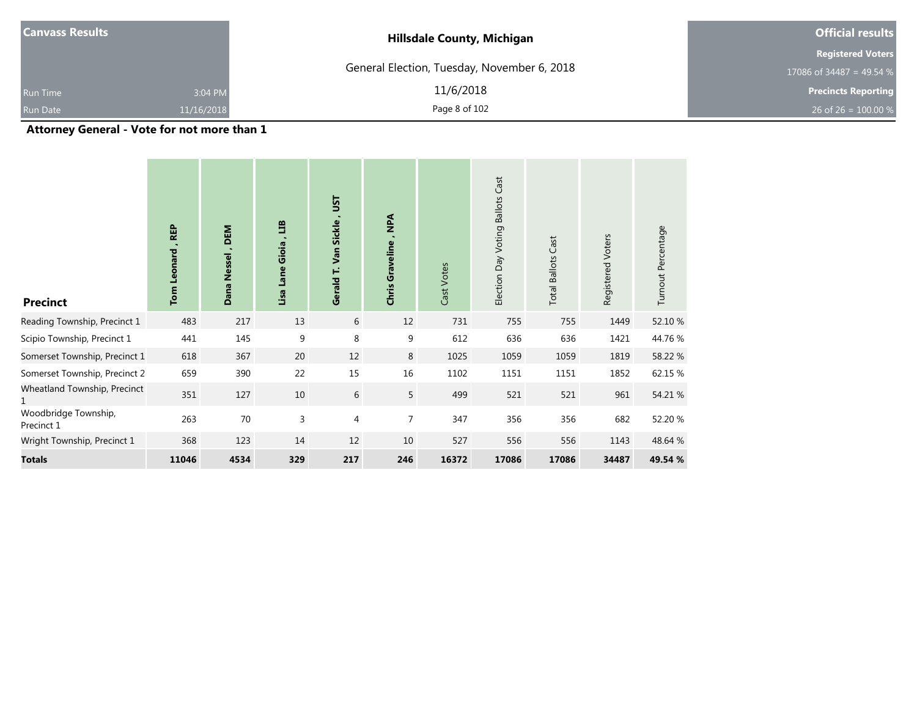| <b>Canvass Results</b> |            | <b>Hillsdale County, Michigan</b>           | <b>Official results</b>    |  |  |
|------------------------|------------|---------------------------------------------|----------------------------|--|--|
|                        |            |                                             | <b>Registered Voters</b>   |  |  |
|                        |            | General Election, Tuesday, November 6, 2018 | 17086 of 34487 = 49.54 $%$ |  |  |
| <b>Run Time</b>        | 3:04 PM    | 11/6/2018                                   | <b>Precincts Reporting</b> |  |  |
|                        | 11/16/2018 | Page 8 of 102                               | 26 of 26 = $100.00\%$      |  |  |
| <b>Run Date</b>        | .          |                                             |                            |  |  |

#### **Attorney General - Vote for not more than 1**

| <b>Precinct</b>                    | <b>REP</b><br>Leonard<br>Tom | DEM<br>$\blacksquare$<br>Nessel<br>Dana | E<br>Gioia<br>Lane<br>Lisa | <b>LSL</b><br>Van Sickle<br>Ë<br>Gerald | $\mathbb{A}$<br>Graveline<br>Chris | Cast Votes | Election Day Voting Ballots Cast | <b>Total Ballots Cast</b> | Registered Voters | Turnout Percentage |
|------------------------------------|------------------------------|-----------------------------------------|----------------------------|-----------------------------------------|------------------------------------|------------|----------------------------------|---------------------------|-------------------|--------------------|
| Reading Township, Precinct 1       | 483                          | 217                                     | 13                         | 6                                       | 12                                 | 731        | 755                              | 755                       | 1449              | 52.10 %            |
| Scipio Township, Precinct 1        | 441                          | 145                                     | 9                          | 8                                       | 9                                  | 612        | 636                              | 636                       | 1421              | 44.76%             |
| Somerset Township, Precinct 1      | 618                          | 367                                     | 20                         | 12                                      | 8                                  | 1025       | 1059                             | 1059                      | 1819              | 58.22 %            |
| Somerset Township, Precinct 2      | 659                          | 390                                     | 22                         | 15                                      | 16                                 | 1102       | 1151                             | 1151                      | 1852              | 62.15 %            |
| Wheatland Township, Precinct<br>1  | 351                          | 127                                     | 10                         | $6\,$                                   | 5                                  | 499        | 521                              | 521                       | 961               | 54.21 %            |
| Woodbridge Township,<br>Precinct 1 | 263                          | 70                                      | 3                          | $\overline{4}$                          | $\overline{7}$                     | 347        | 356                              | 356                       | 682               | 52.20 %            |
| Wright Township, Precinct 1        | 368                          | 123                                     | 14                         | 12                                      | 10                                 | 527        | 556                              | 556                       | 1143              | 48.64 %            |
| <b>Totals</b>                      | 11046                        | 4534                                    | 329                        | 217                                     | 246                                | 16372      | 17086                            | 17086                     | 34487             | 49.54 %            |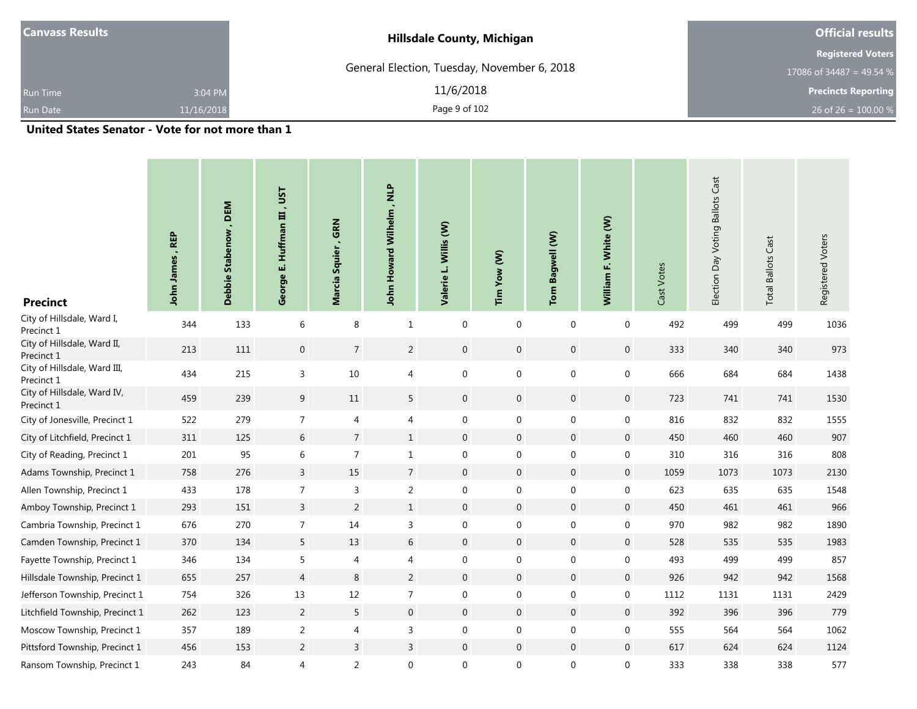|                                             | <b>Official results</b>           |
|---------------------------------------------|-----------------------------------|
|                                             | <b>Registered Voters</b>          |
| General Election, Tuesday, November 6, 2018 | 17086 of 34487 = 49.54 %          |
| 11/6/2018                                   | <b>Precincts Reporting</b>        |
| Page 9 of 102                               | 26 of 26 = $100.00\%$             |
|                                             | <b>Hillsdale County, Michigan</b> |

**Contract** 

| <b>Precinct</b>                            | John James, REP | <b>DEM</b><br>Debbie Stabenow, | <b>LSL</b><br><b>Huffman III</b><br>шi<br>George | , GRN<br>Marcia Squier | John Howard Wilhelm, NLP | Willis (W)<br>Valerie L. | Tim Yow (W)  | Tom Bagwell (W)  | William F. White (W) | Cast Votes | Election Day Voting Ballots Cast | <b>Total Ballots Cast</b> | Registered Voters |
|--------------------------------------------|-----------------|--------------------------------|--------------------------------------------------|------------------------|--------------------------|--------------------------|--------------|------------------|----------------------|------------|----------------------------------|---------------------------|-------------------|
| City of Hillsdale, Ward I,<br>Precinct 1   | 344             | 133                            | 6                                                | 8                      | $\mathbf{1}$             | $\mathbf 0$              | $\mathbf 0$  | $\mathbf{0}$     | $\mathbf 0$          | 492        | 499                              | 499                       | 1036              |
| City of Hillsdale, Ward II,<br>Precinct 1  | 213             | 111                            | $\boldsymbol{0}$                                 | $\overline{7}$         | $\overline{2}$           | $\boldsymbol{0}$         | $\mathsf{O}$ | $\mathbf 0$      | $\mathbf 0$          | 333        | 340                              | 340                       | 973               |
| City of Hillsdale, Ward III,<br>Precinct 1 | 434             | 215                            | 3                                                | $10\,$                 | 4                        | $\mathbf 0$              | $\mathbf 0$  | $\mathbf 0$      | $\mathbf 0$          | 666        | 684                              | 684                       | 1438              |
| City of Hillsdale, Ward IV,<br>Precinct 1  | 459             | 239                            | $\boldsymbol{9}$                                 | 11                     | 5                        | $\mathbf 0$              | $\mathsf{O}$ | $\mathbf 0$      | $\boldsymbol{0}$     | 723        | 741                              | 741                       | 1530              |
| City of Jonesville, Precinct 1             | 522             | 279                            | $\overline{7}$                                   | $\overline{4}$         | 4                        | $\boldsymbol{0}$         | $\mathbf 0$  | $\mathbf 0$      | $\boldsymbol{0}$     | 816        | 832                              | 832                       | 1555              |
| City of Litchfield, Precinct 1             | 311             | 125                            | $\sqrt{6}$                                       | $\overline{7}$         | $\mathbf{1}$             | $\mathbf 0$              | $\mathbf 0$  | $\mathbf 0$      | $\boldsymbol{0}$     | 450        | 460                              | 460                       | 907               |
| City of Reading, Precinct 1                | 201             | 95                             | 6                                                | $\overline{7}$         | $\mathbf{1}$             | 0                        | $\mathbf{0}$ | 0                | $\mathbf 0$          | 310        | 316                              | 316                       | 808               |
| Adams Township, Precinct 1                 | 758             | 276                            | $\overline{3}$                                   | 15                     | $\overline{7}$           | $\mathbf 0$              | $\mathbf{0}$ | $\mathbf 0$      | $\mathbf 0$          | 1059       | 1073                             | 1073                      | 2130              |
| Allen Township, Precinct 1                 | 433             | 178                            | $\overline{7}$                                   | 3                      | $\overline{2}$           | $\mathbf 0$              | 0            | 0                | $\mathbf 0$          | 623        | 635                              | 635                       | 1548              |
| Amboy Township, Precinct 1                 | 293             | 151                            | $\overline{3}$                                   | $\overline{2}$         | $\mathbf{1}$             | $\boldsymbol{0}$         | $\mathbf 0$  | $\mathbf 0$      | $\boldsymbol{0}$     | 450        | 461                              | 461                       | 966               |
| Cambria Township, Precinct 1               | 676             | 270                            | 7                                                | 14                     | 3                        | 0                        | $\mathbf{0}$ | $\mathbf{0}$     | $\mathbf 0$          | 970        | 982                              | 982                       | 1890              |
| Camden Township, Precinct 1                | 370             | 134                            | 5                                                | 13                     | $6\,$                    | $\boldsymbol{0}$         | $\mathbf 0$  | $\mathbf 0$      | $\boldsymbol{0}$     | 528        | 535                              | 535                       | 1983              |
| Fayette Township, Precinct 1               | 346             | 134                            | 5                                                | $\overline{4}$         | 4                        | $\boldsymbol{0}$         | 0            | 0                | $\boldsymbol{0}$     | 493        | 499                              | 499                       | 857               |
| Hillsdale Township, Precinct 1             | 655             | 257                            | $\overline{4}$                                   | 8                      | 2                        | $\mathbf 0$              | $\mathbf 0$  | $\mathbf 0$      | $\mathbf 0$          | 926        | 942                              | 942                       | 1568              |
| Jefferson Township, Precinct 1             | 754             | 326                            | 13                                               | 12                     | $\overline{7}$           | 0                        | $\mathbf 0$  | $\mathbf 0$      | $\mathbf 0$          | 1112       | 1131                             | 1131                      | 2429              |
| Litchfield Township, Precinct 1            | 262             | 123                            | $\overline{2}$                                   | 5                      | $\boldsymbol{0}$         | $\boldsymbol{0}$         | $\mathbf 0$  | $\mathbf 0$      | $\boldsymbol{0}$     | 392        | 396                              | 396                       | 779               |
| Moscow Township, Precinct 1                | 357             | 189                            | $\overline{c}$                                   | $\overline{4}$         | 3                        | $\boldsymbol{0}$         | $\mathbf 0$  | $\boldsymbol{0}$ | $\boldsymbol{0}$     | 555        | 564                              | 564                       | 1062              |
| Pittsford Township, Precinct 1             | 456             | 153                            | $\overline{2}$                                   | $\mathsf{3}$           | 3                        | $\boldsymbol{0}$         | $\mathbf 0$  | $\mathbf 0$      | $\mathbf 0$          | 617        | 624                              | 624                       | 1124              |
| Ransom Township, Precinct 1                | 243             | 84                             | 4                                                | $\overline{2}$         | $\boldsymbol{0}$         | 0                        | 0            | 0                | $\boldsymbol{0}$     | 333        | 338                              | 338                       | 577               |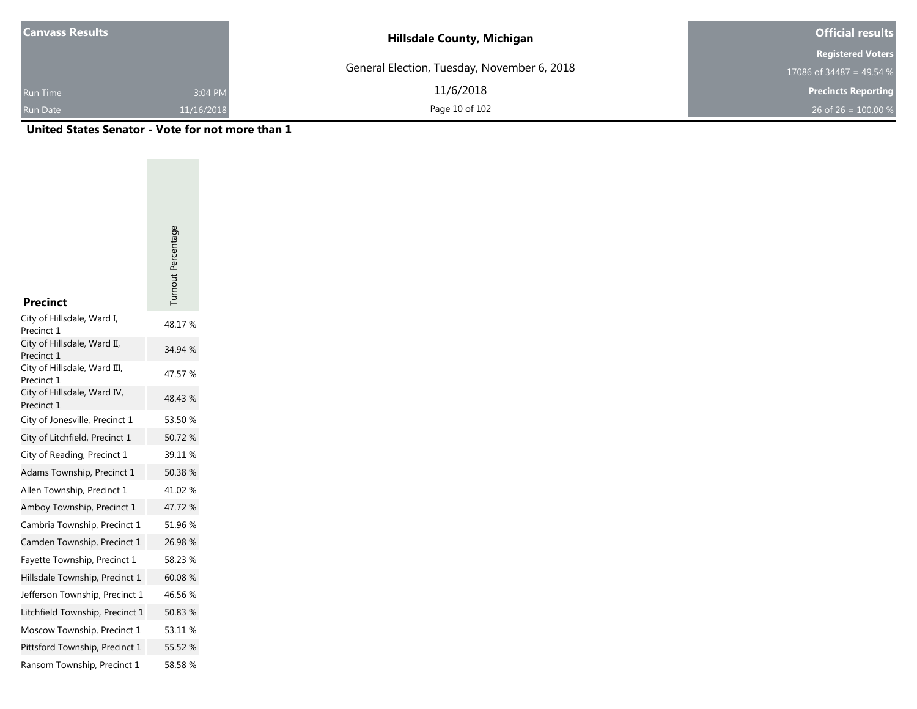| <b>Canvass Results</b> |            | <b>Hillsdale County, Michigan</b>           | <b>Official results</b>    |
|------------------------|------------|---------------------------------------------|----------------------------|
|                        |            |                                             | <b>Registered Voters</b>   |
|                        |            | General Election, Tuesday, November 6, 2018 | 17086 of 34487 = 49.54 %   |
| <b>Run Time</b>        | 3:04 PM    | 11/6/2018                                   | <b>Precincts Reporting</b> |
| <b>Run Date</b>        | 11/16/2018 | Page 10 of 102                              | 26 of 26 = $100.00\%$      |

|                                           | Turnout Percentage |
|-------------------------------------------|--------------------|
|                                           |                    |
|                                           |                    |
| <b>Precinct</b>                           |                    |
| City of Hillsdale, Ward I,<br>Precinct 1  | 48.17%             |
| City of Hillsdale, Ward II,<br>Precinct 1 | 34.94 %            |
| City of Hillsdale, Ward III,              | 47.57 %            |
| Precinct 1<br>City of Hillsdale, Ward IV, | 48.43 %            |
| Precinct 1                                |                    |
| City of Jonesville, Precinct 1            | 53.50 %            |
| City of Litchfield, Precinct 1            | 50.72 %            |
| City of Reading, Precinct 1               | 39.11 %            |
| Adams Township, Precinct 1                | 50.38 %            |
| Allen Township, Precinct 1                | 41.02 %            |
| Amboy Township, Precinct 1                | 47.72 %            |
| Cambria Township, Precinct 1              | 51.96 %            |
| Camden Township, Precinct 1               | 26.98%             |
| Fayette Township, Precinct 1              | 58.23 %            |
| Hillsdale Township, Precinct 1            | 60.08%             |
| Jefferson Township, Precinct 1            | 46.56 %            |
| Litchfield Township, Precinct 1           | 50.83 %            |
| Moscow Township, Precinct 1               | 53.11 %            |
| Pittsford Township, Precinct 1            | 55.52 %            |
| Ransom Township, Precinct 1               | 58.58 %            |
|                                           |                    |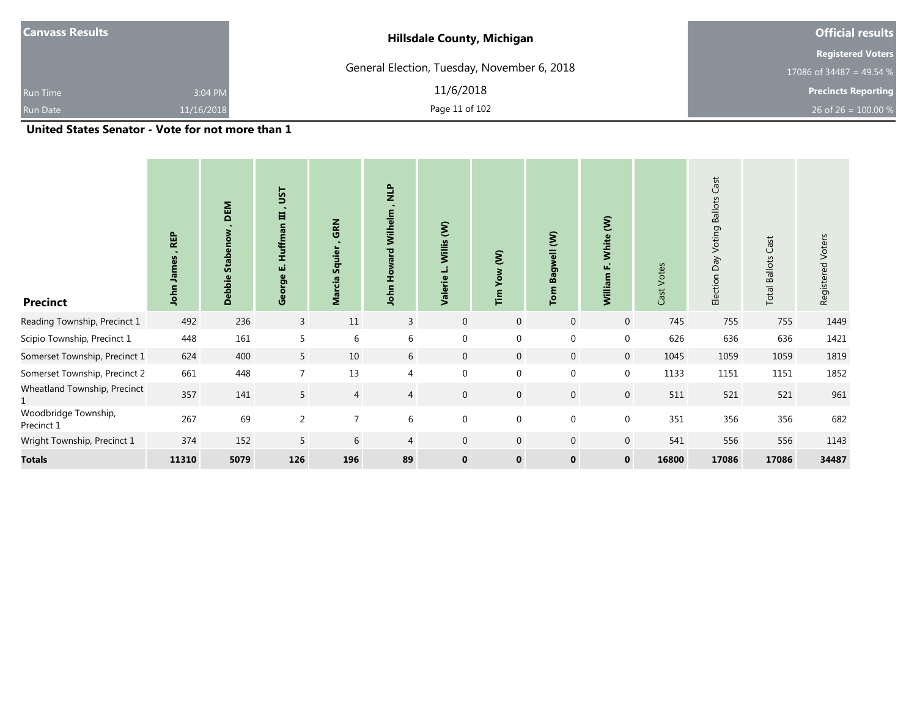| $\mathbf{r}$ . The state of the state $\mathbf{r}$ | .          | - - -                                       |                                       |  |  |
|----------------------------------------------------|------------|---------------------------------------------|---------------------------------------|--|--|
| <b>Run Date</b>                                    | 11/16/2018 | Page 11 of 102                              | 26 of 26 = $100.00\%$                 |  |  |
| <b>Run Time</b>                                    | 3:04 PM    | 11/6/2018                                   | <b>Precincts Reporting</b>            |  |  |
|                                                    |            | General Election, Tuesday, November 6, 2018 | 17086 of $\overline{34487}$ = 49.54 % |  |  |
|                                                    |            |                                             | <b>Registered Voters</b>              |  |  |
| <b>Canvass Results</b>                             |            | <b>Hillsdale County, Michigan</b>           | <b>Official results</b>               |  |  |

| <b>Precinct</b>                    | <b>REP</b><br>John James | DEM<br>eno<br><b>Stab</b><br>$\bullet$<br><b>Debbi</b> | ΞSΠ<br>$\sim$<br><b>Huffman III</b><br>ші<br>George | GRN<br>Squier<br><b>Marcia</b> | $\frac{P}{Z}$<br>Wilhelm<br>John | Willis (W)<br>Valerie | Yow (W)<br>$\tilde{F}$ | Bagwell (W)<br>Tom | White (W)<br>$\omega$<br>William | Cast Votes | Cast<br>Day Voting Ballots<br>Election | Cast<br><b>Ballots</b><br>Total | Registered Voters |
|------------------------------------|--------------------------|--------------------------------------------------------|-----------------------------------------------------|--------------------------------|----------------------------------|-----------------------|------------------------|--------------------|----------------------------------|------------|----------------------------------------|---------------------------------|-------------------|
| Reading Township, Precinct 1       | 492                      | 236                                                    | $\mathsf{3}$                                        | 11                             | $\mathbf{3}$                     | $\mathbf 0$           | $\overline{0}$         | $\mathbf 0$        | $\mathbf 0$                      | 745        | 755                                    | 755                             | 1449              |
| Scipio Township, Precinct 1        | 448                      | 161                                                    | 5                                                   | 6                              | 6                                | $\overline{0}$        | $\mathbf{0}$           | $\mathbf 0$        | $\mathbf 0$                      | 626        | 636                                    | 636                             | 1421              |
| Somerset Township, Precinct 1      | 624                      | 400                                                    | 5                                                   | 10                             | 6                                | $\mathbf{0}$          | $\mathbf 0$            | $\mathbf 0$        | $\mathbf{0}$                     | 1045       | 1059                                   | 1059                            | 1819              |
| Somerset Township, Precinct 2      | 661                      | 448                                                    | $\overline{7}$                                      | 13                             | $\overline{4}$                   | 0                     | $\mathbf{0}$           | $\mathbf 0$        | $\boldsymbol{0}$                 | 1133       | 1151                                   | 1151                            | 1852              |
| Wheatland Township, Precinct       | 357                      | 141                                                    | 5                                                   | $\overline{4}$                 | 4                                | $\mathbf{0}$          | $\mathbf 0$            | $\mathbf 0$        | $\boldsymbol{0}$                 | 511        | 521                                    | 521                             | 961               |
| Woodbridge Township,<br>Precinct 1 | 267                      | 69                                                     | 2                                                   | $\overline{7}$                 | 6                                | 0                     | $\mathbf 0$            | $\mathbf 0$        | $\mathbf 0$                      | 351        | 356                                    | 356                             | 682               |
| Wright Township, Precinct 1        | 374                      | 152                                                    | 5                                                   | 6                              | 4                                | $\mathbf{0}$          | $\mathbf 0$            | $\mathbf 0$        | $\mathbf 0$                      | 541        | 556                                    | 556                             | 1143              |
| <b>Totals</b>                      | 11310                    | 5079                                                   | 126                                                 | 196                            | 89                               | $\mathbf 0$           | $\mathbf 0$            | $\mathbf 0$        | $\mathbf 0$                      | 16800      | 17086                                  | 17086                           | 34487             |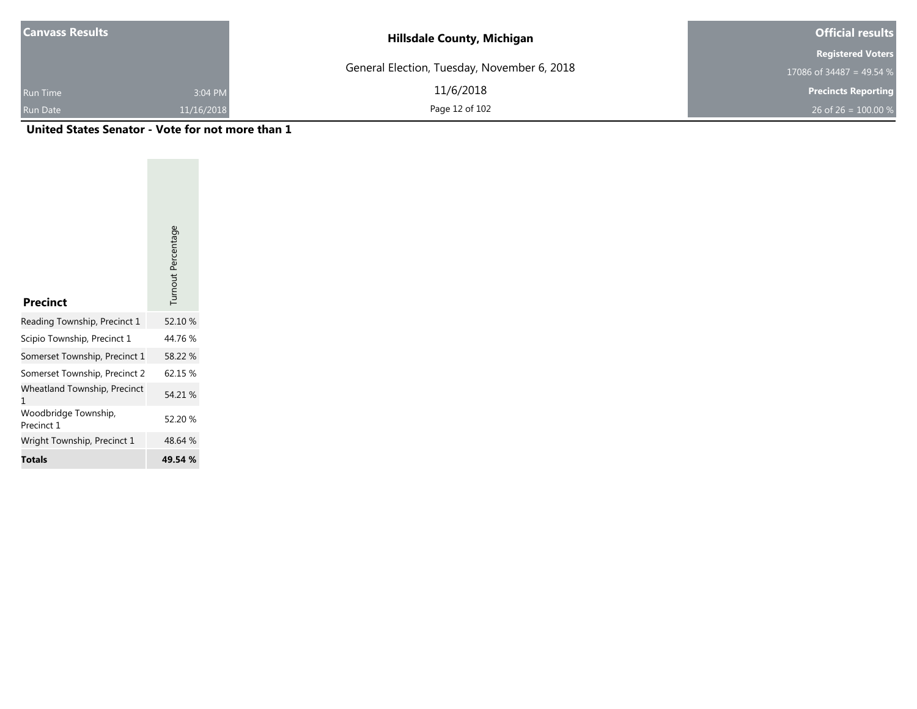| <b>Canvass Results</b> |            | <b>Hillsdale County, Michigan</b>           | <b>Official results</b>    |
|------------------------|------------|---------------------------------------------|----------------------------|
|                        |            |                                             | <b>Registered Voters</b>   |
|                        |            | General Election, Tuesday, November 6, 2018 | 17086 of 34487 = 49.54 $%$ |
| <b>Run Time</b>        | 3:04 PM    | 11/6/2018                                   | <b>Precincts Reporting</b> |
| <b>Run Date</b>        | 11/16/2018 | Page 12 of 102                              | 26 of 26 = $100.00 %$      |

| <b>Precinct</b>                    | Turnout Percentage |
|------------------------------------|--------------------|
| Reading Township, Precinct 1       | 52.10 %            |
| Scipio Township, Precinct 1        | 44.76 %            |
| Somerset Township, Precinct 1      | 58.22 %            |
| Somerset Township, Precinct 2      | 62.15 %            |
| Wheatland Township, Precinct<br>1  | 54.21 %            |
| Woodbridge Township,<br>Precinct 1 | 52.20 %            |
| Wright Township, Precinct 1        | 48.64 %            |
| Totals                             | 49.54 %            |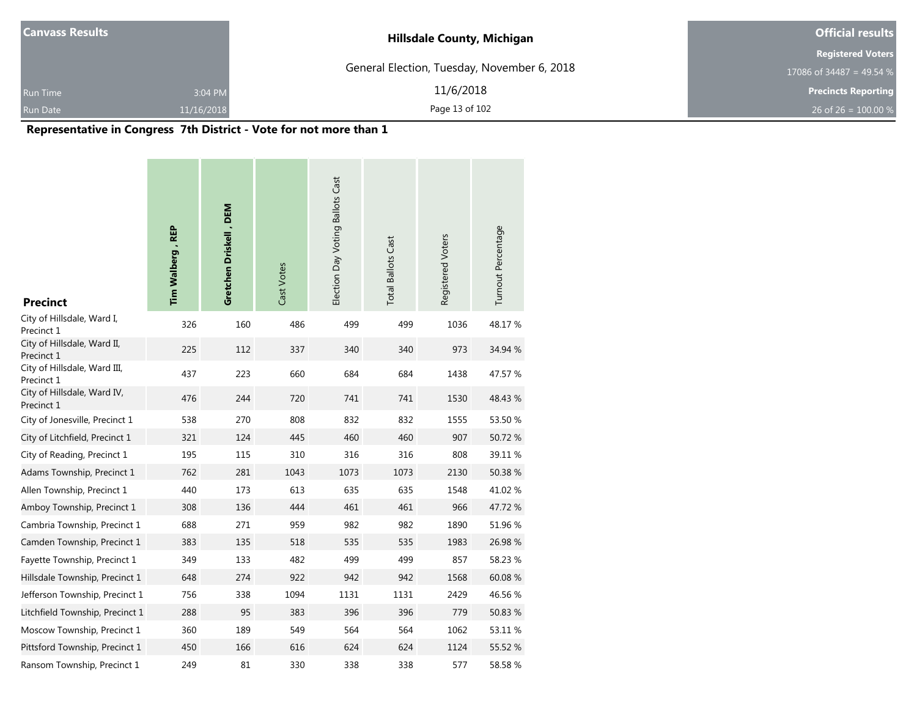| <b>Canvass Results</b> |            | <b>Hillsdale County, Michigan</b>           | <b>Official results</b>    |
|------------------------|------------|---------------------------------------------|----------------------------|
|                        |            |                                             | <b>Registered Voters</b>   |
|                        |            | General Election, Tuesday, November 6, 2018 | 17086 of 34487 = 49.54 %   |
| <b>Run Time</b>        | 3:04 PM    | 11/6/2018                                   | <b>Precincts Reporting</b> |
| <b>Run Date</b>        | 11/16/2018 | Page 13 of 102                              | 26 of 26 = $100.00\%$      |

a a

# **Representative in Congress 7th District - Vote for not more than 1**

**COLLECTION** 

**Contract Contract** 

| <b>Precinct</b>                            | Tim Walberg, REP | Gretchen Driskell, DEM | Cast Votes | Election Day Voting Ballots Cast | <b>Total Ballots Cast</b> | Registered Voters | Turnout Percentage |
|--------------------------------------------|------------------|------------------------|------------|----------------------------------|---------------------------|-------------------|--------------------|
| City of Hillsdale, Ward I,<br>Precinct 1   | 326              | 160                    | 486        | 499                              | 499                       | 1036              | 48.17%             |
| City of Hillsdale, Ward II,<br>Precinct 1  | 225              | 112                    | 337        | 340                              | 340                       | 973               | 34.94 %            |
| City of Hillsdale, Ward III,<br>Precinct 1 | 437              | 223                    | 660        | 684                              | 684                       | 1438              | 47.57 %            |
| City of Hillsdale, Ward IV,<br>Precinct 1  | 476              | 244                    | 720        | 741                              | 741                       | 1530              | 48.43 %            |
| City of Jonesville, Precinct 1             | 538              | 270                    | 808        | 832                              | 832                       | 1555              | 53.50 %            |
| City of Litchfield, Precinct 1             | 321              | 124                    | 445        | 460                              | 460                       | 907               | 50.72%             |
| City of Reading, Precinct 1                | 195              | 115                    | 310        | 316                              | 316                       | 808               | 39.11 %            |
| Adams Township, Precinct 1                 | 762              | 281                    | 1043       | 1073                             | 1073                      | 2130              | 50.38 %            |
| Allen Township, Precinct 1                 | 440              | 173                    | 613        | 635                              | 635                       | 1548              | 41.02%             |
| Amboy Township, Precinct 1                 | 308              | 136                    | 444        | 461                              | 461                       | 966               | 47.72 %            |
| Cambria Township, Precinct 1               | 688              | 271                    | 959        | 982                              | 982                       | 1890              | 51.96 %            |
| Camden Township, Precinct 1                | 383              | 135                    | 518        | 535                              | 535                       | 1983              | 26.98%             |
| Fayette Township, Precinct 1               | 349              | 133                    | 482        | 499                              | 499                       | 857               | 58.23 %            |
| Hillsdale Township, Precinct 1             | 648              | 274                    | 922        | 942                              | 942                       | 1568              | 60.08%             |
| Jefferson Township, Precinct 1             | 756              | 338                    | 1094       | 1131                             | 1131                      | 2429              | 46.56 %            |
| Litchfield Township, Precinct 1            | 288              | 95                     | 383        | 396                              | 396                       | 779               | 50.83 %            |
| Moscow Township, Precinct 1                | 360              | 189                    | 549        | 564                              | 564                       | 1062              | 53.11 %            |
| Pittsford Township, Precinct 1             | 450              | 166                    | 616        | 624                              | 624                       | 1124              | 55.52 %            |
| Ransom Township, Precinct 1                | 249              | 81                     | 330        | 338                              | 338                       | 577               | 58.58%             |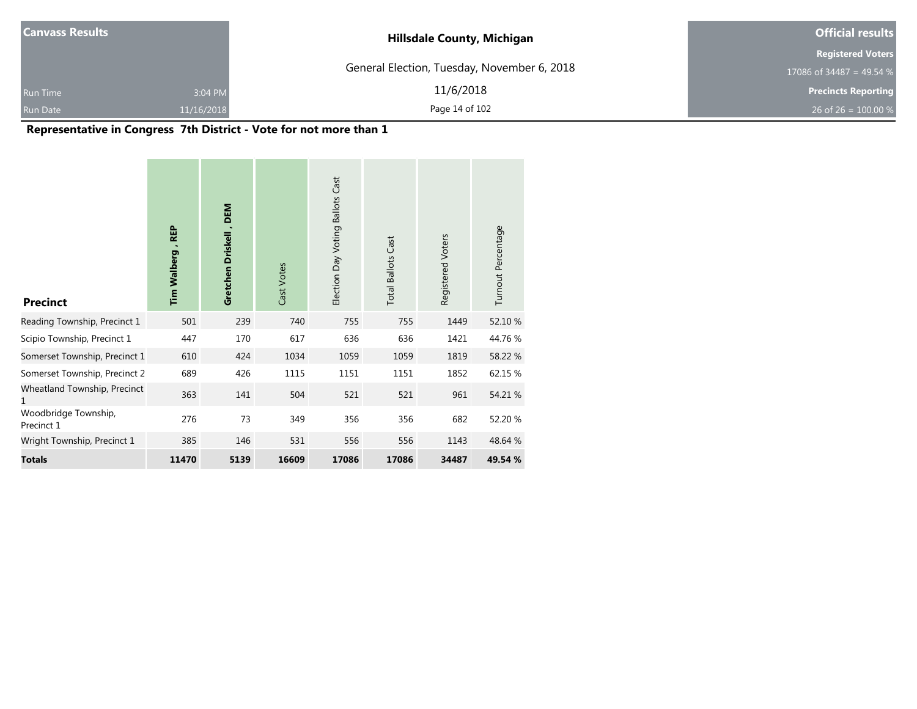| <b>Canvass Results</b> |            | <b>Hillsdale County, Michigan</b>           | <b>Official results</b>    |  |
|------------------------|------------|---------------------------------------------|----------------------------|--|
|                        |            |                                             | <b>Registered Voters</b>   |  |
|                        |            | General Election, Tuesday, November 6, 2018 | 17086 of 34487 = 49.54 %   |  |
| <b>Run Time</b>        | 3:04 PM    | 11/6/2018                                   | <b>Precincts Reporting</b> |  |
| Run Date               | 11/16/2018 | Page 14 of 102                              | 26 of 26 = $100.00\%$      |  |

# **Representative in Congress 7th District - Vote for not more than 1**

| <b>Precinct</b>                    | Tim Walberg, REP | Gretchen Driskell, DEM | Cast Votes | Election Day Voting Ballots Cast | <b>Total Ballots Cast</b> | Registered Voters | Turnout Percentage |
|------------------------------------|------------------|------------------------|------------|----------------------------------|---------------------------|-------------------|--------------------|
| Reading Township, Precinct 1       | 501              | 239                    | 740        | 755                              | 755                       | 1449              | 52.10 %            |
| Scipio Township, Precinct 1        | 447              | 170                    | 617        | 636                              | 636                       | 1421              | 44.76%             |
| Somerset Township, Precinct 1      | 610              | 424                    | 1034       | 1059                             | 1059                      | 1819              | 58.22 %            |
| Somerset Township, Precinct 2      | 689              | 426                    | 1115       | 1151                             | 1151                      | 1852              | 62.15 %            |
| Wheatland Township, Precinct<br>1  | 363              | 141                    | 504        | 521                              | 521                       | 961               | 54.21 %            |
| Woodbridge Township,<br>Precinct 1 | 276              | 73                     | 349        | 356                              | 356                       | 682               | 52.20 %            |
| Wright Township, Precinct 1        | 385              | 146                    | 531        | 556                              | 556                       | 1143              | 48.64 %            |
| <b>Totals</b>                      | 11470            | 5139                   | 16609      | 17086                            | 17086                     | 34487             | 49.54 %            |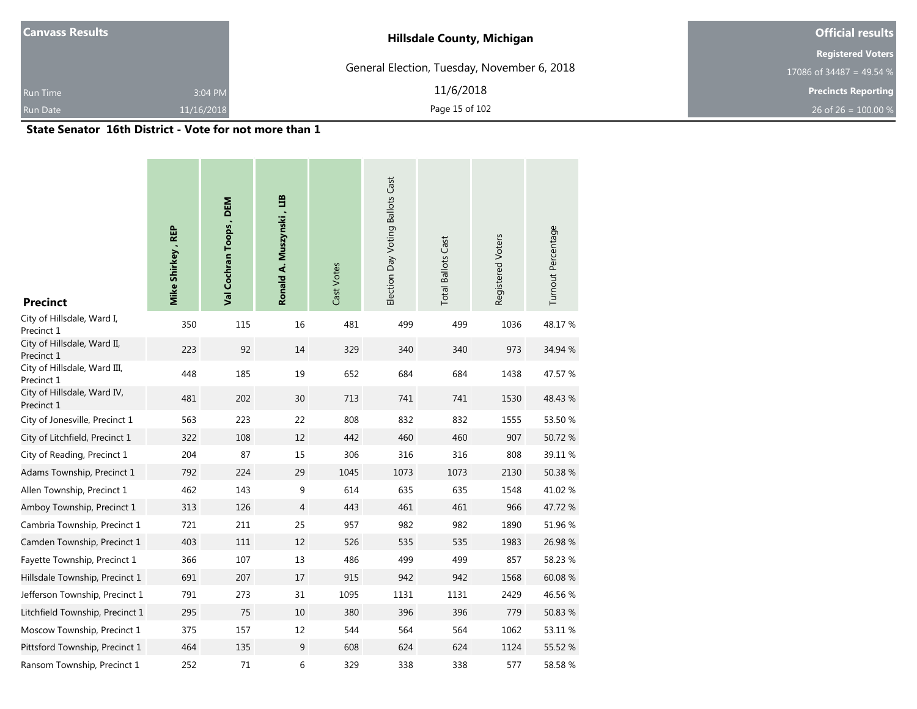| <b>Canvass Results</b> |            | <b>Hillsdale County, Michigan</b>           | <b>Official results</b>    |  |  |
|------------------------|------------|---------------------------------------------|----------------------------|--|--|
|                        |            |                                             | <b>Registered Voters</b>   |  |  |
|                        |            | General Election, Tuesday, November 6, 2018 | 17086 of 34487 = 49.54 %   |  |  |
| <b>Run Time</b>        | 3:04 PM    | 11/6/2018                                   | <b>Precincts Reporting</b> |  |  |
| Run Date               | 11/16/2018 | Page 15 of 102                              | 26 of 26 = $100.00\%$      |  |  |

#### **State Senator 16th District - Vote for not more than 1**

| <b>Precinct</b>                            | Mike Shirkey, REP | Val Cochran Toops, DEM | Ronald A. Muszynski, LIB | Cast Votes | Election Day Voting Ballots Cast | <b>Total Ballots Cast</b> | Registered Voters | Turnout Percentage |
|--------------------------------------------|-------------------|------------------------|--------------------------|------------|----------------------------------|---------------------------|-------------------|--------------------|
| City of Hillsdale, Ward I,<br>Precinct 1   | 350               | 115                    | 16                       | 481        | 499                              | 499                       | 1036              | 48.17%             |
| City of Hillsdale, Ward II,<br>Precinct 1  | 223               | 92                     | 14                       | 329        | 340                              | 340                       | 973               | 34.94 %            |
| City of Hillsdale, Ward III,<br>Precinct 1 | 448               | 185                    | 19                       | 652        | 684                              | 684                       | 1438              | 47.57 %            |
| City of Hillsdale, Ward IV,<br>Precinct 1  | 481               | 202                    | 30                       | 713        | 741                              | 741                       | 1530              | 48.43 %            |
| City of Jonesville, Precinct 1             | 563               | 223                    | 22                       | 808        | 832                              | 832                       | 1555              | 53.50 %            |
| City of Litchfield, Precinct 1             | 322               | 108                    | 12                       | 442        | 460                              | 460                       | 907               | 50.72 %            |
| City of Reading, Precinct 1                | 204               | 87                     | 15                       | 306        | 316                              | 316                       | 808               | 39.11 %            |
| Adams Township, Precinct 1                 | 792               | 224                    | 29                       | 1045       | 1073                             | 1073                      | 2130              | 50.38 %            |
| Allen Township, Precinct 1                 | 462               | 143                    | 9                        | 614        | 635                              | 635                       | 1548              | 41.02 %            |
| Amboy Township, Precinct 1                 | 313               | 126                    | $\overline{4}$           | 443        | 461                              | 461                       | 966               | 47.72 %            |
| Cambria Township, Precinct 1               | 721               | 211                    | 25                       | 957        | 982                              | 982                       | 1890              | 51.96 %            |
| Camden Township, Precinct 1                | 403               | $111\,$                | 12                       | 526        | 535                              | 535                       | 1983              | 26.98 %            |
| Fayette Township, Precinct 1               | 366               | 107                    | 13                       | 486        | 499                              | 499                       | 857               | 58.23 %            |
| Hillsdale Township, Precinct 1             | 691               | 207                    | 17                       | 915        | 942                              | 942                       | 1568              | 60.08%             |
| Jefferson Township, Precinct 1             | 791               | 273                    | 31                       | 1095       | 1131                             | 1131                      | 2429              | 46.56 %            |
| Litchfield Township, Precinct 1            | 295               | 75                     | 10                       | 380        | 396                              | 396                       | 779               | 50.83 %            |
| Moscow Township, Precinct 1                | 375               | 157                    | 12                       | 544        | 564                              | 564                       | 1062              | 53.11 %            |
| Pittsford Township, Precinct 1             | 464               | 135                    | 9                        | 608        | 624                              | 624                       | 1124              | 55.52 %            |
| Ransom Township, Precinct 1                | 252               | 71                     | 6                        | 329        | 338                              | 338                       | 577               | 58.58 %            |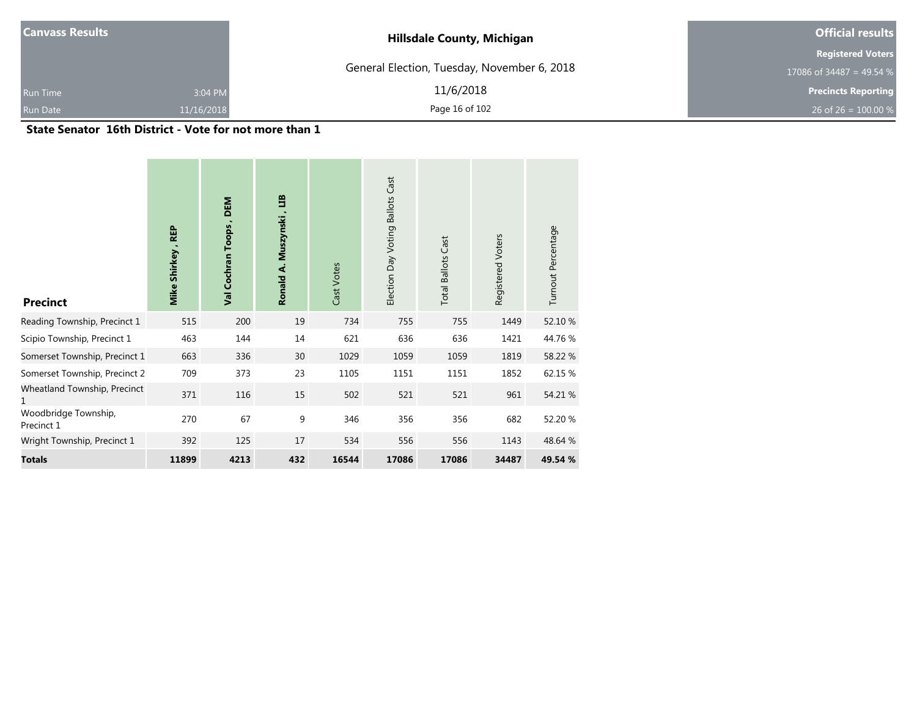| <b>Canvass Results</b> |            | <b>Hillsdale County, Michigan</b>           | <b>Official results</b>    |  |
|------------------------|------------|---------------------------------------------|----------------------------|--|
|                        |            |                                             | <b>Registered Voters</b>   |  |
|                        |            | General Election, Tuesday, November 6, 2018 | 17086 of 34487 = 49.54 %   |  |
| <b>Run Time</b>        | 3:04 PM    | 11/6/2018                                   | <b>Precincts Reporting</b> |  |
| Run Date               | 11/16/2018 | Page 16 of 102                              | 26 of 26 = $100.00\%$      |  |

#### **State Senator 16th District - Vote for not more than 1**

| <b>Precinct</b>                    | Mike Shirkey, REP | <b>DEM</b><br>Val Cochran Toops, | ED<br>Ronald A. Muszynski, | Cast Votes | <b>Ballots Cast</b><br>Election Day Voting | <b>Total Ballots Cast</b> | Registered Voters | Turnout Percentage |
|------------------------------------|-------------------|----------------------------------|----------------------------|------------|--------------------------------------------|---------------------------|-------------------|--------------------|
| Reading Township, Precinct 1       | 515               | 200                              | 19                         | 734        | 755                                        | 755                       | 1449              | 52.10 %            |
| Scipio Township, Precinct 1        | 463               | 144                              | 14                         | 621        | 636                                        | 636                       | 1421              | 44.76 %            |
| Somerset Township, Precinct 1      | 663               | 336                              | 30                         | 1029       | 1059                                       | 1059                      | 1819              | 58.22 %            |
| Somerset Township, Precinct 2      | 709               | 373                              | 23                         | 1105       | 1151                                       | 1151                      | 1852              | 62.15 %            |
| Wheatland Township, Precinct<br>1  | 371               | 116                              | 15                         | 502        | 521                                        | 521                       | 961               | 54.21 %            |
| Woodbridge Township,<br>Precinct 1 | 270               | 67                               | 9                          | 346        | 356                                        | 356                       | 682               | 52.20 %            |
| Wright Township, Precinct 1        | 392               | 125                              | 17                         | 534        | 556                                        | 556                       | 1143              | 48.64 %            |
| <b>Totals</b>                      | 11899             | 4213                             | 432                        | 16544      | 17086                                      | 17086                     | 34487             | 49.54 %            |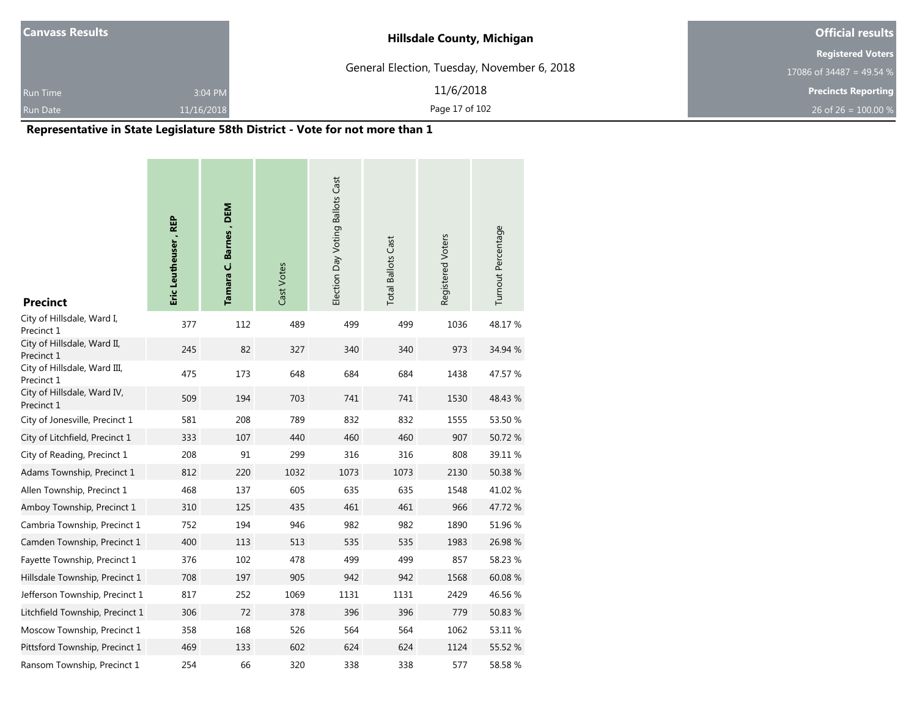| <b>Canvass Results</b> |            | <b>Hillsdale County, Michigan</b>           | <b>Official results</b>    |
|------------------------|------------|---------------------------------------------|----------------------------|
|                        |            |                                             | <b>Registered Voters</b>   |
|                        |            | General Election, Tuesday, November 6, 2018 | 17086 of 34487 = 49.54 $%$ |
| <b>Run Time</b>        | 3:04 PM    | 11/6/2018                                   | <b>Precincts Reporting</b> |
| <b>Run Date</b>        | 11/16/2018 | Page 17 of 102                              | 26 of 26 = 100.00 %        |

٠

# **Representative in State Legislature 58th District - Vote for not more than 1**

| <b>Precinct</b>                            | Eric Leutheuser, REP | Tamara C. Barnes, DEM | Cast Votes | Election Day Voting Ballots Cast | <b>Total Ballots Cast</b> | Registered Voters | Turnout Percentage |
|--------------------------------------------|----------------------|-----------------------|------------|----------------------------------|---------------------------|-------------------|--------------------|
| City of Hillsdale, Ward I,<br>Precinct 1   | 377                  | 112                   | 489        | 499                              | 499                       | 1036              | 48.17%             |
| City of Hillsdale, Ward II,<br>Precinct 1  | 245                  | 82                    | 327        | 340                              | 340                       | 973               | 34.94 %            |
| City of Hillsdale, Ward III,<br>Precinct 1 | 475                  | 173                   | 648        | 684                              | 684                       | 1438              | 47.57 %            |
| City of Hillsdale, Ward IV,<br>Precinct 1  | 509                  | 194                   | 703        | 741                              | 741                       | 1530              | 48.43 %            |
| City of Jonesville, Precinct 1             | 581                  | 208                   | 789        | 832                              | 832                       | 1555              | 53.50 %            |
| City of Litchfield, Precinct 1             | 333                  | 107                   | 440        | 460                              | 460                       | 907               | 50.72 %            |
| City of Reading, Precinct 1                | 208                  | 91                    | 299        | 316                              | 316                       | 808               | 39.11 %            |
| Adams Township, Precinct 1                 | 812                  | 220                   | 1032       | 1073                             | 1073                      | 2130              | 50.38 %            |
| Allen Township, Precinct 1                 | 468                  | 137                   | 605        | 635                              | 635                       | 1548              | 41.02%             |
| Amboy Township, Precinct 1                 | 310                  | 125                   | 435        | 461                              | 461                       | 966               | 47.72 %            |
| Cambria Township, Precinct 1               | 752                  | 194                   | 946        | 982                              | 982                       | 1890              | 51.96 %            |
| Camden Township, Precinct 1                | 400                  | 113                   | 513        | 535                              | 535                       | 1983              | 26.98 %            |
| Fayette Township, Precinct 1               | 376                  | 102                   | 478        | 499                              | 499                       | 857               | 58.23 %            |
| Hillsdale Township, Precinct 1             | 708                  | 197                   | 905        | 942                              | 942                       | 1568              | 60.08%             |
| Jefferson Township, Precinct 1             | 817                  | 252                   | 1069       | 1131                             | 1131                      | 2429              | 46.56 %            |
| Litchfield Township, Precinct 1            | 306                  | 72                    | 378        | 396                              | 396                       | 779               | 50.83 %            |
| Moscow Township, Precinct 1                | 358                  | 168                   | 526        | 564                              | 564                       | 1062              | 53.11 %            |
| Pittsford Township, Precinct 1             | 469                  | 133                   | 602        | 624                              | 624                       | 1124              | 55.52 %            |
| Ransom Township, Precinct 1                | 254                  | 66                    | 320        | 338                              | 338                       | 577               | 58.58%             |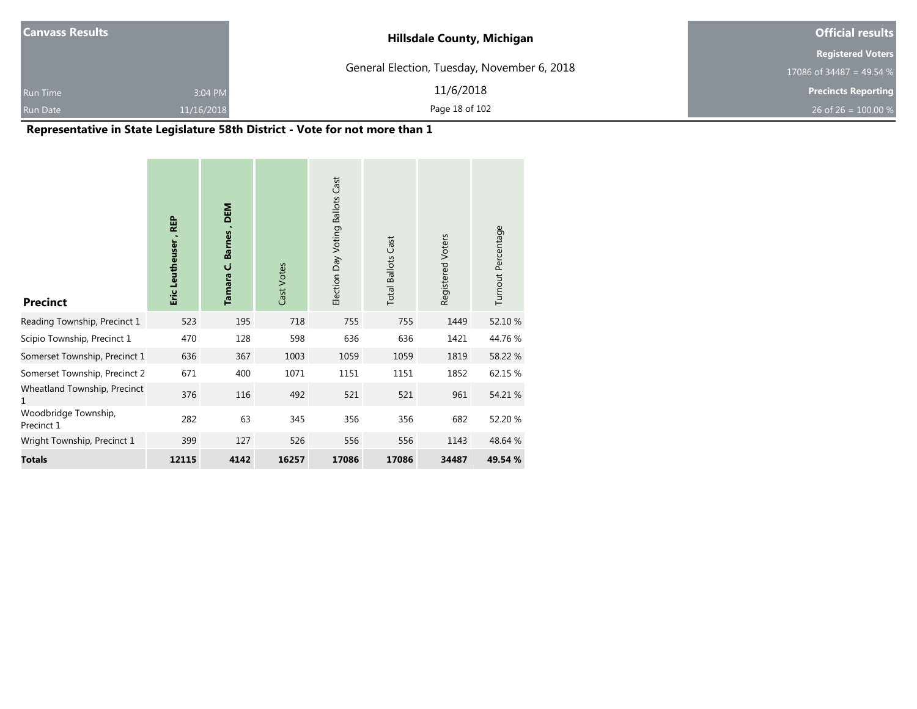| <b>Canvass Results</b> |            | <b>Hillsdale County, Michigan</b>           | <b>Official results</b>    |
|------------------------|------------|---------------------------------------------|----------------------------|
|                        |            |                                             | <b>Registered Voters</b>   |
|                        |            | General Election, Tuesday, November 6, 2018 | 17086 of 34487 = 49.54 %   |
| <b>Run Time</b>        | 3:04 PM    | 11/6/2018                                   | <b>Precincts Reporting</b> |
| <b>Run Date</b>        | 11/16/2018 | Page 18 of 102                              | 26 of 26 = $100.00\%$      |

# **Representative in State Legislature 58th District - Vote for not more than 1**

| <b>Precinct</b>                    | <b>REP</b><br>Eric Leutheuser, | Tamara C. Barnes, DEM | Cast Votes | Election Day Voting Ballots Cast | <b>Total Ballots Cast</b> | Registered Voters | Turnout Percentage |
|------------------------------------|--------------------------------|-----------------------|------------|----------------------------------|---------------------------|-------------------|--------------------|
| Reading Township, Precinct 1       | 523                            | 195                   | 718        | 755                              | 755                       | 1449              | 52.10 %            |
| Scipio Township, Precinct 1        | 470                            | 128                   | 598        | 636                              | 636                       | 1421              | 44.76%             |
| Somerset Township, Precinct 1      | 636                            | 367                   | 1003       | 1059                             | 1059                      | 1819              | 58.22 %            |
| Somerset Township, Precinct 2      | 671                            | 400                   | 1071       | 1151                             | 1151                      | 1852              | 62.15 %            |
| Wheatland Township, Precinct<br>1  | 376                            | 116                   | 492        | 521                              | 521                       | 961               | 54.21 %            |
| Woodbridge Township,<br>Precinct 1 | 282                            | 63                    | 345        | 356                              | 356                       | 682               | 52.20 %            |
| Wright Township, Precinct 1        | 399                            | 127                   | 526        | 556                              | 556                       | 1143              | 48.64 %            |
| <b>Totals</b>                      | 12115                          | 4142                  | 16257      | 17086                            | 17086                     | 34487             | 49.54 %            |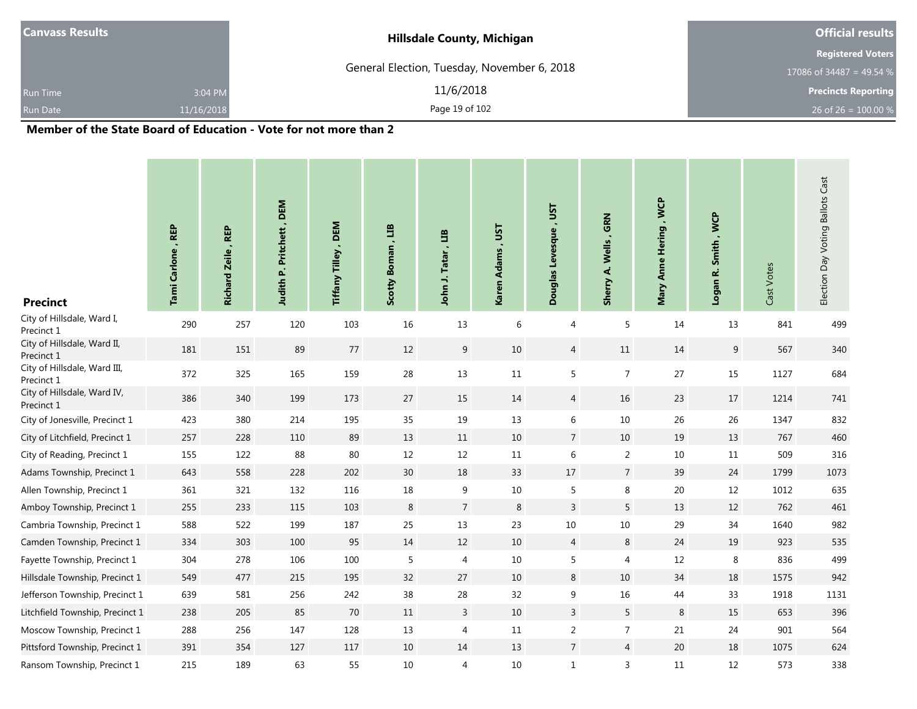| <b>Canvass Results</b> |            | <b>Hillsdale County, Michigan</b>           | <b>Official results</b>               |
|------------------------|------------|---------------------------------------------|---------------------------------------|
|                        |            |                                             | <b>Registered Voters</b>              |
|                        |            | General Election, Tuesday, November 6, 2018 | 17086 of $\overline{34487}$ = 49.54 % |
| <b>Run Time</b>        | 3:04 PM    | 11/6/2018                                   | <b>Precincts Reporting</b>            |
| Run Date               | 11/16/2018 | Page 19 of 102                              | 26 of 26 = $100.00\%$                 |
| - - -<br>____          | .          | .                                           |                                       |

۰

| <b>Precinct</b>                            | Tami Carlone, REP | , REP<br><b>Richard Zeile</b> | Judith P. Pritchett, DEM | Tiffany Tilley, DEM | ED<br><b>Scotty Boman</b> | 巴<br><b>Tatar</b><br>John J. | <b>UST</b><br>$\blacksquare$<br><b>Karen Adams</b> | Douglas Levesque, UST | Wells, GRN<br>Sherry A. | Mary Anne Hering , WCP | Smith, WCP<br>Logan R. | Cast Votes | Election Day Voting Ballots Cast |
|--------------------------------------------|-------------------|-------------------------------|--------------------------|---------------------|---------------------------|------------------------------|----------------------------------------------------|-----------------------|-------------------------|------------------------|------------------------|------------|----------------------------------|
| City of Hillsdale, Ward I,<br>Precinct 1   | 290               | 257                           | 120                      | 103                 | 16                        | 13                           | 6                                                  | 4                     | 5                       | 14                     | 13                     | 841        | 499                              |
| City of Hillsdale, Ward II,<br>Precinct 1  | 181               | 151                           | 89                       | 77                  | 12                        | 9                            | $10\,$                                             | $\overline{4}$        | $11\,$                  | 14                     | 9                      | 567        | 340                              |
| City of Hillsdale, Ward III,<br>Precinct 1 | 372               | 325                           | 165                      | 159                 | 28                        | $13\,$                       | $11\,$                                             | 5                     | $\overline{7}$          | 27                     | $15\,$                 | 1127       | 684                              |
| City of Hillsdale, Ward IV,<br>Precinct 1  | 386               | 340                           | 199                      | 173                 | 27                        | 15                           | 14                                                 | $\overline{4}$        | 16                      | 23                     | 17                     | 1214       | 741                              |
| City of Jonesville, Precinct 1             | 423               | 380                           | 214                      | 195                 | 35                        | 19                           | $13\,$                                             | 6                     | 10                      | 26                     | 26                     | 1347       | 832                              |
| City of Litchfield, Precinct 1             | 257               | 228                           | 110                      | 89                  | 13                        | 11                           | $10\,$                                             | $\overline{7}$        | 10                      | 19                     | 13                     | 767        | 460                              |
| City of Reading, Precinct 1                | 155               | 122                           | 88                       | $80\,$              | 12                        | 12                           | 11                                                 | 6                     | $\overline{2}$          | 10                     | 11                     | 509        | 316                              |
| Adams Township, Precinct 1                 | 643               | 558                           | 228                      | 202                 | 30                        | 18                           | 33                                                 | $17$                  | $\overline{7}$          | 39                     | 24                     | 1799       | 1073                             |
| Allen Township, Precinct 1                 | 361               | 321                           | 132                      | 116                 | 18                        | 9                            | $10\,$                                             | 5                     | 8                       | $20\,$                 | 12                     | 1012       | 635                              |
| Amboy Township, Precinct 1                 | 255               | 233                           | 115                      | 103                 | 8                         | $\overline{7}$               | 8                                                  | $\overline{3}$        | 5                       | 13                     | 12                     | 762        | 461                              |
| Cambria Township, Precinct 1               | 588               | 522                           | 199                      | 187                 | 25                        | 13                           | 23                                                 | 10                    | 10                      | 29                     | 34                     | 1640       | 982                              |
| Camden Township, Precinct 1                | 334               | 303                           | 100                      | 95                  | 14                        | 12                           | $10\,$                                             | $\overline{4}$        | $\,8\,$                 | 24                     | 19                     | 923        | 535                              |
| Fayette Township, Precinct 1               | 304               | 278                           | 106                      | 100                 | 5                         | 4                            | 10                                                 | 5                     | 4                       | 12                     | 8                      | 836        | 499                              |
| Hillsdale Township, Precinct 1             | 549               | 477                           | 215                      | 195                 | 32                        | 27                           | 10                                                 | $\,8\,$               | 10                      | 34                     | 18                     | 1575       | 942                              |
| Jefferson Township, Precinct 1             | 639               | 581                           | 256                      | 242                 | 38                        | 28                           | 32                                                 | 9                     | $16\,$                  | 44                     | 33                     | 1918       | 1131                             |
| Litchfield Township, Precinct 1            | 238               | 205                           | 85                       | 70                  | 11                        | $\mathbf{3}$                 | 10                                                 | $\overline{3}$        | 5                       | $\,8\,$                | 15                     | 653        | 396                              |
| Moscow Township, Precinct 1                | 288               | 256                           | 147                      | 128                 | 13                        | 4                            | 11                                                 | $\overline{2}$        | $\overline{7}$          | 21                     | 24                     | 901        | 564                              |
| Pittsford Township, Precinct 1             | 391               | 354                           | 127                      | 117                 | 10                        | 14                           | 13                                                 | $\overline{7}$        | $\overline{4}$          | 20                     | 18                     | 1075       | 624                              |
| Ransom Township, Precinct 1                | 215               | 189                           | 63                       | 55                  | 10                        | 4                            | $10\,$                                             | $\mathbf{1}$          | 3                       | 11                     | 12                     | 573        | 338                              |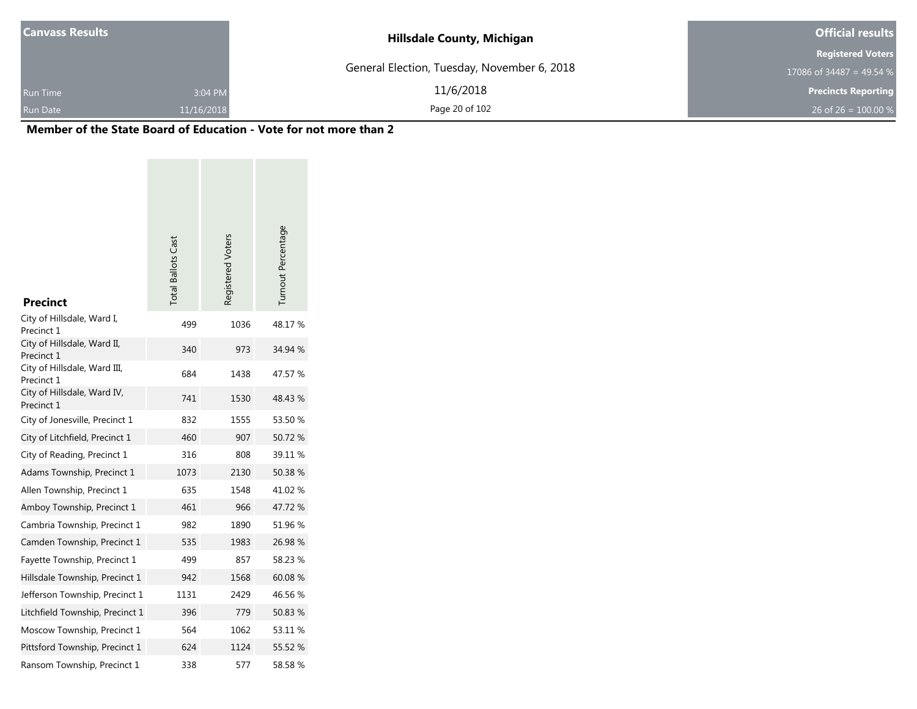| <b>Canvass Results</b> |            | <b>Hillsdale County, Michigan</b>           | <b>Official results</b>    |
|------------------------|------------|---------------------------------------------|----------------------------|
|                        |            |                                             | <b>Registered Voters</b>   |
|                        |            | General Election, Tuesday, November 6, 2018 | 17086 of 34487 = 49.54 $%$ |
| <b>Run Time</b>        | 3:04 PM    | 11/6/2018                                   | <b>Precincts Reporting</b> |
| <b>Run Date</b>        | 11/16/2018 | Page 20 of 102                              | 26 of 26 = $100.00\%$      |

| <b>Precinct</b>                            | <b>Total Ballots Cast</b> | Registered Voters | Turnout Percentage |
|--------------------------------------------|---------------------------|-------------------|--------------------|
| City of Hillsdale, Ward I,<br>Precinct 1   | 499                       | 1036              | 48.17%             |
| City of Hillsdale, Ward II,<br>Precinct 1  | 340                       | 973               | 34.94 %            |
| City of Hillsdale, Ward III,<br>Precinct 1 | 684                       | 1438              | 47.57 %            |
| City of Hillsdale, Ward IV,<br>Precinct 1  | 741                       | 1530              | 48.43 %            |
| City of Jonesville, Precinct 1             | 832                       | 1555              | 53.50 %            |
| City of Litchfield, Precinct 1             | 460                       | 907               | 50.72 %            |
| City of Reading, Precinct 1                | 316                       | 808               | 39.11 %            |
| Adams Township, Precinct 1                 | 1073                      | 2130              | 50.38 %            |
| Allen Township, Precinct 1                 | 635                       | 1548              | 41.02 %            |
| Amboy Township, Precinct 1                 | 461                       | 966               | 47.72 %            |
| Cambria Township, Precinct 1               | 982                       | 1890              | 51.96 %            |
| Camden Township, Precinct 1                | 535                       | 1983              | 26.98 %            |
| Fayette Township, Precinct 1               | 499                       | 857               | 58.23 %            |
| Hillsdale Township, Precinct 1             | 942                       | 1568              | 60.08%             |
| Jefferson Township, Precinct 1             | 1131                      | 2429              | 46.56 %            |
| Litchfield Township, Precinct 1            | 396                       | 779               | 50.83 %            |
| Moscow Township, Precinct 1                | 564                       | 1062              | 53.11 %            |
| Pittsford Township, Precinct 1             | 624                       | 1124              | 55.52 %            |
| Ransom Township, Precinct 1                | 338                       | 577               | 58.58%             |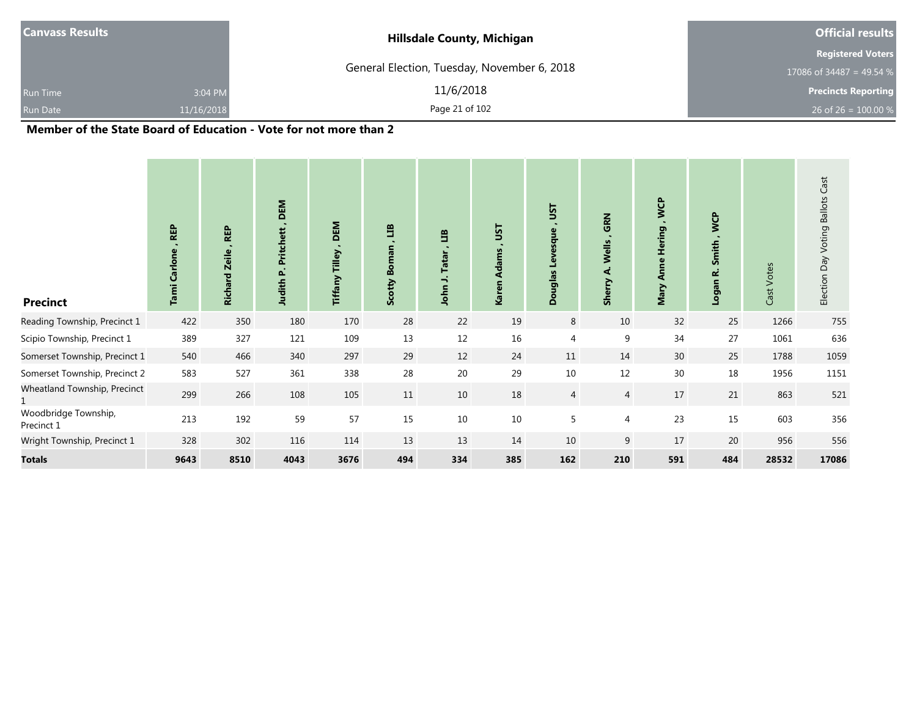| <b>Canvass Results</b> |            | <b>Hillsdale County, Michigan</b>           | <b>Official results</b>    |
|------------------------|------------|---------------------------------------------|----------------------------|
|                        |            |                                             | <b>Registered Voters</b>   |
|                        |            | General Election, Tuesday, November 6, 2018 | $17086$ of 34487 = 49.54 % |
| <b>Run Time</b>        | 3:04 PM    | 11/6/2018                                   | <b>Precincts Reporting</b> |
| <b>Run Date</b>        | 11/16/2018 | Page 21 of 102                              | 26 of 26 = $100.00\%$      |

| <b>Precinct</b>                    | <b>REP</b><br>Carlone<br>Tami | <b>REP</b><br><b>Richard Zeile</b> | <b>DEM</b><br>$\blacksquare$<br>Pritchett<br>Δ.<br>Judith | DEM<br>Tilley<br>Tiffany | 旨<br>$\circ$<br>Ă<br>Scotty | E<br><b>Tatar</b><br>$\overline{\phantom{a}}$<br>John | JST<br>۰.<br><b>Adams</b><br>Karen | JST<br>$\ddot{\phantom{1}}$<br>Levesque<br><b>Douglas</b> | GRN<br>Wells<br>નં<br><b>Sherry</b> | <b>S</b><br>Hering,<br>Anne<br>Mary | <b>WCP</b><br>Smith,<br>نم<br>Logan | Cast Votes | Election Day Voting Ballots Cast |
|------------------------------------|-------------------------------|------------------------------------|-----------------------------------------------------------|--------------------------|-----------------------------|-------------------------------------------------------|------------------------------------|-----------------------------------------------------------|-------------------------------------|-------------------------------------|-------------------------------------|------------|----------------------------------|
| Reading Township, Precinct 1       | 422                           | 350                                | 180                                                       | 170                      | 28                          | 22                                                    | 19                                 | $\,8\,$                                                   | 10                                  | 32                                  | 25                                  | 1266       | 755                              |
| Scipio Township, Precinct 1        | 389                           | 327                                | 121                                                       | 109                      | 13                          | 12                                                    | 16                                 | 4                                                         | 9                                   | 34                                  | 27                                  | 1061       | 636                              |
| Somerset Township, Precinct 1      | 540                           | 466                                | 340                                                       | 297                      | 29                          | 12                                                    | 24                                 | 11                                                        | 14                                  | 30                                  | 25                                  | 1788       | 1059                             |
| Somerset Township, Precinct 2      | 583                           | 527                                | 361                                                       | 338                      | 28                          | 20                                                    | 29                                 | 10                                                        | $12\,$                              | 30                                  | 18                                  | 1956       | 1151                             |
| Wheatland Township, Precinct       | 299                           | 266                                | 108                                                       | 105                      | 11                          | $10\,$                                                | 18                                 | 4                                                         | $\overline{4}$                      | 17                                  | 21                                  | 863        | 521                              |
| Woodbridge Township,<br>Precinct 1 | 213                           | 192                                | 59                                                        | 57                       | 15                          | 10                                                    | $10\,$                             | 5                                                         | 4                                   | 23                                  | 15                                  | 603        | 356                              |
| Wright Township, Precinct 1        | 328                           | 302                                | 116                                                       | 114                      | 13                          | 13                                                    | 14                                 | 10                                                        | 9                                   | 17                                  | 20                                  | 956        | 556                              |
| <b>Totals</b>                      | 9643                          | 8510                               | 4043                                                      | 3676                     | 494                         | 334                                                   | 385                                | 162                                                       | 210                                 | 591                                 | 484                                 | 28532      | 17086                            |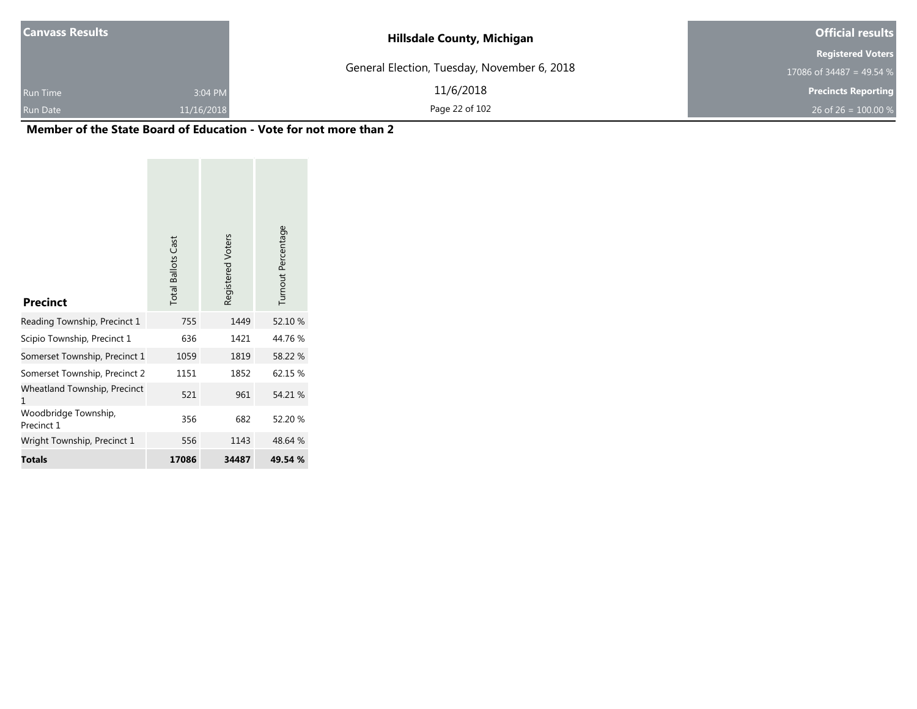| Canvass Results |            | <b>Hillsdale County, Michigan</b>           | <b>Official results</b>    |
|-----------------|------------|---------------------------------------------|----------------------------|
|                 |            |                                             | <b>Registered Voters</b>   |
|                 |            | General Election, Tuesday, November 6, 2018 | 17086 of 34487 = 49.54 %   |
| <b>Run Time</b> | 3:04 PM    | 11/6/2018                                   | <b>Precincts Reporting</b> |
| <b>Run Date</b> | 11/16/2018 | Page 22 of 102                              | 26 of 26 = $100.00\%$      |

| <b>Precinct</b>                    | <b>Total Ballots Cast</b> | Registered Voters | Turnout Percentage |
|------------------------------------|---------------------------|-------------------|--------------------|
| Reading Township, Precinct 1       | 755                       | 1449              | 52.10 %            |
| Scipio Township, Precinct 1        | 636                       | 1421              | 44.76%             |
| Somerset Township, Precinct 1      | 1059                      | 1819              | 58.22 %            |
| Somerset Township, Precinct 2      | 1151                      | 1852              | 62.15 %            |
| Wheatland Township, Precinct<br>1  | 521                       | 961               | 54.21 %            |
| Woodbridge Township,<br>Precinct 1 | 356                       | 682               | 52.20 %            |
| Wright Township, Precinct 1        | 556                       | 1143              | 48.64 %            |
| Totals                             | 17086                     | 34487             | 49.54 %            |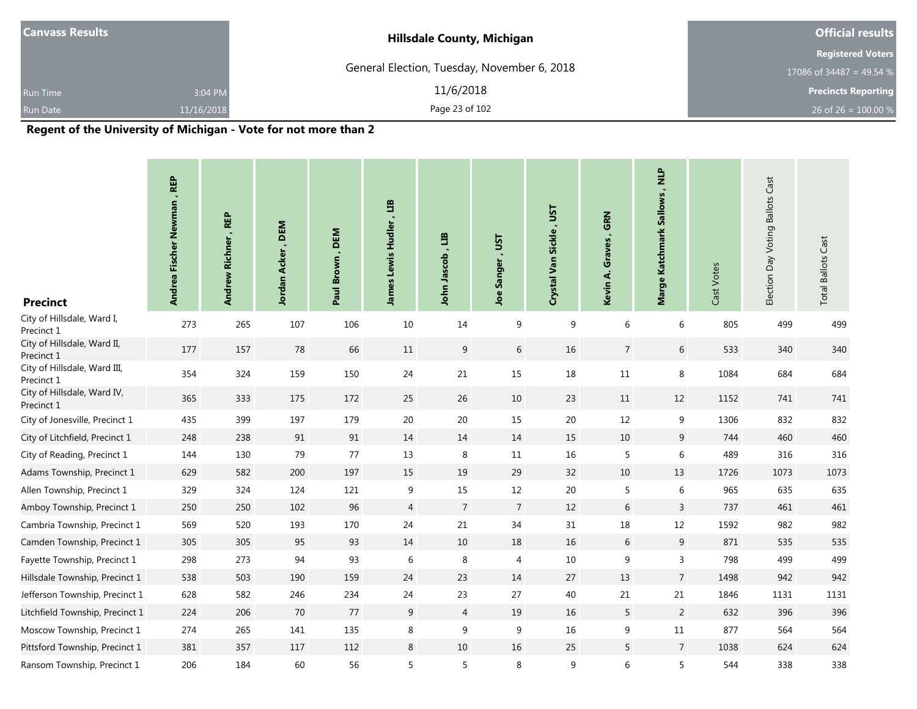| <b>Canvass Results</b> |            | <b>Hillsdale County, Michigan</b>                                     | <b>Official results</b>    |
|------------------------|------------|-----------------------------------------------------------------------|----------------------------|
|                        |            |                                                                       | <b>Registered Voters</b>   |
|                        |            | General Election, Tuesday, November 6, 2018                           | 17086 of 34487 = 49.54 $%$ |
| Run Time               | 3:04 PM    | 11/6/2018                                                             | <b>Precincts Reporting</b> |
| Run Date               | 11/16/2018 | Page 23 of 102                                                        | 26 of 26 = $100.00\%$      |
|                        |            | $\mathbf{r}$ , and the state that the state of the state $\mathbf{r}$ |                            |

| <b>Precinct</b>                            | Andrea Fischer Newman, REP | , REP<br><b>Richner</b><br><b>Andrew</b> | DEM<br>Acker,<br>Jordan | Paul Brown, DEM | James Lewis Hudler, LIB | ED<br>John Jascob | <b>LSL</b><br><b>Joe Sanger</b> | Crystal Van Sickle, UST | , GRN<br>Graves<br>Kevin A. | anv'<br>Marge Katchmark Sallows | Cast Votes | Election Day Voting Ballots Cast | <b>Total Ballots Cast</b> |
|--------------------------------------------|----------------------------|------------------------------------------|-------------------------|-----------------|-------------------------|-------------------|---------------------------------|-------------------------|-----------------------------|---------------------------------|------------|----------------------------------|---------------------------|
| City of Hillsdale, Ward I,<br>Precinct 1   | 273                        | 265                                      | 107                     | 106             | 10                      | 14                | 9                               | 9                       | 6                           | 6                               | 805        | 499                              | 499                       |
| City of Hillsdale, Ward II,<br>Precinct 1  | 177                        | 157                                      | 78                      | 66              | 11                      | 9                 | 6                               | 16                      | $\overline{7}$              | 6                               | 533        | 340                              | 340                       |
| City of Hillsdale, Ward III,<br>Precinct 1 | 354                        | 324                                      | 159                     | 150             | 24                      | 21                | 15                              | 18                      | $11\,$                      | 8                               | 1084       | 684                              | 684                       |
| City of Hillsdale, Ward IV,<br>Precinct 1  | 365                        | 333                                      | 175                     | 172             | 25                      | 26                | 10                              | 23                      | $11\,$                      | 12                              | 1152       | 741                              | 741                       |
| City of Jonesville, Precinct 1             | 435                        | 399                                      | 197                     | 179             | $20\,$                  | 20                | 15                              | 20                      | 12                          | 9                               | 1306       | 832                              | 832                       |
| City of Litchfield, Precinct 1             | 248                        | 238                                      | 91                      | 91              | 14                      | 14                | 14                              | 15                      | 10                          | 9                               | 744        | 460                              | 460                       |
| City of Reading, Precinct 1                | 144                        | 130                                      | 79                      | 77              | 13                      | $\,8\,$           | 11                              | 16                      | 5                           | 6                               | 489        | 316                              | 316                       |
| Adams Township, Precinct 1                 | 629                        | 582                                      | 200                     | 197             | 15                      | 19                | 29                              | 32                      | $10\,$                      | 13                              | 1726       | 1073                             | 1073                      |
| Allen Township, Precinct 1                 | 329                        | 324                                      | 124                     | 121             | 9                       | 15                | 12                              | 20                      | 5                           | 6                               | 965        | 635                              | 635                       |
| Amboy Township, Precinct 1                 | 250                        | 250                                      | 102                     | 96              | $\overline{4}$          | $\overline{7}$    | $\overline{7}$                  | 12                      | 6                           | 3                               | 737        | 461                              | 461                       |
| Cambria Township, Precinct 1               | 569                        | 520                                      | 193                     | 170             | 24                      | 21                | 34                              | 31                      | 18                          | 12                              | 1592       | 982                              | 982                       |
| Camden Township, Precinct 1                | 305                        | 305                                      | 95                      | 93              | 14                      | 10                | 18                              | 16                      | 6                           | 9                               | 871        | 535                              | 535                       |
| Fayette Township, Precinct 1               | 298                        | 273                                      | 94                      | 93              | 6                       | 8                 | 4                               | 10                      | $9\,$                       | 3                               | 798        | 499                              | 499                       |
| Hillsdale Township, Precinct 1             | 538                        | 503                                      | 190                     | 159             | 24                      | 23                | 14                              | 27                      | 13                          | $\overline{7}$                  | 1498       | 942                              | 942                       |
| Jefferson Township, Precinct 1             | 628                        | 582                                      | 246                     | 234             | 24                      | 23                | 27                              | 40                      | 21                          | 21                              | 1846       | 1131                             | 1131                      |
| Litchfield Township, Precinct 1            | 224                        | 206                                      | 70                      | $77$            | 9                       | $\overline{4}$    | 19                              | 16                      | 5                           | $\overline{2}$                  | 632        | 396                              | 396                       |
| Moscow Township, Precinct 1                | 274                        | 265                                      | 141                     | 135             | 8                       | 9                 | 9                               | 16                      | 9                           | 11                              | 877        | 564                              | 564                       |
| Pittsford Township, Precinct 1             | 381                        | 357                                      | 117                     | 112             | 8                       | $10\,$            | 16                              | 25                      | $5\phantom{.0}$             | $\overline{7}$                  | 1038       | 624                              | 624                       |
| Ransom Township, Precinct 1                | 206                        | 184                                      | 60                      | 56              | 5                       | 5                 | 8                               | 9                       | 6                           | 5                               | 544        | 338                              | 338                       |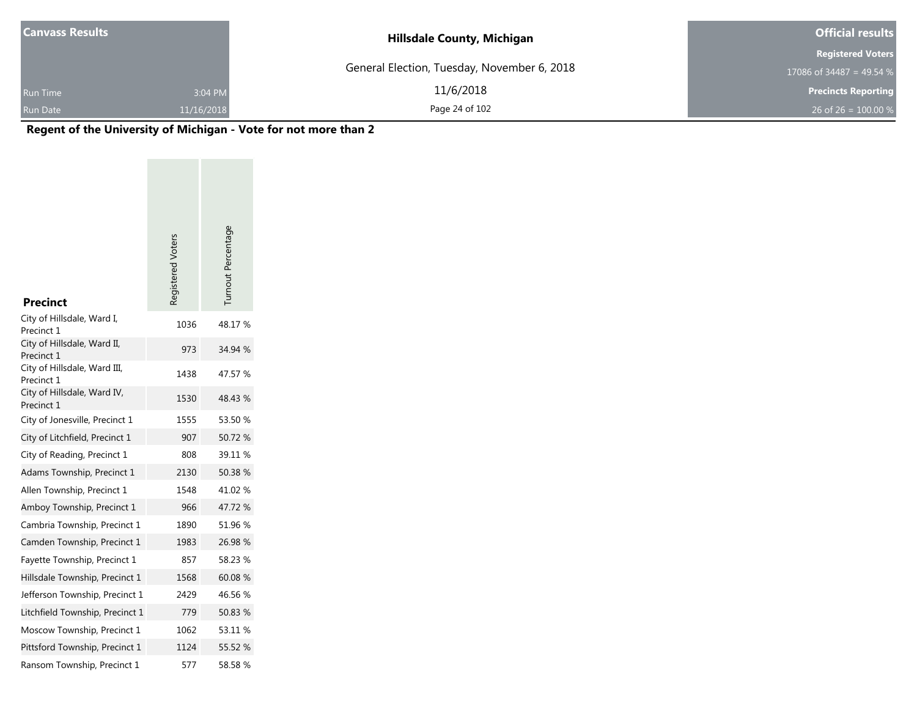| <b>Canvass Results</b> |            | <b>Hillsdale County, Michigan</b>           | <b>Official results</b>    |
|------------------------|------------|---------------------------------------------|----------------------------|
|                        |            |                                             | <b>Registered Voters</b>   |
|                        |            | General Election, Tuesday, November 6, 2018 | 17086 of 34487 = 49.54 $%$ |
| <b>Run Time</b>        | 3:04 PM    | 11/6/2018                                   | <b>Precincts Reporting</b> |
| <b>Run Date</b>        | 11/16/2018 | Page 24 of 102                              | 26 of 26 = $100.00\%$      |

|                                            | Registered Voters | Turnout Percentage |
|--------------------------------------------|-------------------|--------------------|
| <b>Precinct</b>                            |                   |                    |
| City of Hillsdale, Ward I,<br>Precinct 1   | 1036              | 48.17%             |
| City of Hillsdale, Ward II,<br>Precinct 1  | 973               | 34.94 %            |
| City of Hillsdale, Ward III,<br>Precinct 1 | 1438              | 47.57 %            |
| City of Hillsdale, Ward IV,<br>Precinct 1  | 1530              | 48.43 %            |
| City of Jonesville, Precinct 1             | 1555              | 53.50 %            |
| City of Litchfield, Precinct 1             | 907               | 50.72 %            |
| City of Reading, Precinct 1                | 808               | 39.11 %            |
| Adams Township, Precinct 1                 | 2130              | 50.38%             |
| Allen Township, Precinct 1                 | 1548              | 41.02%             |
| Amboy Township, Precinct 1                 | 966               | 47.72%             |
| Cambria Township, Precinct 1               | 1890              | 51.96 %            |
| Camden Township, Precinct 1                | 1983              | 26.98 %            |
| Fayette Township, Precinct 1               | 857               | 58.23 %            |
| Hillsdale Township, Precinct 1             | 1568              | 60.08%             |
| Jefferson Township, Precinct 1             | 2429              | 46.56%             |
| Litchfield Township, Precinct 1            | 779               | 50.83%             |
| Moscow Township, Precinct 1                | 1062              | 53.11 %            |
| Pittsford Township, Precinct 1             | 1124              | 55.52 %            |
| Ransom Township, Precinct 1                | 577               | 58.58%             |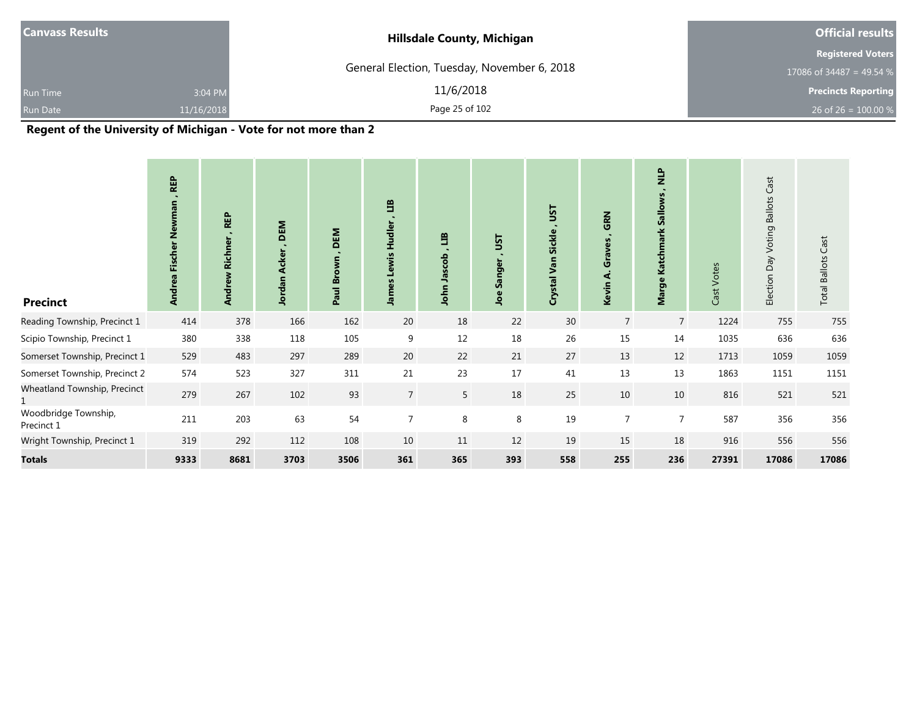| <b>Hillsdale County, Michigan</b> |                                             |
|-----------------------------------|---------------------------------------------|
|                                   | <b>Registered Voters</b>                    |
|                                   | 17086 of 34487 = 49.54 $%$                  |
| 11/6/2018                         | <b>Precincts Reporting</b>                  |
| Page 25 of 102                    | 26 of 26 = $100.00\%$                       |
|                                   | General Election, Tuesday, November 6, 2018 |

| <b>Precinct</b>                    | <b>REP</b><br>Newman<br><b>Fischer</b><br>Andrea | <b>REP</b><br><b>Richner</b><br><b>Andrew</b> | DEM<br>$\sim$<br><b>Acker</b><br>Jordan | DEM<br><b>Brown</b><br>Paul I | 当<br>Hudler<br>õ<br>mel. | ED<br>Jascob<br>John | JSΤ<br>Sanger<br>Joe | JSΤ<br><b>Sickle</b><br>Van<br>Crystal | GRN<br>Graves<br>નં<br>Kevin | $\frac{P}{Z}$<br><b>Sallows</b><br>Marge Katchmark | Votes<br>Cast | Cast<br><b>Ballots</b><br>Voting<br>Day<br>Election | <b>Total Ballots Cast</b> |
|------------------------------------|--------------------------------------------------|-----------------------------------------------|-----------------------------------------|-------------------------------|--------------------------|----------------------|----------------------|----------------------------------------|------------------------------|----------------------------------------------------|---------------|-----------------------------------------------------|---------------------------|
| Reading Township, Precinct 1       | 414                                              | 378                                           | 166                                     | 162                           | 20                       | 18                   | 22                   | 30                                     | $\overline{7}$               | $\overline{7}$                                     | 1224          | 755                                                 | 755                       |
| Scipio Township, Precinct 1        | 380                                              | 338                                           | 118                                     | 105                           | 9                        | 12                   | 18                   | 26                                     | 15                           | 14                                                 | 1035          | 636                                                 | 636                       |
| Somerset Township, Precinct 1      | 529                                              | 483                                           | 297                                     | 289                           | 20                       | 22                   | 21                   | 27                                     | 13                           | 12                                                 | 1713          | 1059                                                | 1059                      |
| Somerset Township, Precinct 2      | 574                                              | 523                                           | 327                                     | 311                           | 21                       | 23                   | 17                   | 41                                     | 13                           | 13                                                 | 1863          | 1151                                                | 1151                      |
| Wheatland Township, Precinct       | 279                                              | 267                                           | 102                                     | 93                            | $\overline{7}$           | 5                    | 18                   | 25                                     | 10                           | 10 <sup>°</sup>                                    | 816           | 521                                                 | 521                       |
| Woodbridge Township,<br>Precinct 1 | 211                                              | 203                                           | 63                                      | 54                            | $\overline{7}$           | 8                    | 8                    | 19                                     | $\overline{7}$               | $\overline{7}$                                     | 587           | 356                                                 | 356                       |
| Wright Township, Precinct 1        | 319                                              | 292                                           | 112                                     | 108                           | 10                       | 11                   | 12                   | 19                                     | 15                           | 18                                                 | 916           | 556                                                 | 556                       |
| <b>Totals</b>                      | 9333                                             | 8681                                          | 3703                                    | 3506                          | 361                      | 365                  | 393                  | 558                                    | 255                          | 236                                                | 27391         | 17086                                               | 17086                     |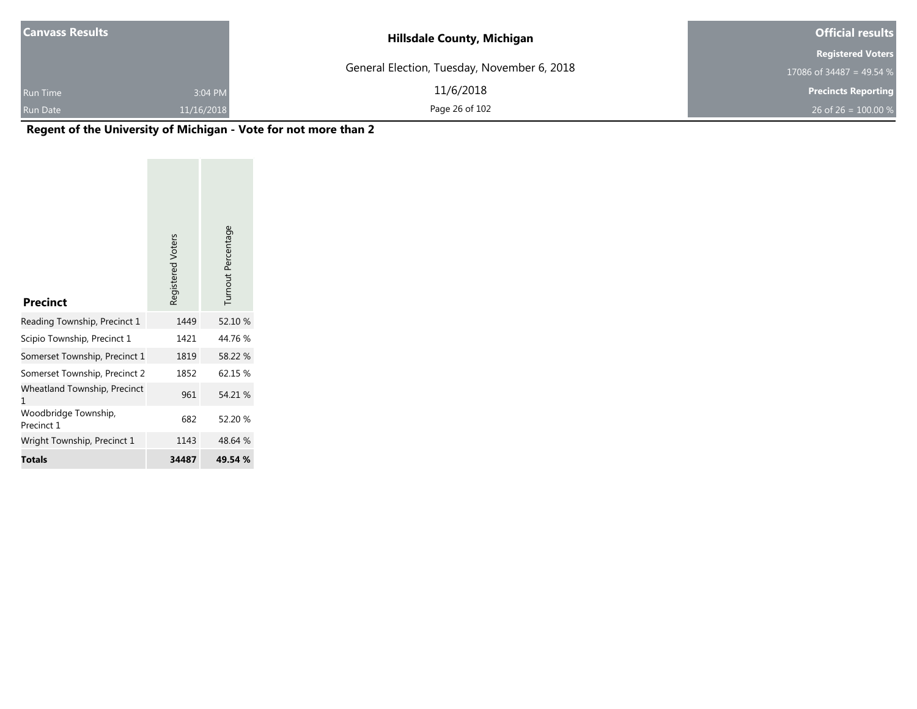| <b>Canvass Results</b> |            | <b>Hillsdale County, Michigan</b>           | <b>Official results</b>    |
|------------------------|------------|---------------------------------------------|----------------------------|
|                        |            |                                             | <b>Registered Voters</b>   |
|                        |            | General Election, Tuesday, November 6, 2018 | 17086 of 34487 = 49.54 %   |
| <b>Run Time</b>        | 3:04 PM    | 11/6/2018                                   | <b>Precincts Reporting</b> |
| <b>Run Date</b>        | 11/16/2018 | Page 26 of 102                              | 26 of 26 = $100.00\%$      |

| <b>Precinct</b>                    | Registered Voters | Turnout Percentage |
|------------------------------------|-------------------|--------------------|
| Reading Township, Precinct 1       | 1449              | 52.10 %            |
| Scipio Township, Precinct 1        | 1421              | 44.76%             |
| Somerset Township, Precinct 1      | 1819              | 58.22 %            |
| Somerset Township, Precinct 2      | 1852              | 62.15 %            |
| Wheatland Township, Precinct<br>1  | 961               | 54.21 %            |
| Woodbridge Township,<br>Precinct 1 | 682               | 52.20 %            |
| Wright Township, Precinct 1        | 1143              | 48.64 %            |
| <b>Totals</b>                      | 34487             | 49.54 %            |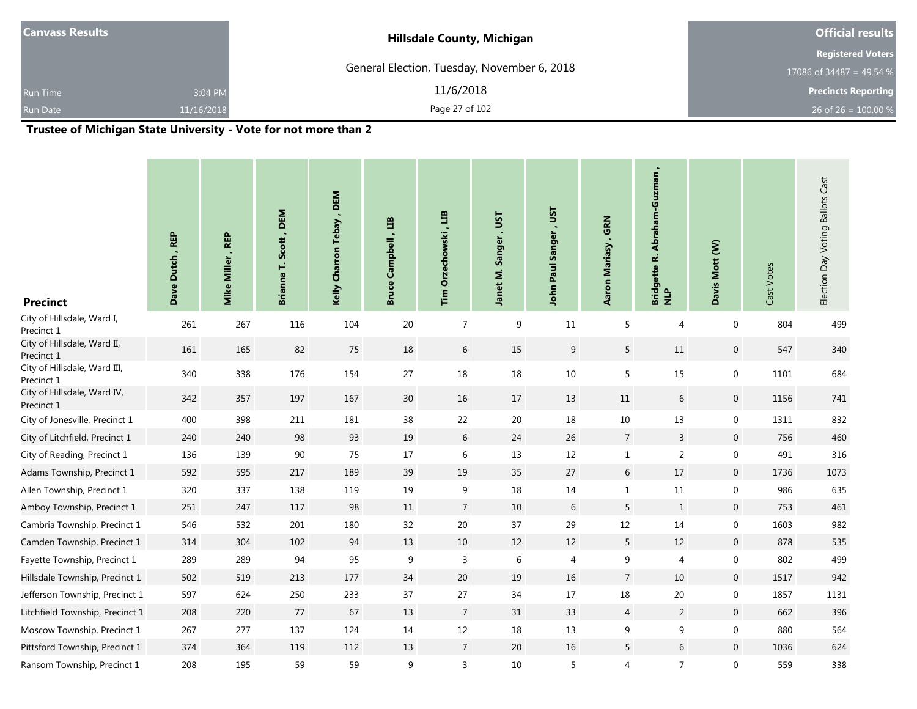| <b>Canvass Results</b> |            | <b>Hillsdale County, Michigan</b>                                | <b>Official results</b>    |
|------------------------|------------|------------------------------------------------------------------|----------------------------|
|                        |            |                                                                  | <b>Registered Voters</b>   |
|                        |            | General Election, Tuesday, November 6, 2018                      | 17086 of 34487 = 49.54 $%$ |
| Run Time               | 3:04 PM    | 11/6/2018                                                        | <b>Precincts Reporting</b> |
| Run Date               | 11/16/2018 | Page 27 of 102                                                   | 26 of 26 = $100.00\%$      |
|                        |            | Turnature of Michigan Ctota University. Mate for not move than 3 |                            |

and the control of the control of the control of the control of the control of

٠

#### **Trustee of Michigan State University - Vote for not more than 2**

and the control of the control of the control of the control of the control of the control of the control of the

| <b>Precinct</b>                            | Dave Dutch, REP | Mike Miller, REP | Scott, DEM<br>Ë<br><b>Brianna</b> | Kelly Charron Tebay, DEM | E<br>$\blacksquare$<br>Campbell<br><b>Bruce</b> | ED<br><b>Orzechowski</b><br>Tim | LSL'<br>Sanger<br>Janet M. | John Paul Sanger , UST | GRN<br>$\blacksquare$<br>Aaron Mariasy | Abraham-Guzman<br>Bridgette R. .<br>NLP | Davis Mott (W)   | Cast Votes | Election Day Voting Ballots Cast |
|--------------------------------------------|-----------------|------------------|-----------------------------------|--------------------------|-------------------------------------------------|---------------------------------|----------------------------|------------------------|----------------------------------------|-----------------------------------------|------------------|------------|----------------------------------|
| City of Hillsdale, Ward I,<br>Precinct 1   | 261             | 267              | 116                               | 104                      | 20                                              | $\overline{7}$                  | 9                          | 11                     | 5                                      | 4                                       | $\boldsymbol{0}$ | 804        | 499                              |
| City of Hillsdale, Ward II,<br>Precinct 1  | 161             | 165              | 82                                | 75                       | 18                                              | $6\,$                           | 15                         | $9\,$                  | 5                                      | 11                                      | $\mathbf 0$      | 547        | 340                              |
| City of Hillsdale, Ward III,<br>Precinct 1 | 340             | 338              | 176                               | 154                      | 27                                              | 18                              | 18                         | 10                     | 5                                      | 15                                      | $\mathbf 0$      | 1101       | 684                              |
| City of Hillsdale, Ward IV,<br>Precinct 1  | 342             | 357              | 197                               | 167                      | 30                                              | 16                              | 17                         | 13                     | 11                                     | 6                                       | $\mathbf 0$      | 1156       | 741                              |
| City of Jonesville, Precinct 1             | 400             | 398              | 211                               | 181                      | 38                                              | 22                              | 20                         | 18                     | 10                                     | 13                                      | $\boldsymbol{0}$ | 1311       | 832                              |
| City of Litchfield, Precinct 1             | 240             | 240              | 98                                | 93                       | 19                                              | $6\,$                           | 24                         | 26                     | $\overline{7}$                         | $\overline{3}$                          | $\mathbf 0$      | 756        | 460                              |
| City of Reading, Precinct 1                | 136             | 139              | $90\,$                            | 75                       | 17                                              | $\,$ 6 $\,$                     | 13                         | 12                     | $1\,$                                  | $\sqrt{2}$                              | $\mathbf 0$      | 491        | 316                              |
| Adams Township, Precinct 1                 | 592             | 595              | 217                               | 189                      | 39                                              | 19                              | 35                         | 27                     | 6                                      | 17                                      | $\mathbf 0$      | 1736       | 1073                             |
| Allen Township, Precinct 1                 | 320             | 337              | 138                               | 119                      | 19                                              | 9                               | 18                         | 14                     | $\mathbf 1$                            | $11\,$                                  | $\mathbf 0$      | 986        | 635                              |
| Amboy Township, Precinct 1                 | 251             | 247              | 117                               | 98                       | 11                                              | $\overline{7}$                  | 10                         | 6                      | 5                                      | $\mathbf{1}$                            | $\mathbf 0$      | 753        | 461                              |
| Cambria Township, Precinct 1               | 546             | 532              | 201                               | 180                      | 32                                              | 20                              | 37                         | 29                     | 12                                     | 14                                      | $\mathbf 0$      | 1603       | 982                              |
| Camden Township, Precinct 1                | 314             | 304              | 102                               | 94                       | 13                                              | $10\,$                          | 12                         | 12                     | 5                                      | 12                                      | $\mathbf 0$      | 878        | 535                              |
| Fayette Township, Precinct 1               | 289             | 289              | 94                                | 95                       | 9                                               | 3                               | 6                          | 4                      | 9                                      | 4                                       | $\boldsymbol{0}$ | 802        | 499                              |
| Hillsdale Township, Precinct 1             | 502             | 519              | 213                               | 177                      | 34                                              | 20                              | 19                         | 16                     | $\overline{7}$                         | 10                                      | $\mathbf 0$      | 1517       | 942                              |
| Jefferson Township, Precinct 1             | 597             | 624              | 250                               | 233                      | 37                                              | 27                              | 34                         | 17                     | 18                                     | $20\,$                                  | $\mathbf 0$      | 1857       | 1131                             |
| Litchfield Township, Precinct 1            | 208             | 220              | 77                                | 67                       | 13                                              | $\overline{7}$                  | 31                         | 33                     | $\overline{4}$                         | $\overline{2}$                          | $\mathbf 0$      | 662        | 396                              |
| Moscow Township, Precinct 1                | 267             | 277              | 137                               | 124                      | 14                                              | $12\,$                          | 18                         | 13                     | 9                                      | 9                                       | $\mathbf 0$      | 880        | 564                              |
| Pittsford Township, Precinct 1             | 374             | 364              | 119                               | 112                      | 13                                              | $7\phantom{.0}$                 | 20                         | 16                     | 5                                      | $\sqrt{6}$                              | $\mathbf 0$      | 1036       | 624                              |
| Ransom Township, Precinct 1                | 208             | 195              | 59                                | 59                       | 9                                               | 3                               | 10                         | 5                      | 4                                      | $\overline{7}$                          | $\boldsymbol{0}$ | 559        | 338                              |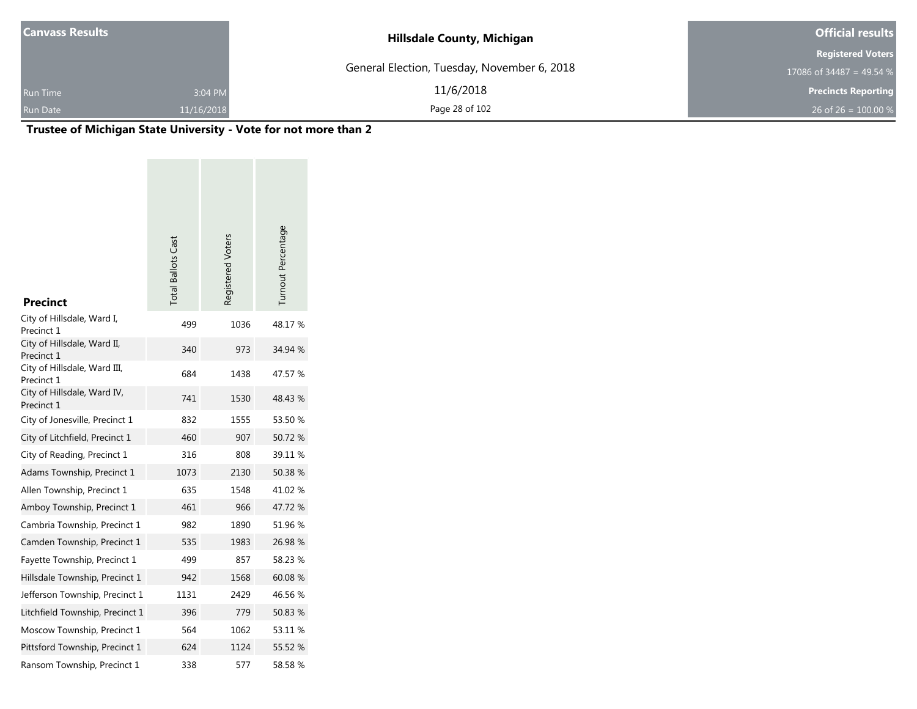| Canvass Results |            | <b>Hillsdale County, Michigan</b>           | <b>Official results</b>    |
|-----------------|------------|---------------------------------------------|----------------------------|
|                 |            |                                             | <b>Registered Voters</b>   |
|                 |            | General Election, Tuesday, November 6, 2018 | 17086 of 34487 = 49.54 %   |
| <b>Run Time</b> | 3:04 PM    | 11/6/2018                                   | <b>Precincts Reporting</b> |
| <b>Run Date</b> | 11/16/2018 | Page 28 of 102                              | 26 of 26 = $100.00\%$      |

# **Trustee of Michigan State University - Vote for not more than 2**

| <b>Precinct</b>                            | <b>Total Ballots Cast</b> | Registered Voters | Turnout Percentage |
|--------------------------------------------|---------------------------|-------------------|--------------------|
| City of Hillsdale, Ward I,<br>Precinct 1   | 499                       | 1036              | 48.17%             |
| City of Hillsdale, Ward II,<br>Precinct 1  | 340                       | 973               | 34.94 %            |
| City of Hillsdale, Ward III,<br>Precinct 1 | 684                       | 1438              | 47.57 %            |
| City of Hillsdale, Ward IV,<br>Precinct 1  | 741                       | 1530              | 48.43 %            |
| City of Jonesville, Precinct 1             | 832                       | 1555              | 53.50 %            |
| City of Litchfield, Precinct 1             | 460                       | 907               | 50.72%             |
| City of Reading, Precinct 1                | 316                       | 808               | 39.11 %            |
| Adams Township, Precinct 1                 | 1073                      | 2130              | 50.38 %            |
| Allen Township, Precinct 1                 | 635                       | 1548              | 41.02 %            |
| Amboy Township, Precinct 1                 | 461                       | 966               | 47.72 %            |
| Cambria Township, Precinct 1               | 982                       | 1890              | 51.96 %            |
| Camden Township, Precinct 1                | 535                       | 1983              | 26.98 %            |
| Fayette Township, Precinct 1               | 499                       | 857               | 58.23 %            |
| Hillsdale Township, Precinct 1             | 942                       | 1568              | 60.08 %            |
| Jefferson Township, Precinct 1             | 1131                      | 2429              | 46.56 %            |
| Litchfield Township, Precinct 1            | 396                       | 779               | 50.83 %            |
| Moscow Township, Precinct 1                | 564                       | 1062              | 53.11 %            |
| Pittsford Township, Precinct 1             | 624                       | 1124              | 55.52 %            |
| Ransom Township, Precinct 1                | 338                       | 577               | 58.58%             |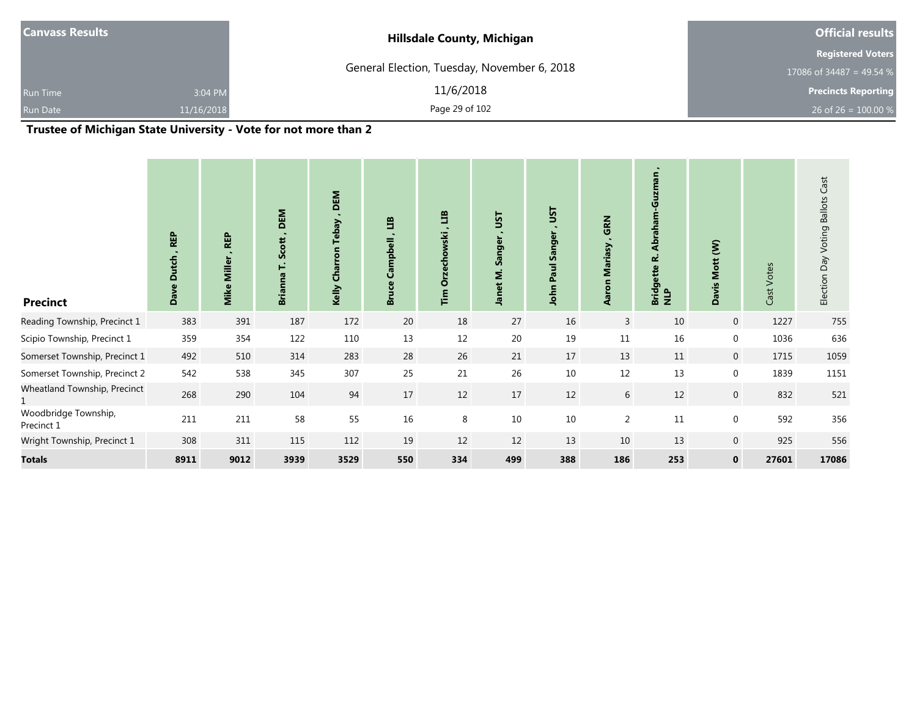| <b>Canvass Results</b> |            | <b>Hillsdale County, Michigan</b>           | <b>Official results</b>    |
|------------------------|------------|---------------------------------------------|----------------------------|
|                        |            |                                             | <b>Registered Voters</b>   |
|                        |            | General Election, Tuesday, November 6, 2018 | 17086 of 34487 = 49.54 %   |
| <b>Run Time</b>        | 3:04 PM    | 11/6/2018                                   | <b>Precincts Reporting</b> |
| Run Date               | 11/16/2018 | Page 29 of 102                              | 26 of 26 = $100.00\%$      |
| .<br>__                | ------     | .<br>.<br>$\overline{\phantom{a}}$          |                            |

## **Trustee of Michigan State University - Vote for not more than 2**

| <b>Precinct</b>                    | <b>REP</b><br><b>Dutch</b><br>Dave | <b>REP</b><br><b>Miller</b><br>Mike | DEM<br>Scott<br>Ë<br><b>Brianna</b> | DEM<br>$\blacksquare$<br><b>Tebay</b><br>Charron<br>Kelly | E<br>mpbell<br>u<br>Bru | ED<br>chowski<br>Ŏ<br>Ĩm | <b>LSL</b><br>Sanger<br>$\bullet$<br>Janet M | JST<br>Sanger<br>Paul<br>John | GRN<br>Mariasy<br>Aaron | ٠<br>Abraham-Guzman<br>نح<br>Bridgette l<br>NLP | Mott (W)<br><b>Davis</b> | Cast Votes | Election Day Voting Ballots Cast |
|------------------------------------|------------------------------------|-------------------------------------|-------------------------------------|-----------------------------------------------------------|-------------------------|--------------------------|----------------------------------------------|-------------------------------|-------------------------|-------------------------------------------------|--------------------------|------------|----------------------------------|
| Reading Township, Precinct 1       | 383                                | 391                                 | 187                                 | 172                                                       | 20                      | 18                       | 27                                           | 16                            | $\mathbf{3}$            | 10                                              | $\overline{0}$           | 1227       | 755                              |
| Scipio Township, Precinct 1        | 359                                | 354                                 | 122                                 | 110                                                       | 13                      | 12                       | 20                                           | 19                            | $11\,$                  | 16                                              | $\mathbf 0$              | 1036       | 636                              |
| Somerset Township, Precinct 1      | 492                                | 510                                 | 314                                 | 283                                                       | 28                      | 26                       | 21                                           | 17                            | 13                      | 11                                              | $\mathbf 0$              | 1715       | 1059                             |
| Somerset Township, Precinct 2      | 542                                | 538                                 | 345                                 | 307                                                       | 25                      | 21                       | 26                                           | 10                            | 12                      | 13                                              | $\mathbf 0$              | 1839       | 1151                             |
| Wheatland Township, Precinct       | 268                                | 290                                 | 104                                 | 94                                                        | 17                      | 12                       | $17\,$                                       | 12                            | 6                       | 12                                              | $\mathbf 0$              | 832        | 521                              |
| Woodbridge Township,<br>Precinct 1 | 211                                | 211                                 | 58                                  | 55                                                        | 16                      | 8                        | $10\,$                                       | 10                            | $\overline{2}$          | 11                                              | $\mathbf 0$              | 592        | 356                              |
| Wright Township, Precinct 1        | 308                                | 311                                 | 115                                 | 112                                                       | $19\,$                  | 12                       | $12\,$                                       | 13                            | 10                      | 13                                              | $\mathbf 0$              | 925        | 556                              |
| <b>Totals</b>                      | 8911                               | 9012                                | 3939                                | 3529                                                      | 550                     | 334                      | 499                                          | 388                           | 186                     | 253                                             | $\mathbf 0$              | 27601      | 17086                            |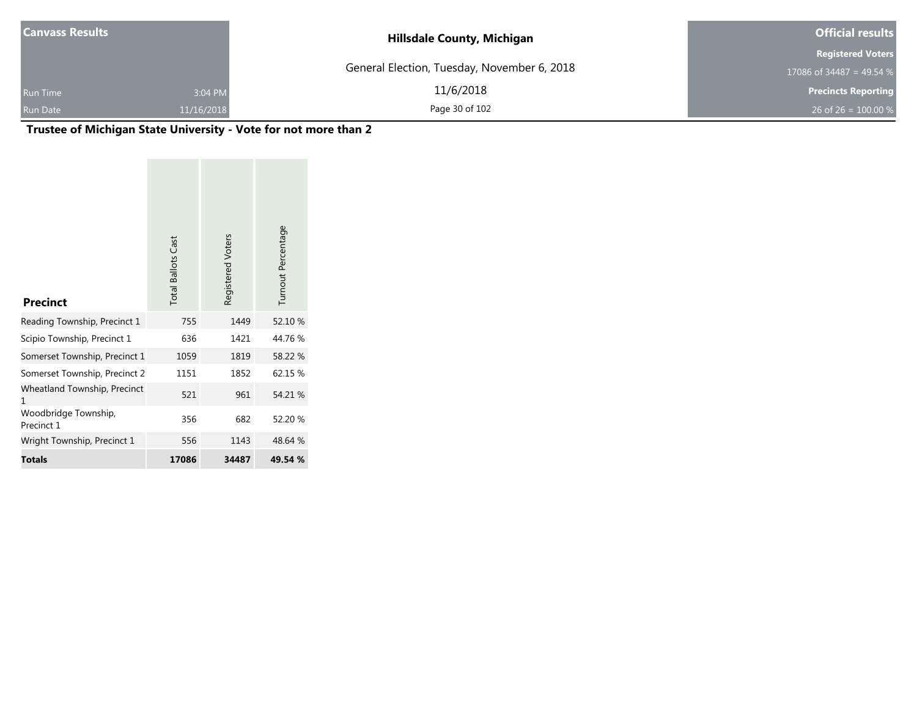| <b>Canvass Results</b> |            | <b>Hillsdale County, Michigan</b>           | <b>Official results</b>    |
|------------------------|------------|---------------------------------------------|----------------------------|
|                        |            |                                             | <b>Registered Voters</b>   |
|                        |            | General Election, Tuesday, November 6, 2018 | 17086 of 34487 = 49.54 %   |
| <b>Run Time</b>        | 3:04 PM    | 11/6/2018                                   | <b>Precincts Reporting</b> |
| Run Date               | 11/16/2018 | Page 30 of 102                              | 26 of 26 = $100.00\%$      |

# **Trustee of Michigan State University - Vote for not more than 2**

| <b>Precinct</b>                    | <b>Total Ballots Cast</b> | Registered Voters | Turnout Percentage |
|------------------------------------|---------------------------|-------------------|--------------------|
| Reading Township, Precinct 1       | 755                       | 1449              | 52.10 %            |
| Scipio Township, Precinct 1        | 636                       | 1421              | 44.76%             |
| Somerset Township, Precinct 1      | 1059                      | 1819              | 58.22 %            |
| Somerset Township, Precinct 2      | 1151                      | 1852              | 62.15 %            |
| Wheatland Township, Precinct<br>1  | 521                       | 961               | 54.21 %            |
| Woodbridge Township,<br>Precinct 1 | 356                       | 682               | 52.20 %            |
| Wright Township, Precinct 1        | 556                       | 1143              | 48.64 %            |
| <b>Totals</b>                      | 17086                     | 34487             | 49.54 %            |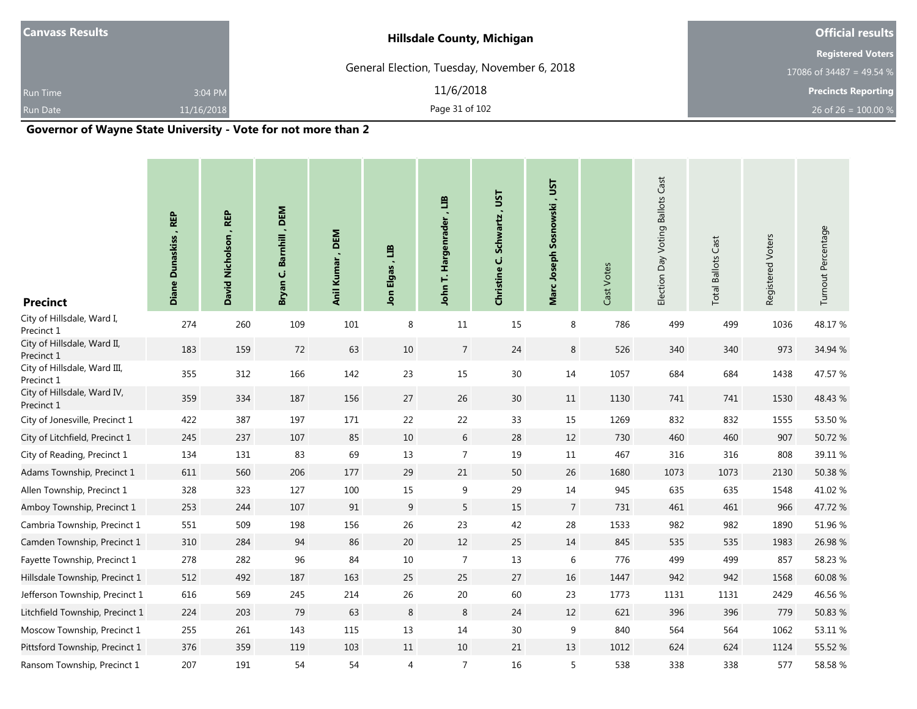| <b>Canvass Results</b> |            | <b>Hillsdale County, Michigan</b>           | <b>Official results</b>    |  |  |
|------------------------|------------|---------------------------------------------|----------------------------|--|--|
|                        |            |                                             | <b>Registered Voters</b>   |  |  |
|                        |            | General Election, Tuesday, November 6, 2018 | 17086 of 34487 = 49.54 %   |  |  |
| <b>Run Time</b>        | 3:04 PM    | 11/6/2018                                   | <b>Precincts Reporting</b> |  |  |
| Run Date               | 11/16/2018 | Page 31 of 102                              | 26 of 26 = $100.00\%$      |  |  |
| $\cdots$               |            | .                                           |                            |  |  |

#### **Governor of Wayne State University - Vote for not more than 2**

| <b>Precinct</b>                            | Diane Dunaskiss, REP | David Nicholson, REP | , DEM<br>Barnhill<br>Ü<br>Bryan | , DEM<br>Anil Kumar | ED<br>Jon Elgas, | an<br>Hargenrader<br>John T. | <b>LSL</b><br>Schwartz,<br>Christine C. | Marc Joseph Sosnowski, UST | Cast Votes | Election Day Voting Ballots Cast | <b>Total Ballots Cast</b> | Registered Voters | Turnout Percentage |
|--------------------------------------------|----------------------|----------------------|---------------------------------|---------------------|------------------|------------------------------|-----------------------------------------|----------------------------|------------|----------------------------------|---------------------------|-------------------|--------------------|
| City of Hillsdale, Ward I,<br>Precinct 1   | 274                  | 260                  | 109                             | 101                 | 8                | 11                           | 15                                      | 8                          | 786        | 499                              | 499                       | 1036              | 48.17%             |
| City of Hillsdale, Ward II,<br>Precinct 1  | 183                  | 159                  | $72\,$                          | 63                  | 10               | $\overline{7}$               | 24                                      | $\bf 8$                    | 526        | 340                              | 340                       | 973               | 34.94 %            |
| City of Hillsdale, Ward III,<br>Precinct 1 | 355                  | 312                  | 166                             | 142                 | 23               | 15                           | 30 <sup>°</sup>                         | 14                         | 1057       | 684                              | 684                       | 1438              | 47.57 %            |
| City of Hillsdale, Ward IV,<br>Precinct 1  | 359                  | 334                  | 187                             | 156                 | $27\,$           | 26                           | $30\,$                                  | 11                         | 1130       | 741                              | 741                       | 1530              | 48.43 %            |
| City of Jonesville, Precinct 1             | 422                  | 387                  | 197                             | 171                 | 22               | 22                           | 33                                      | 15                         | 1269       | 832                              | 832                       | 1555              | 53.50 %            |
| City of Litchfield, Precinct 1             | 245                  | 237                  | 107                             | 85                  | $10\,$           | $6\,$                        | 28                                      | 12                         | 730        | 460                              | 460                       | 907               | 50.72 %            |
| City of Reading, Precinct 1                | 134                  | 131                  | 83                              | 69                  | 13               | $\overline{7}$               | 19                                      | 11                         | 467        | 316                              | 316                       | 808               | 39.11 %            |
| Adams Township, Precinct 1                 | 611                  | 560                  | 206                             | 177                 | 29               | 21                           | 50                                      | 26                         | 1680       | 1073                             | 1073                      | 2130              | 50.38 %            |
| Allen Township, Precinct 1                 | 328                  | 323                  | 127                             | 100                 | 15               | $\boldsymbol{9}$             | 29                                      | 14                         | 945        | 635                              | 635                       | 1548              | 41.02%             |
| Amboy Township, Precinct 1                 | 253                  | 244                  | 107                             | 91                  | 9                | 5                            | 15                                      | $\overline{7}$             | 731        | 461                              | 461                       | 966               | 47.72 %            |
| Cambria Township, Precinct 1               | 551                  | 509                  | 198                             | 156                 | 26               | 23                           | 42                                      | 28                         | 1533       | 982                              | 982                       | 1890              | 51.96 %            |
| Camden Township, Precinct 1                | 310                  | 284                  | 94                              | 86                  | 20               | 12                           | 25                                      | 14                         | 845        | 535                              | 535                       | 1983              | 26.98 %            |
| Fayette Township, Precinct 1               | 278                  | 282                  | 96                              | 84                  | 10               | $\overline{7}$               | 13                                      | 6                          | 776        | 499                              | 499                       | 857               | 58.23 %            |
| Hillsdale Township, Precinct 1             | 512                  | 492                  | 187                             | 163                 | 25               | 25                           | 27                                      | 16                         | 1447       | 942                              | 942                       | 1568              | 60.08%             |
| Jefferson Township, Precinct 1             | 616                  | 569                  | 245                             | 214                 | 26               | $20\,$                       | 60                                      | 23                         | 1773       | 1131                             | 1131                      | 2429              | 46.56 %            |
| Litchfield Township, Precinct 1            | 224                  | 203                  | 79                              | 63                  | 8                | $\,8\,$                      | 24                                      | 12                         | 621        | 396                              | 396                       | 779               | 50.83 %            |
| Moscow Township, Precinct 1                | 255                  | 261                  | 143                             | 115                 | 13               | $14\,$                       | 30                                      | 9                          | 840        | 564                              | 564                       | 1062              | 53.11 %            |
| Pittsford Township, Precinct 1             | 376                  | 359                  | 119                             | 103                 | 11               | $10\,$                       | 21                                      | 13                         | 1012       | 624                              | 624                       | 1124              | 55.52 %            |
| Ransom Township, Precinct 1                | 207                  | 191                  | 54                              | 54                  | 4                | $\overline{7}$               | 16                                      | 5                          | 538        | 338                              | 338                       | 577               | 58.58 %            |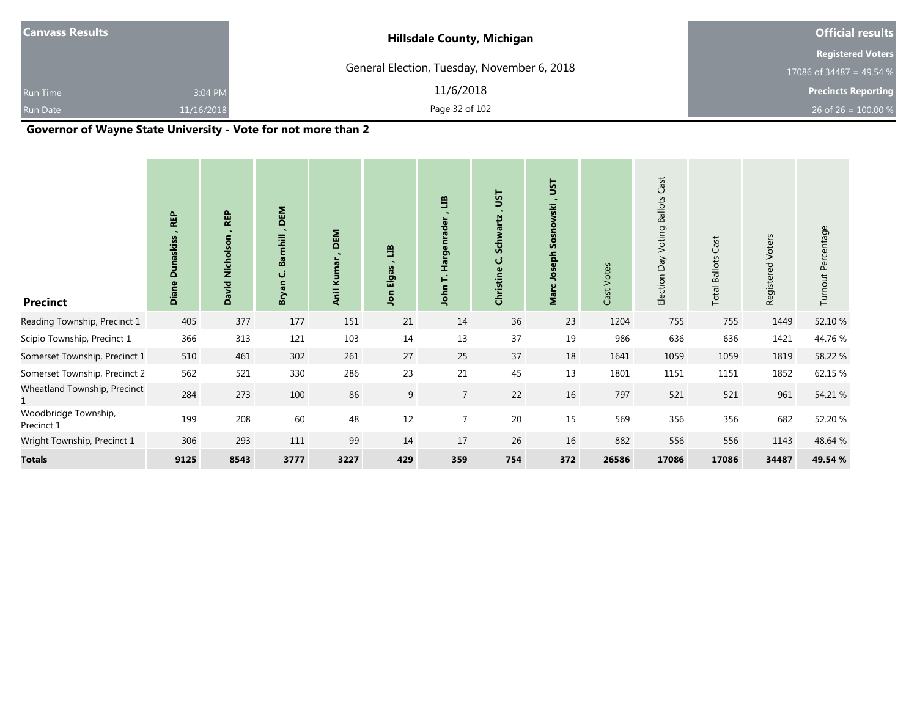| $ $ Canvass Results $ $ |            | <b>Hillsdale County, Michigan</b>           | <b>Official results</b>    |  |  |
|-------------------------|------------|---------------------------------------------|----------------------------|--|--|
|                         |            |                                             | <b>Registered Voters</b>   |  |  |
|                         |            | General Election, Tuesday, November 6, 2018 | 17086 of 34487 = 49.54 %   |  |  |
| <b>Run Time</b>         | 3:04 PM    | 11/6/2018                                   | <b>Precincts Reporting</b> |  |  |
| <b>Run Date</b>         | 11/16/2018 | Page 32 of 102                              | 26 of 26 = $100.00\%$      |  |  |
|                         |            |                                             |                            |  |  |

#### **Governor of Wayne State University - Vote for not more than 2**

| <b>Precinct</b>                    | <b>REP</b><br>unaskiss<br>$\Omega$<br>Diane | <b>REP</b><br>David Nicholson | DEM<br>$\sim$<br>Barnhill<br>ن<br>Bryan | DEM<br>$\blacksquare$<br>Anil Kumar | E<br>Elgas<br><b>nol</b> | E<br>Hargenrade<br>Ë<br>John | JSΤ<br><b>Schwartz</b><br>ن<br>Christine | JST<br>Sosnowski<br>Joseph<br>Marc | Cast Votes | Cast<br>Election Day Voting Ballots | <b>Total Ballots Cast</b> | Voters<br>Registered | Turnout Percentage |
|------------------------------------|---------------------------------------------|-------------------------------|-----------------------------------------|-------------------------------------|--------------------------|------------------------------|------------------------------------------|------------------------------------|------------|-------------------------------------|---------------------------|----------------------|--------------------|
| Reading Township, Precinct 1       | 405                                         | 377                           | 177                                     | 151                                 | 21                       | 14                           | 36                                       | 23                                 | 1204       | 755                                 | 755                       | 1449                 | 52.10 %            |
| Scipio Township, Precinct 1        | 366                                         | 313                           | 121                                     | 103                                 | 14                       | 13                           | 37                                       | 19                                 | 986        | 636                                 | 636                       | 1421                 | 44.76 %            |
| Somerset Township, Precinct 1      | 510                                         | 461                           | 302                                     | 261                                 | 27                       | 25                           | 37                                       | 18                                 | 1641       | 1059                                | 1059                      | 1819                 | 58.22 %            |
| Somerset Township, Precinct 2      | 562                                         | 521                           | 330                                     | 286                                 | 23                       | 21                           | 45                                       | 13                                 | 1801       | 1151                                | 1151                      | 1852                 | 62.15 %            |
| Wheatland Township, Precinct       | 284                                         | 273                           | 100                                     | 86                                  | 9                        | $\overline{7}$               | 22                                       | 16                                 | 797        | 521                                 | 521                       | 961                  | 54.21 %            |
| Woodbridge Township,<br>Precinct 1 | 199                                         | 208                           | 60                                      | 48                                  | 12                       | $\overline{7}$               | $20\,$                                   | 15                                 | 569        | 356                                 | 356                       | 682                  | 52.20 %            |
| Wright Township, Precinct 1        | 306                                         | 293                           | 111                                     | 99                                  | 14                       | 17                           | 26                                       | 16                                 | 882        | 556                                 | 556                       | 1143                 | 48.64 %            |
| <b>Totals</b>                      | 9125                                        | 8543                          | 3777                                    | 3227                                | 429                      | 359                          | 754                                      | 372                                | 26586      | 17086                               | 17086                     | 34487                | 49.54 %            |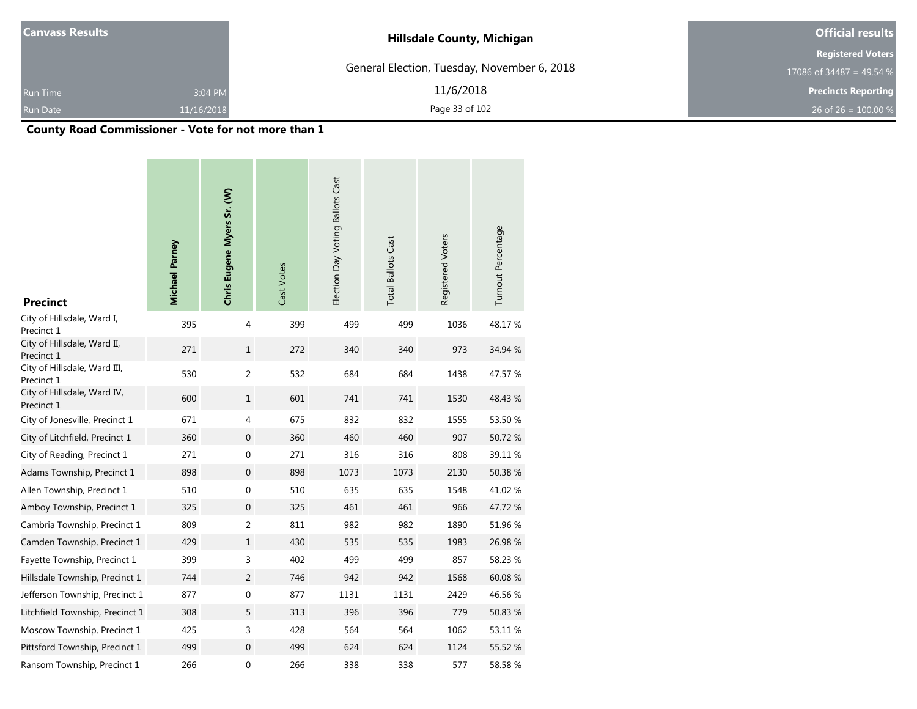| <b>Canvass Results</b> |            | <b>Hillsdale County, Michigan</b>           | <b>Official results</b>    |  |  |
|------------------------|------------|---------------------------------------------|----------------------------|--|--|
|                        |            |                                             | <b>Registered Voters</b>   |  |  |
|                        |            | General Election, Tuesday, November 6, 2018 | 17086 of 34487 = 49.54 %   |  |  |
| <b>Run Time</b>        | 3:04 PM    | 11/6/2018                                   | <b>Precincts Reporting</b> |  |  |
| <b>Run Date</b>        | 11/16/2018 | Page 33 of 102                              | 26 of 26 = $100.00\%$      |  |  |

# **County Road Commissioner - Vote for not more than 1**

--

| <b>Precinct</b>                            | Michael Parney | Chris Eugene Myers Sr. (W) | Cast Votes | Election Day Voting Ballots Cast | <b>Total Ballots Cast</b> | Registered Voters | Turnout Percentage |
|--------------------------------------------|----------------|----------------------------|------------|----------------------------------|---------------------------|-------------------|--------------------|
| City of Hillsdale, Ward I,<br>Precinct 1   | 395            | 4                          | 399        | 499                              | 499                       | 1036              | 48.17%             |
| City of Hillsdale, Ward II,<br>Precinct 1  | 271            | $\mathbf{1}$               | 272        | 340                              | 340                       | 973               | 34.94 %            |
| City of Hillsdale, Ward III,<br>Precinct 1 | 530            | $\overline{2}$             | 532        | 684                              | 684                       | 1438              | 47.57 %            |
| City of Hillsdale, Ward IV,<br>Precinct 1  | 600            | $\mathbf{1}$               | 601        | 741                              | 741                       | 1530              | 48.43 %            |
| City of Jonesville, Precinct 1             | 671            | 4                          | 675        | 832                              | 832                       | 1555              | 53.50 %            |
| City of Litchfield, Precinct 1             | 360            | $\mathbf 0$                | 360        | 460                              | 460                       | 907               | 50.72%             |
| City of Reading, Precinct 1                | 271            | $\boldsymbol{0}$           | 271        | 316                              | 316                       | 808               | 39.11 %            |
| Adams Township, Precinct 1                 | 898            | $\boldsymbol{0}$           | 898        | 1073                             | 1073                      | 2130              | 50.38 %            |
| Allen Township, Precinct 1                 | 510            | $\boldsymbol{0}$           | 510        | 635                              | 635                       | 1548              | 41.02%             |
| Amboy Township, Precinct 1                 | 325            | $\boldsymbol{0}$           | 325        | 461                              | 461                       | 966               | 47.72%             |
| Cambria Township, Precinct 1               | 809            | 2                          | 811        | 982                              | 982                       | 1890              | 51.96 %            |
| Camden Township, Precinct 1                | 429            | $\mathbf{1}$               | 430        | 535                              | 535                       | 1983              | 26.98%             |
| Fayette Township, Precinct 1               | 399            | 3                          | 402        | 499                              | 499                       | 857               | 58.23 %            |
| Hillsdale Township, Precinct 1             | 744            | 2                          | 746        | 942                              | 942                       | 1568              | 60.08 %            |
| Jefferson Township, Precinct 1             | 877            | 0                          | 877        | 1131                             | 1131                      | 2429              | 46.56 %            |
| Litchfield Township, Precinct 1            | 308            | 5                          | 313        | 396                              | 396                       | 779               | 50.83 %            |
| Moscow Township, Precinct 1                | 425            | 3                          | 428        | 564                              | 564                       | 1062              | 53.11 %            |
| Pittsford Township, Precinct 1             | 499            | $\mathbf{0}$               | 499        | 624                              | 624                       | 1124              | 55.52 %            |
| Ransom Township, Precinct 1                | 266            | 0                          | 266        | 338                              | 338                       | 577               | 58.58%             |

**Contract** 

**Contract Contract**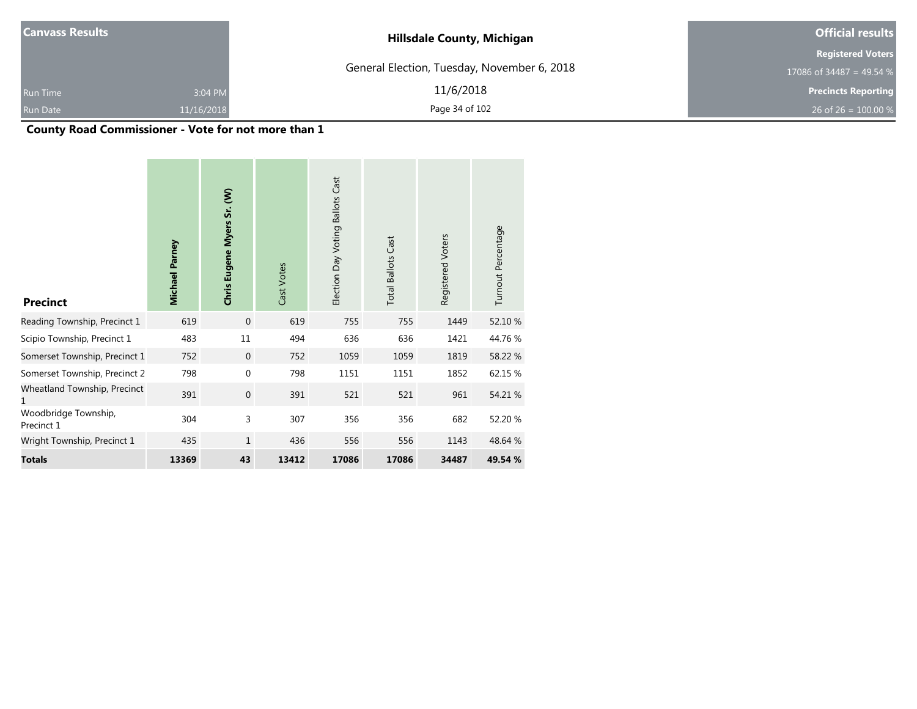| <b>Canvass Results</b> |            | <b>Hillsdale County, Michigan</b>           | <b>Official results</b>    |  |  |
|------------------------|------------|---------------------------------------------|----------------------------|--|--|
|                        |            |                                             | <b>Registered Voters</b>   |  |  |
|                        |            | General Election, Tuesday, November 6, 2018 | 17086 of 34487 = 49.54 %   |  |  |
| <b>Run Time</b>        | 3:04 PM    | 11/6/2018                                   | <b>Precincts Reporting</b> |  |  |
| Run Date               | 11/16/2018 | Page 34 of 102                              | 26 of 26 = $100.00\%$      |  |  |

# **County Road Commissioner - Vote for not more than 1**

| <b>Precinct</b>                    | Michael Parney | Chris Eugene Myers Sr. (W) | Cast Votes | Election Day Voting Ballots Cast | <b>Total Ballots Cast</b> | Registered Voters | Turnout Percentage |
|------------------------------------|----------------|----------------------------|------------|----------------------------------|---------------------------|-------------------|--------------------|
| Reading Township, Precinct 1       | 619            | $\mathbf 0$                | 619        | 755                              | 755                       | 1449              | 52.10 %            |
| Scipio Township, Precinct 1        | 483            | 11                         | 494        | 636                              | 636                       | 1421              | 44.76%             |
| Somerset Township, Precinct 1      | 752            | $\mathbf 0$                | 752        | 1059                             | 1059                      | 1819              | 58.22 %            |
| Somerset Township, Precinct 2      | 798            | 0                          | 798        | 1151                             | 1151                      | 1852              | 62.15 %            |
| Wheatland Township, Precinct<br>1  | 391            | $\mathbf 0$                | 391        | 521                              | 521                       | 961               | 54.21 %            |
| Woodbridge Township,<br>Precinct 1 | 304            | 3                          | 307        | 356                              | 356                       | 682               | 52.20 %            |
| Wright Township, Precinct 1        | 435            | $\mathbf{1}$               | 436        | 556                              | 556                       | 1143              | 48.64 %            |
| <b>Totals</b>                      | 13369          | 43                         | 13412      | 17086                            | 17086                     | 34487             | 49.54 %            |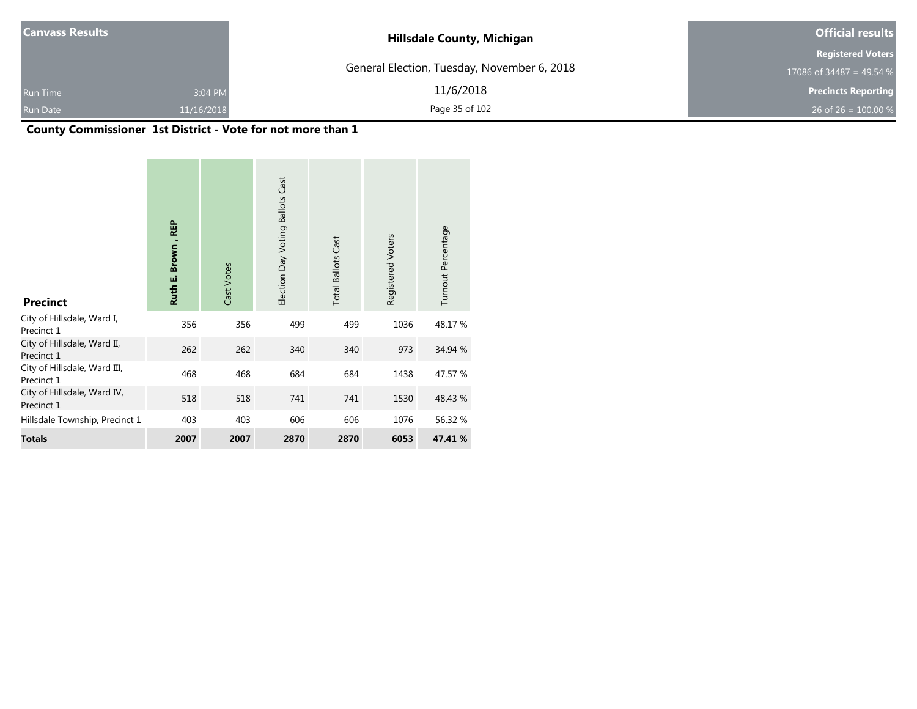| <b>Canvass Results</b> |            | <b>Hillsdale County, Michigan</b>           | <b>Official results</b>    |  |  |
|------------------------|------------|---------------------------------------------|----------------------------|--|--|
|                        |            |                                             | <b>Registered Voters</b>   |  |  |
|                        |            | General Election, Tuesday, November 6, 2018 | 17086 of 34487 = 49.54 %   |  |  |
| <b>Run Time</b>        | 3:04 PM    | 11/6/2018                                   | <b>Precincts Reporting</b> |  |  |
| Run Date               | 11/16/2018 | Page 35 of 102                              | 26 of 26 = $100.00\%$      |  |  |

## **County Commissioner 1st District - Vote for not more than 1**

| <b>Precinct</b>                            | <b>REP</b><br><b>Brown</b><br>Ruth E. | Cast Votes | Election Day Voting Ballots Cast | <b>Total Ballots Cast</b> | Registered Voters | Turnout Percentage |
|--------------------------------------------|---------------------------------------|------------|----------------------------------|---------------------------|-------------------|--------------------|
| City of Hillsdale, Ward I,<br>Precinct 1   | 356                                   | 356        | 499                              | 499                       | 1036              | 48.17 %            |
| City of Hillsdale, Ward II,<br>Precinct 1  | 262                                   | 262        | 340                              | 340                       | 973               | 34.94 %            |
| City of Hillsdale, Ward III,<br>Precinct 1 | 468                                   | 468        | 684                              | 684                       | 1438              | 47.57 %            |
| City of Hillsdale, Ward IV,<br>Precinct 1  | 518                                   | 518        | 741                              | 741                       | 1530              | 48.43 %            |
| Hillsdale Township, Precinct 1             | 403                                   | 403        | 606                              | 606                       | 1076              | 56.32 %            |
| <b>Totals</b>                              | 2007                                  | 2007       | 2870                             | 2870                      | 6053              | 47.41 %            |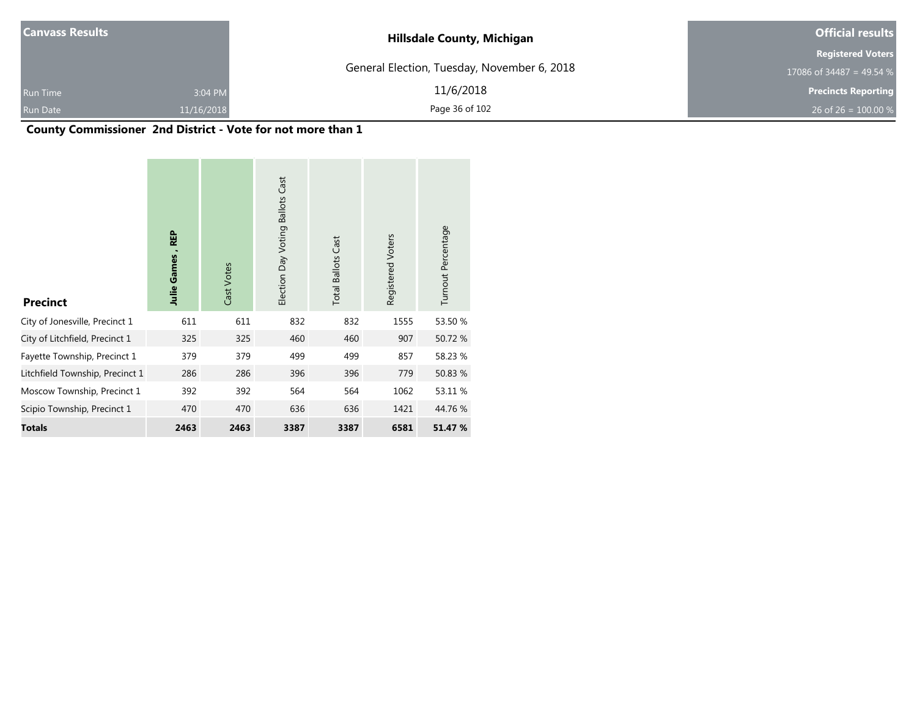| <b>Canvass Results</b> |            | <b>Hillsdale County, Michigan</b>           | <b>Official results</b>    |  |  |
|------------------------|------------|---------------------------------------------|----------------------------|--|--|
|                        |            |                                             | <b>Registered Voters</b>   |  |  |
|                        |            | General Election, Tuesday, November 6, 2018 | 17086 of 34487 = 49.54 %   |  |  |
| <b>Run Time</b>        | 3:04 PM    | 11/6/2018                                   | <b>Precincts Reporting</b> |  |  |
| Run Date               | 11/16/2018 | Page 36 of 102                              | 26 of 26 = $100.00\%$      |  |  |

# **County Commissioner 2nd District - Vote for not more than 1**

| <b>Precinct</b>                 | <b>REP</b><br><b>Julie Games</b> | Cast Votes | Election Day Voting Ballots Cast | <b>Total Ballots Cast</b> | Registered Voters | Turnout Percentage |  |
|---------------------------------|----------------------------------|------------|----------------------------------|---------------------------|-------------------|--------------------|--|
| City of Jonesville, Precinct 1  | 611                              | 611        | 832                              | 832                       | 1555              | 53.50 %            |  |
| City of Litchfield, Precinct 1  | 325                              | 325        | 460                              | 460                       | 907               | 50.72 %            |  |
| Fayette Township, Precinct 1    | 379                              | 379        | 499                              | 499                       | 857               | 58.23 %            |  |
| Litchfield Township, Precinct 1 | 286                              | 286        | 396                              | 396                       | 779               | 50.83 %            |  |
| Moscow Township, Precinct 1     | 392                              | 392        | 564                              | 564                       | 1062              | 53.11 %            |  |
| Scipio Township, Precinct 1     | 470                              | 470        | 636                              | 636                       | 1421              | 44.76 %            |  |
| <b>Totals</b>                   | 2463                             | 2463       | 3387                             | 3387                      | 6581              | 51.47 %            |  |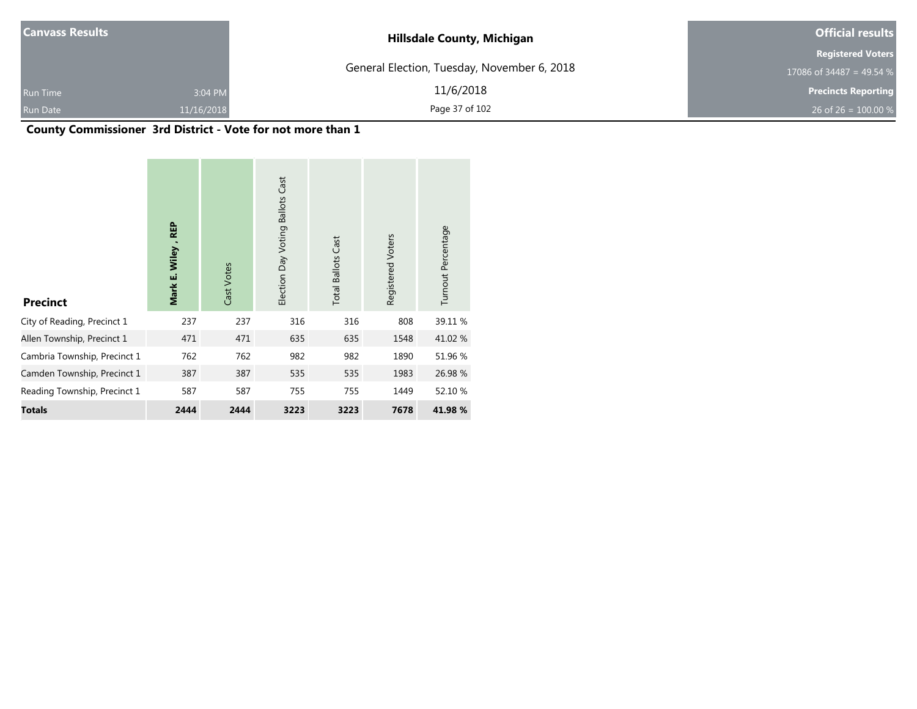| <b>Canvass Results</b> |            | <b>Hillsdale County, Michigan</b>           | <b>Official results</b>    |  |
|------------------------|------------|---------------------------------------------|----------------------------|--|
|                        |            |                                             | <b>Registered Voters</b>   |  |
|                        |            | General Election, Tuesday, November 6, 2018 | 17086 of 34487 = 49.54 %   |  |
| <b>Run Time</b>        | 3:04 PM    | 11/6/2018                                   | <b>Precincts Reporting</b> |  |
| Run Date               | 11/16/2018 | Page 37 of 102                              | 26 of 26 = $100.00\%$      |  |

### **County Commissioner 3rd District - Vote for not more than 1**

| <b>Precinct</b>              | <b>REP</b><br>Mark E. Wiley | Cast Votes | Election Day Voting Ballots Cast | Cast<br><b>Total Ballots</b> | Registered Voters | Turnout Percentage |
|------------------------------|-----------------------------|------------|----------------------------------|------------------------------|-------------------|--------------------|
| City of Reading, Precinct 1  | 237                         | 237        | 316                              | 316                          | 808               | 39.11 %            |
| Allen Township, Precinct 1   | 471                         | 471        | 635                              | 635                          | 1548              | 41.02%             |
| Cambria Township, Precinct 1 | 762                         | 762        | 982                              | 982                          | 1890              | 51.96 %            |
| Camden Township, Precinct 1  | 387                         | 387        | 535                              | 535                          | 1983              | 26.98 %            |
| Reading Township, Precinct 1 | 587                         | 587        | 755                              | 755                          | 1449              | 52.10 %            |
| <b>Totals</b>                | 2444                        | 2444       | 3223                             | 3223                         | 7678              | 41.98%             |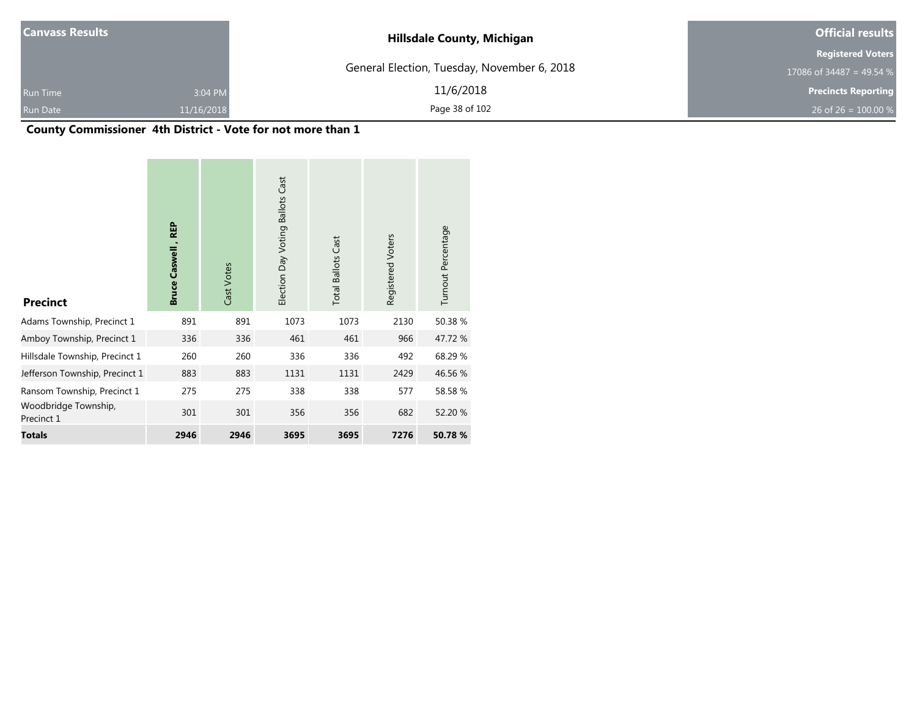| <b>Canvass Results</b> |            | <b>Hillsdale County, Michigan</b>           | <b>Official results</b>    |  |
|------------------------|------------|---------------------------------------------|----------------------------|--|
|                        |            |                                             | <b>Registered Voters</b>   |  |
|                        |            | General Election, Tuesday, November 6, 2018 | 17086 of 34487 = 49.54 %   |  |
| <b>Run Time</b>        | 3:04 PM    | 11/6/2018                                   | <b>Precincts Reporting</b> |  |
| Run Date               | 11/16/2018 | Page 38 of 102                              | 26 of 26 = $100.00\%$      |  |

### **County Commissioner 4th District - Vote for not more than 1**

| <b>Precinct</b>                    | <b>REP</b><br><b>Bruce Caswell</b> | Cast Votes | <b>Ballots Cast</b><br>Election Day Voting | <b>Total Ballots Cast</b> | Registered Voters | Turnout Percentage |  |
|------------------------------------|------------------------------------|------------|--------------------------------------------|---------------------------|-------------------|--------------------|--|
| Adams Township, Precinct 1         | 891                                | 891        | 1073                                       | 1073                      | 2130              | 50.38 %            |  |
| Amboy Township, Precinct 1         | 336                                | 336        | 461                                        | 461                       | 966               | 47.72 %            |  |
| Hillsdale Township, Precinct 1     | 260                                | 260        | 336                                        | 336                       | 492               | 68.29 %            |  |
| Jefferson Township, Precinct 1     | 883                                | 883        | 1131                                       | 1131                      | 2429              | 46.56 %            |  |
| Ransom Township, Precinct 1        | 275                                | 275        | 338                                        | 338                       | 577               | 58.58 %            |  |
| Woodbridge Township,<br>Precinct 1 | 301                                | 301        | 356                                        | 356                       | 682               | 52.20 %            |  |
| <b>Totals</b>                      | 2946                               | 2946       | 3695                                       | 3695                      | 7276              | 50.78 %            |  |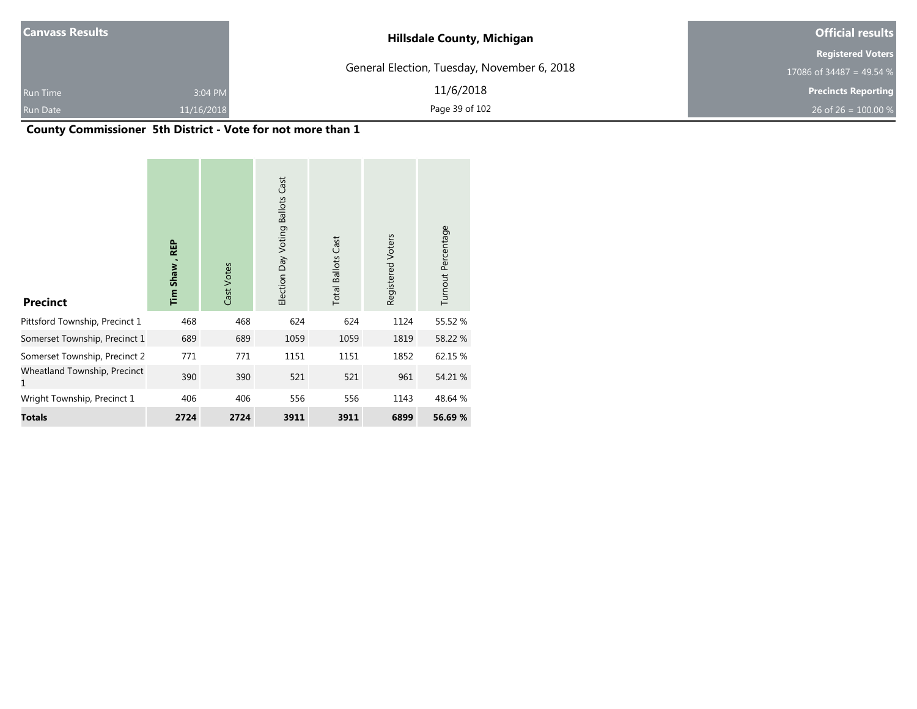| <b>Canvass Results</b> |            | <b>Hillsdale County, Michigan</b>           | <b>Official results</b>    |  |
|------------------------|------------|---------------------------------------------|----------------------------|--|
|                        |            |                                             | <b>Registered Voters</b>   |  |
|                        |            | General Election, Tuesday, November 6, 2018 | 17086 of 34487 = 49.54 %   |  |
| <b>Run Time</b>        | 3:04 PM    | 11/6/2018                                   | <b>Precincts Reporting</b> |  |
| Run Date               | 11/16/2018 | Page 39 of 102                              | 26 of 26 = $100.00\%$      |  |

### **County Commissioner 5th District - Vote for not more than 1**

| <b>Precinct</b>                   | <b>REP</b><br>Tim Shaw, | Cast Votes | <b>Ballots Cast</b><br>Election Day Voting | <b>Total Ballots Cast</b> | Registered Voters | Turnout Percentage |  |
|-----------------------------------|-------------------------|------------|--------------------------------------------|---------------------------|-------------------|--------------------|--|
| Pittsford Township, Precinct 1    | 468                     | 468        | 624                                        | 624                       | 1124              | 55.52 %            |  |
| Somerset Township, Precinct 1     | 689                     | 689        | 1059                                       | 1059                      | 1819              | 58.22 %            |  |
| Somerset Township, Precinct 2     | 771                     | 771        | 1151                                       | 1151                      | 1852              | 62.15 %            |  |
| Wheatland Township, Precinct<br>1 | 390                     | 390        | 521                                        | 521                       | 961               | 54.21 %            |  |
| Wright Township, Precinct 1       | 406                     | 406        | 556                                        | 556                       | 1143              | 48.64 %            |  |
| <b>Totals</b>                     | 2724                    | 2724       | 3911                                       | 3911                      | 6899              | 56.69 %            |  |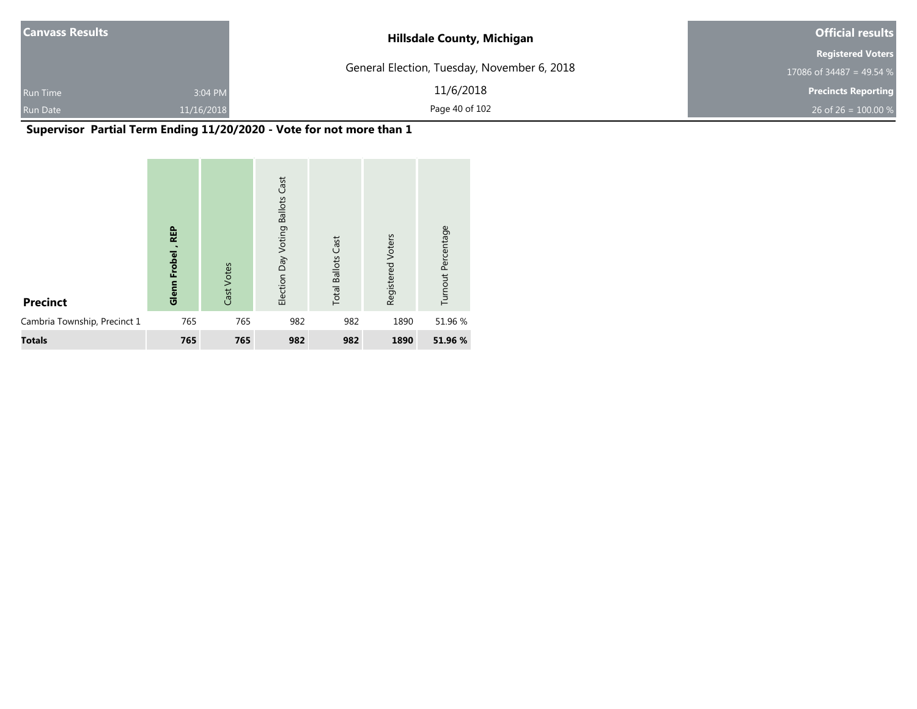| <b>Canvass Results</b> |            | <b>Hillsdale County, Michigan</b>           | <b>Official results</b>    |  |
|------------------------|------------|---------------------------------------------|----------------------------|--|
|                        |            |                                             | <b>Registered Voters</b>   |  |
|                        |            | General Election, Tuesday, November 6, 2018 | 17086 of 34487 = 49.54 %   |  |
| <b>Run Time</b>        | 3:04 PM    | 11/6/2018                                   | <b>Precincts Reporting</b> |  |
| <b>Run Date</b>        | 11/16/2018 | Page 40 of 102                              | 26 of 26 = $100.00 %$      |  |

## **Supervisor Partial Term Ending 11/20/2020 - Vote for not more than 1**

| <b>Precinct</b>              | <b>REP</b><br>Frobel<br>Glenn | Cast Votes | Cast<br><b>Ballots</b><br>Election Day Voting | <b>Total Ballots Cast</b> | Registered Voters | Turnout Percentage |
|------------------------------|-------------------------------|------------|-----------------------------------------------|---------------------------|-------------------|--------------------|
| Cambria Township, Precinct 1 | 765                           | 765        | 982                                           | 982                       | 1890              | 51.96 %            |
| <b>Totals</b>                | 765                           | 765        | 982                                           | 982                       | 1890              | 51.96 %            |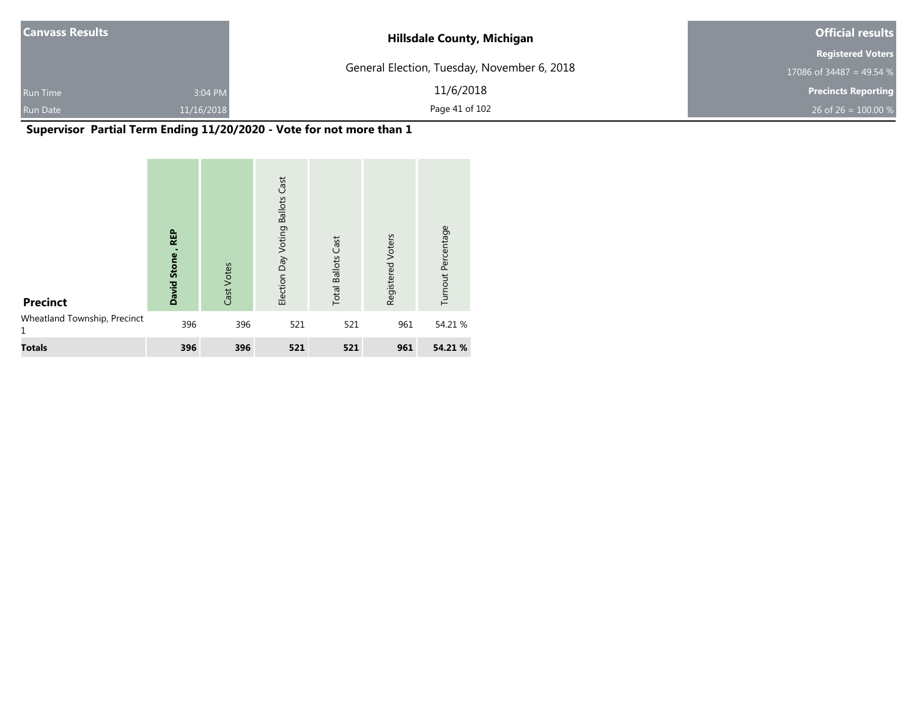| <b>Canvass Results</b> |            | <b>Hillsdale County, Michigan</b>           | <b>Official results</b>    |  |
|------------------------|------------|---------------------------------------------|----------------------------|--|
|                        |            |                                             | <b>Registered Voters</b>   |  |
|                        |            | General Election, Tuesday, November 6, 2018 | 17086 of 34487 = 49.54 %   |  |
| <b>Run Time</b>        | 3:04 PM    | 11/6/2018                                   | <b>Precincts Reporting</b> |  |
| <b>Run Date</b>        | 11/16/2018 | Page 41 of 102                              | 26 of 26 = $100.00 %$      |  |

## **Supervisor Partial Term Ending 11/20/2020 - Vote for not more than 1**

| <b>Precinct</b>              | <b>REP</b><br>Stone<br><b>David</b> | Cast Votes | Cast<br><b>Ballots</b><br>Election Day Voting | <b>Total Ballots Cast</b> | Registered Voters | Turnout Percentage |
|------------------------------|-------------------------------------|------------|-----------------------------------------------|---------------------------|-------------------|--------------------|
| Wheatland Township, Precinct | 396                                 | 396        | 521                                           | 521                       | 961               | 54.21 %            |
| <b>Totals</b>                | 396                                 | 396        | 521                                           | 521                       | 961               | 54.21 %            |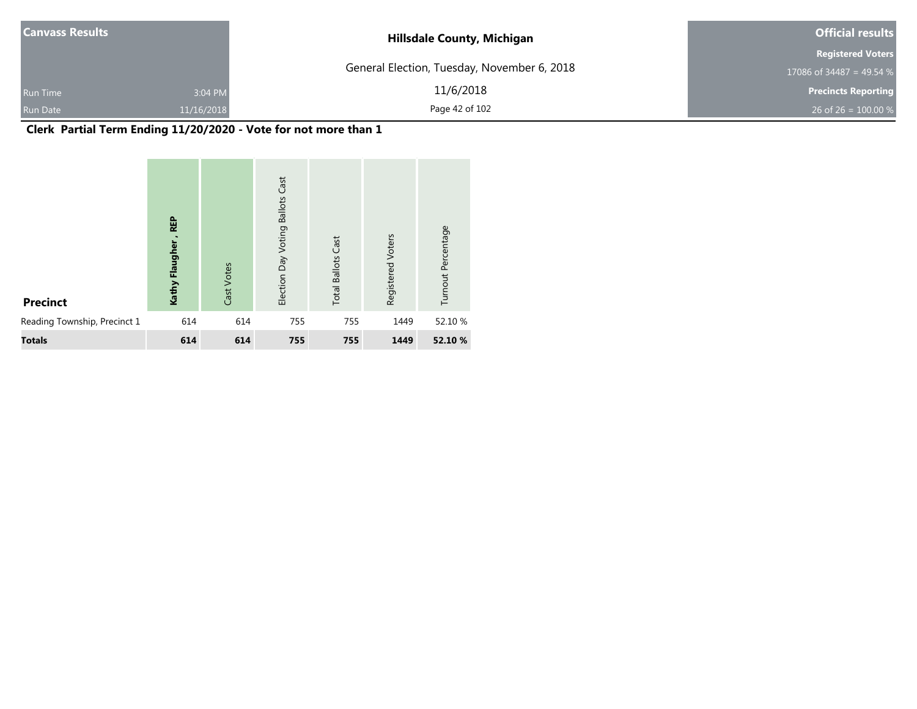| <b>Canvass Results</b> |            | <b>Hillsdale County, Michigan</b>           | <b>Official results</b>    |  |
|------------------------|------------|---------------------------------------------|----------------------------|--|
|                        |            |                                             | <b>Registered Voters</b>   |  |
|                        |            | General Election, Tuesday, November 6, 2018 | 17086 of 34487 = 49.54 $%$ |  |
| <b>Run Time</b>        | 3:04 PM    | 11/6/2018                                   | <b>Precincts Reporting</b> |  |
| <b>Run Date</b>        | 11/16/2018 | Page 42 of 102                              | 26 of 26 = $100.00\%$      |  |

## **Clerk Partial Term Ending 11/20/2020 - Vote for not more than 1**

| <b>Precinct</b>              | REP<br>Flaughe<br>Kathy | Cast Votes | Cast<br><b>Ballots</b><br>Election Day Voting | <b>Total Ballots Cast</b> | Registered Voters | Turnout Percentage |
|------------------------------|-------------------------|------------|-----------------------------------------------|---------------------------|-------------------|--------------------|
| Reading Township, Precinct 1 | 614                     | 614        | 755                                           | 755                       | 1449              | 52.10 %            |
| <b>Totals</b>                | 614                     | 614        | 755                                           | 755                       | 1449              | 52.10 %            |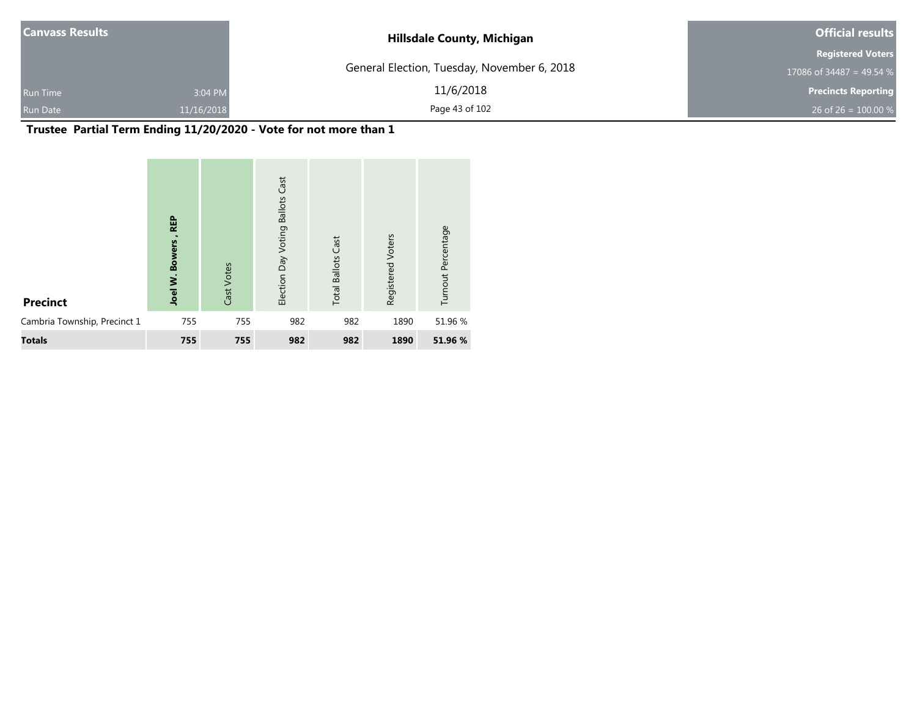| <b>Canvass Results</b> |            | <b>Hillsdale County, Michigan</b>           | <b>Official results</b>    |
|------------------------|------------|---------------------------------------------|----------------------------|
|                        |            |                                             | <b>Registered Voters</b>   |
|                        |            | General Election, Tuesday, November 6, 2018 | 17086 of 34487 = 49.54 %   |
| <b>Run Time</b>        | 3:04 PM    | 11/6/2018                                   | <b>Precincts Reporting</b> |
| <b>Run Date</b>        | 11/16/2018 | Page 43 of 102                              | 26 of 26 = $100.00 %$      |

# **Trustee Partial Term Ending 11/20/2020 - Vote for not more than 1**

| <b>Precinct</b>              | <b>REP</b><br><b>Bowers</b><br>Ż.<br>Joel | Cast Votes | Cast<br><b>Ballots</b><br>Election Day Voting | <b>Total Ballots Cast</b> | Registered Voters | Turnout Percentage |
|------------------------------|-------------------------------------------|------------|-----------------------------------------------|---------------------------|-------------------|--------------------|
| Cambria Township, Precinct 1 | 755                                       | 755        | 982                                           | 982                       | 1890              | 51.96 %            |
| <b>Totals</b>                | 755                                       | 755        | 982                                           | 982                       | 1890              | 51.96 %            |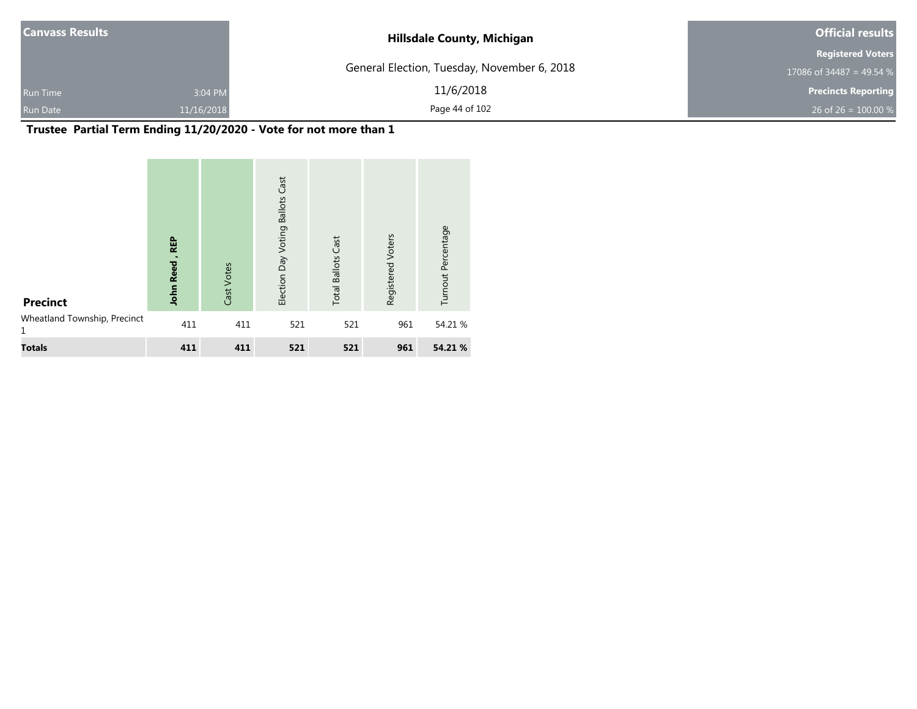| <b>Canvass Results</b> |            | <b>Hillsdale County, Michigan</b>           | <b>Official results</b>    |
|------------------------|------------|---------------------------------------------|----------------------------|
|                        |            |                                             | <b>Registered Voters</b>   |
|                        |            | General Election, Tuesday, November 6, 2018 | 17086 of 34487 = 49.54 $%$ |
| <b>Run Time</b>        | 3:04 PM    | 11/6/2018                                   | <b>Precincts Reporting</b> |
| <b>Run Date</b>        | 11/16/2018 | Page 44 of 102                              | 26 of 26 = $100.00\%$      |

# **Trustee Partial Term Ending 11/20/2020 - Vote for not more than 1**

| <b>Precinct</b>                   | <b>REP</b><br><b>John Reed</b> | Cast Votes | Cast<br><b>Ballots</b><br>Election Day Voting | <b>Total Ballots Cast</b> | Registered Voters | Turnout Percentage |
|-----------------------------------|--------------------------------|------------|-----------------------------------------------|---------------------------|-------------------|--------------------|
| Wheatland Township, Precinct<br>1 | 411                            | 411        | 521                                           | 521                       | 961               | 54.21 %            |
| <b>Totals</b>                     | 411                            | 411        | 521                                           | 521                       | 961               | 54.21 %            |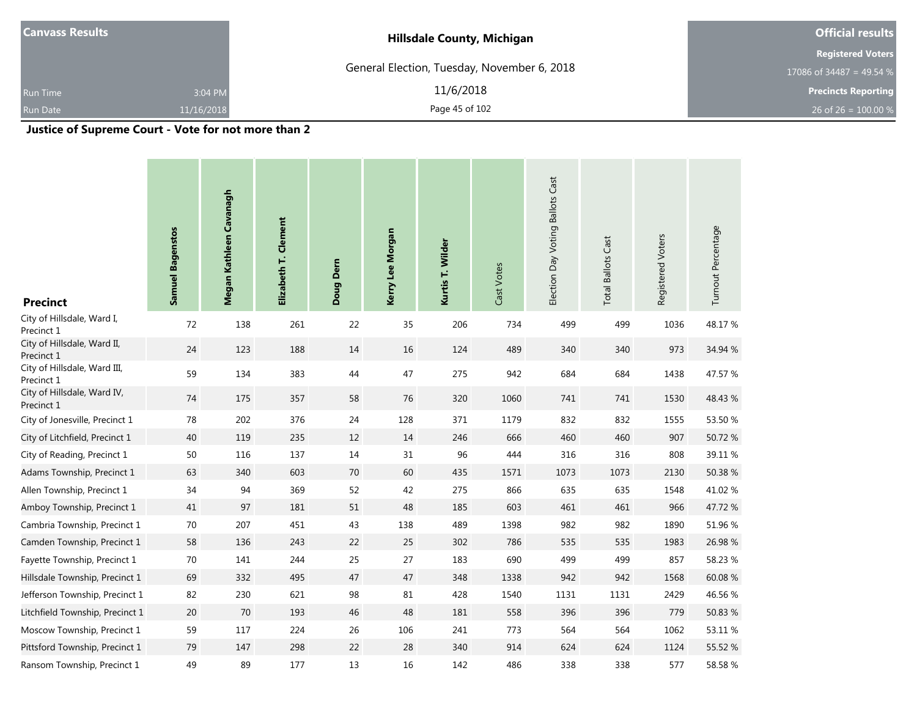| <b>Hillsdale County, Michigan</b>           | <b>Official results</b>    |
|---------------------------------------------|----------------------------|
|                                             | <b>Registered Voters</b>   |
| General Election, Tuesday, November 6, 2018 | 17086 of 34487 = 49.54 %   |
| 11/6/2018                                   | <b>Precincts Reporting</b> |
| Page 45 of 102                              | 26 of 26 = $100.00\%$      |
| 3:04 PM<br>11/16/2018                       |                            |

**Justice of Supreme Court - Vote for not more than 2**

| <b>Precinct</b>                            | <b>Samuel Bagenstos</b> | Megan Kathleen Cavanagh | Elizabeth T. Clement | Doug Dern | Kerry Lee Morgan | Kurtis T. Wilder | Cast Votes | Election Day Voting Ballots Cast | <b>Total Ballots Cast</b> | Registered Voters | Turnout Percentage |
|--------------------------------------------|-------------------------|-------------------------|----------------------|-----------|------------------|------------------|------------|----------------------------------|---------------------------|-------------------|--------------------|
| City of Hillsdale, Ward I,<br>Precinct 1   | 72                      | 138                     | 261                  | 22        | 35               | 206              | 734        | 499                              | 499                       | 1036              | 48.17%             |
| City of Hillsdale, Ward II,<br>Precinct 1  | 24                      | 123                     | 188                  | 14        | 16               | 124              | 489        | 340                              | 340                       | 973               | 34.94 %            |
| City of Hillsdale, Ward III,<br>Precinct 1 | 59                      | 134                     | 383                  | 44        | 47               | 275              | 942        | 684                              | 684                       | 1438              | 47.57 %            |
| City of Hillsdale, Ward IV,<br>Precinct 1  | 74                      | 175                     | 357                  | 58        | 76               | 320              | 1060       | 741                              | 741                       | 1530              | 48.43 %            |
| City of Jonesville, Precinct 1             | 78                      | 202                     | 376                  | 24        | 128              | 371              | 1179       | 832                              | 832                       | 1555              | 53.50 %            |
| City of Litchfield, Precinct 1             | 40                      | 119                     | 235                  | $12\,$    | 14               | 246              | 666        | 460                              | 460                       | 907               | 50.72%             |
| City of Reading, Precinct 1                | 50                      | 116                     | 137                  | 14        | 31               | 96               | 444        | 316                              | 316                       | 808               | 39.11 %            |
| Adams Township, Precinct 1                 | 63                      | 340                     | 603                  | $70\,$    | 60               | 435              | 1571       | 1073                             | 1073                      | 2130              | 50.38 %            |
| Allen Township, Precinct 1                 | 34                      | 94                      | 369                  | 52        | 42               | 275              | 866        | 635                              | 635                       | 1548              | 41.02%             |
| Amboy Township, Precinct 1                 | 41                      | 97                      | 181                  | 51        | 48               | 185              | 603        | 461                              | 461                       | 966               | 47.72 %            |
| Cambria Township, Precinct 1               | $70\,$                  | 207                     | 451                  | 43        | 138              | 489              | 1398       | 982                              | 982                       | 1890              | 51.96 %            |
| Camden Township, Precinct 1                | 58                      | 136                     | 243                  | 22        | 25               | 302              | 786        | 535                              | 535                       | 1983              | 26.98%             |
| Fayette Township, Precinct 1               | 70                      | 141                     | 244                  | 25        | 27               | 183              | 690        | 499                              | 499                       | 857               | 58.23 %            |
| Hillsdale Township, Precinct 1             | 69                      | 332                     | 495                  | 47        | 47               | 348              | 1338       | 942                              | 942                       | 1568              | 60.08 %            |
| Jefferson Township, Precinct 1             | 82                      | 230                     | 621                  | 98        | 81               | 428              | 1540       | 1131                             | 1131                      | 2429              | 46.56 %            |
| Litchfield Township, Precinct 1            | $20\,$                  | 70                      | 193                  | 46        | 48               | 181              | 558        | 396                              | 396                       | 779               | 50.83 %            |
| Moscow Township, Precinct 1                | 59                      | 117                     | 224                  | 26        | 106              | 241              | 773        | 564                              | 564                       | 1062              | 53.11 %            |
| Pittsford Township, Precinct 1             | 79                      | 147                     | 298                  | 22        | 28               | 340              | 914        | 624                              | 624                       | 1124              | 55.52 %            |
| Ransom Township, Precinct 1                | 49                      | 89                      | 177                  | 13        | 16               | 142              | 486        | 338                              | 338                       | 577               | 58.58 %            |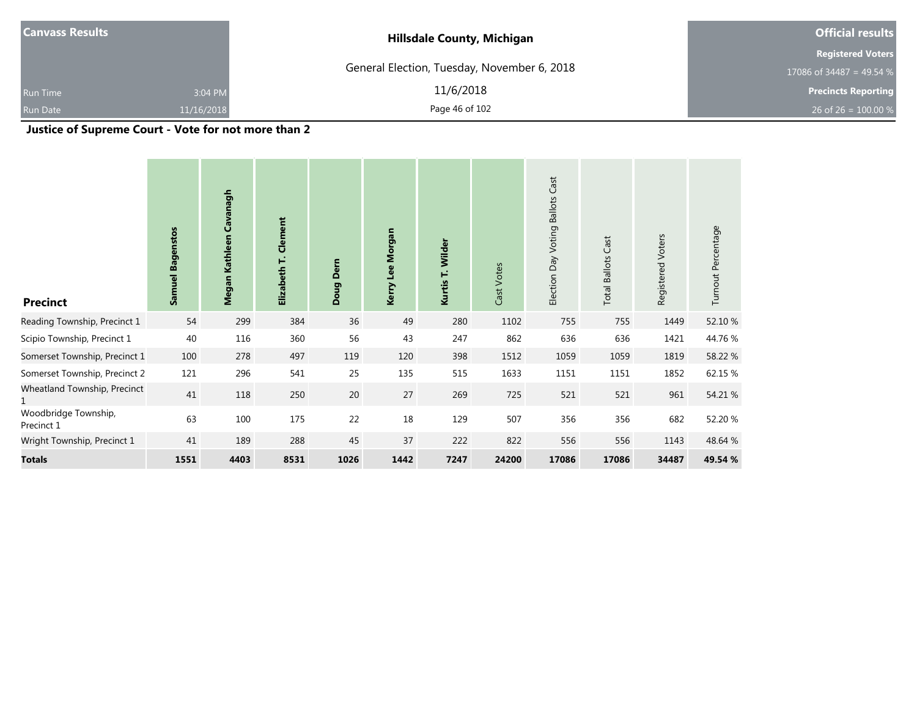| <b>Canvass Results</b> |             | <b>Hillsdale County, Michigan</b>           | <b>Official results</b>    |
|------------------------|-------------|---------------------------------------------|----------------------------|
|                        |             |                                             | <b>Registered Voters</b>   |
|                        |             | General Election, Tuesday, November 6, 2018 | 17086 of 34487 = 49.54 %   |
| <b>Run Time</b>        | 3:04 PM     | 11/6/2018                                   | <b>Precincts Reporting</b> |
| <b>Run Date</b>        | 11/16/2018  | Page 46 of 102                              | 26 of 26 = $100.00\%$      |
| .                      | .<br>$\sim$ | - - -                                       |                            |

**Justice of Supreme Court - Vote for not more than 2**

| <b>Precinct</b>                    | <b>Samuel Bagenstos</b> | Kathleen Cavanagh<br>Megan | Clement<br>Elizabeth T. | Doug Dern | Kerry Lee Morgan | Wilder<br>Ë<br>Kurtis <sup>-</sup> | Cast Votes | Cast<br><b>Ballots</b><br>Election Day Voting | <b>Total Ballots Cast</b> | Registered Voters | Turnout Percentage |
|------------------------------------|-------------------------|----------------------------|-------------------------|-----------|------------------|------------------------------------|------------|-----------------------------------------------|---------------------------|-------------------|--------------------|
| Reading Township, Precinct 1       | 54                      | 299                        | 384                     | 36        | 49               | 280                                | 1102       | 755                                           | 755                       | 1449              | 52.10 %            |
| Scipio Township, Precinct 1        | 40                      | 116                        | 360                     | 56        | 43               | 247                                | 862        | 636                                           | 636                       | 1421              | 44.76 %            |
| Somerset Township, Precinct 1      | 100                     | 278                        | 497                     | 119       | 120              | 398                                | 1512       | 1059                                          | 1059                      | 1819              | 58.22 %            |
| Somerset Township, Precinct 2      | 121                     | 296                        | 541                     | 25        | 135              | 515                                | 1633       | 1151                                          | 1151                      | 1852              | 62.15 %            |
| Wheatland Township, Precinct       | 41                      | 118                        | 250                     | 20        | 27               | 269                                | 725        | 521                                           | 521                       | 961               | 54.21 %            |
| Woodbridge Township,<br>Precinct 1 | 63                      | 100                        | 175                     | 22        | 18               | 129                                | 507        | 356                                           | 356                       | 682               | 52.20 %            |
| Wright Township, Precinct 1        | 41                      | 189                        | 288                     | 45        | 37               | 222                                | 822        | 556                                           | 556                       | 1143              | 48.64 %            |
| <b>Totals</b>                      | 1551                    | 4403                       | 8531                    | 1026      | 1442             | 7247                               | 24200      | 17086                                         | 17086                     | 34487             | 49.54 %            |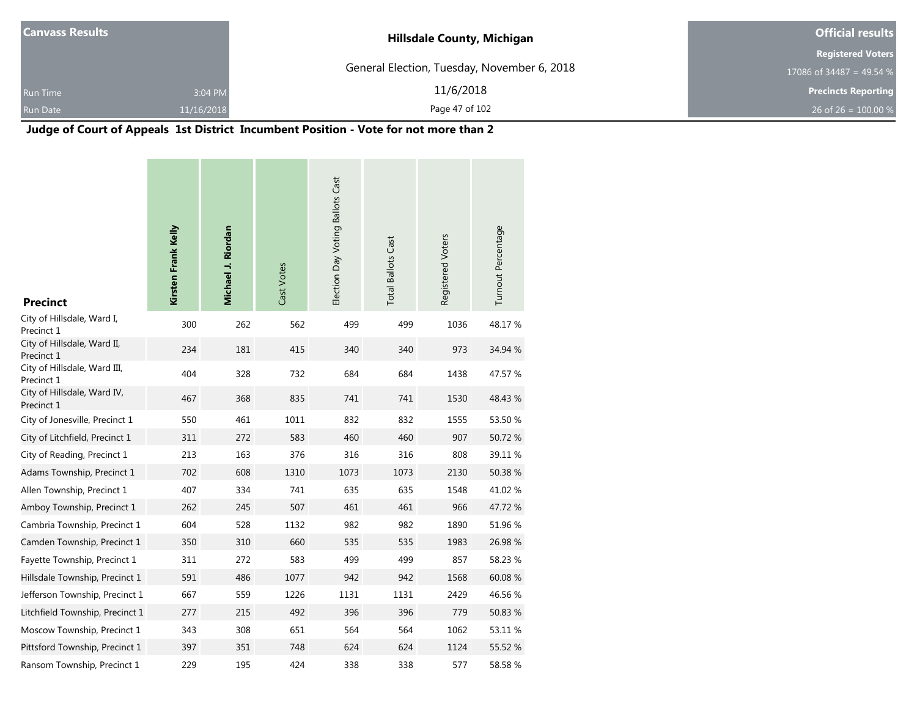| <b>Canvass Results</b> |            | <b>Hillsdale County, Michigan</b>           | <b>Official results</b>    |  |  |
|------------------------|------------|---------------------------------------------|----------------------------|--|--|
|                        |            |                                             | <b>Registered Voters</b>   |  |  |
|                        |            | General Election, Tuesday, November 6, 2018 | 17086 of 34487 = 49.54 $%$ |  |  |
| <b>Run Time</b>        | 3:04 PM    | 11/6/2018                                   | <b>Precincts Reporting</b> |  |  |
| <b>Run Date</b>        | 11/16/2018 | Page 47 of 102                              | 26 of 26 = $100.00\%$      |  |  |

#### **Judge of Court of Appeals 1st District Incumbent Position - Vote for not more than 2**

| <b>Precinct</b>                            | Kirsten Frank Kelly | Michael J. Riordan | Cast Votes | Election Day Voting Ballots Cast | <b>Total Ballots Cast</b> | Registered Voters | Turnout Percentage |
|--------------------------------------------|---------------------|--------------------|------------|----------------------------------|---------------------------|-------------------|--------------------|
| City of Hillsdale, Ward I,<br>Precinct 1   | 300                 | 262                | 562        | 499                              | 499                       | 1036              | 48.17 %            |
| City of Hillsdale, Ward II,<br>Precinct 1  | 234                 | 181                | 415        | 340                              | 340                       | 973               | 34.94 %            |
| City of Hillsdale, Ward III,<br>Precinct 1 | 404                 | 328                | 732        | 684                              | 684                       | 1438              | 47.57 %            |
| City of Hillsdale, Ward IV,<br>Precinct 1  | 467                 | 368                | 835        | 741                              | 741                       | 1530              | 48.43 %            |
| City of Jonesville, Precinct 1             | 550                 | 461                | 1011       | 832                              | 832                       | 1555              | 53.50 %            |
| City of Litchfield, Precinct 1             | 311                 | 272                | 583        | 460                              | 460                       | 907               | 50.72 %            |
| City of Reading, Precinct 1                | 213                 | 163                | 376        | 316                              | 316                       | 808               | 39.11 %            |
| Adams Township, Precinct 1                 | 702                 | 608                | 1310       | 1073                             | 1073                      | 2130              | 50.38 %            |
| Allen Township, Precinct 1                 | 407                 | 334                | 741        | 635                              | 635                       | 1548              | 41.02%             |
| Amboy Township, Precinct 1                 | 262                 | 245                | 507        | 461                              | 461                       | 966               | 47.72 %            |
| Cambria Township, Precinct 1               | 604                 | 528                | 1132       | 982                              | 982                       | 1890              | 51.96 %            |
| Camden Township, Precinct 1                | 350                 | 310                | 660        | 535                              | 535                       | 1983              | 26.98 %            |
| Fayette Township, Precinct 1               | 311                 | 272                | 583        | 499                              | 499                       | 857               | 58.23 %            |
| Hillsdale Township, Precinct 1             | 591                 | 486                | 1077       | 942                              | 942                       | 1568              | 60.08 %            |
| Jefferson Township, Precinct 1             | 667                 | 559                | 1226       | 1131                             | 1131                      | 2429              | 46.56 %            |
| Litchfield Township, Precinct 1            | 277                 | 215                | 492        | 396                              | 396                       | 779               | 50.83 %            |
| Moscow Township, Precinct 1                | 343                 | 308                | 651        | 564                              | 564                       | 1062              | 53.11 %            |
| Pittsford Township, Precinct 1             | 397                 | 351                | 748        | 624                              | 624                       | 1124              | 55.52 %            |
| Ransom Township, Precinct 1                | 229                 | 195                | 424        | 338                              | 338                       | 577               | 58.58%             |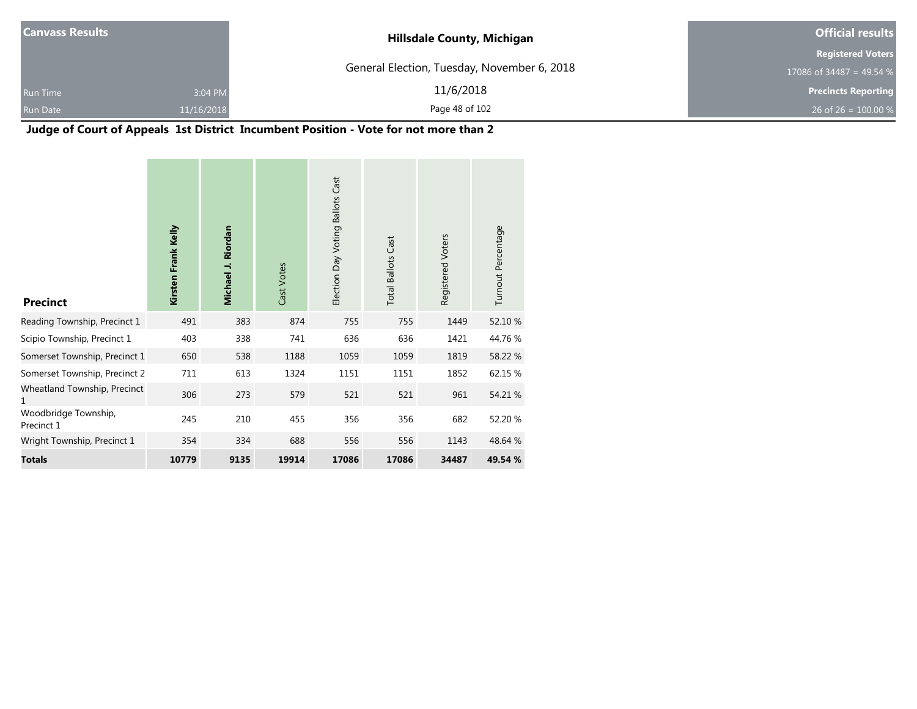|                       | <b>Official results</b>                                                          |
|-----------------------|----------------------------------------------------------------------------------|
|                       | <b>Registered Voters</b>                                                         |
|                       | 17086 of 34487 = 49.54 %                                                         |
| 11/6/2018             | <b>Precincts Reporting</b>                                                       |
| Page 48 of 102        | 26 of 26 = $100.00\%$                                                            |
| 3:04 PM<br>11/16/2018 | <b>Hillsdale County, Michigan</b><br>General Election, Tuesday, November 6, 2018 |

۰

#### **Judge of Court of Appeals 1st District Incumbent Position - Vote for not more than 2**

| <b>Precinct</b>                    | Kirsten Frank Kelly | Michael J. Riordan | Cast Votes | Election Day Voting Ballots Cast | <b>Total Ballots Cast</b> | Registered Voters | Turnout Percentage |
|------------------------------------|---------------------|--------------------|------------|----------------------------------|---------------------------|-------------------|--------------------|
| Reading Township, Precinct 1       | 491                 | 383                | 874        | 755                              | 755                       | 1449              | 52.10 %            |
| Scipio Township, Precinct 1        | 403                 | 338                | 741        | 636                              | 636                       | 1421              | 44.76%             |
| Somerset Township, Precinct 1      | 650                 | 538                | 1188       | 1059                             | 1059                      | 1819              | 58.22 %            |
| Somerset Township, Precinct 2      | 711                 | 613                | 1324       | 1151                             | 1151                      | 1852              | 62.15 %            |
| Wheatland Township, Precinct<br>1  | 306                 | 273                | 579        | 521                              | 521                       | 961               | 54.21 %            |
| Woodbridge Township,<br>Precinct 1 | 245                 | 210                | 455        | 356                              | 356                       | 682               | 52.20 %            |
| Wright Township, Precinct 1        | 354                 | 334                | 688        | 556                              | 556                       | 1143              | 48.64 %            |
| <b>Totals</b>                      | 10779               | 9135               | 19914      | 17086                            | 17086                     | 34487             | 49.54 %            |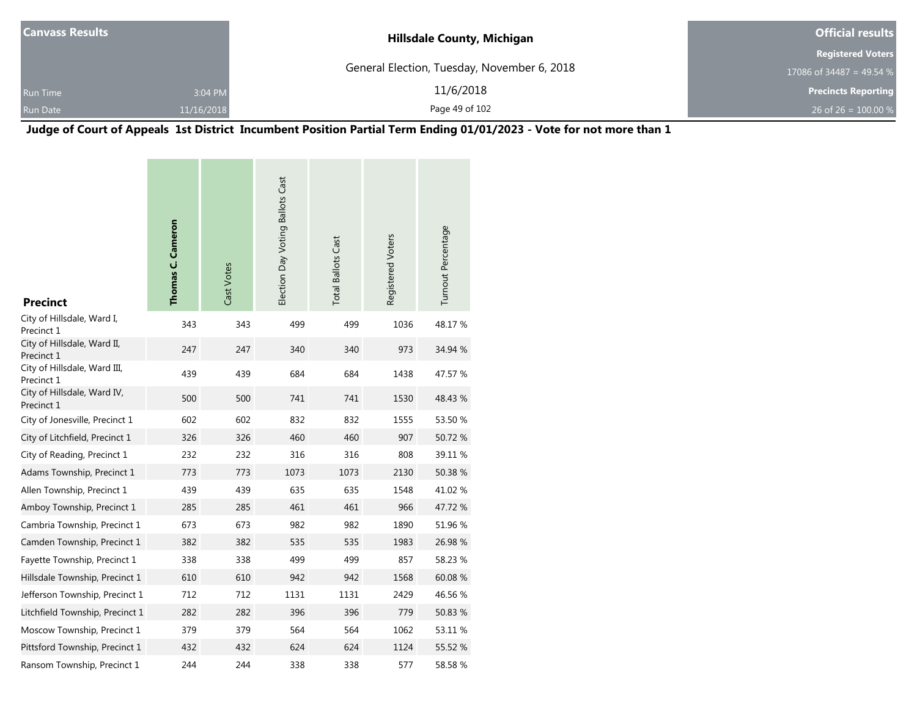| <b>Canvass Results</b> |            | <b>Hillsdale County, Michigan</b>           | <b>Official results</b>    |  |
|------------------------|------------|---------------------------------------------|----------------------------|--|
|                        |            |                                             | <b>Registered Voters</b>   |  |
|                        |            | General Election, Tuesday, November 6, 2018 | 17086 of 34487 = 49.54 $%$ |  |
| <b>Run Time</b>        | 3:04 PM    | 11/6/2018                                   | <b>Precincts Reporting</b> |  |
| <b>Run Date</b>        | 11/16/2018 | Page 49 of 102                              | 26 of 26 = $100.00\%$      |  |

**Judge of Court of Appeals 1st District Incumbent Position Partial Term Ending 01/01/2023 - Vote for not more than 1**

| <b>Precinct</b>                            | Thomas C. Cameron | Cast Votes | Election Day Voting Ballots Cast | <b>Total Ballots Cast</b> | Registered Voters | Turnout Percentage |
|--------------------------------------------|-------------------|------------|----------------------------------|---------------------------|-------------------|--------------------|
| City of Hillsdale, Ward I,<br>Precinct 1   | 343               | 343        | 499                              | 499                       | 1036              | 48.17%             |
| City of Hillsdale, Ward II,<br>Precinct 1  | 247               | 247        | 340                              | 340                       | 973               | 34.94 %            |
| City of Hillsdale, Ward III,<br>Precinct 1 | 439               | 439        | 684                              | 684                       | 1438              | 47.57 %            |
| City of Hillsdale, Ward IV,<br>Precinct 1  | 500               | 500        | 741                              | 741                       | 1530              | 48.43 %            |
| City of Jonesville, Precinct 1             | 602               | 602        | 832                              | 832                       | 1555              | 53.50 %            |
| City of Litchfield, Precinct 1             | 326               | 326        | 460                              | 460                       | 907               | 50.72 %            |
| City of Reading, Precinct 1                | 232               | 232        | 316                              | 316                       | 808               | 39.11 %            |
| Adams Township, Precinct 1                 | 773               | 773        | 1073                             | 1073                      | 2130              | 50.38 %            |
| Allen Township, Precinct 1                 | 439               | 439        | 635                              | 635                       | 1548              | 41.02%             |
| Amboy Township, Precinct 1                 | 285               | 285        | 461                              | 461                       | 966               | 47.72 %            |
| Cambria Township, Precinct 1               | 673               | 673        | 982                              | 982                       | 1890              | 51.96 %            |
| Camden Township, Precinct 1                | 382               | 382        | 535                              | 535                       | 1983              | 26.98%             |
| Fayette Township, Precinct 1               | 338               | 338        | 499                              | 499                       | 857               | 58.23 %            |
| Hillsdale Township, Precinct 1             | 610               | 610        | 942                              | 942                       | 1568              | 60.08%             |
| Jefferson Township, Precinct 1             | 712               | 712        | 1131                             | 1131                      | 2429              | 46.56 %            |
| Litchfield Township, Precinct 1            | 282               | 282        | 396                              | 396                       | 779               | 50.83 %            |
| Moscow Township, Precinct 1                | 379               | 379        | 564                              | 564                       | 1062              | 53.11 %            |
| Pittsford Township, Precinct 1             | 432               | 432        | 624                              | 624                       | 1124              | 55.52 %            |
| Ransom Township, Precinct 1                | 244               | 244        | 338                              | 338                       | 577               | 58.58 %            |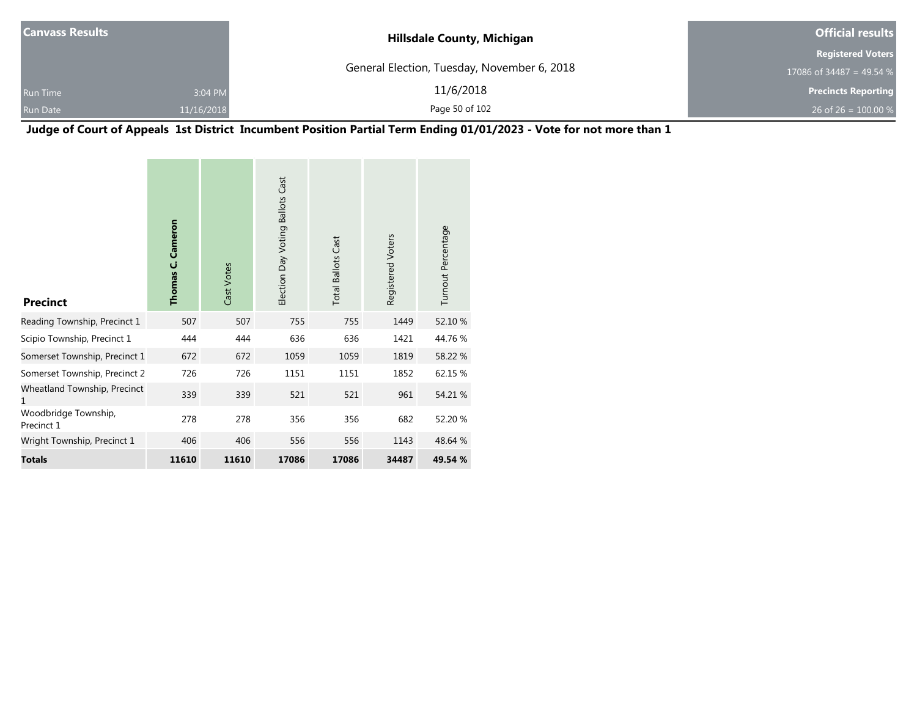| <b>Canvass Results</b> |            | <b>Hillsdale County, Michigan</b>           | <b>Official results</b>    |  |
|------------------------|------------|---------------------------------------------|----------------------------|--|
|                        |            |                                             | <b>Registered Voters</b>   |  |
|                        |            | General Election, Tuesday, November 6, 2018 | 17086 of 34487 = 49.54 %   |  |
| <b>Run Time</b>        | 3:04 PM    | 11/6/2018                                   | <b>Precincts Reporting</b> |  |
| <b>Run Date</b>        | 11/16/2018 | Page 50 of 102                              | 26 of 26 = $100.00\%$      |  |

**Judge of Court of Appeals 1st District Incumbent Position Partial Term Ending 01/01/2023 - Vote for not more than 1**

| <b>Precinct</b>                    | Cameron<br>Thomas C. | Cast Votes | Election Day Voting Ballots Cast | <b>Total Ballots Cast</b> | Registered Voters | Turnout Percentage |
|------------------------------------|----------------------|------------|----------------------------------|---------------------------|-------------------|--------------------|
| Reading Township, Precinct 1       | 507                  | 507        | 755                              | 755                       | 1449              | 52.10 %            |
| Scipio Township, Precinct 1        | 444                  | 444        | 636                              | 636                       | 1421              | 44.76 %            |
| Somerset Township, Precinct 1      | 672                  | 672        | 1059                             | 1059                      | 1819              | 58.22 %            |
| Somerset Township, Precinct 2      | 726                  | 726        | 1151                             | 1151                      | 1852              | 62.15 %            |
| Wheatland Township, Precinct<br>1  | 339                  | 339        | 521                              | 521                       | 961               | 54.21 %            |
| Woodbridge Township,<br>Precinct 1 | 278                  | 278        | 356                              | 356                       | 682               | 52.20 %            |
| Wright Township, Precinct 1        | 406                  | 406        | 556                              | 556                       | 1143              | 48.64 %            |
| Totals                             | 11610                | 11610      | 17086                            | 17086                     | 34487             | 49.54 %            |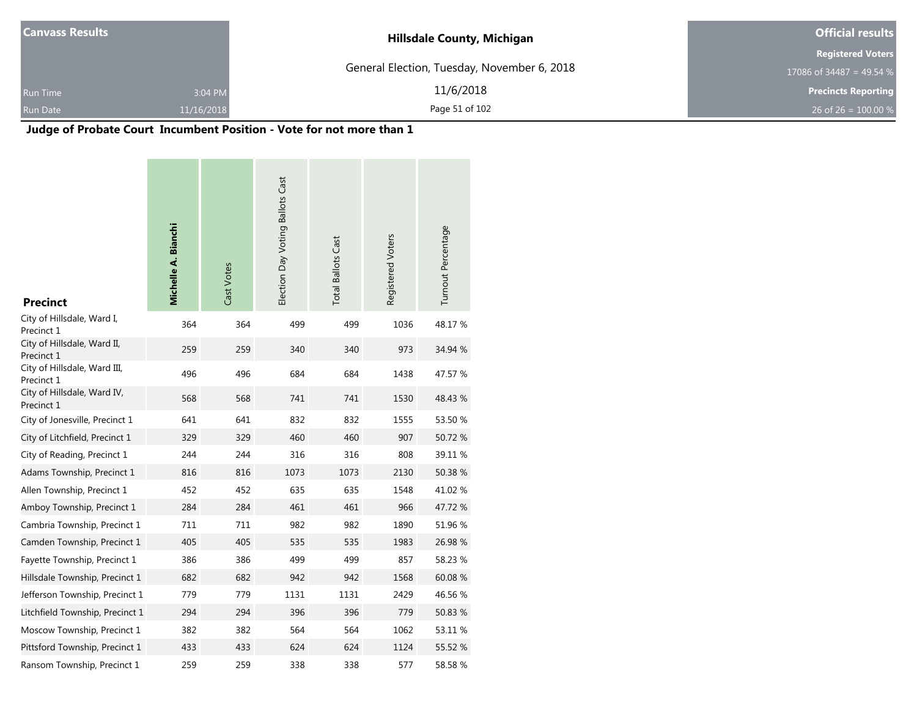| <b>Canvass Results</b> |            | <b>Hillsdale County, Michigan</b>           | <b>Official results</b>    |  |  |
|------------------------|------------|---------------------------------------------|----------------------------|--|--|
|                        |            |                                             | <b>Registered Voters</b>   |  |  |
|                        |            | General Election, Tuesday, November 6, 2018 | 17086 of 34487 = 49.54 %   |  |  |
| <b>Run Time</b>        | 3:04 PM    | 11/6/2018                                   | <b>Precincts Reporting</b> |  |  |
| <b>Run Date</b>        | 11/16/2018 | Page 51 of 102                              | 26 of 26 = $100.00\%$      |  |  |

## **Judge of Probate Court Incumbent Position - Vote for not more than 1**

| <b>Precinct</b>                            | <b>Michelle A. Bianchi</b> | Cast Votes | Election Day Voting Ballots Cast | <b>Total Ballots Cast</b> | Registered Voters | Turnout Percentage |
|--------------------------------------------|----------------------------|------------|----------------------------------|---------------------------|-------------------|--------------------|
| City of Hillsdale, Ward I,<br>Precinct 1   | 364                        | 364        | 499                              | 499                       | 1036              | 48.17%             |
| City of Hillsdale, Ward II,<br>Precinct 1  | 259                        | 259        | 340                              | 340                       | 973               | 34.94 %            |
| City of Hillsdale, Ward III,<br>Precinct 1 | 496                        | 496        | 684                              | 684                       | 1438              | 47.57 %            |
| City of Hillsdale, Ward IV,<br>Precinct 1  | 568                        | 568        | 741                              | 741                       | 1530              | 48.43 %            |
| City of Jonesville, Precinct 1             | 641                        | 641        | 832                              | 832                       | 1555              | 53.50 %            |
| City of Litchfield, Precinct 1             | 329                        | 329        | 460                              | 460                       | 907               | 50.72 %            |
| City of Reading, Precinct 1                | 244                        | 244        | 316                              | 316                       | 808               | 39.11 %            |
| Adams Township, Precinct 1                 | 816                        | 816        | 1073                             | 1073                      | 2130              | 50.38 %            |
| Allen Township, Precinct 1                 | 452                        | 452        | 635                              | 635                       | 1548              | 41.02%             |
| Amboy Township, Precinct 1                 | 284                        | 284        | 461                              | 461                       | 966               | 47.72 %            |
| Cambria Township, Precinct 1               | 711                        | 711        | 982                              | 982                       | 1890              | 51.96 %            |
| Camden Township, Precinct 1                | 405                        | 405        | 535                              | 535                       | 1983              | 26.98 %            |
| Fayette Township, Precinct 1               | 386                        | 386        | 499                              | 499                       | 857               | 58.23 %            |
| Hillsdale Township, Precinct 1             | 682                        | 682        | 942                              | 942                       | 1568              | 60.08%             |
| Jefferson Township, Precinct 1             | 779                        | 779        | 1131                             | 1131                      | 2429              | 46.56 %            |
| Litchfield Township, Precinct 1            | 294                        | 294        | 396                              | 396                       | 779               | 50.83 %            |
| Moscow Township, Precinct 1                | 382                        | 382        | 564                              | 564                       | 1062              | 53.11 %            |
| Pittsford Township, Precinct 1             | 433                        | 433        | 624                              | 624                       | 1124              | 55.52 %            |
| Ransom Township, Precinct 1                | 259                        | 259        | 338                              | 338                       | 577               | 58.58%             |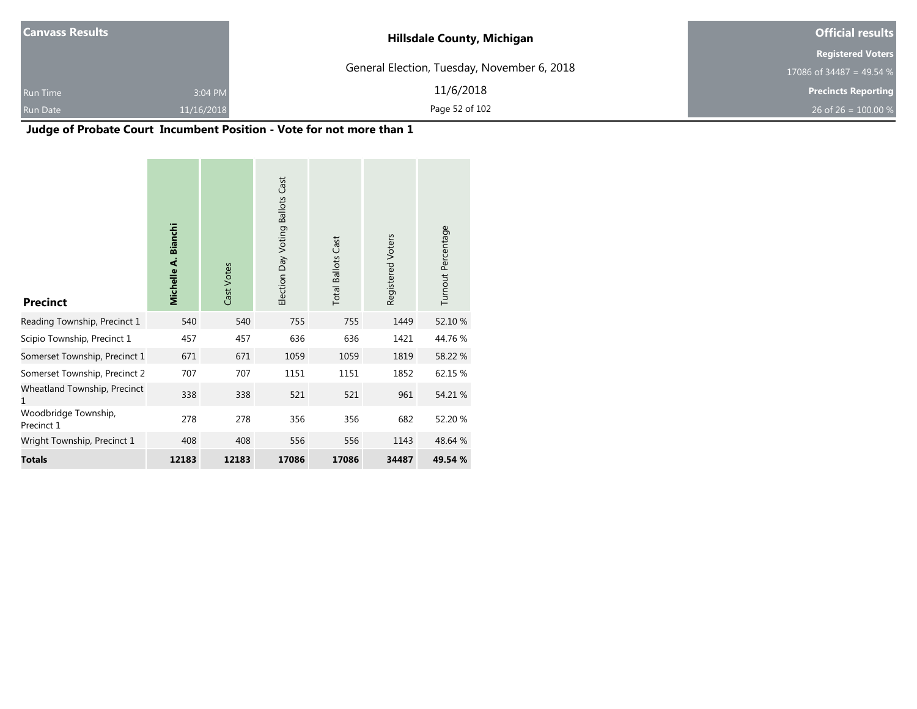| <b>Canvass Results</b> |            | <b>Hillsdale County, Michigan</b>           | <b>Official results</b>    |  |
|------------------------|------------|---------------------------------------------|----------------------------|--|
|                        |            |                                             | <b>Registered Voters</b>   |  |
|                        |            | General Election, Tuesday, November 6, 2018 | 17086 of 34487 = 49.54 $%$ |  |
| <b>Run Time</b>        | 3:04 PM    | 11/6/2018                                   | <b>Precincts Reporting</b> |  |
| <b>Run Date</b>        | 11/16/2018 | Page 52 of 102                              | 26 of 26 = $100.00\%$      |  |

## **Judge of Probate Court Incumbent Position - Vote for not more than 1**

| <b>Precinct</b>                    | <b>Bianchi</b><br>Michelle A. | Cast Votes | <b>Ballots Cast</b><br>Election Day Voting | <b>Total Ballots Cast</b> | Registered Voters | Turnout Percentage |
|------------------------------------|-------------------------------|------------|--------------------------------------------|---------------------------|-------------------|--------------------|
| Reading Township, Precinct 1       | 540                           | 540        | 755                                        | 755                       | 1449              | 52.10 %            |
| Scipio Township, Precinct 1        | 457                           | 457        | 636                                        | 636                       | 1421              | 44.76 %            |
| Somerset Township, Precinct 1      | 671                           | 671        | 1059                                       | 1059                      | 1819              | 58.22 %            |
| Somerset Township, Precinct 2      | 707                           | 707        | 1151                                       | 1151                      | 1852              | 62.15 %            |
| Wheatland Township, Precinct<br>1  | 338                           | 338        | 521                                        | 521                       | 961               | 54.21 %            |
| Woodbridge Township,<br>Precinct 1 | 278                           | 278        | 356                                        | 356                       | 682               | 52.20 %            |
| Wright Township, Precinct 1        | 408                           | 408        | 556                                        | 556                       | 1143              | 48.64 %            |
| <b>Totals</b>                      | 12183                         | 12183      | 17086                                      | 17086                     | 34487             | 49.54 %            |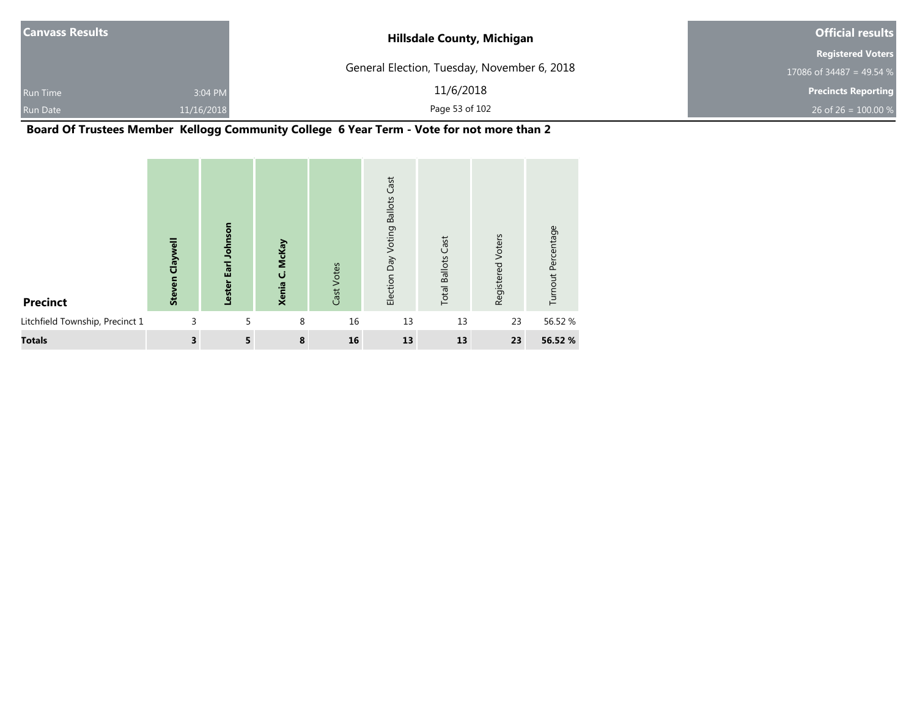| <b>Canvass Results</b> |            | <b>Hillsdale County, Michigan</b>           | <b>Official results</b>    |  |
|------------------------|------------|---------------------------------------------|----------------------------|--|
|                        |            |                                             | <b>Registered Voters</b>   |  |
|                        |            | General Election, Tuesday, November 6, 2018 | 17086 of 34487 = 49.54 $%$ |  |
| <b>Run Time</b>        | 3:04 PM    | 11/6/2018                                   | <b>Precincts Reporting</b> |  |
| <b>Run Date</b>        | 11/16/2018 | Page 53 of 102                              | 26 of 26 = $100.00\%$      |  |

**Board Of Trustees Member Kellogg Community College 6 Year Term - Vote for not more than 2**

| <b>Precinct</b>                 | <b>Steven Claywell</b>  | Earl Johnson<br>Lester | McKay<br>ن<br>Xenia | Cast Votes | Cast<br><b>Ballots</b><br>Voting<br>Election Day | <b>Total Ballots Cast</b> | Registered Voters | Turnout Percentage |
|---------------------------------|-------------------------|------------------------|---------------------|------------|--------------------------------------------------|---------------------------|-------------------|--------------------|
| Litchfield Township, Precinct 1 | 3                       | 5                      | 8                   | 16         | 13                                               | 13                        | 23                | 56.52 %            |
| <b>Totals</b>                   | $\overline{\mathbf{3}}$ | 5                      | 8                   | 16         | 13                                               | 13                        | 23                | 56.52 %            |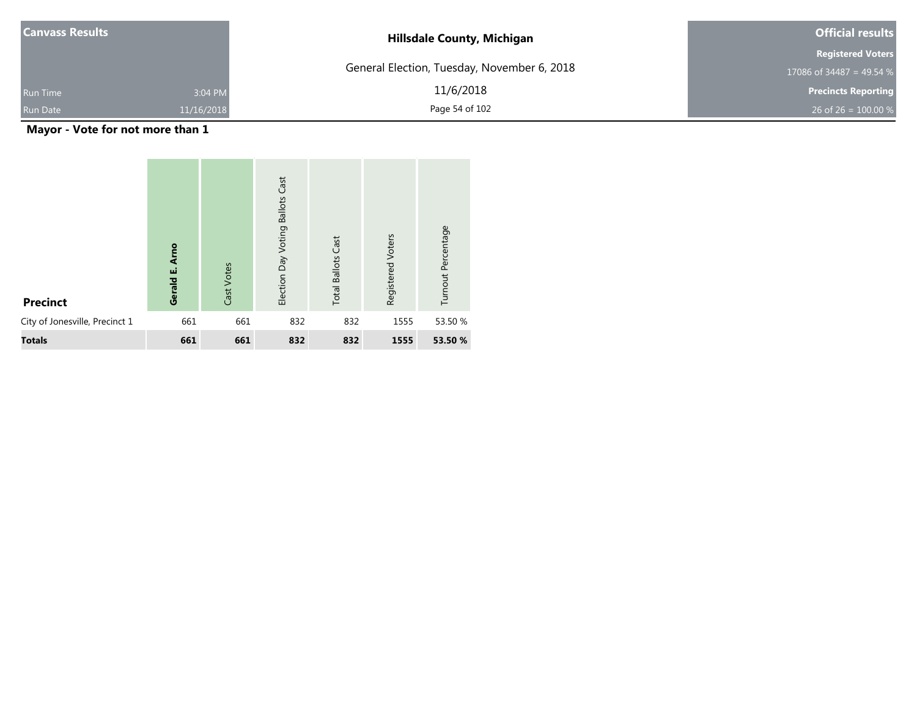| <b>Canvass Results</b> |            | <b>Hillsdale County, Michigan</b>           | <b>Official results</b>    |  |
|------------------------|------------|---------------------------------------------|----------------------------|--|
|                        |            |                                             | <b>Registered Voters</b>   |  |
|                        |            | General Election, Tuesday, November 6, 2018 | 17086 of 34487 = 49.54 %   |  |
| <b>Run Time</b>        | 3:04 PM    | 11/6/2018                                   | <b>Precincts Reporting</b> |  |
| <b>Run Date</b>        | 11/16/2018 | Page 54 of 102                              | 26 of 26 = $100.00\%$      |  |

**Mayor - Vote for not more than 1**

| <b>Precinct</b>                | <b>Arno</b><br>ші<br>Gerald | Cast Votes | Cast<br><b>Ballots</b><br>Election Day Voting | Cast<br><b>Total Ballots</b> | Registered Voters | Turnout Percentage |
|--------------------------------|-----------------------------|------------|-----------------------------------------------|------------------------------|-------------------|--------------------|
| City of Jonesville, Precinct 1 | 661                         | 661        | 832                                           | 832                          | 1555              | 53.50 %            |
| <b>Totals</b>                  | 661                         | 661        | 832                                           | 832                          | 1555              | 53.50 %            |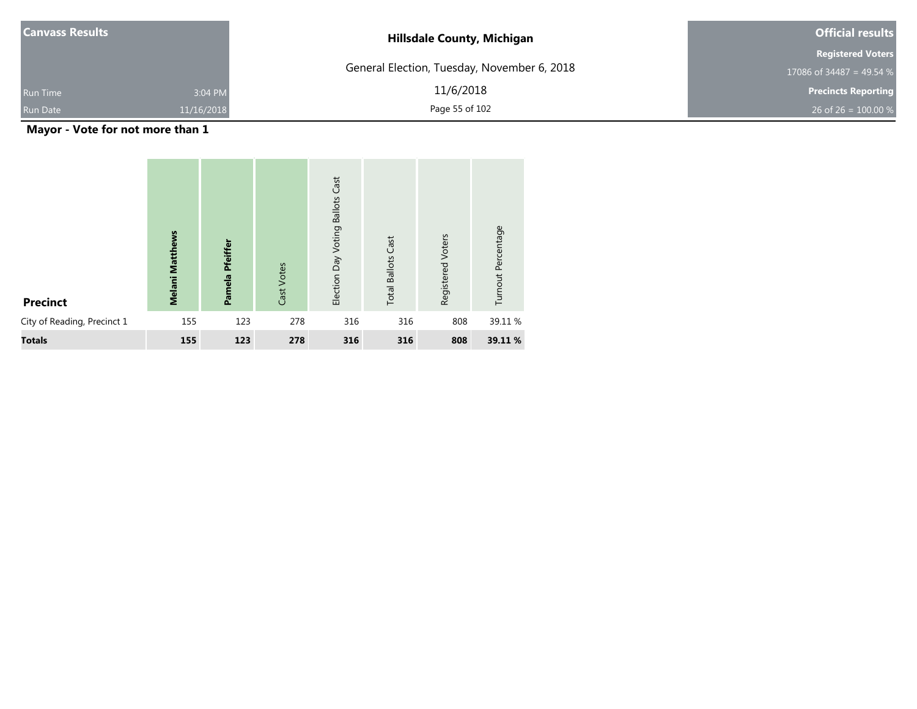| <b>Canvass Results</b> |            | <b>Hillsdale County, Michigan</b>           | <b>Official results</b>    |
|------------------------|------------|---------------------------------------------|----------------------------|
|                        |            |                                             | <b>Registered Voters</b>   |
|                        |            | General Election, Tuesday, November 6, 2018 | 17086 of 34487 = 49.54 %   |
| <b>Run Time</b>        | 3:04 PM    | 11/6/2018                                   | <b>Precincts Reporting</b> |
| <b>Run Date</b>        | 11/16/2018 | Page 55 of 102                              | 26 of 26 = 100.00 %        |

**Mayor - Vote for not more than 1**

| <b>Precinct</b>             | <b>Melani Matthews</b> | Pamela Pfeiffer | Cast Votes | <b>Ballots Cast</b><br>Election Day Voting | <b>Total Ballots Cast</b> | Registered Voters | Turnout Percentage |
|-----------------------------|------------------------|-----------------|------------|--------------------------------------------|---------------------------|-------------------|--------------------|
| City of Reading, Precinct 1 | 155                    | 123             | 278        | 316                                        | 316                       | 808               | 39.11 %            |
| <b>Totals</b>               | 155                    | 123             | 278        | 316                                        | 316                       | 808               | 39.11 %            |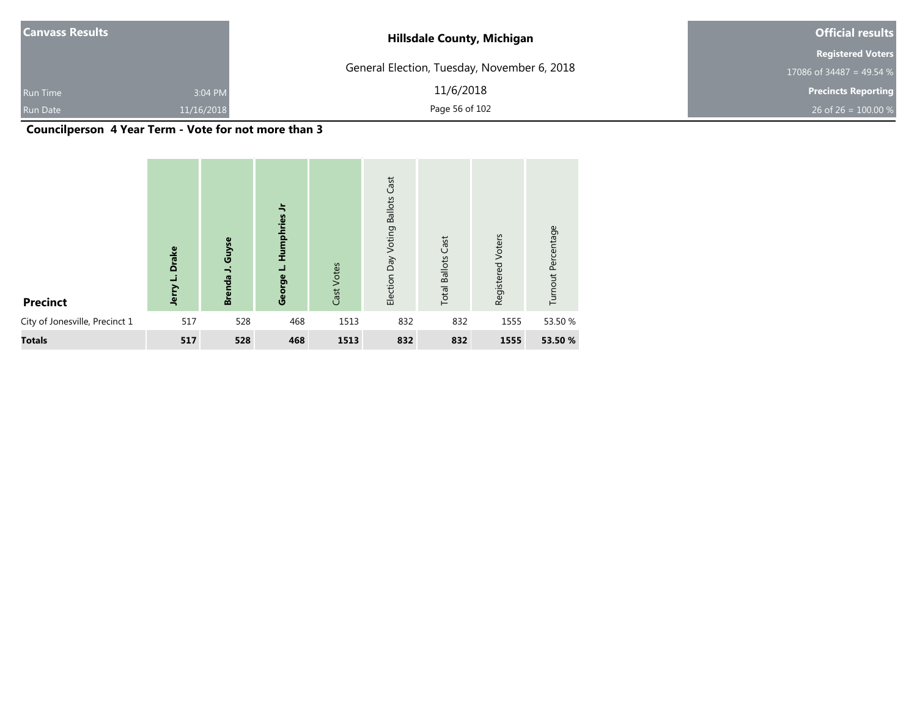| <b>Canvass Results</b> |            | <b>Hillsdale County, Michigan</b>           | <b>Official results</b>    |
|------------------------|------------|---------------------------------------------|----------------------------|
|                        |            |                                             | <b>Registered Voters</b>   |
|                        |            | General Election, Tuesday, November 6, 2018 | 17086 of 34487 = 49.54 %   |
| <b>Run Time</b>        | 3:04 PM    | 11/6/2018                                   | <b>Precincts Reporting</b> |
| Run Date               | 11/16/2018 | Page 56 of 102                              | 26 of 26 = $100.00\%$      |

#### **Councilperson 4 Year Term - Vote for not more than 3**

| <b>Precinct</b>                | <b>Drake</b><br>┙<br>Jerry | Guyse<br>Brenda J. | $\frac{1}{2}$<br>Humphries<br>نـ<br>George | Cast Votes | Cast<br><b>Ballots</b><br>Voting<br>Day<br>Election | Cast<br><b>Total Ballots</b> | Registered Voters | Turnout Percentage |
|--------------------------------|----------------------------|--------------------|--------------------------------------------|------------|-----------------------------------------------------|------------------------------|-------------------|--------------------|
| City of Jonesville, Precinct 1 | 517                        | 528                | 468                                        | 1513       | 832                                                 | 832                          | 1555              | 53.50 %            |
| <b>Totals</b>                  | 517                        | 528                | 468                                        | 1513       | 832                                                 | 832                          | 1555              | 53.50 %            |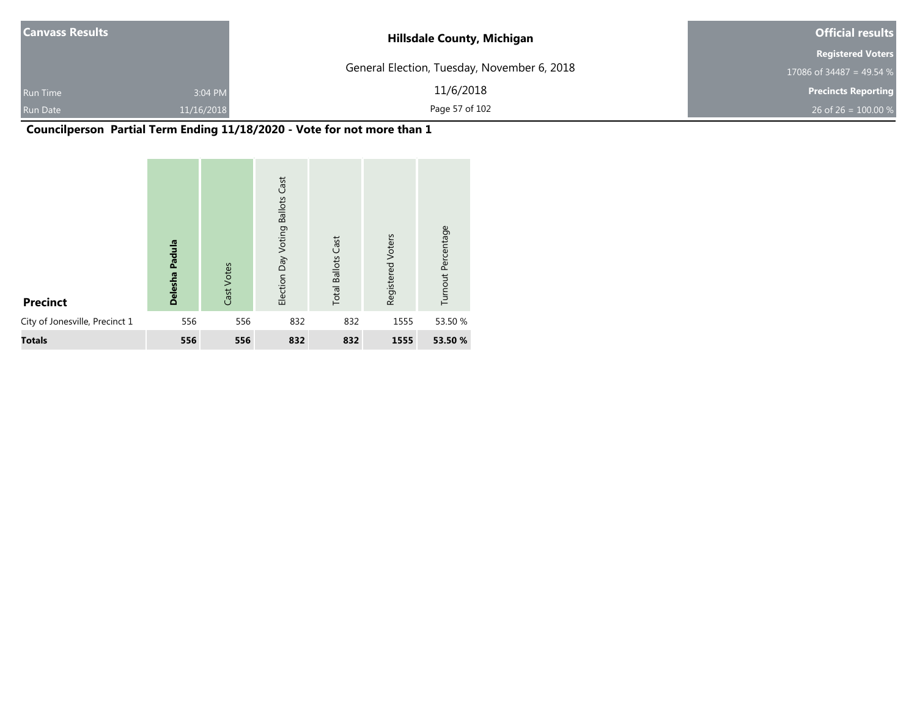| <b>Canvass Results</b> |            | <b>Hillsdale County, Michigan</b>           | <b>Official results</b>    |
|------------------------|------------|---------------------------------------------|----------------------------|
|                        |            |                                             | <b>Registered Voters</b>   |
|                        |            | General Election, Tuesday, November 6, 2018 | 17086 of 34487 = 49.54 %   |
| <b>Run Time</b>        | 3:04 PM    | 11/6/2018                                   | <b>Precincts Reporting</b> |
| <b>Run Date</b>        | 11/16/2018 | Page 57 of 102                              | 26 of 26 = $100.00\%$      |

## **Councilperson Partial Term Ending 11/18/2020 - Vote for not more than 1**

| <b>Precinct</b>                | Padula<br><b>Delesha</b> | Cast Votes | Cast<br><b>Ballots</b><br>Election Day Voting | <b>Total Ballots Cast</b> | Registered Voters | Turnout Percentage |
|--------------------------------|--------------------------|------------|-----------------------------------------------|---------------------------|-------------------|--------------------|
| City of Jonesville, Precinct 1 | 556                      | 556        | 832                                           | 832                       | 1555              | 53.50 %            |
| <b>Totals</b>                  | 556                      | 556        | 832                                           | 832                       | 1555              | 53.50 %            |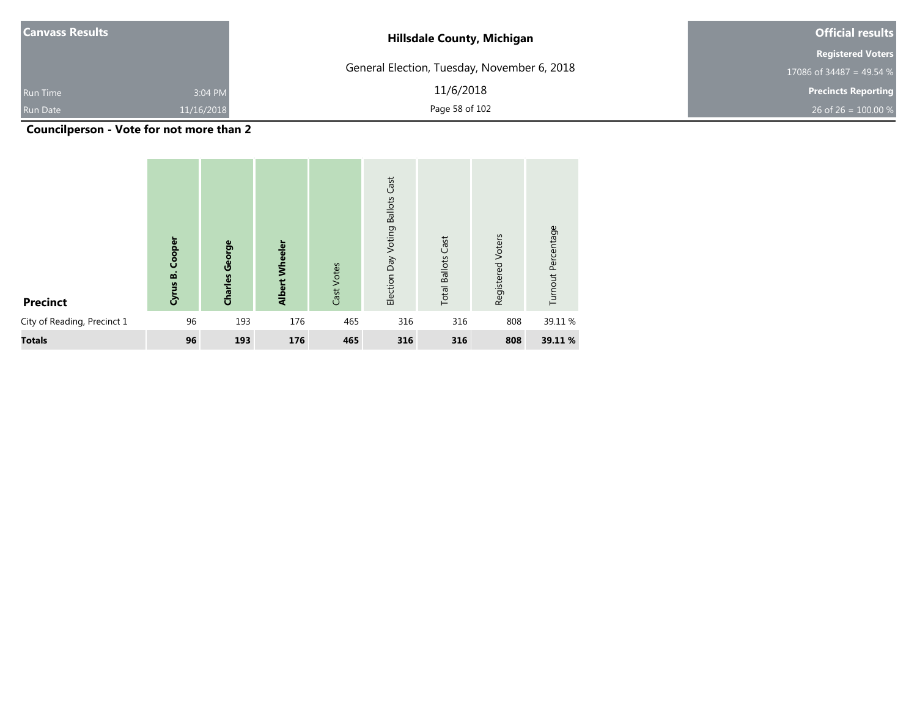| <b>Canvass Results</b> |            | <b>Hillsdale County, Michigan</b>           | <b>Official results</b>    |  |
|------------------------|------------|---------------------------------------------|----------------------------|--|
|                        |            |                                             | <b>Registered Voters</b>   |  |
|                        |            | General Election, Tuesday, November 6, 2018 | 17086 of 34487 = 49.54 %   |  |
| <b>Run Time</b>        | 3:04 PM    | 11/6/2018                                   | <b>Precincts Reporting</b> |  |
| <b>Run Date</b>        | 11/16/2018 | Page 58 of 102                              | 26 of 26 = $100.00\%$      |  |

**Councilperson - Vote for not more than 2**

| <b>Precinct</b>             | Cooper<br>Cyrus B. | George<br>Charles | <b>Albert Wheeler</b> | Cast Votes | Cast<br><b>Ballots</b><br>Voting<br>$\overline{Day}$<br>Election | <b>Total Ballots Cast</b> | Registered Voters | Turnout Percentage |
|-----------------------------|--------------------|-------------------|-----------------------|------------|------------------------------------------------------------------|---------------------------|-------------------|--------------------|
| City of Reading, Precinct 1 | 96                 | 193               | 176                   | 465        | 316                                                              | 316                       | 808               | 39.11 %            |
| <b>Totals</b>               | 96                 | 193               | 176                   | 465        | 316                                                              | 316                       | 808               | 39.11 %            |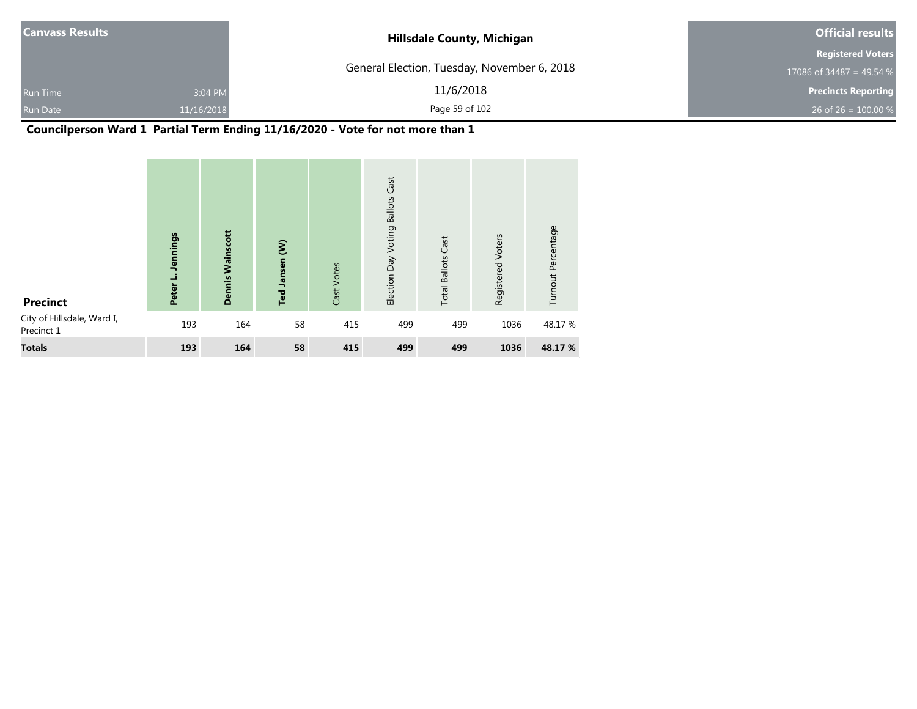| <b>Canvass Results</b>     | <b>Hillsdale County, Michigan</b>           | <b>Official results</b>    |  |
|----------------------------|---------------------------------------------|----------------------------|--|
|                            |                                             | <b>Registered Voters</b>   |  |
|                            | General Election, Tuesday, November 6, 2018 | 17086 of 34487 = 49.54 %   |  |
| 3:04 PM<br><b>Run Time</b> | 11/6/2018                                   | <b>Precincts Reporting</b> |  |
| Run Date<br>11/16/2018     | Page 59 of 102                              | 26 of 26 = $100.00\%$      |  |

#### **Councilperson Ward 1 Partial Term Ending 11/16/2020 - Vote for not more than 1**

| <b>Precinct</b>                          | <b>Jennings</b><br>┙<br>Peter | Wainscott<br><b>Dennis</b> | Ted Jansen (W) | Cast Votes | Cast<br><b>Ballots</b><br>Election Day Voting | <b>Total Ballots Cast</b> | Voters<br>Registered | Turnout Percentage |
|------------------------------------------|-------------------------------|----------------------------|----------------|------------|-----------------------------------------------|---------------------------|----------------------|--------------------|
| City of Hillsdale, Ward I,<br>Precinct 1 | 193                           | 164                        | 58             | 415        | 499                                           | 499                       | 1036                 | 48.17%             |
| <b>Totals</b>                            | 193                           | 164                        | 58             | 415        | 499                                           | 499                       | 1036                 | 48.17 %            |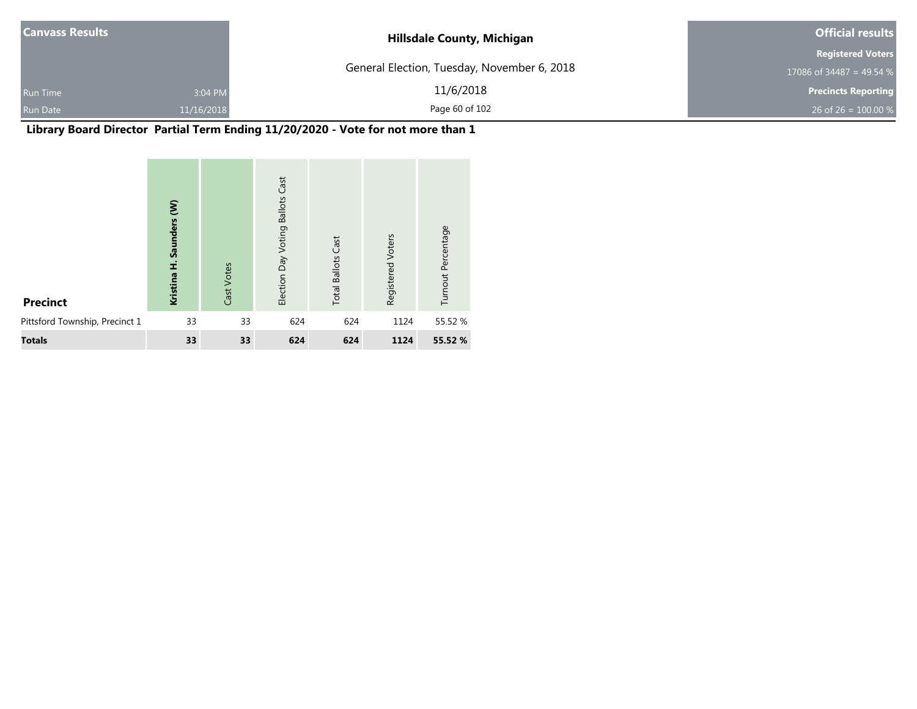| <b>Canvass Results</b> |            | <b>Hillsdale County, Michigan</b>           | <b>Official results</b>    |  |
|------------------------|------------|---------------------------------------------|----------------------------|--|
|                        |            |                                             | <b>Registered Voters</b>   |  |
|                        |            | General Election, Tuesday, November 6, 2018 | 17086 of 34487 = 49.54 %   |  |
| <b>Run Time</b>        | 3:04 PM    | 11/6/2018                                   | <b>Precincts Reporting</b> |  |
| <b>Run Date</b>        | 11/16/2018 | Page 60 of 102                              | 26 of 26 = $100.00\%$      |  |

## **Library Board Director Partial Term Ending 11/20/2020 - Vote for not more than 1**

| <b>Precinct</b>                | ξ<br><b>Saunders</b><br>Í<br>Kristina | Cast Votes | Cast<br><b>Ballots</b><br>Election Day Voting | <b>Total Ballots Cast</b> | Registered Voters | Turnout Percentage |
|--------------------------------|---------------------------------------|------------|-----------------------------------------------|---------------------------|-------------------|--------------------|
| Pittsford Township, Precinct 1 | 33                                    | 33         | 624                                           | 624                       | 1124              | 55.52 %            |
| <b>Totals</b>                  | 33                                    | 33         | 624                                           | 624                       | 1124              | 55.52 %            |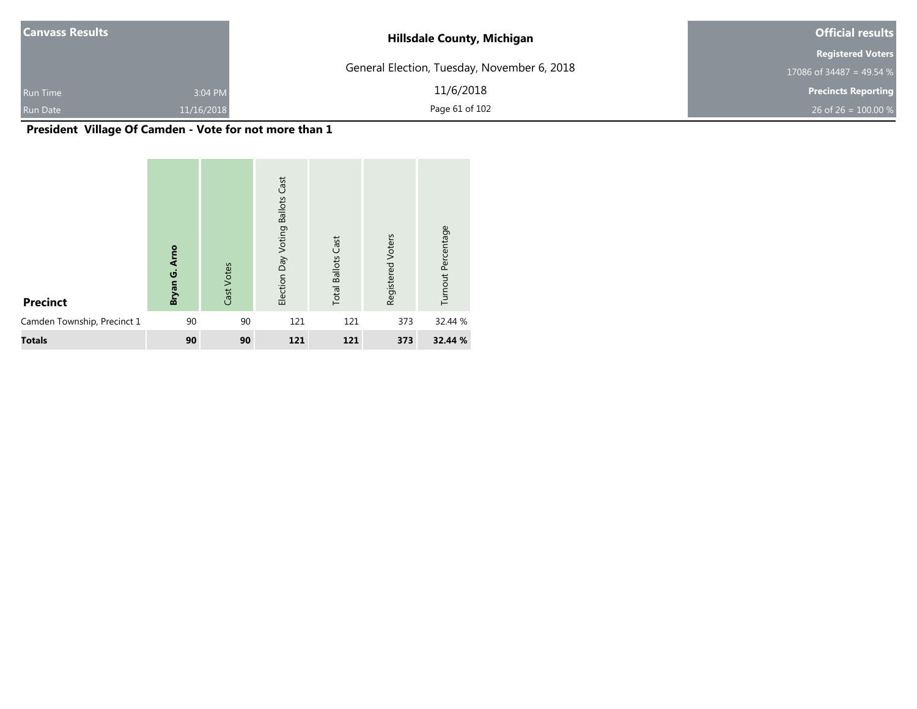| <b>Canvass Results</b> |            | <b>Hillsdale County, Michigan</b>           | <b>Official results</b>    |  |
|------------------------|------------|---------------------------------------------|----------------------------|--|
|                        |            |                                             | <b>Registered Voters</b>   |  |
|                        |            | General Election, Tuesday, November 6, 2018 | 17086 of 34487 = 49.54 %   |  |
| <b>Run Time</b>        | 3:04 PM    | 11/6/2018                                   | <b>Precincts Reporting</b> |  |
| <b>Run Date</b>        | 11/16/2018 | Page 61 of 102                              | 26 of 26 = $100.00\%$      |  |

## **President Village Of Camden - Vote for not more than 1**

| <b>Precinct</b>             | <b>Arno</b><br>ن<br>تا<br>Bryan | Cast Votes | Cast<br><b>Ballots</b><br>Election Day Voting | <b>Total Ballots Cast</b> | Registered Voters | Turnout Percentage |
|-----------------------------|---------------------------------|------------|-----------------------------------------------|---------------------------|-------------------|--------------------|
| Camden Township, Precinct 1 | 90                              | 90         | 121                                           | 121                       | 373               | 32.44 %            |
| <b>Totals</b>               | 90                              | 90         | 121                                           | 121                       | 373               | 32.44 %            |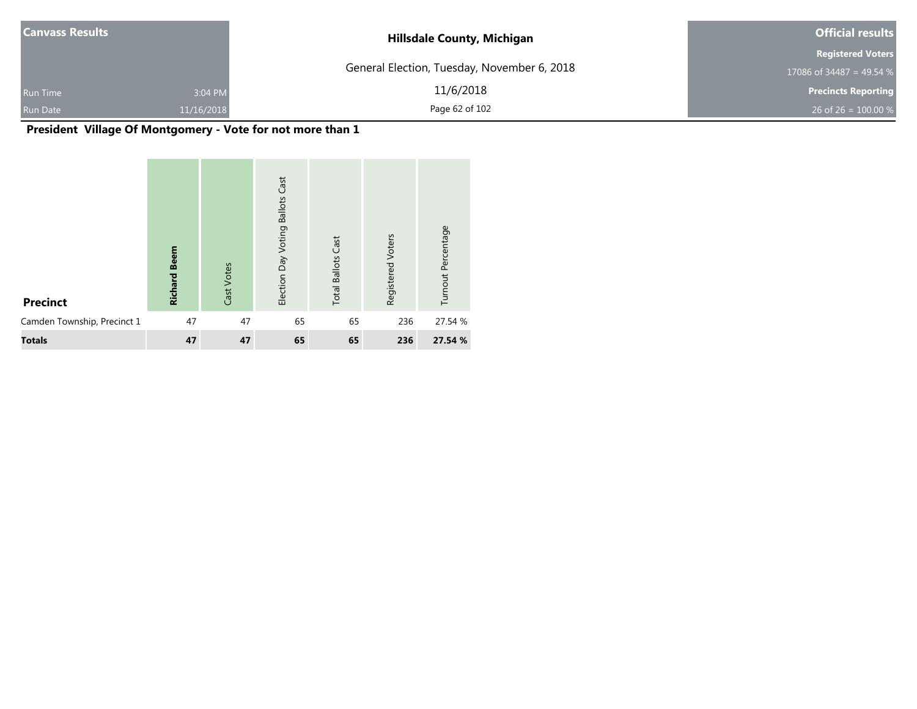| <b>Canvass Results</b> |            | <b>Hillsdale County, Michigan</b>           | <b>Official results</b>    |  |
|------------------------|------------|---------------------------------------------|----------------------------|--|
|                        |            |                                             | <b>Registered Voters</b>   |  |
|                        |            | General Election, Tuesday, November 6, 2018 | 17086 of 34487 = 49.54 %   |  |
| <b>Run Time</b>        | 3:04 PM    | 11/6/2018                                   | <b>Precincts Reporting</b> |  |
| <b>Run Date</b>        | 11/16/2018 | Page 62 of 102                              | 26 of 26 = $100.00 %$      |  |

## **President Village Of Montgomery - Vote for not more than 1**

| <b>Precinct</b>             | <b>Beem</b><br><b>Richard</b> | Cast Votes | Cast<br><b>Ballots</b><br>Election Day Voting | Cast<br><b>Total Ballots</b> | Registered Voters | Turnout Percentage |
|-----------------------------|-------------------------------|------------|-----------------------------------------------|------------------------------|-------------------|--------------------|
| Camden Township, Precinct 1 | 47                            | 47         | 65                                            | 65                           | 236               | 27.54 %            |
| <b>Totals</b>               | 47                            | 47         | 65                                            | 65                           | 236               | 27.54 %            |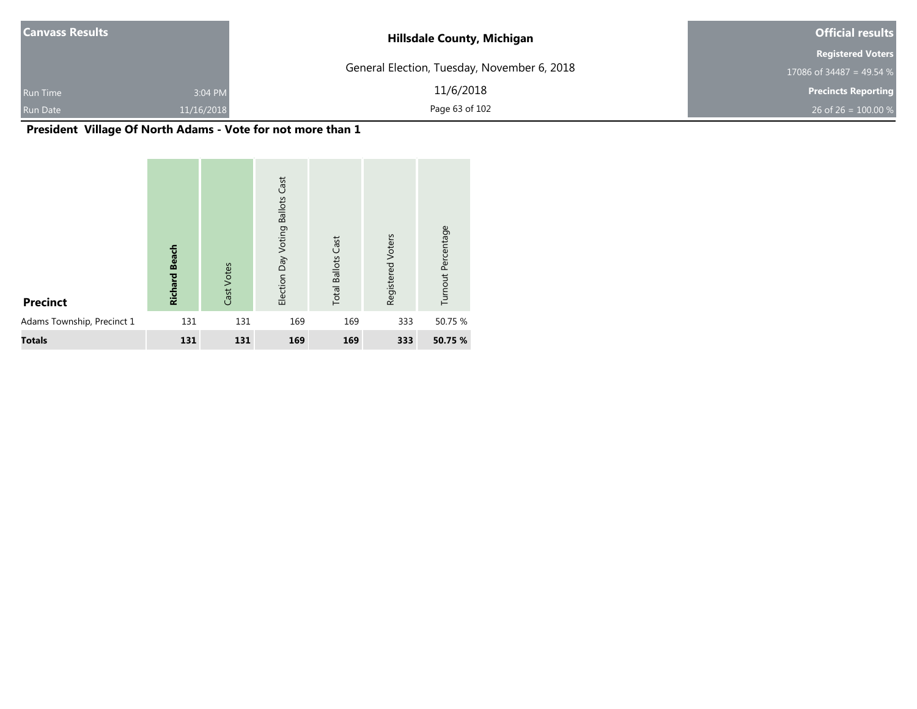| <b>Canvass Results</b> |            | <b>Hillsdale County, Michigan</b>           | <b>Official results</b>    |  |
|------------------------|------------|---------------------------------------------|----------------------------|--|
|                        |            |                                             | <b>Registered Voters</b>   |  |
|                        |            | General Election, Tuesday, November 6, 2018 | 17086 of 34487 = 49.54 $%$ |  |
| <b>Run Time</b>        | 3:04 PM    | 11/6/2018                                   | <b>Precincts Reporting</b> |  |
| <b>Run Date</b>        | 11/16/2018 | Page 63 of 102                              | 26 of 26 = $100.00\%$      |  |

## **President Village Of North Adams - Vote for not more than 1**

| <b>Precinct</b>            | <b>Beach</b><br><b>Richard</b> | Cast Votes | Cast<br><b>Ballots</b><br>Election Day Voting | <b>Total Ballots Cast</b> | Registered Voters | Turnout Percentage |
|----------------------------|--------------------------------|------------|-----------------------------------------------|---------------------------|-------------------|--------------------|
| Adams Township, Precinct 1 | 131                            | 131        | 169                                           | 169                       | 333               | 50.75 %            |
| <b>Totals</b>              | 131                            | 131        | 169                                           | 169                       | 333               | 50.75 %            |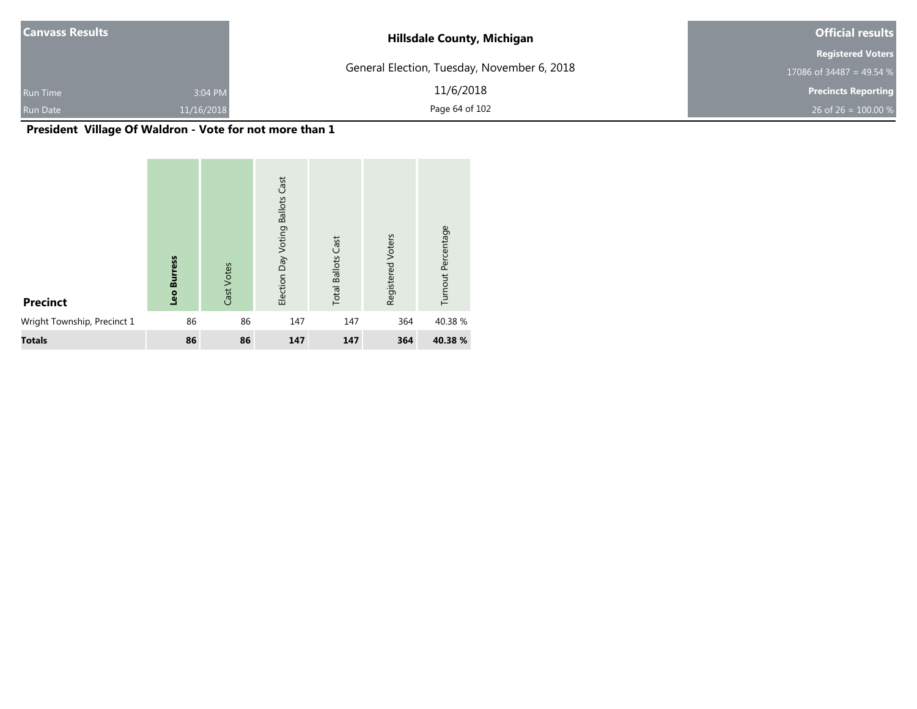| <b>Canvass Results</b> |            | <b>Hillsdale County, Michigan</b>           | <b>Official results</b>    |  |
|------------------------|------------|---------------------------------------------|----------------------------|--|
|                        |            |                                             | <b>Registered Voters</b>   |  |
|                        |            | General Election, Tuesday, November 6, 2018 | 17086 of 34487 = 49.54 %   |  |
| <b>Run Time</b>        | 3:04 PM    | 11/6/2018                                   | <b>Precincts Reporting</b> |  |
| <b>Run Date</b>        | 11/16/2018 | Page 64 of 102                              | 26 of 26 = $100.00\%$      |  |

## **President Village Of Waldron - Vote for not more than 1**

| <b>Precinct</b>             | ess<br>Б<br>ō<br><u>Sə</u> | Cast Votes | Cast<br><b>Ballots</b><br>Election Day Voting | <b>Total Ballots Cast</b> | Registered Voters | Turnout Percentage |
|-----------------------------|----------------------------|------------|-----------------------------------------------|---------------------------|-------------------|--------------------|
| Wright Township, Precinct 1 | 86                         | 86         | 147                                           | 147                       | 364               | 40.38%             |
| <b>Totals</b>               | 86                         | 86         | 147                                           | 147                       | 364               | 40.38 %            |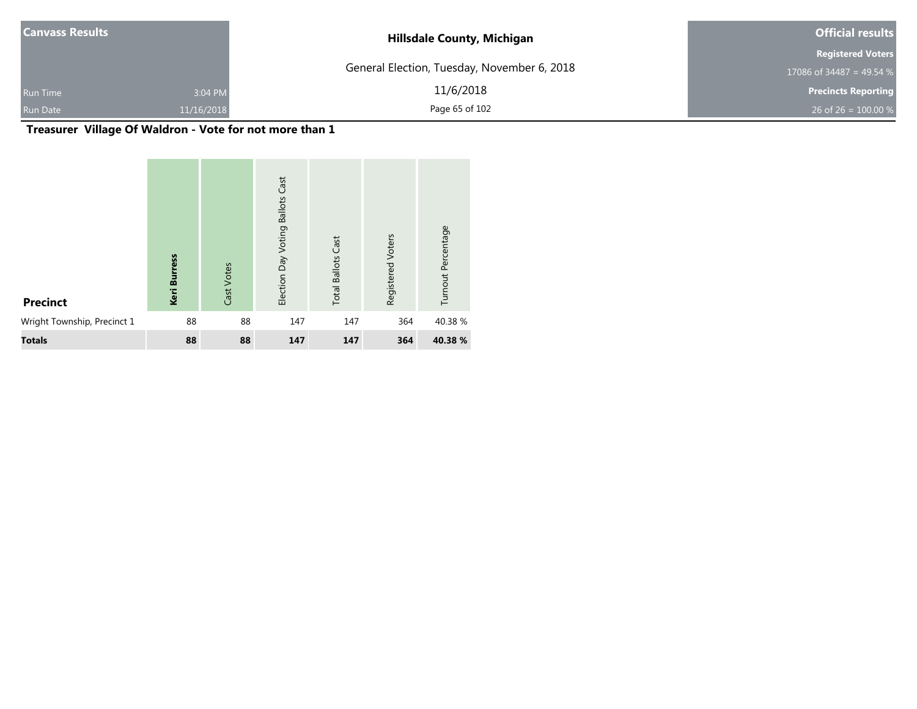| <b>Canvass Results</b> |            | <b>Hillsdale County, Michigan</b>           | <b>Official results</b>    |  |
|------------------------|------------|---------------------------------------------|----------------------------|--|
|                        |            |                                             | <b>Registered Voters</b>   |  |
|                        |            | General Election, Tuesday, November 6, 2018 | 17086 of 34487 = 49.54 $%$ |  |
| <b>Run Time</b>        | 3:04 PM    | 11/6/2018                                   | <b>Precincts Reporting</b> |  |
| <b>Run Date</b>        | 11/16/2018 | Page 65 of 102                              | 26 of 26 = $100.00\%$      |  |

## **Treasurer Village Of Waldron - Vote for not more than 1**

| <b>Precinct</b>             | ress<br><u>a</u><br>Keri | Cast Votes | Cast<br><b>Ballots</b><br>Election Day Voting | <b>Total Ballots Cast</b> | Registered Voters | Turnout Percentage |
|-----------------------------|--------------------------|------------|-----------------------------------------------|---------------------------|-------------------|--------------------|
| Wright Township, Precinct 1 | 88                       | 88         | 147                                           | 147                       | 364               | 40.38%             |
| <b>Totals</b>               | 88                       | 88         | 147                                           | 147                       | 364               | 40.38 %            |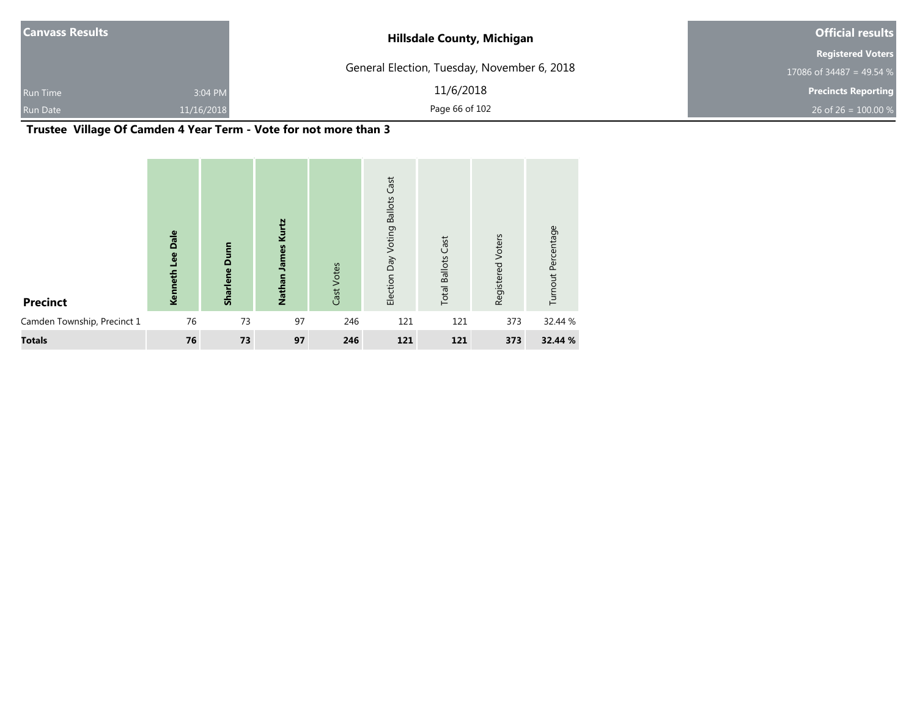| <b>Canvass Results</b> |            | <b>Hillsdale County, Michigan</b>           | <b>Official results</b>    |  |
|------------------------|------------|---------------------------------------------|----------------------------|--|
|                        |            |                                             | <b>Registered Voters</b>   |  |
|                        |            | General Election, Tuesday, November 6, 2018 | 17086 of 34487 = 49.54 %   |  |
| <b>Run Time</b>        | 3:04 PM    | 11/6/2018                                   | <b>Precincts Reporting</b> |  |
| <b>Run Date</b>        | 11/16/2018 | Page 66 of 102                              | 26 of 26 = $100.00\%$      |  |

## **Trustee Village Of Camden 4 Year Term - Vote for not more than 3**

| <b>Precinct</b>             | Dale<br>Kenneth Lee | Dunn<br><b>Sharlene</b> | Kurtz<br>Nathan James | Cast Votes | Cast<br><b>Ballots</b><br>Voting<br>Election Day | <b>Total Ballots Cast</b> | Voters<br>Registered | Turnout Percentage |
|-----------------------------|---------------------|-------------------------|-----------------------|------------|--------------------------------------------------|---------------------------|----------------------|--------------------|
| Camden Township, Precinct 1 | 76                  | 73                      | 97                    | 246        | 121                                              | 121                       | 373                  | 32.44 %            |
| <b>Totals</b>               | 76                  | 73                      | 97                    | 246        | 121                                              | 121                       | 373                  | 32.44 %            |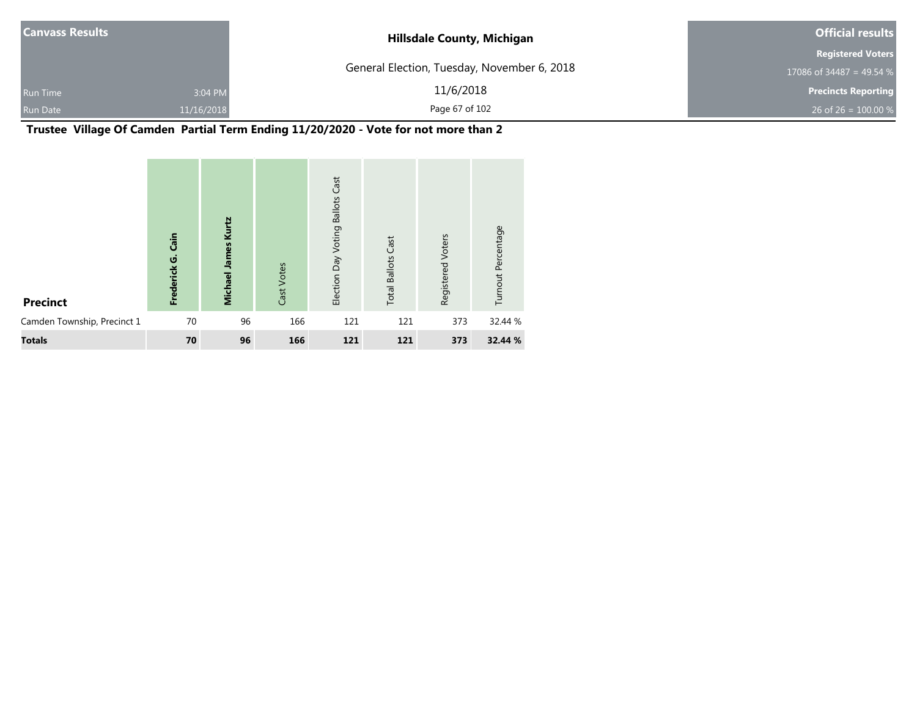| <b>Canvass Results</b> |            | <b>Hillsdale County, Michigan</b>           | <b>Official results</b>    |  |  |
|------------------------|------------|---------------------------------------------|----------------------------|--|--|
|                        |            |                                             | <b>Registered Voters</b>   |  |  |
|                        |            | General Election, Tuesday, November 6, 2018 | 17086 of 34487 = 49.54 %   |  |  |
| Run Time               | 3:04 PM    | 11/6/2018                                   | <b>Precincts Reporting</b> |  |  |
| Run Date               | 11/16/2018 | Page 67 of 102                              | 26 of 26 = $100.00\%$      |  |  |

**Trustee Village Of Camden Partial Term Ending 11/20/2020 - Vote for not more than 2**

| <b>Precinct</b>             | Cain<br>Frederick G. | Kurtz<br><b>Michael James</b> | Cast Votes | <b>Ballots Cast</b><br>Election Day Voting | <b>Total Ballots Cast</b> | Voters<br>Registered | Turnout Percentage |
|-----------------------------|----------------------|-------------------------------|------------|--------------------------------------------|---------------------------|----------------------|--------------------|
| Camden Township, Precinct 1 | 70                   | 96                            | 166        | 121                                        | 121                       | 373                  | 32.44 %            |
| <b>Totals</b>               | 70                   | 96                            | 166        | 121                                        | 121                       | 373                  | 32.44 %            |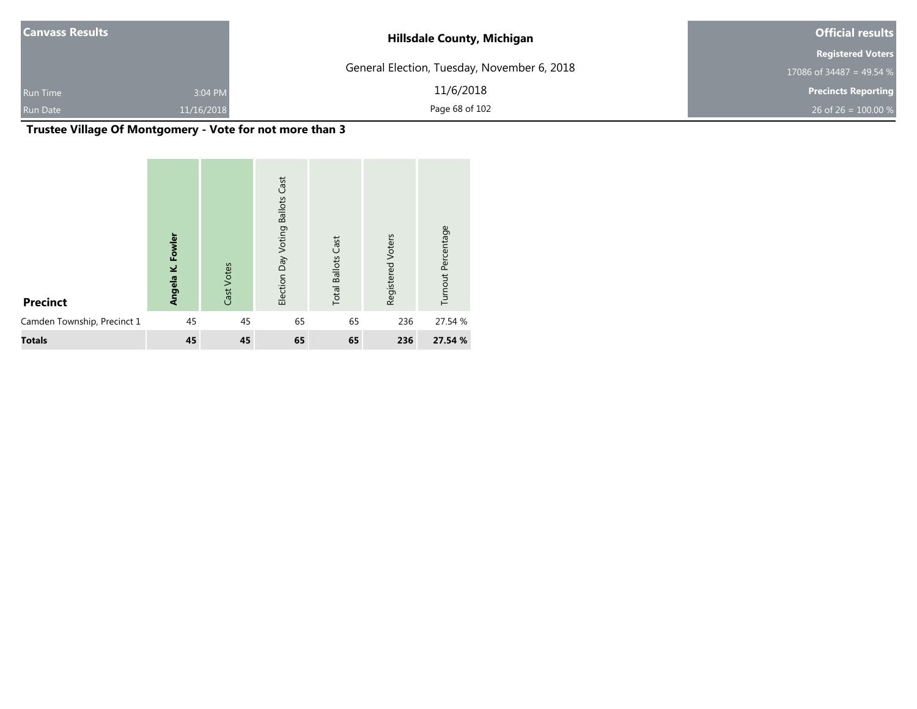| <b>Canvass Results</b> |            | <b>Hillsdale County, Michigan</b>           | <b>Official results</b>    |  |  |
|------------------------|------------|---------------------------------------------|----------------------------|--|--|
|                        |            |                                             | <b>Registered Voters</b>   |  |  |
|                        |            | General Election, Tuesday, November 6, 2018 | 17086 of 34487 = 49.54 %   |  |  |
| <b>Run Time</b>        | 3:04 PM    | 11/6/2018                                   | <b>Precincts Reporting</b> |  |  |
| <b>Run Date</b>        | 11/16/2018 | Page 68 of 102                              | 26 of 26 = $100.00\%$      |  |  |

## **Trustee Village Of Montgomery - Vote for not more than 3**

| <b>Precinct</b>             | Fowler<br>نج<br><b>Angela</b> | Cast Votes | Cast<br><b>Ballots</b><br>Election Day Voting | <b>Total Ballots Cast</b> | Registered Voters | Turnout Percentage |
|-----------------------------|-------------------------------|------------|-----------------------------------------------|---------------------------|-------------------|--------------------|
| Camden Township, Precinct 1 | 45                            | 45         | 65                                            | 65                        | 236               | 27.54 %            |
| <b>Totals</b>               | 45                            | 45         | 65                                            | 65                        | 236               | 27.54 %            |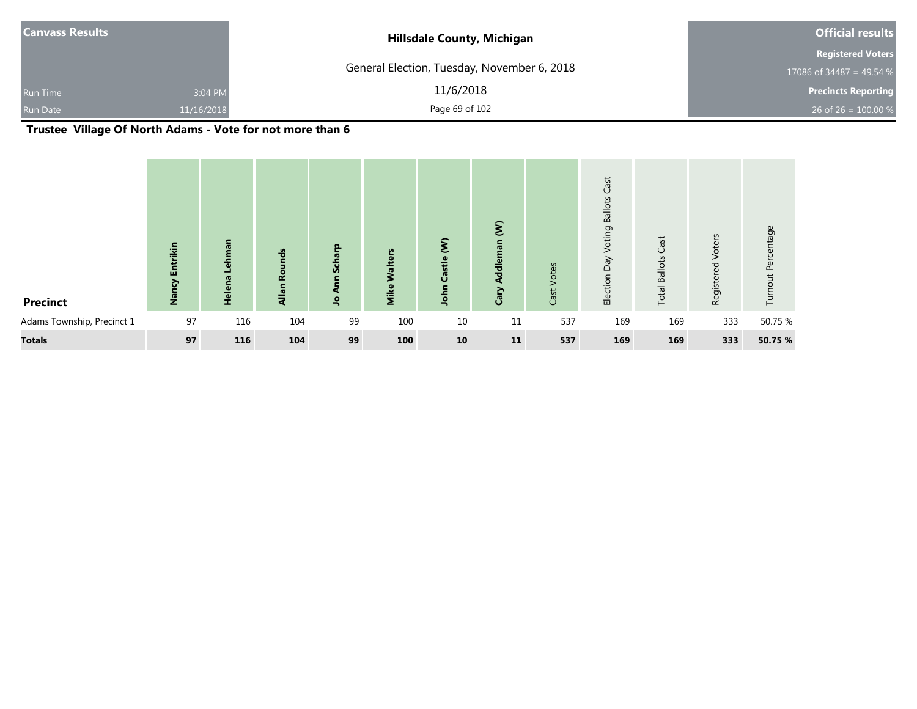| <b>Canvass Results</b> |            | <b>Hillsdale County, Michigan</b>           | <b>Official results</b>    |  |  |
|------------------------|------------|---------------------------------------------|----------------------------|--|--|
|                        |            |                                             | <b>Registered Voters</b>   |  |  |
|                        |            | General Election, Tuesday, November 6, 2018 | 17086 of 34487 = 49.54 %   |  |  |
| <b>Run Time</b>        | 3:04 PM    | 11/6/2018                                   | <b>Precincts Reporting</b> |  |  |
| Run Date               | 11/16/2018 | Page 69 of 102                              | 26 of 26 = $100.00\%$      |  |  |

## **Trustee Village Of North Adams - Vote for not more than 6**

| <b>Precinct</b>            | <b>Entrikin</b><br>Nancy | Lehman<br>Helena | nds<br><b>Q</b><br>Allan | Scharp<br>Ann<br>$\mathbf{S}$ | <b>S</b><br><b>Walters</b><br>Mike | $\mathbf{\hat{z}}$<br>Castle<br>John | $\mathbf{\hat{g}}$<br>Addleman<br>Cary | Votes<br>Cast | Cast<br>Voting Ballots<br>VeQ<br>Election | Cast<br><b>Total Ballots</b> | Voters<br>Registered | Turnout Percentage |
|----------------------------|--------------------------|------------------|--------------------------|-------------------------------|------------------------------------|--------------------------------------|----------------------------------------|---------------|-------------------------------------------|------------------------------|----------------------|--------------------|
| Adams Township, Precinct 1 | 97                       | 116              | 104                      | 99                            | 100                                | 10                                   | 11                                     | 537           | 169                                       | 169                          | 333                  | 50.75 %            |
| <b>Totals</b>              | 97                       | 116              | 104                      | 99                            | 100                                | 10                                   | 11                                     | 537           | 169                                       | 169                          | 333                  | 50.75 %            |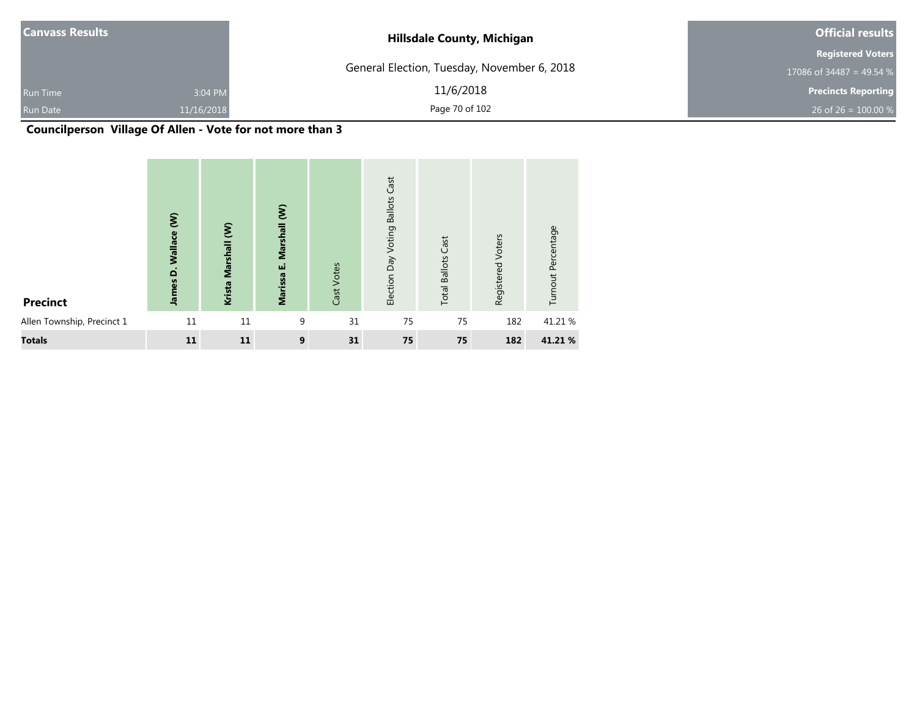| <b>Canvass Results</b> |            | <b>Hillsdale County, Michigan</b>           | <b>Official results</b>    |  |  |
|------------------------|------------|---------------------------------------------|----------------------------|--|--|
|                        |            |                                             | <b>Registered Voters</b>   |  |  |
|                        |            | General Election, Tuesday, November 6, 2018 | 17086 of 34487 = 49.54 %   |  |  |
| <b>Run Time</b>        | 3:04 PM    | 11/6/2018                                   | <b>Precincts Reporting</b> |  |  |
| <b>Run Date</b>        | 11/16/2018 | Page 70 of 102                              | 26 of 26 = $100.00\%$      |  |  |

## **Councilperson Village Of Allen - Vote for not more than 3**

| <b>Precinct</b>            | $\widehat{\boldsymbol{\epsilon}}$<br>James D. Wallace | $\epsilon$<br>Krista Marshall | $\hat{\boldsymbol{\xi}}$<br>Marshall<br>шi<br><b>Marissa</b> | Cast Votes | Cast<br><b>Ballots</b><br>Voting<br>Election Day | <b>Total Ballots Cast</b> | Registered Voters | Turnout Percentage |
|----------------------------|-------------------------------------------------------|-------------------------------|--------------------------------------------------------------|------------|--------------------------------------------------|---------------------------|-------------------|--------------------|
| Allen Township, Precinct 1 | 11                                                    | 11                            | 9                                                            | 31         | 75                                               | 75                        | 182               | 41.21 %            |
| <b>Totals</b>              | 11                                                    | 11                            | 9                                                            | 31         | 75                                               | 75                        | 182               | 41.21 %            |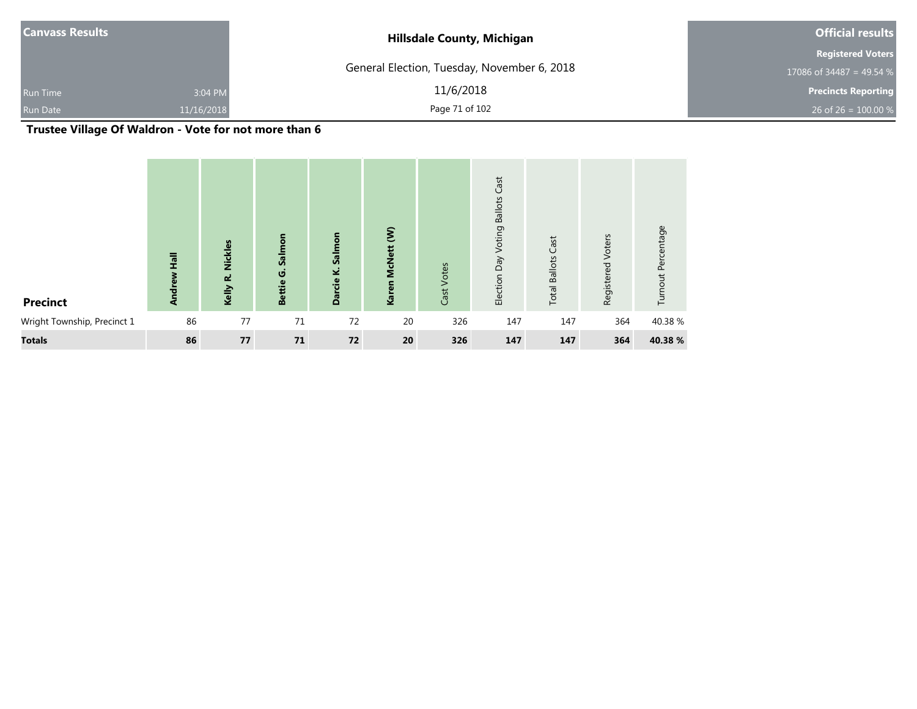| <b>Canvass Results</b> |            | <b>Hillsdale County, Michigan</b>           | <b>Official results</b>    |  |  |
|------------------------|------------|---------------------------------------------|----------------------------|--|--|
|                        |            |                                             | <b>Registered Voters</b>   |  |  |
|                        |            | General Election, Tuesday, November 6, 2018 | 17086 of 34487 = 49.54 $%$ |  |  |
| <b>Run Time</b>        | 3:04 PM    | 11/6/2018                                   | <b>Precincts Reporting</b> |  |  |
| <b>Run Date</b>        | 11/16/2018 | Page 71 of 102                              | 26 of 26 = $100.00\%$      |  |  |

## **Trustee Village Of Waldron - Vote for not more than 6**

| <b>Precinct</b>             | $\overline{h}$<br>ndrew<br>₹ | <b>Nickles</b><br>نم<br>Kelly | Salmon<br>G<br>Bettie | Salmon<br>Darcie K. | $\epsilon$<br>McNett (<br>Karen | Cast Votes | Cast<br><b>Ballots</b><br>Voting<br>Election Day | Cast<br><b>Total Ballots</b> | Voters<br>Registered | Turnout Percentage |
|-----------------------------|------------------------------|-------------------------------|-----------------------|---------------------|---------------------------------|------------|--------------------------------------------------|------------------------------|----------------------|--------------------|
| Wright Township, Precinct 1 | 86                           | 77                            | 71                    | 72                  | 20                              | 326        | 147                                              | 147                          | 364                  | 40.38 %            |
| <b>Totals</b>               | 86                           | 77                            | 71                    | 72                  | 20                              | 326        | 147                                              | 147                          | 364                  | 40.38 %            |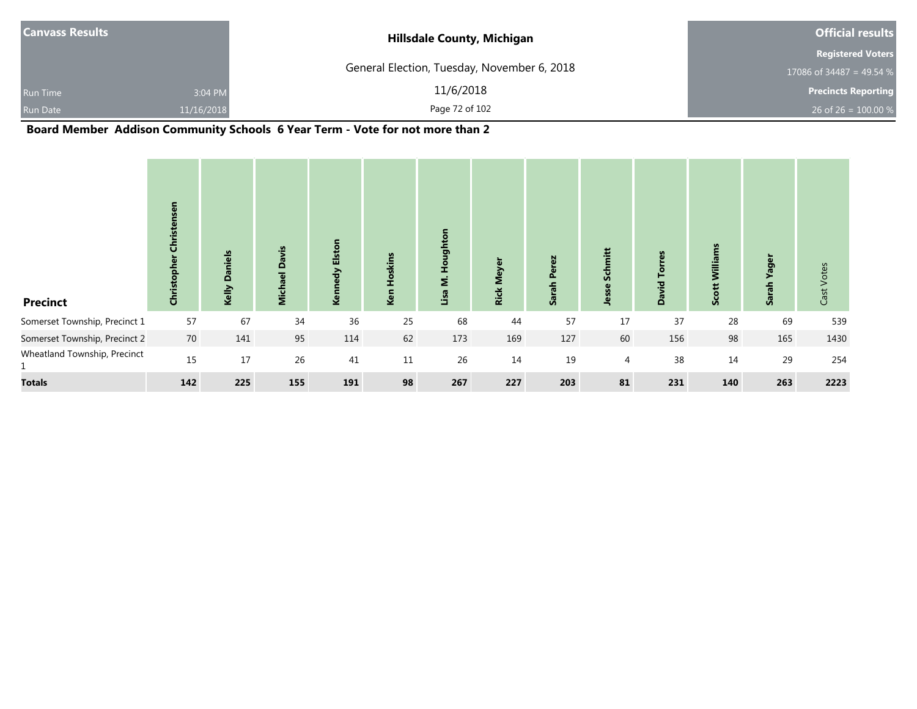| <b>Canvass Results</b> |            | <b>Hillsdale County, Michigan</b>           | <b>Official results</b>    |  |  |
|------------------------|------------|---------------------------------------------|----------------------------|--|--|
|                        |            |                                             | <b>Registered Voters</b>   |  |  |
|                        |            | General Election, Tuesday, November 6, 2018 | 17086 of 34487 = 49.54 %   |  |  |
| <b>Run Time</b>        | 3:04 PM    | 11/6/2018                                   | <b>Precincts Reporting</b> |  |  |
| Run Date               | 11/16/2018 | Page 72 of 102                              | 26 of 26 = $100.00 %$      |  |  |

## **Board Member Addison Community Schools 6 Year Term - Vote for not more than 2**

| <b>Precinct</b>                              | Christensen<br>Christopher | <b>Daniels</b><br>Kelly | <b>Davis</b><br><b>Michael</b> | Kennedy Elston | kins<br>Ken | ughtor<br>۰<br>Ĩ.<br>$\blacksquare$<br>Σ<br>Lisa | Meyer<br><b>Rick</b> | Perez<br>Sarah I | Schmitt<br>Jesse | rres<br>ē<br><b>David</b> | Williams<br>Scott | <b>Yager</b><br><b>Sara</b> | Cast Votes |
|----------------------------------------------|----------------------------|-------------------------|--------------------------------|----------------|-------------|--------------------------------------------------|----------------------|------------------|------------------|---------------------------|-------------------|-----------------------------|------------|
| Somerset Township, Precinct 1                | 57                         | 67                      | 34                             | 36             | 25          | 68                                               | 44                   | 57               | 17               | 37                        | 28                | 69                          | 539        |
| Somerset Township, Precinct 2                | 70                         | 141                     | 95                             | 114            | 62          | 173                                              | 169                  | 127              | 60               | 156                       | 98                | 165                         | 1430       |
| Wheatland Township, Precinct<br>$\mathbf{1}$ | 15                         | 17                      | 26                             | 41             | 11          | 26                                               | 14                   | 19               | 4                | 38                        | 14                | 29                          | 254        |
| <b>Totals</b>                                | 142                        | 225                     | 155                            | 191            | 98          | 267                                              | 227                  | 203              | 81               | 231                       | 140               | 263                         | 2223       |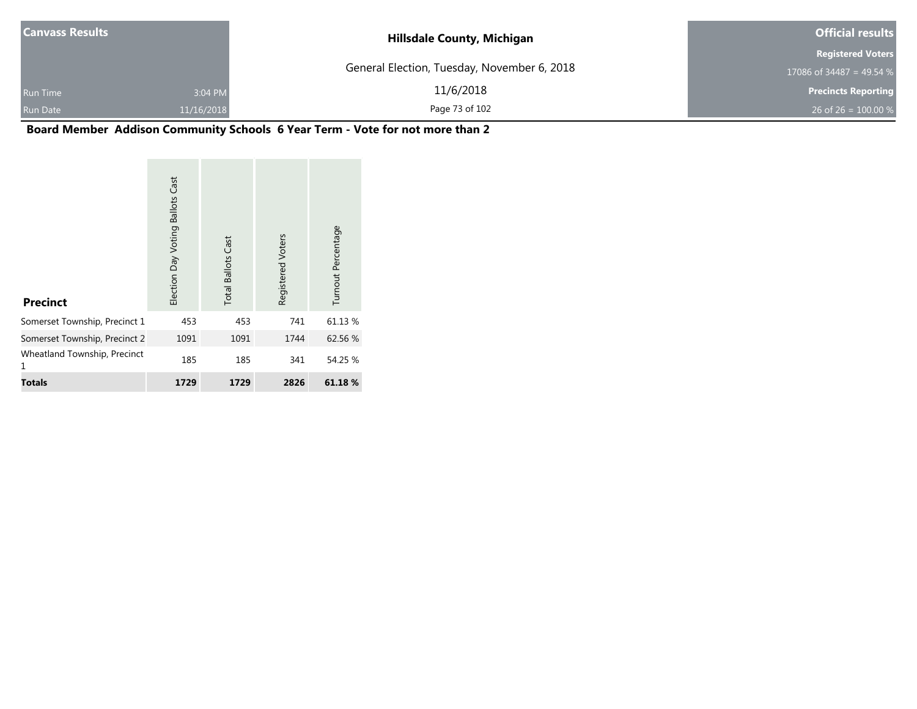| <b>Canvass Results</b> |            | <b>Hillsdale County, Michigan</b>           | <b>Official results</b>    |  |  |
|------------------------|------------|---------------------------------------------|----------------------------|--|--|
|                        |            |                                             | <b>Registered Voters</b>   |  |  |
|                        |            | General Election, Tuesday, November 6, 2018 | 17086 of 34487 = 49.54 %   |  |  |
| <b>Run Time</b>        | 3:04 PM    | 11/6/2018                                   | <b>Precincts Reporting</b> |  |  |
| Run Date               | 11/16/2018 | Page 73 of 102                              | 26 of 26 = $100.00\%$      |  |  |

# **Board Member Addison Community Schools 6 Year Term - Vote for not more than 2**

| <b>Precinct</b>                   | <b>Ballots Cast</b><br>Election Day Voting | <b>Total Ballots Cast</b> | Registered Voters | Turnout Percentage |
|-----------------------------------|--------------------------------------------|---------------------------|-------------------|--------------------|
| Somerset Township, Precinct 1     | 453                                        | 453                       | 741               | 61.13 %            |
| Somerset Township, Precinct 2     | 1091                                       | 1091                      | 1744              | 62.56 %            |
| Wheatland Township, Precinct<br>1 | 185                                        | 185                       | 341               | 54.25 %            |
| <b>Totals</b>                     | 1729                                       | 1729                      | 2826              | 61.18%             |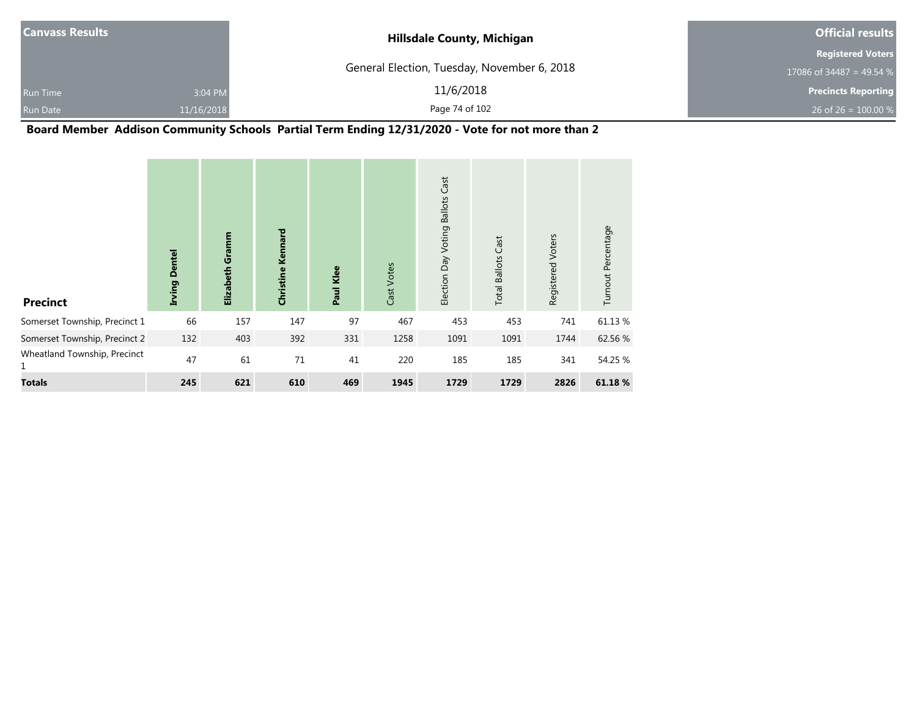| <b>Canvass Results</b>     | <b>Hillsdale County, Michigan</b>           | <b>Official results</b>    |  |
|----------------------------|---------------------------------------------|----------------------------|--|
|                            |                                             | <b>Registered Voters</b>   |  |
|                            | General Election, Tuesday, November 6, 2018 | 17086 of 34487 = 49.54 %   |  |
| 3:04 PM<br><b>Run Time</b> | 11/6/2018                                   | <b>Precincts Reporting</b> |  |
| Run Date<br>11/16/2018     | Page 74 of 102                              | 26 of 26 = $100.00\%$      |  |

### **Board Member Addison Community Schools Partial Term Ending 12/31/2020 - Vote for not more than 2**

| <b>Precinct</b>                   | <b>Dentel</b><br>Irving | Elizabeth Gramm | <b>Christine Kennard</b> | Paul Klee | Cast Votes | Cast<br><b>Ballots</b><br>Voting<br>Election Day | <b>Total Ballots Cast</b> | Registered Voters | Turnout Percentage |
|-----------------------------------|-------------------------|-----------------|--------------------------|-----------|------------|--------------------------------------------------|---------------------------|-------------------|--------------------|
| Somerset Township, Precinct 1     | 66                      | 157             | 147                      | 97        | 467        | 453                                              | 453                       | 741               | 61.13%             |
| Somerset Township, Precinct 2     | 132                     | 403             | 392                      | 331       | 1258       | 1091                                             | 1091                      | 1744              | 62.56 %            |
| Wheatland Township, Precinct<br>1 | 47                      | 61              | 71                       | 41        | 220        | 185                                              | 185                       | 341               | 54.25 %            |
| <b>Totals</b>                     | 245                     | 621             | 610                      | 469       | 1945       | 1729                                             | 1729                      | 2826              | 61.18 %            |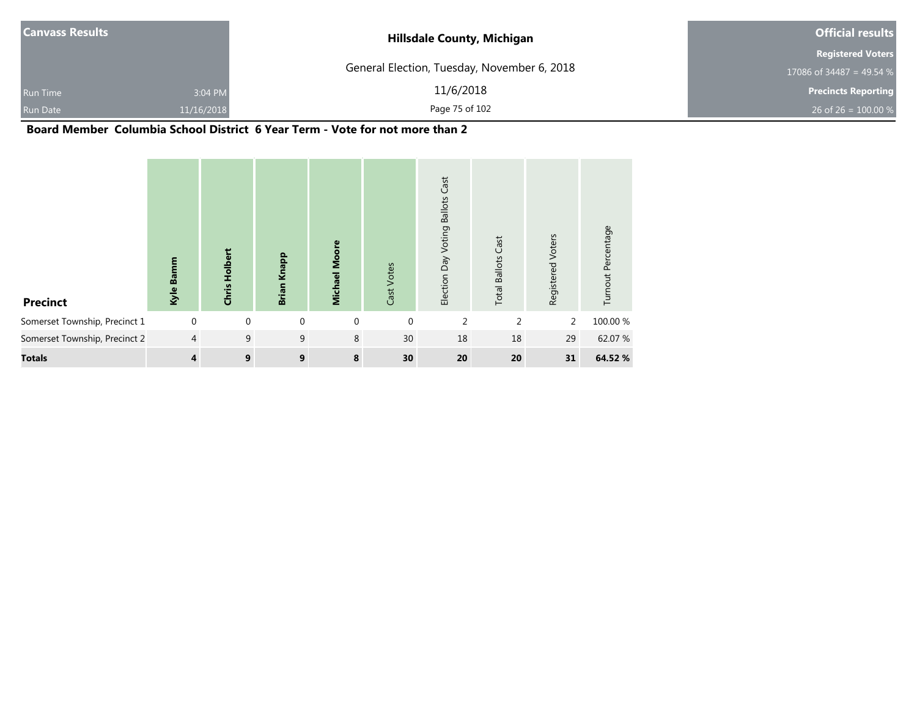|                                             | <b>Official results</b>    |  |  |
|---------------------------------------------|----------------------------|--|--|
|                                             | <b>Registered Voters</b>   |  |  |
| General Election, Tuesday, November 6, 2018 | 17086 of 34487 = 49.54 %   |  |  |
| 11/6/2018                                   | <b>Precincts Reporting</b> |  |  |
| Page 75 of 102                              | 26 of 26 = $100.00\%$      |  |  |
|                                             | ____                       |  |  |

#### **Board Member Columbia School District 6 Year Term - Vote for not more than 2**

| <b>Precinct</b>               | Kyle Bamm      | Holber<br>Chris | Brian Knapp | <b>Michael Moore</b> | Cast Votes   | Cast<br><b>Ballots</b><br>Voting<br>Day<br>Election | Cast<br><b>Total Ballots</b> | Voters<br>Registered | Turnout Percentage |
|-------------------------------|----------------|-----------------|-------------|----------------------|--------------|-----------------------------------------------------|------------------------------|----------------------|--------------------|
| Somerset Township, Precinct 1 | $\mathbf 0$    | $\mathbf{0}$    | 0           | $\mathbf{0}$         | $\mathbf{0}$ | $\overline{2}$                                      | 2                            | 2                    | 100.00 %           |
| Somerset Township, Precinct 2 | $\overline{4}$ | 9               | 9           | 8                    | 30           | 18                                                  | 18                           | 29                   | 62.07 %            |
| <b>Totals</b>                 | 4              | 9               | 9           | 8                    | 30           | 20                                                  | 20                           | 31                   | 64.52 %            |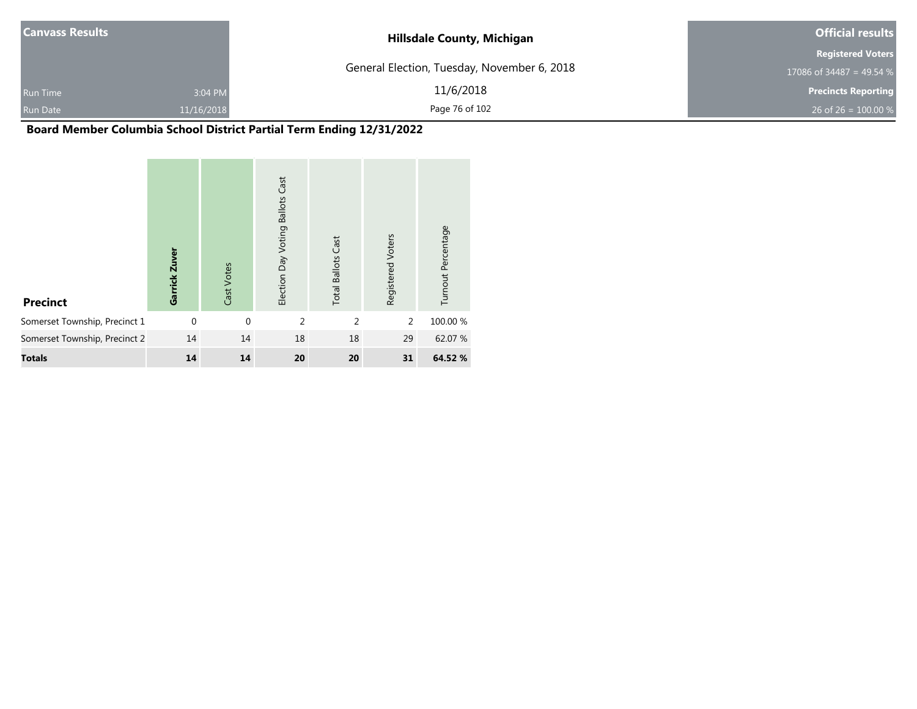| <b>Canvass Results</b> |            | <b>Hillsdale County, Michigan</b>           | <b>Official results</b>    |  |  |
|------------------------|------------|---------------------------------------------|----------------------------|--|--|
|                        |            |                                             | <b>Registered Voters</b>   |  |  |
|                        |            | General Election, Tuesday, November 6, 2018 | 17086 of 34487 = 49.54 $%$ |  |  |
| <b>Run Time</b>        | 3:04 PM    | 11/6/2018                                   | <b>Precincts Reporting</b> |  |  |
| <b>Run Date</b>        | 11/16/2018 | Page 76 of 102                              | 26 of 26 = $100.00\%$      |  |  |

# **Board Member Columbia School District Partial Term Ending 12/31/2022**

| <b>Precinct</b>               | Garrick Zuver | Cast Votes   | Cast<br><b>Ballots</b><br>Election Day Voting | <b>Total Ballots Cast</b> | Registered Voters | Turnout Percentage |
|-------------------------------|---------------|--------------|-----------------------------------------------|---------------------------|-------------------|--------------------|
| Somerset Township, Precinct 1 | $\mathbf{0}$  | $\mathbf{0}$ | $\overline{2}$                                | $\overline{2}$            | 2                 | 100.00 %           |
| Somerset Township, Precinct 2 | 14            | 14           | 18                                            | 18                        | 29                | 62.07 %            |
| <b>Totals</b>                 | 14            | 14           | 20                                            | 20                        | 31                | 64.52 %            |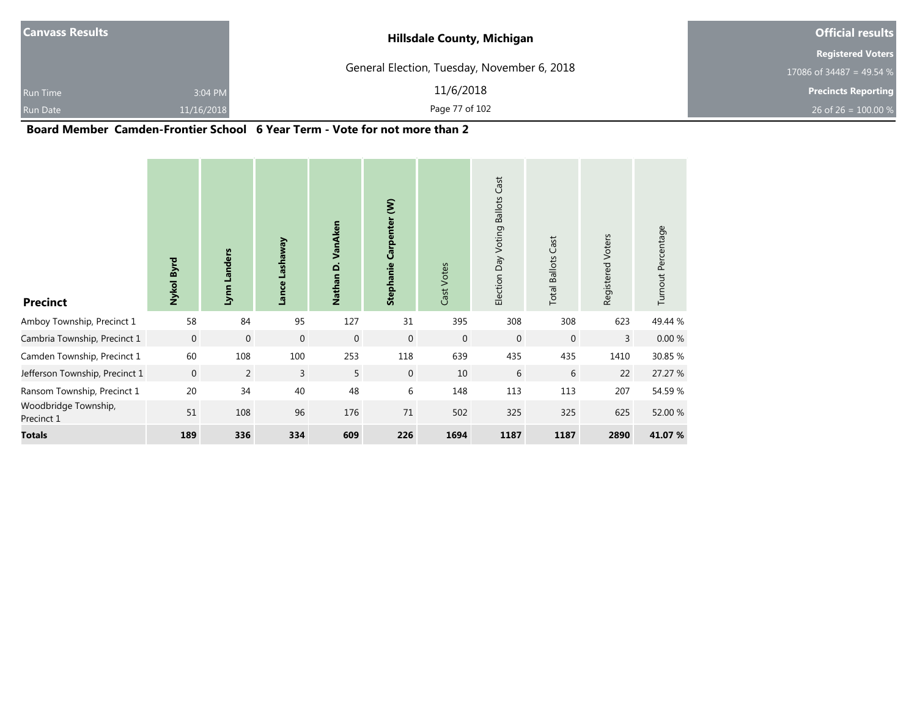| <b>Canvass Results</b> |            | <b>Hillsdale County, Michigan</b>           | <b>Official results</b>    |
|------------------------|------------|---------------------------------------------|----------------------------|
|                        |            |                                             | <b>Registered Voters</b>   |
|                        |            | General Election, Tuesday, November 6, 2018 | 17086 of 34487 = 49.54 $%$ |
| <b>Run Time</b>        | 3:04 PM    | 11/6/2018                                   | <b>Precincts Reporting</b> |
| <b>Run Date</b>        | 11/16/2018 | Page 77 of 102                              | 26 of 26 = $100.00\%$      |

#### **Board Member Camden-Frontier School 6 Year Term - Vote for not more than 2**

| <b>Precinct</b>                    | Nykol Byrd  | Lynn Landers | <b>Lashaway</b><br>Lance | VanAken<br>$\Omega$<br><b>Nathan</b> | $\widehat{\boldsymbol{\epsilon}}$<br>Carpenter<br>Stephanie | Cast Votes  | Cast<br><b>Ballots</b><br>Election Day Voting | <b>Total Ballots Cast</b> | Registered Voters | Turnout Percentage |
|------------------------------------|-------------|--------------|--------------------------|--------------------------------------|-------------------------------------------------------------|-------------|-----------------------------------------------|---------------------------|-------------------|--------------------|
| Amboy Township, Precinct 1         | 58          | 84           | 95                       | 127                                  | 31                                                          | 395         | 308                                           | 308                       | 623               | 49.44 %            |
| Cambria Township, Precinct 1       | $\mathbf 0$ | $\mathbf 0$  | $\mathbf 0$              | $\mathbf 0$                          | $\mathbf 0$                                                 | $\mathbf 0$ | $\mathbf 0$                                   | $\mathbf 0$               | 3                 | $0.00\ \%$         |
| Camden Township, Precinct 1        | 60          | 108          | 100                      | 253                                  | 118                                                         | 639         | 435                                           | 435                       | 1410              | 30.85 %            |
| Jefferson Township, Precinct 1     | $\mathbf 0$ | 2            | $\overline{3}$           | 5                                    | $\overline{0}$                                              | 10          | 6                                             | 6                         | 22                | 27.27 %            |
| Ransom Township, Precinct 1        | 20          | 34           | 40                       | 48                                   | 6                                                           | 148         | 113                                           | 113                       | 207               | 54.59%             |
| Woodbridge Township,<br>Precinct 1 | 51          | 108          | 96                       | 176                                  | $71\,$                                                      | 502         | 325                                           | 325                       | 625               | 52.00 %            |
| <b>Totals</b>                      | 189         | 336          | 334                      | 609                                  | 226                                                         | 1694        | 1187                                          | 1187                      | 2890              | 41.07%             |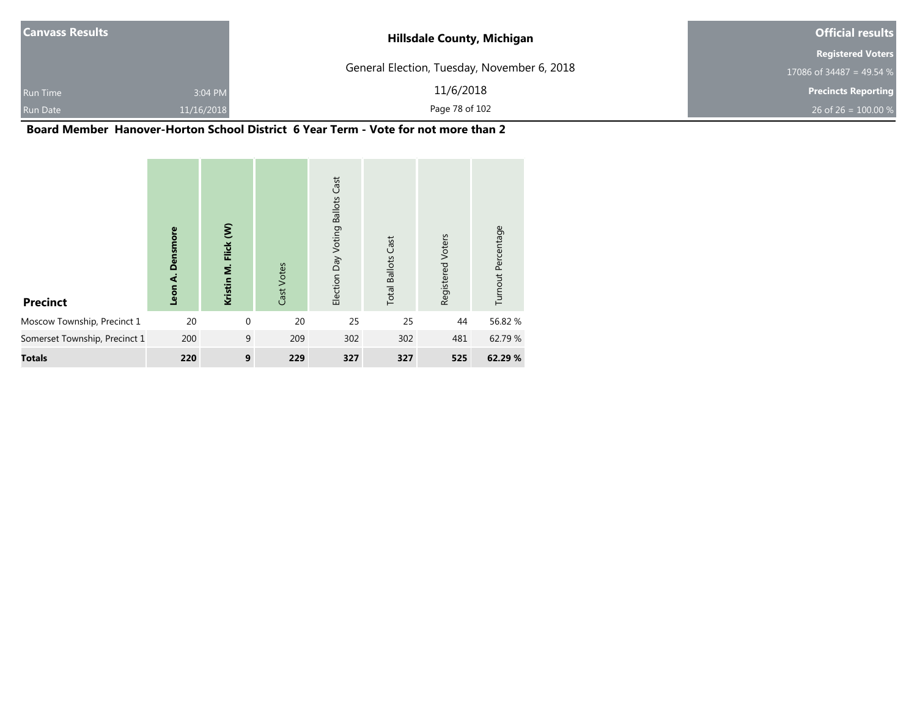| <b>Canvass Results</b> |            | <b>Hillsdale County, Michigan</b>           | <b>Official results</b>    |
|------------------------|------------|---------------------------------------------|----------------------------|
|                        |            |                                             | <b>Registered Voters</b>   |
|                        |            | General Election, Tuesday, November 6, 2018 | 17086 of 34487 = 49.54 %   |
| <b>Run Time</b>        | 3:04 PM    | 11/6/2018                                   | <b>Precincts Reporting</b> |
| <b>Run Date</b>        | 11/16/2018 | Page 78 of 102                              | 26 of 26 = $100.00\%$      |

۰

### **Board Member Hanover-Horton School District 6 Year Term - Vote for not more than 2**

| <b>Precinct</b>               | Densmore<br>Leon A. | Flick (W)<br>Kristin M. | Cast Votes | Cast<br><b>Ballots</b><br>Election Day Voting | <b>Total Ballots Cast</b> | Registered Voters | Turnout Percentage |
|-------------------------------|---------------------|-------------------------|------------|-----------------------------------------------|---------------------------|-------------------|--------------------|
| Moscow Township, Precinct 1   | 20                  | $\mathbf 0$             | 20         | 25                                            | 25                        | 44                | 56.82%             |
| Somerset Township, Precinct 1 | 200                 | 9                       | 209        | 302                                           | 302                       | 481               | 62.79 %            |
| <b>Totals</b>                 | 220                 | 9                       | 229        | 327                                           | 327                       | 525               | 62.29 %            |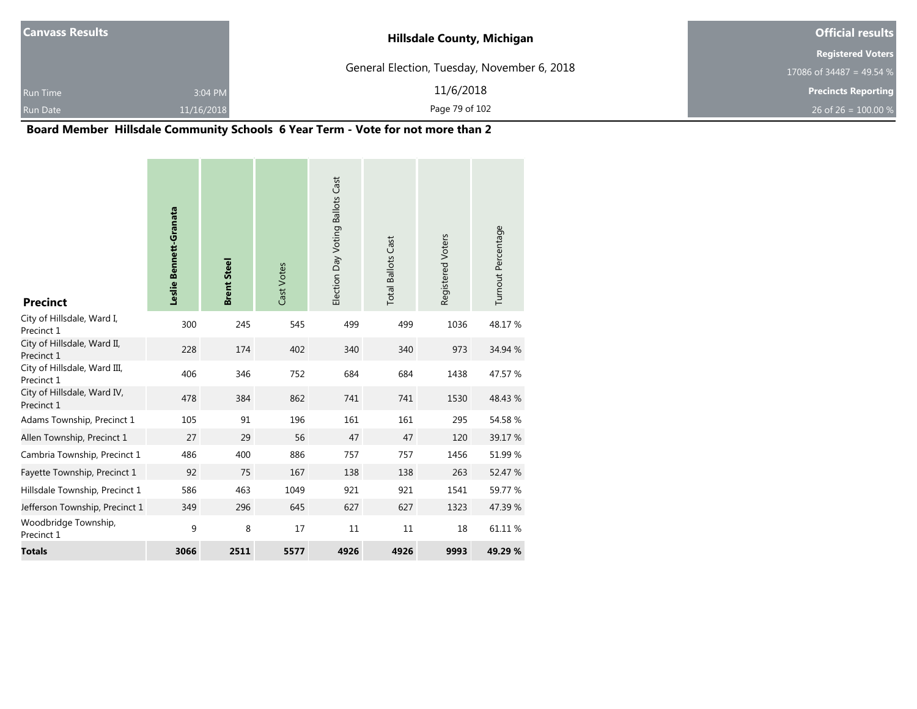| <b>Canvass Results</b> |            | <b>Hillsdale County, Michigan</b>           | <b>Official results</b>    |
|------------------------|------------|---------------------------------------------|----------------------------|
|                        |            |                                             | <b>Registered Voters</b>   |
|                        |            | General Election, Tuesday, November 6, 2018 | 17086 of 34487 = 49.54 %   |
| <b>Run Time</b>        | 3:04 PM    | 11/6/2018                                   | <b>Precincts Reporting</b> |
| <b>Run Date</b>        | 11/16/2018 | Page 79 of 102                              | 26 of 26 = $100.00\%$      |

۰

# **Board Member Hillsdale Community Schools 6 Year Term - Vote for not more than 2**

| <b>Precinct</b>                            | Leslie Bennett-Granata | <b>Brent Steel</b> | Cast Votes | Election Day Voting Ballots Cast | <b>Total Ballots Cast</b> | Registered Voters | Turnout Percentage |
|--------------------------------------------|------------------------|--------------------|------------|----------------------------------|---------------------------|-------------------|--------------------|
| City of Hillsdale, Ward I,<br>Precinct 1   | 300                    | 245                | 545        | 499                              | 499                       | 1036              | 48.17%             |
| City of Hillsdale, Ward II,<br>Precinct 1  | 228                    | 174                | 402        | 340                              | 340                       | 973               | 34.94 %            |
| City of Hillsdale, Ward III,<br>Precinct 1 | 406                    | 346                | 752        | 684                              | 684                       | 1438              | 47.57 %            |
| City of Hillsdale, Ward IV,<br>Precinct 1  | 478                    | 384                | 862        | 741                              | 741                       | 1530              | 48.43 %            |
| Adams Township, Precinct 1                 | 105                    | 91                 | 196        | 161                              | 161                       | 295               | 54.58 %            |
| Allen Township, Precinct 1                 | 27                     | 29                 | 56         | 47                               | 47                        | 120               | 39.17 %            |
| Cambria Township, Precinct 1               | 486                    | 400                | 886        | 757                              | 757                       | 1456              | 51.99%             |
| Fayette Township, Precinct 1               | 92                     | 75                 | 167        | 138                              | 138                       | 263               | 52.47 %            |
| Hillsdale Township, Precinct 1             | 586                    | 463                | 1049       | 921                              | 921                       | 1541              | 59.77 %            |
| Jefferson Township, Precinct 1             | 349                    | 296                | 645        | 627                              | 627                       | 1323              | 47.39 %            |
| Woodbridge Township,<br>Precinct 1         | 9                      | 8                  | 17         | 11                               | 11                        | 18                | 61.11%             |
| <b>Totals</b>                              | 3066                   | 2511               | 5577       | 4926                             | 4926                      | 9993              | 49.29 %            |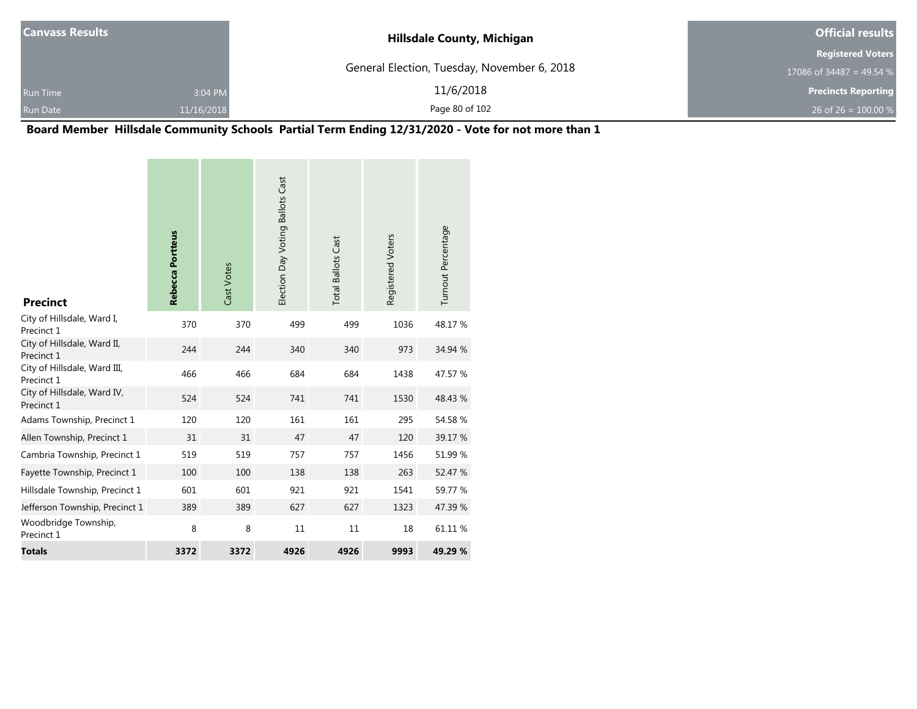| <b>Canvass Results</b> |            | <b>Hillsdale County, Michigan</b>           | <b>Official results</b>    |  |  |
|------------------------|------------|---------------------------------------------|----------------------------|--|--|
|                        |            |                                             | <b>Registered Voters</b>   |  |  |
|                        |            | General Election, Tuesday, November 6, 2018 | 17086 of 34487 = 49.54 %   |  |  |
| <b>Run Time</b>        | 3:04 PM    | 11/6/2018                                   | <b>Precincts Reporting</b> |  |  |
| <b>Run Date</b>        | 11/16/2018 | Page 80 of 102                              | 26 of 26 = $100.00\%$      |  |  |

**Board Member Hillsdale Community Schools Partial Term Ending 12/31/2020 - Vote for not more than 1**

| <b>Precinct</b>                            | Rebecca Portteus | Cast Votes | Election Day Voting Ballots Cast | <b>Total Ballots Cast</b> | Registered Voters | Turnout Percentage |
|--------------------------------------------|------------------|------------|----------------------------------|---------------------------|-------------------|--------------------|
| City of Hillsdale, Ward I,<br>Precinct 1   | 370              | 370        | 499                              | 499                       | 1036              | 48.17 %            |
| City of Hillsdale, Ward II,<br>Precinct 1  | 244              | 244        | 340                              | 340                       | 973               | 34.94 %            |
| City of Hillsdale, Ward III,<br>Precinct 1 | 466              | 466        | 684                              | 684                       | 1438              | 47.57 %            |
| City of Hillsdale, Ward IV,<br>Precinct 1  | 524              | 524        | 741                              | 741                       | 1530              | 48.43 %            |
| Adams Township, Precinct 1                 | 120              | 120        | 161                              | 161                       | 295               | 54.58 %            |
| Allen Township, Precinct 1                 | 31               | 31         | 47                               | 47                        | 120               | 39.17 %            |
| Cambria Township, Precinct 1               | 519              | 519        | 757                              | 757                       | 1456              | 51.99 %            |
| Fayette Township, Precinct 1               | 100              | 100        | 138                              | 138                       | 263               | 52.47 %            |
| Hillsdale Township, Precinct 1             | 601              | 601        | 921                              | 921                       | 1541              | 59.77 %            |
| Jefferson Township, Precinct 1             | 389              | 389        | 627                              | 627                       | 1323              | 47.39 %            |
| Woodbridge Township,<br>Precinct 1         | 8                | 8          | 11                               | 11                        | 18                | 61.11%             |
| <b>Totals</b>                              | 3372             | 3372       | 4926                             | 4926                      | 9993              | 49.29 %            |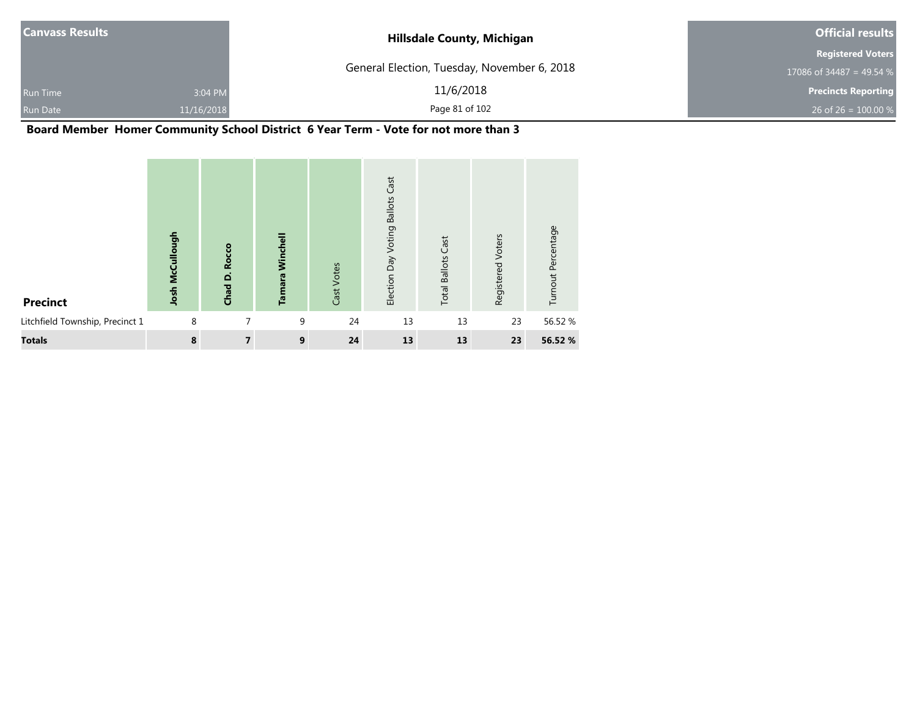| <b>Canvass Results</b> |            | <b>Hillsdale County, Michigan</b>           | <b>Official results</b>    |
|------------------------|------------|---------------------------------------------|----------------------------|
|                        |            |                                             | <b>Registered Voters</b>   |
|                        |            | General Election, Tuesday, November 6, 2018 | 17086 of 34487 = 49.54 %   |
| <b>Run Time</b>        | 3:04 PM    | 11/6/2018                                   | <b>Precincts Reporting</b> |
| <b>Run Date</b>        | 11/16/2018 | Page 81 of 102                              | 26 of 26 = $100.00\%$      |

**Board Member Homer Community School District 6 Year Term - Vote for not more than 3**

| <b>Precinct</b>                 | Josh McCullough | <b>Rocco</b><br>Chad D. | Winchell<br>Tamara | Cast Votes | Cast<br><b>Ballots</b><br>Voting<br>Election Day | <b>Total Ballots Cast</b> | Voters<br>Registered | Turnout Percentage |
|---------------------------------|-----------------|-------------------------|--------------------|------------|--------------------------------------------------|---------------------------|----------------------|--------------------|
| Litchfield Township, Precinct 1 | 8               | 7                       | 9                  | 24         | 13                                               | 13                        | 23                   | 56.52 %            |
| <b>Totals</b>                   | 8               | 7                       | 9                  | 24         | 13                                               | 13                        | 23                   | 56.52 %            |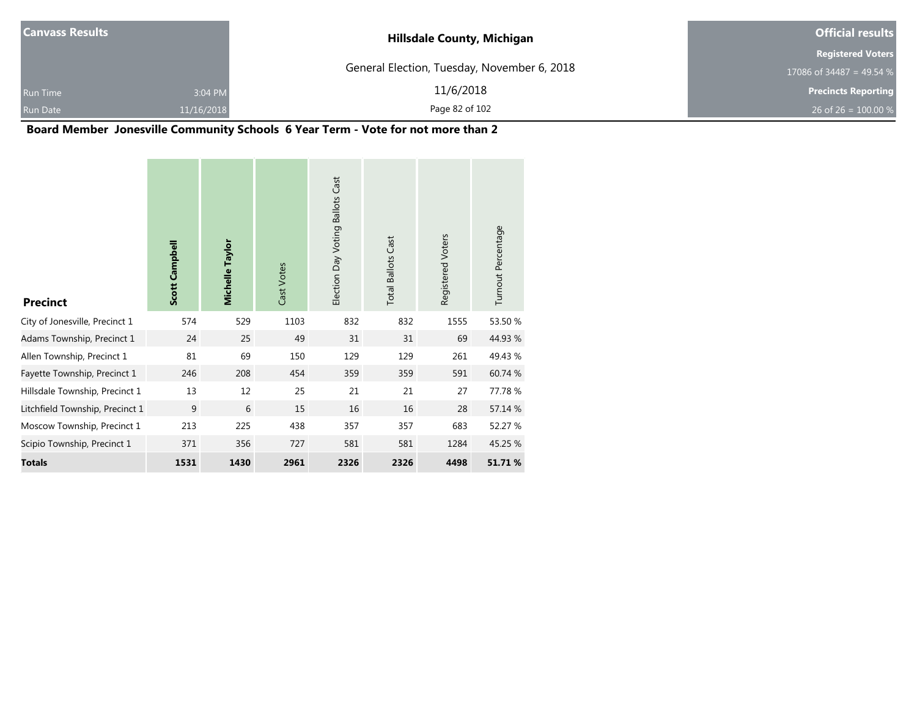| <b>Canvass Results</b> |            | <b>Hillsdale County, Michigan</b>           | <b>Official results</b>    |
|------------------------|------------|---------------------------------------------|----------------------------|
|                        |            |                                             | <b>Registered Voters</b>   |
|                        |            | General Election, Tuesday, November 6, 2018 | 17086 of 34487 = 49.54 %   |
| <b>Run Time</b>        | 3:04 PM    | 11/6/2018                                   | <b>Precincts Reporting</b> |
| <b>Run Date</b>        | 11/16/2018 | Page 82 of 102                              | 26 of 26 = $100.00\%$      |

۰

# **Board Member Jonesville Community Schools 6 Year Term - Vote for not more than 2**

and the control of the control of the control of the control of the control of

| <b>Precinct</b>                 | Scott Campbell | Michelle Taylor | Cast Votes | Election Day Voting Ballots Cast | <b>Total Ballots Cast</b> | Registered Voters | Turnout Percentage |
|---------------------------------|----------------|-----------------|------------|----------------------------------|---------------------------|-------------------|--------------------|
| City of Jonesville, Precinct 1  | 574            | 529             | 1103       | 832                              | 832                       | 1555              | 53.50 %            |
| Adams Township, Precinct 1      | 24             | 25              | 49         | 31                               | 31                        | 69                | 44.93 %            |
| Allen Township, Precinct 1      | 81             | 69              | 150        | 129                              | 129                       | 261               | 49.43 %            |
| Fayette Township, Precinct 1    | 246            | 208             | 454        | 359                              | 359                       | 591               | 60.74 %            |
| Hillsdale Township, Precinct 1  | 13             | 12              | 25         | 21                               | 21                        | 27                | 77.78 %            |
| Litchfield Township, Precinct 1 | 9              | 6               | 15         | 16                               | 16                        | 28                | 57.14 %            |
| Moscow Township, Precinct 1     | 213            | 225             | 438        | 357                              | 357                       | 683               | 52.27 %            |
| Scipio Township, Precinct 1     | 371            | 356             | 727        | 581                              | 581                       | 1284              | 45.25 %            |
| <b>Totals</b>                   | 1531           | 1430            | 2961       | 2326                             | 2326                      | 4498              | 51.71%             |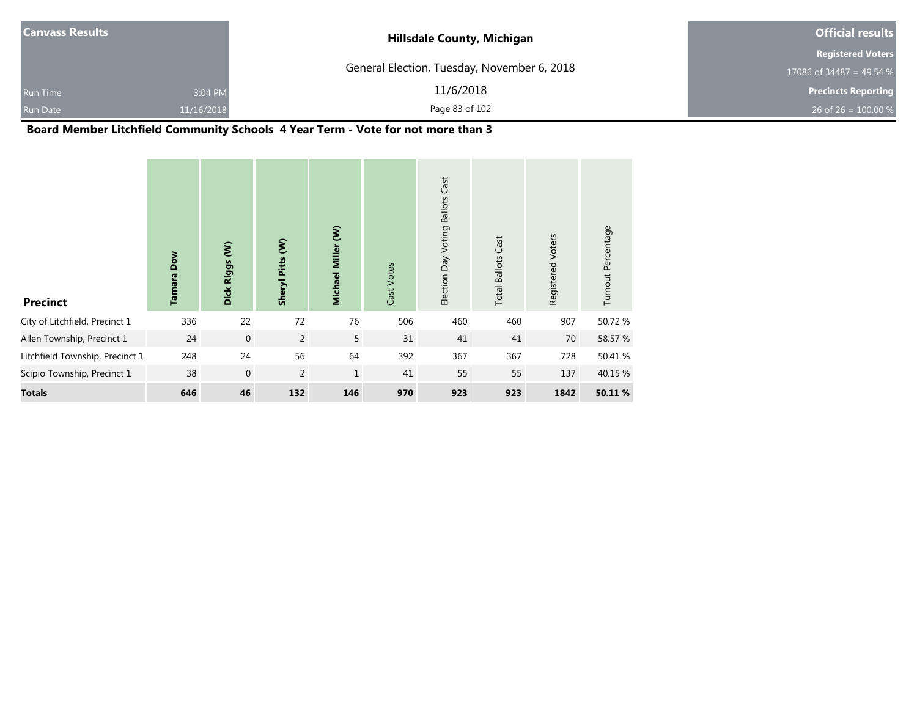| <b>Canvass Results</b> |            | <b>Hillsdale County, Michigan</b>           | <b>Official results</b>    |  |  |
|------------------------|------------|---------------------------------------------|----------------------------|--|--|
|                        |            |                                             | <b>Registered Voters</b>   |  |  |
|                        |            | General Election, Tuesday, November 6, 2018 | 17086 of 34487 = 49.54 %   |  |  |
| <b>Run Time</b>        | 3:04 PM    | 11/6/2018                                   | <b>Precincts Reporting</b> |  |  |
| Run Date               | 11/16/2018 | Page 83 of 102                              | 26 of 26 = $100.00\%$      |  |  |

# **Board Member Litchfield Community Schools 4 Year Term - Vote for not more than 3**

| <b>Precinct</b>                 | Dow<br>Tamara | $\epsilon$<br>Dick Riggs | Sheryl Pitts (W) | Michael Miller (W) | Cast Votes | Cast<br><b>Ballots</b><br>Voting<br>Election Day | Cast<br><b>Total Ballots</b> | Registered Voters | Turnout Percentage |
|---------------------------------|---------------|--------------------------|------------------|--------------------|------------|--------------------------------------------------|------------------------------|-------------------|--------------------|
| City of Litchfield, Precinct 1  | 336           | 22                       | 72               | 76                 | 506        | 460                                              | 460                          | 907               | 50.72 %            |
| Allen Township, Precinct 1      | 24            | $\mathbf 0$              | $\overline{2}$   | 5                  | 31         | 41                                               | 41                           | 70                | 58.57 %            |
| Litchfield Township, Precinct 1 | 248           | 24                       | 56               | 64                 | 392        | 367                                              | 367                          | 728               | 50.41 %            |
| Scipio Township, Precinct 1     | 38            | $\mathbf{0}$             | $\overline{2}$   | $\mathbf{1}$       | 41         | 55                                               | 55                           | 137               | 40.15 %            |
| <b>Totals</b>                   | 646           | 46                       | 132              | 146                | 970        | 923                                              | 923                          | 1842              | 50.11 %            |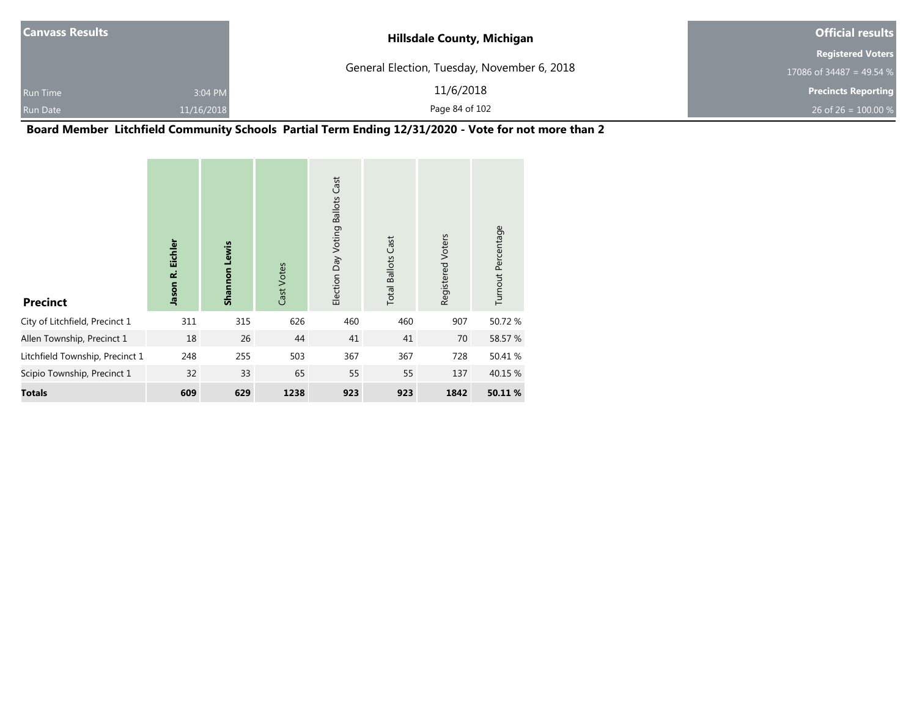| <b>Canvass Results</b> |            | <b>Hillsdale County, Michigan</b>           | <b>Official results</b>    |
|------------------------|------------|---------------------------------------------|----------------------------|
|                        |            |                                             | <b>Registered Voters</b>   |
|                        |            | General Election, Tuesday, November 6, 2018 | 17086 of 34487 = 49.54 %   |
| <b>Run Time</b>        | 3:04 PM    | 11/6/2018                                   | <b>Precincts Reporting</b> |
| Run Date               | 11/16/2018 | Page 84 of 102                              | 26 of 26 = $100.00\%$      |

**Board Member Litchfield Community Schools Partial Term Ending 12/31/2020 - Vote for not more than 2**

| <b>Precinct</b>                 | Jason R. Eichler | Shannon Lewis | Cast Votes | Cast<br><b>Ballots</b><br>Election Day Voting | <b>Total Ballots Cast</b> | Registered Voters | Turnout Percentage |
|---------------------------------|------------------|---------------|------------|-----------------------------------------------|---------------------------|-------------------|--------------------|
| City of Litchfield, Precinct 1  | 311              | 315           | 626        | 460                                           | 460                       | 907               | 50.72%             |
| Allen Township, Precinct 1      | 18               | 26            | 44         | 41                                            | 41                        | 70                | 58.57 %            |
| Litchfield Township, Precinct 1 | 248              | 255           | 503        | 367                                           | 367                       | 728               | 50.41 %            |
| Scipio Township, Precinct 1     | 32               | 33            | 65         | 55                                            | 55                        | 137               | 40.15 %            |
| Totals                          | 609              | 629           | 1238       | 923                                           | 923                       | 1842              | 50.11 %            |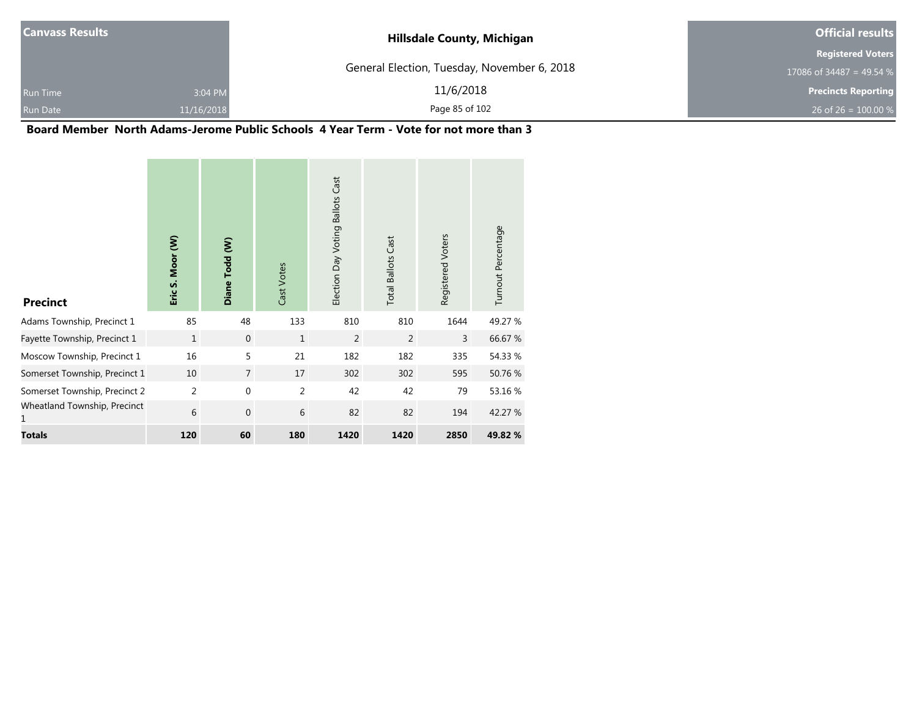| <b>Canvass Results</b> |            | <b>Hillsdale County, Michigan</b>           | <b>Official results</b>    |
|------------------------|------------|---------------------------------------------|----------------------------|
|                        |            |                                             | <b>Registered Voters</b>   |
|                        |            | General Election, Tuesday, November 6, 2018 | 17086 of 34487 = 49.54 %   |
| <b>Run Time</b>        | 3:04 PM    | 11/6/2018                                   | <b>Precincts Reporting</b> |
| Run Date               | 11/16/2018 | Page 85 of 102                              | 26 of 26 = $100.00\%$      |

### **Board Member North Adams-Jerome Public Schools 4 Year Term - Vote for not more than 3**

the contract of the contract of the

**Contract Contract** 

| <b>Precinct</b>                   | Eric S. Moor (W) | Diane Todd (W) | Cast Votes   | Election Day Voting Ballots Cast | <b>Total Ballots Cast</b> | Registered Voters | Turnout Percentage |
|-----------------------------------|------------------|----------------|--------------|----------------------------------|---------------------------|-------------------|--------------------|
| Adams Township, Precinct 1        | 85               | 48             | 133          | 810                              | 810                       | 1644              | 49.27 %            |
| Fayette Township, Precinct 1      | $\mathbf{1}$     | $\mathbf{0}$   | $\mathbf{1}$ | 2                                | 2                         | $\overline{3}$    | 66.67%             |
| Moscow Township, Precinct 1       | 16               | 5              | 21           | 182                              | 182                       | 335               | 54.33 %            |
| Somerset Township, Precinct 1     | 10               | $\overline{7}$ | 17           | 302                              | 302                       | 595               | 50.76 %            |
| Somerset Township, Precinct 2     | $\overline{2}$   | $\mathbf 0$    | 2            | 42                               | 42                        | 79                | 53.16 %            |
| Wheatland Township, Precinct<br>1 | 6                | $\mathbf{0}$   | 6            | 82                               | 82                        | 194               | 42.27 %            |
| <b>Totals</b>                     | 120              | 60             | 180          | 1420                             | 1420                      | 2850              | 49.82 %            |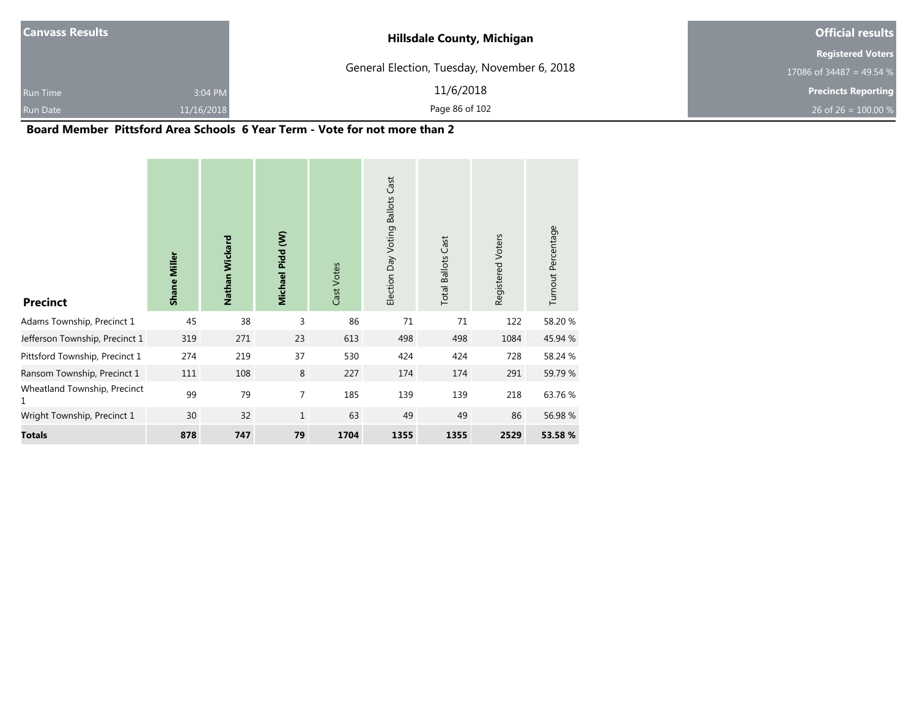| <b>Canvass Results</b> |            | <b>Hillsdale County, Michigan</b>           | <b>Official results</b>    |  |  |
|------------------------|------------|---------------------------------------------|----------------------------|--|--|
|                        |            |                                             | <b>Registered Voters</b>   |  |  |
|                        |            | General Election, Tuesday, November 6, 2018 | 17086 of 34487 = 49.54 %   |  |  |
| <b>Run Time</b>        | 3:04 PM    | 11/6/2018                                   | <b>Precincts Reporting</b> |  |  |
|                        | 11/16/2018 | Page 86 of 102                              | 26 of 26 = $100.00\%$      |  |  |
| <b>Run Date</b>        |            |                                             |                            |  |  |

۰

#### **Board Member Pittsford Area Schools 6 Year Term - Vote for not more than 2**

| <b>Precinct</b>                   | <b>Shane Miller</b> | Nathan Wickard | Michael Pidd (W) | Cast Votes | Cast<br><b>Ballots</b><br>Election Day Voting | <b>Total Ballots Cast</b> | Registered Voters | Turnout Percentage |
|-----------------------------------|---------------------|----------------|------------------|------------|-----------------------------------------------|---------------------------|-------------------|--------------------|
| Adams Township, Precinct 1        | 45                  | 38             | 3                | 86         | 71                                            | 71                        | 122               | 58.20%             |
| Jefferson Township, Precinct 1    | 319                 | 271            | 23               | 613        | 498                                           | 498                       | 1084              | 45.94 %            |
| Pittsford Township, Precinct 1    | 274                 | 219            | 37               | 530        | 424                                           | 424                       | 728               | 58.24 %            |
| Ransom Township, Precinct 1       | 111                 | 108            | 8                | 227        | 174                                           | 174                       | 291               | 59.79 %            |
| Wheatland Township, Precinct<br>1 | 99                  | 79             | $\overline{7}$   | 185        | 139                                           | 139                       | 218               | 63.76 %            |
| Wright Township, Precinct 1       | 30                  | 32             | $1\,$            | 63         | 49                                            | 49                        | 86                | 56.98 %            |
| <b>Totals</b>                     | 878                 | 747            | 79               | 1704       | 1355                                          | 1355                      | 2529              | 53.58 %            |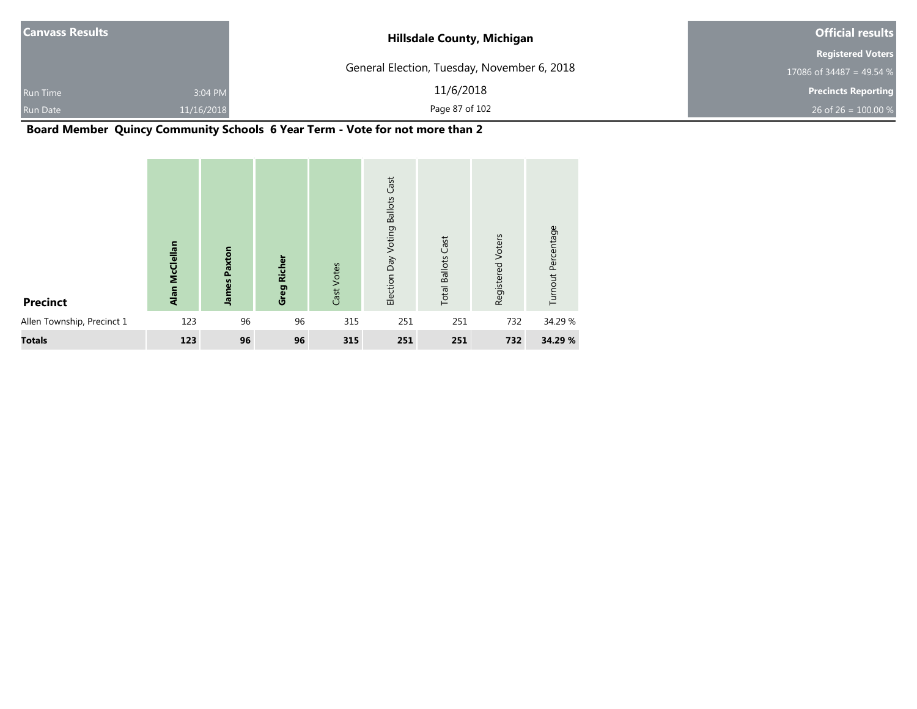| <b>Canvass Results</b>     | <b>Hillsdale County, Michigan</b>           | <b>Official results</b>    |  |  |
|----------------------------|---------------------------------------------|----------------------------|--|--|
|                            |                                             | <b>Registered Voters</b>   |  |  |
|                            | General Election, Tuesday, November 6, 2018 | 17086 of 34487 = 49.54 %   |  |  |
| 3:04 PM<br><b>Run Time</b> | 11/6/2018                                   | <b>Precincts Reporting</b> |  |  |
| Run Date<br>11/16/2018     | Page 87 of 102                              | 26 of 26 = $100.00\%$      |  |  |

### **Board Member Quincy Community Schools 6 Year Term - Vote for not more than 2**

| <b>Precinct</b>            | Alan McClellan | <b>James Paxton</b> | <b>Richer</b><br>Greg | Cast Votes | Cast<br><b>Ballots</b><br>Election Day Voting | <b>Total Ballots Cast</b> | Registered Voters | Turnout Percentage |
|----------------------------|----------------|---------------------|-----------------------|------------|-----------------------------------------------|---------------------------|-------------------|--------------------|
| Allen Township, Precinct 1 | 123            | 96                  | 96                    | 315        | 251                                           | 251                       | 732               | 34.29 %            |
| <b>Totals</b>              | 123            | 96                  | 96                    | 315        | 251                                           | 251                       | 732               | 34.29 %            |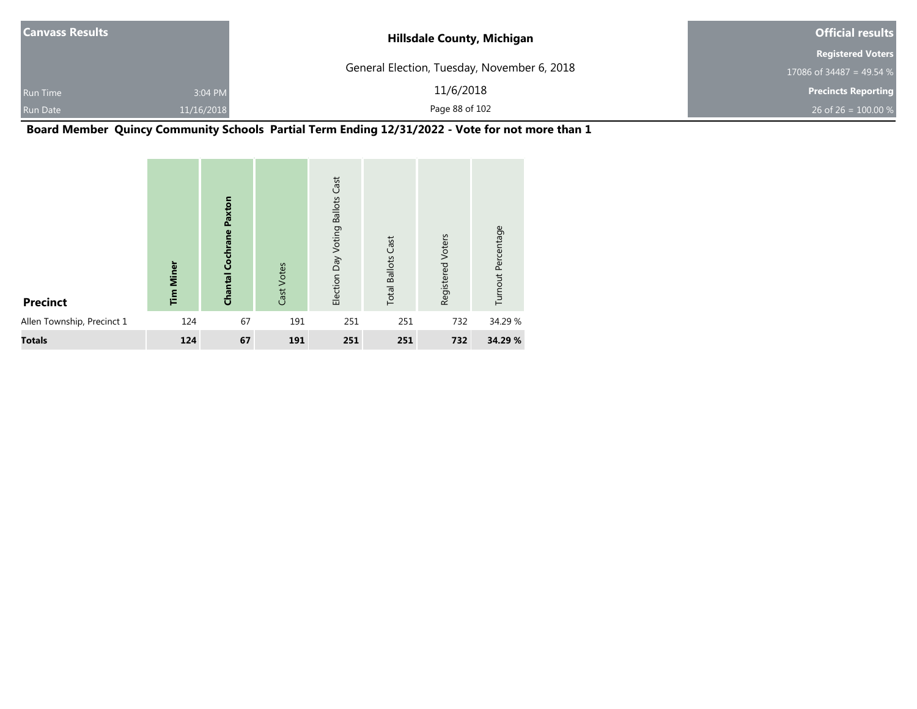| <b>Canvass Results</b> |            | <b>Hillsdale County, Michigan</b>           | <b>Official results</b>    |  |
|------------------------|------------|---------------------------------------------|----------------------------|--|
|                        |            |                                             | <b>Registered Voters</b>   |  |
|                        |            | General Election, Tuesday, November 6, 2018 | 17086 of 34487 = 49.54 %   |  |
| <b>Run Time</b>        | 3:04 PM    | 11/6/2018                                   | <b>Precincts Reporting</b> |  |
| Run Date               | 11/16/2018 | Page 88 of 102                              | 26 of 26 = $100.00\%$      |  |

**Board Member Quincy Community Schools Partial Term Ending 12/31/2022 - Vote for not more than 1**

| <b>Precinct</b>            | <b>Tim Miner</b> | Paxton<br><b>Chantal Cochrane</b> | Cast Votes | Cast<br><b>Ballots</b><br>Election Day Voting | <b>Total Ballots Cast</b> | Voters<br>Registered | Turnout Percentage |
|----------------------------|------------------|-----------------------------------|------------|-----------------------------------------------|---------------------------|----------------------|--------------------|
| Allen Township, Precinct 1 | 124              | 67                                | 191        | 251                                           | 251                       | 732                  | 34.29 %            |
| <b>Totals</b>              | 124              | 67                                | 191        | 251                                           | 251                       | 732                  | 34.29 %            |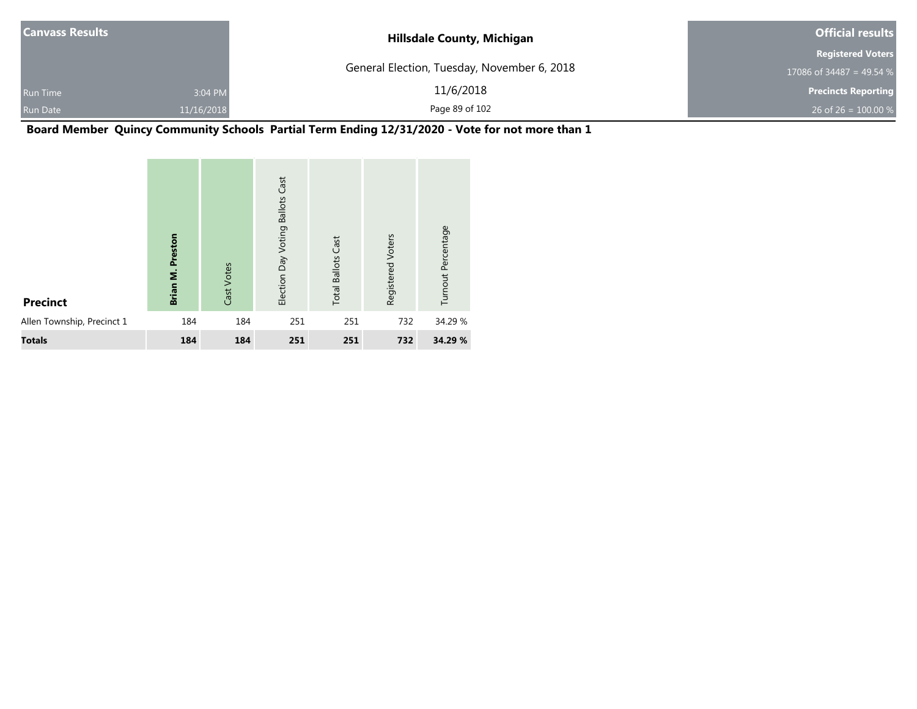| <b>Canvass Results</b> |            | <b>Hillsdale County, Michigan</b>           | <b>Official results</b>    |  |
|------------------------|------------|---------------------------------------------|----------------------------|--|
|                        |            |                                             | <b>Registered Voters</b>   |  |
|                        |            | General Election, Tuesday, November 6, 2018 | 17086 of 34487 = 49.54 $%$ |  |
| <b>Run Time</b>        | 3:04 PM    | 11/6/2018                                   | <b>Precincts Reporting</b> |  |
| <b>Run Date</b>        | 11/16/2018 | Page 89 of 102                              | 26 of 26 = $100.00\%$      |  |

**Board Member Quincy Community Schools Partial Term Ending 12/31/2020 - Vote for not more than 1**

| <b>Precinct</b>            | Preston<br>Brian M. | Cast Votes | Cast<br><b>Ballots</b><br>Election Day Voting | <b>Total Ballots Cast</b> | Registered Voters | Turnout Percentage |  |
|----------------------------|---------------------|------------|-----------------------------------------------|---------------------------|-------------------|--------------------|--|
| Allen Township, Precinct 1 | 184                 | 184        | 251                                           | 251                       | 732               | 34.29 %            |  |
| <b>Totals</b>              | 184                 | 184        | 251                                           | 251                       | 732               | 34.29 %            |  |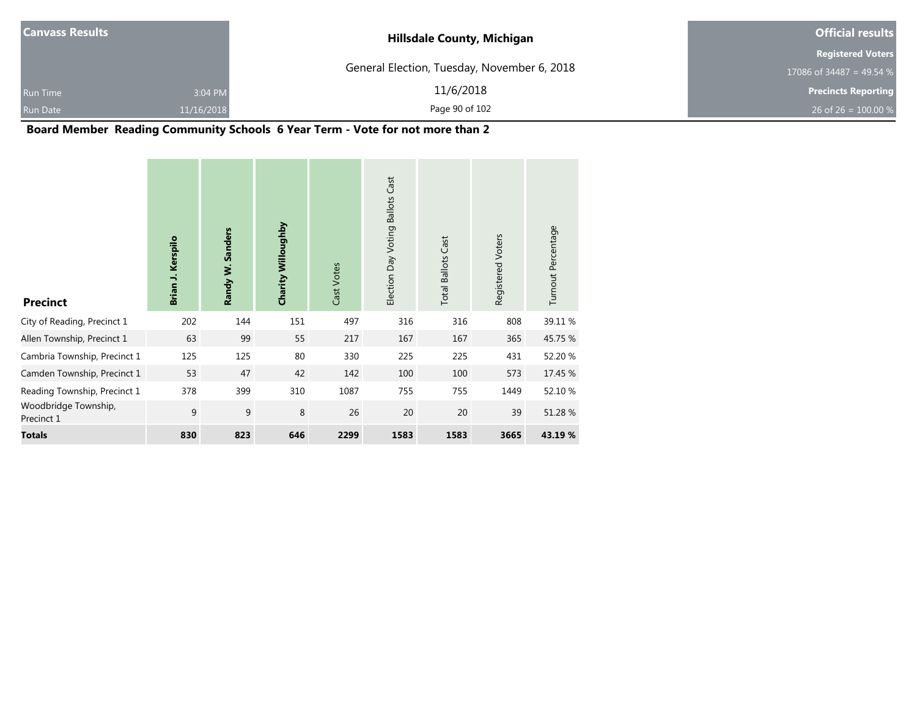| <b>Hillsdale County, Michigan</b>           | <b>Official results</b>         |  |  |
|---------------------------------------------|---------------------------------|--|--|
|                                             | <b>Registered Voters</b>        |  |  |
| General Election, Tuesday, November 6, 2018 | 17086 of 34487 = 49.54 %        |  |  |
| 11/6/2018                                   | <b>Precincts Reporting</b>      |  |  |
| Page 90 of 102                              | 26 of 26 = $100.00\%$           |  |  |
|                                             | 3:04 PM<br>11/16/2018<br>.<br>. |  |  |

#### **Board Member Reading Community Schools 6 Year Term - Vote for not more than 2**

| <b>Precinct</b>                    | Brian J. Kerspilo | Randy W. Sanders | Charity Willoughby | Cast Votes | Cast<br><b>Ballots</b><br>Election Day Voting | <b>Total Ballots Cast</b> | Registered Voters | Turnout Percentage |
|------------------------------------|-------------------|------------------|--------------------|------------|-----------------------------------------------|---------------------------|-------------------|--------------------|
| City of Reading, Precinct 1        | 202               | 144              | 151                | 497        | 316                                           | 316                       | 808               | 39.11 %            |
| Allen Township, Precinct 1         | 63                | 99               | 55                 | 217        | 167                                           | 167                       | 365               | 45.75 %            |
| Cambria Township, Precinct 1       | 125               | 125              | 80                 | 330        | 225                                           | 225                       | 431               | 52.20 %            |
| Camden Township, Precinct 1        | 53                | 47               | 42                 | 142        | 100                                           | 100                       | 573               | 17.45 %            |
| Reading Township, Precinct 1       | 378               | 399              | 310                | 1087       | 755                                           | 755                       | 1449              | 52.10 %            |
| Woodbridge Township,<br>Precinct 1 | 9                 | $\mathsf 9$      | 8                  | 26         | 20                                            | 20                        | 39                | 51.28 %            |
| <b>Totals</b>                      | 830               | 823              | 646                | 2299       | 1583                                          | 1583                      | 3665              | 43.19 %            |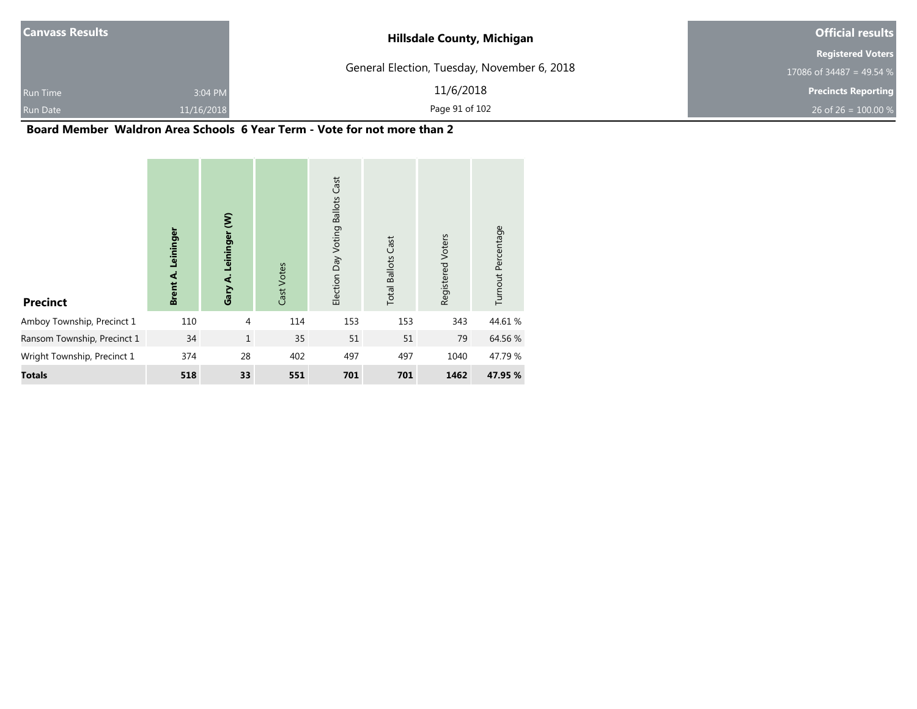| <b>Canvass Results</b> |            | <b>Hillsdale County, Michigan</b>           | <b>Official results</b>    |  |  |
|------------------------|------------|---------------------------------------------|----------------------------|--|--|
|                        |            |                                             | <b>Registered Voters</b>   |  |  |
|                        |            | General Election, Tuesday, November 6, 2018 | 17086 of 34487 = 49.54 $%$ |  |  |
| <b>Run Time</b>        | 3:04 PM    | 11/6/2018                                   | <b>Precincts Reporting</b> |  |  |
| <b>Run Date</b>        | 11/16/2018 | Page 91 of 102                              | 26 of 26 = $100.00\%$      |  |  |

#### **Board Member Waldron Area Schools 6 Year Term - Vote for not more than 2**

| <b>Precinct</b>             | Leininger<br><b>Brent A.</b> | ξ<br>Leininger<br>Gary A. | Cast Votes | <b>Ballots Cast</b><br>Election Day Voting | <b>Total Ballots Cast</b> | Registered Voters | Turnout Percentage |
|-----------------------------|------------------------------|---------------------------|------------|--------------------------------------------|---------------------------|-------------------|--------------------|
| Amboy Township, Precinct 1  | 110                          | $\overline{4}$            | 114        | 153                                        | 153                       | 343               | 44.61%             |
| Ransom Township, Precinct 1 | 34                           | $\mathbf{1}$              | 35         | 51                                         | 51                        | 79                | 64.56 %            |
| Wright Township, Precinct 1 | 374                          | 28                        | 402        | 497                                        | 497                       | 1040              | 47.79 %            |
| <b>Totals</b>               | 518                          | 33                        | 551        | 701                                        | 701                       | 1462              | 47.95 %            |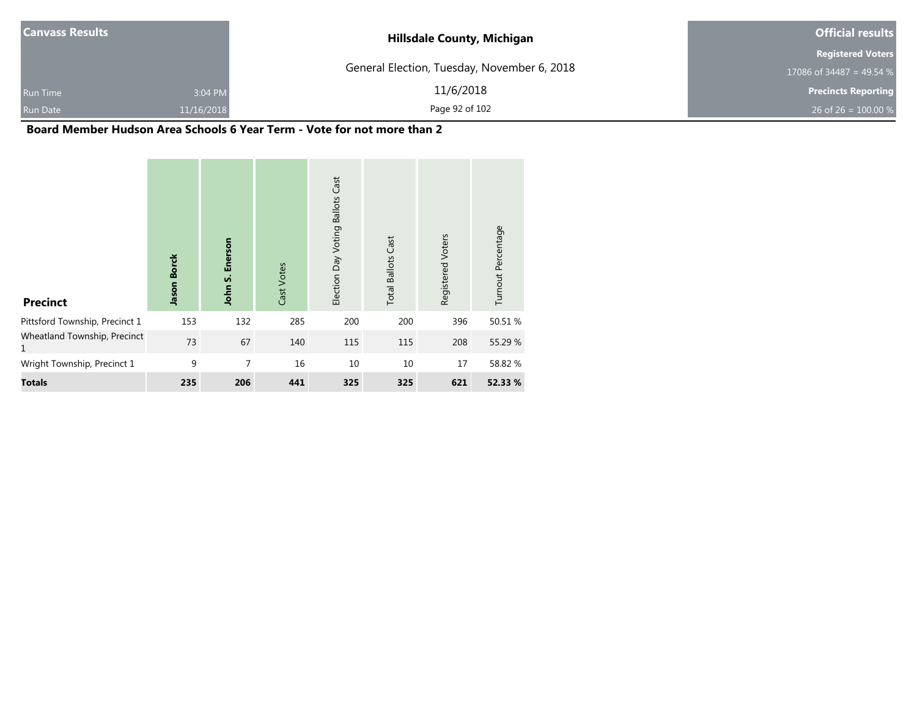| <b>Canvass Results</b> |            | <b>Hillsdale County, Michigan</b>           | <b>Official results</b>    |
|------------------------|------------|---------------------------------------------|----------------------------|
|                        |            |                                             | <b>Registered Voters</b>   |
|                        |            | General Election, Tuesday, November 6, 2018 | 17086 of 34487 = 49.54 %   |
| <b>Run Time</b>        | 3:04 PM    | 11/6/2018                                   | <b>Precincts Reporting</b> |
| Run Date               | 11/16/2018 | Page 92 of 102                              | 26 of 26 = $100.00\%$      |

#### **Board Member Hudson Area Schools 6 Year Term - Vote for not more than 2**

| <b>Precinct</b>                   | <b>Borck</b><br>Jason | Enerson<br>John S. | Cast Votes | Cast<br><b>Ballots</b><br>Election Day Voting | <b>Total Ballots Cast</b> | Registered Voters | Turnout Percentage |
|-----------------------------------|-----------------------|--------------------|------------|-----------------------------------------------|---------------------------|-------------------|--------------------|
| Pittsford Township, Precinct 1    | 153                   | 132                | 285        | 200                                           | 200                       | 396               | 50.51 %            |
| Wheatland Township, Precinct<br>1 | 73                    | 67                 | 140        | 115                                           | 115                       | 208               | 55.29 %            |
| Wright Township, Precinct 1       | 9                     | 7                  | 16         | 10                                            | 10                        | 17                | 58.82 %            |
| <b>Totals</b>                     | 235                   | 206                | 441        | 325                                           | 325                       | 621               | 52.33 %            |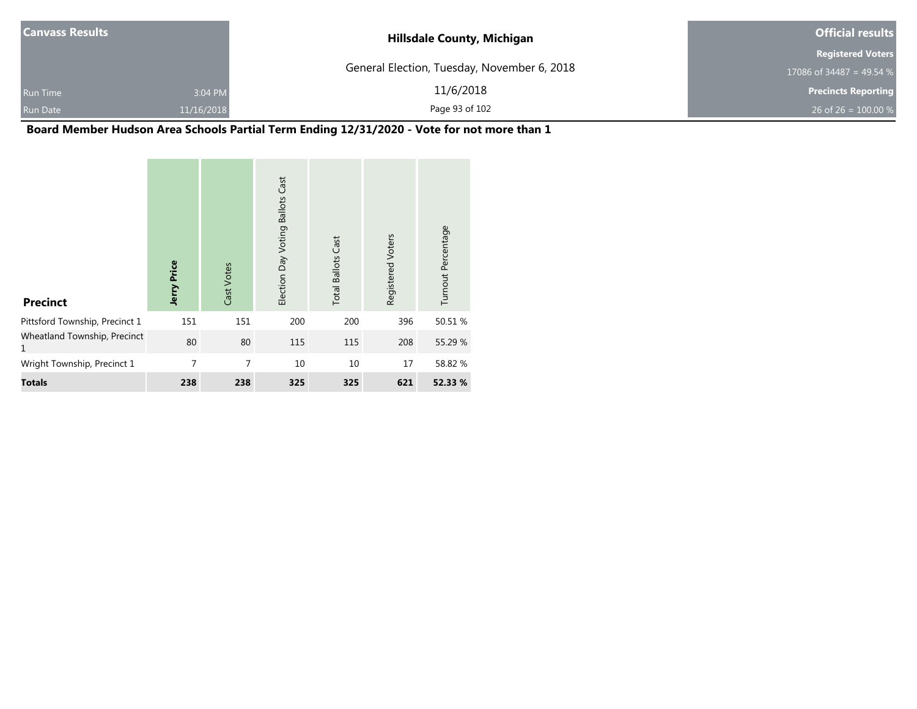| <b>Canvass Results</b> |            | <b>Hillsdale County, Michigan</b>           | <b>Official results</b>    |  |
|------------------------|------------|---------------------------------------------|----------------------------|--|
|                        |            |                                             | <b>Registered Voters</b>   |  |
|                        |            | General Election, Tuesday, November 6, 2018 | 17086 of 34487 = 49.54 %   |  |
| <b>Run Time</b>        | 3:04 PM    | 11/6/2018                                   | <b>Precincts Reporting</b> |  |
| Run Date               | 11/16/2018 | Page 93 of 102                              | 26 of 26 = $100.00\%$      |  |

# **Board Member Hudson Area Schools Partial Term Ending 12/31/2020 - Vote for not more than 1**

| <b>Precinct</b>                   | Jerry Price | Cast Votes | Cast<br><b>Ballots</b><br>Election Day Voting | <b>Total Ballots Cast</b> | Registered Voters | Turnout Percentage |
|-----------------------------------|-------------|------------|-----------------------------------------------|---------------------------|-------------------|--------------------|
| Pittsford Township, Precinct 1    | 151         | 151        | 200                                           | 200                       | 396               | 50.51 %            |
| Wheatland Township, Precinct<br>1 | 80          | 80         | 115                                           | 115                       | 208               | 55.29 %            |
| Wright Township, Precinct 1       | 7           | 7          | 10                                            | 10                        | 17                | 58.82 %            |
| <b>Totals</b>                     | 238         | 238        | 325                                           | 325                       | 621               | 52.33 %            |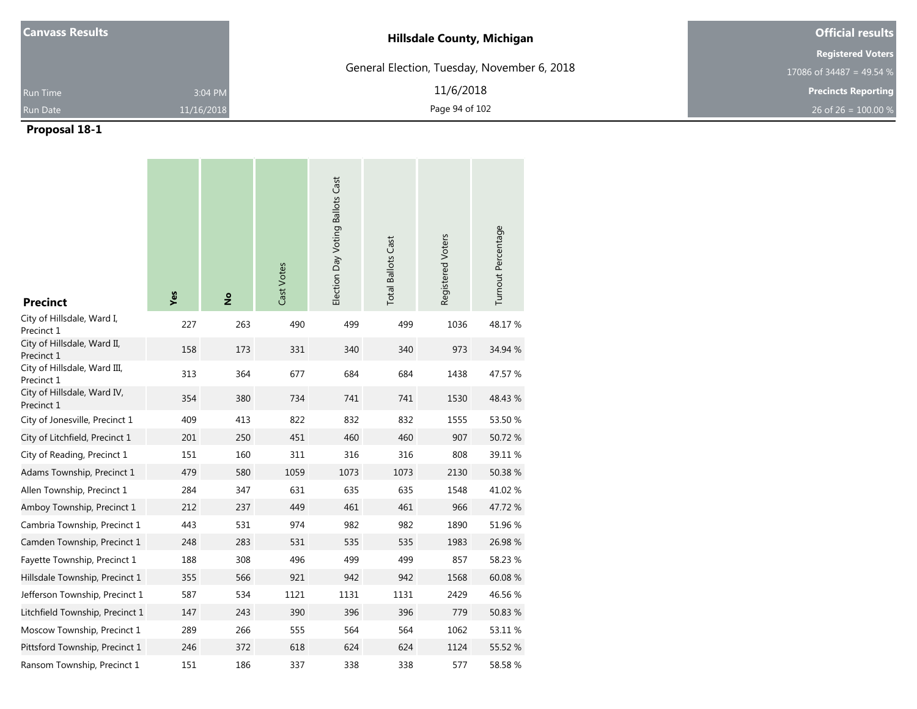| <b>Canvass Results</b> |            | <b>Hillsdale County, Michigan</b>           | <b>Official results</b>    |
|------------------------|------------|---------------------------------------------|----------------------------|
|                        |            |                                             | <b>Registered Voters</b>   |
|                        |            | General Election, Tuesday, November 6, 2018 | 17086 of 34487 = 49.54 $%$ |
| <b>Run Time</b>        | 3:04 PM    | 11/6/2018                                   | <b>Precincts Reporting</b> |
| Run Date               | 11/16/2018 | Page 94 of 102                              | 26 of 26 = $100.00\%$      |

| <b>Precinct</b>                            | Yes | $\frac{6}{2}$ | Cast Votes | Election Day Voting Ballots Cast | <b>Total Ballots Cast</b> | Registered Voters | Turnout Percentage |
|--------------------------------------------|-----|---------------|------------|----------------------------------|---------------------------|-------------------|--------------------|
| City of Hillsdale, Ward I,<br>Precinct 1   | 227 | 263           | 490        | 499                              | 499                       | 1036              | 48.17%             |
| City of Hillsdale, Ward II,<br>Precinct 1  | 158 | 173           | 331        | 340                              | 340                       | 973               | 34.94 %            |
| City of Hillsdale, Ward III,<br>Precinct 1 | 313 | 364           | 677        | 684                              | 684                       | 1438              | 47.57 %            |
| City of Hillsdale, Ward IV,<br>Precinct 1  | 354 | 380           | 734        | 741                              | 741                       | 1530              | 48.43 %            |
| City of Jonesville, Precinct 1             | 409 | 413           | 822        | 832                              | 832                       | 1555              | 53.50 %            |
| City of Litchfield, Precinct 1             | 201 | 250           | 451        | 460                              | 460                       | 907               | 50.72 %            |
| City of Reading, Precinct 1                | 151 | 160           | 311        | 316                              | 316                       | 808               | 39.11 %            |
| Adams Township, Precinct 1                 | 479 | 580           | 1059       | 1073                             | 1073                      | 2130              | 50.38%             |
| Allen Township, Precinct 1                 | 284 | 347           | 631        | 635                              | 635                       | 1548              | 41.02%             |
| Amboy Township, Precinct 1                 | 212 | 237           | 449        | 461                              | 461                       | 966               | 47.72%             |
| Cambria Township, Precinct 1               | 443 | 531           | 974        | 982                              | 982                       | 1890              | 51.96 %            |
| Camden Township, Precinct 1                | 248 | 283           | 531        | 535                              | 535                       | 1983              | 26.98 %            |
| Fayette Township, Precinct 1               | 188 | 308           | 496        | 499                              | 499                       | 857               | 58.23 %            |
| Hillsdale Township, Precinct 1             | 355 | 566           | 921        | 942                              | 942                       | 1568              | 60.08 %            |
| Jefferson Township, Precinct 1             | 587 | 534           | 1121       | 1131                             | 1131                      | 2429              | 46.56%             |
| Litchfield Township, Precinct 1            | 147 | 243           | 390        | 396                              | 396                       | 779               | 50.83 %            |
| Moscow Township, Precinct 1                | 289 | 266           | 555        | 564                              | 564                       | 1062              | 53.11 %            |
| Pittsford Township, Precinct 1             | 246 | 372           | 618        | 624                              | 624                       | 1124              | 55.52 %            |
| Ransom Township, Precinct 1                | 151 | 186           | 337        | 338                              | 338                       | 577               | 58.58%             |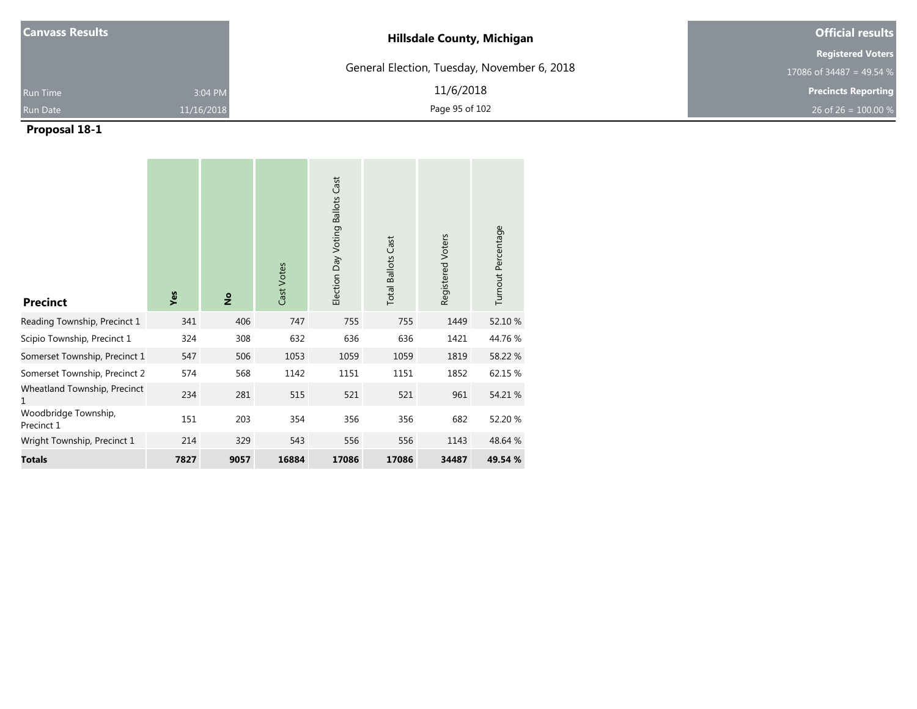| <b>Canvass Results</b> |            | <b>Hillsdale County, Michigan</b>           | <b>Official results</b>    |  |  |
|------------------------|------------|---------------------------------------------|----------------------------|--|--|
|                        |            |                                             | <b>Registered Voters</b>   |  |  |
|                        |            | General Election, Tuesday, November 6, 2018 | 17086 of 34487 = 49.54 %   |  |  |
| <b>Run Time</b>        | 3:04 PM    | 11/6/2018                                   | <b>Precincts Reporting</b> |  |  |
| <b>Run Date</b>        | 11/16/2018 | Page 95 of 102                              | 26 of 26 = $100.00\%$      |  |  |

| <b>Precinct</b>                    | Yes  | $\frac{1}{2}$ | Cast Votes | Election Day Voting Ballots Cast | <b>Total Ballots Cast</b> | Registered Voters | Turnout Percentage |
|------------------------------------|------|---------------|------------|----------------------------------|---------------------------|-------------------|--------------------|
| Reading Township, Precinct 1       | 341  | 406           | 747        | 755                              | 755                       | 1449              | 52.10 %            |
| Scipio Township, Precinct 1        | 324  | 308           | 632        | 636                              | 636                       | 1421              | 44.76%             |
| Somerset Township, Precinct 1      | 547  | 506           | 1053       | 1059                             | 1059                      | 1819              | 58.22 %            |
| Somerset Township, Precinct 2      | 574  | 568           | 1142       | 1151                             | 1151                      | 1852              | 62.15 %            |
| Wheatland Township, Precinct<br>1  | 234  | 281           | 515        | 521                              | 521                       | 961               | 54.21 %            |
| Woodbridge Township,<br>Precinct 1 | 151  | 203           | 354        | 356                              | 356                       | 682               | 52.20 %            |
| Wright Township, Precinct 1        | 214  | 329           | 543        | 556                              | 556                       | 1143              | 48.64 %            |
| <b>Totals</b>                      | 7827 | 9057          | 16884      | 17086                            | 17086                     | 34487             | 49.54 %            |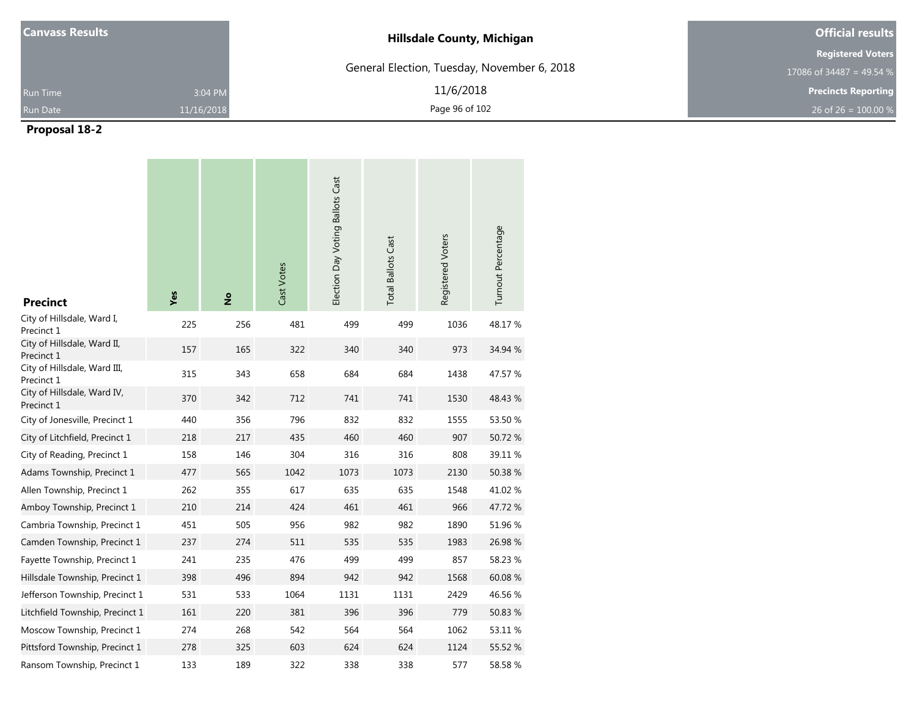| <b>Canvass Results</b> |            | <b>Hillsdale County, Michigan</b>           | <b>Official results</b>    |  |  |
|------------------------|------------|---------------------------------------------|----------------------------|--|--|
|                        |            |                                             | <b>Registered Voters</b>   |  |  |
|                        |            | General Election, Tuesday, November 6, 2018 | 17086 of 34487 = 49.54 %   |  |  |
| <b>Run Time</b>        | 3:04 PM    | 11/6/2018                                   | <b>Precincts Reporting</b> |  |  |
| <b>Run Date</b>        | 11/16/2018 | Page 96 of 102                              | 26 of 26 = $100.00\%$      |  |  |

| <b>Precinct</b>                            | Yes | $\frac{1}{2}$ | Cast Votes | Election Day Voting Ballots Cast | <b>Total Ballots Cast</b> | Registered Voters | Turnout Percentage |
|--------------------------------------------|-----|---------------|------------|----------------------------------|---------------------------|-------------------|--------------------|
| City of Hillsdale, Ward I,<br>Precinct 1   | 225 | 256           | 481        | 499                              | 499                       | 1036              | 48.17%             |
| City of Hillsdale, Ward II,<br>Precinct 1  | 157 | 165           | 322        | 340                              | 340                       | 973               | 34.94 %            |
| City of Hillsdale, Ward III,<br>Precinct 1 | 315 | 343           | 658        | 684                              | 684                       | 1438              | 47.57 %            |
| City of Hillsdale, Ward IV,<br>Precinct 1  | 370 | 342           | 712        | 741                              | 741                       | 1530              | 48.43 %            |
| City of Jonesville, Precinct 1             | 440 | 356           | 796        | 832                              | 832                       | 1555              | 53.50 %            |
| City of Litchfield, Precinct 1             | 218 | 217           | 435        | 460                              | 460                       | 907               | 50.72 %            |
| City of Reading, Precinct 1                | 158 | 146           | 304        | 316                              | 316                       | 808               | 39.11 %            |
| Adams Township, Precinct 1                 | 477 | 565           | 1042       | 1073                             | 1073                      | 2130              | 50.38%             |
| Allen Township, Precinct 1                 | 262 | 355           | 617        | 635                              | 635                       | 1548              | 41.02%             |
| Amboy Township, Precinct 1                 | 210 | 214           | 424        | 461                              | 461                       | 966               | 47.72%             |
| Cambria Township, Precinct 1               | 451 | 505           | 956        | 982                              | 982                       | 1890              | 51.96 %            |
| Camden Township, Precinct 1                | 237 | 274           | 511        | 535                              | 535                       | 1983              | 26.98 %            |
| Fayette Township, Precinct 1               | 241 | 235           | 476        | 499                              | 499                       | 857               | 58.23 %            |
| Hillsdale Township, Precinct 1             | 398 | 496           | 894        | 942                              | 942                       | 1568              | 60.08 %            |
| Jefferson Township, Precinct 1             | 531 | 533           | 1064       | 1131                             | 1131                      | 2429              | 46.56 %            |
| Litchfield Township, Precinct 1            | 161 | 220           | 381        | 396                              | 396                       | 779               | 50.83 %            |
| Moscow Township, Precinct 1                | 274 | 268           | 542        | 564                              | 564                       | 1062              | 53.11 %            |
| Pittsford Township, Precinct 1             | 278 | 325           | 603        | 624                              | 624                       | 1124              | 55.52 %            |
| Ransom Township, Precinct 1                | 133 | 189           | 322        | 338                              | 338                       | 577               | 58.58%             |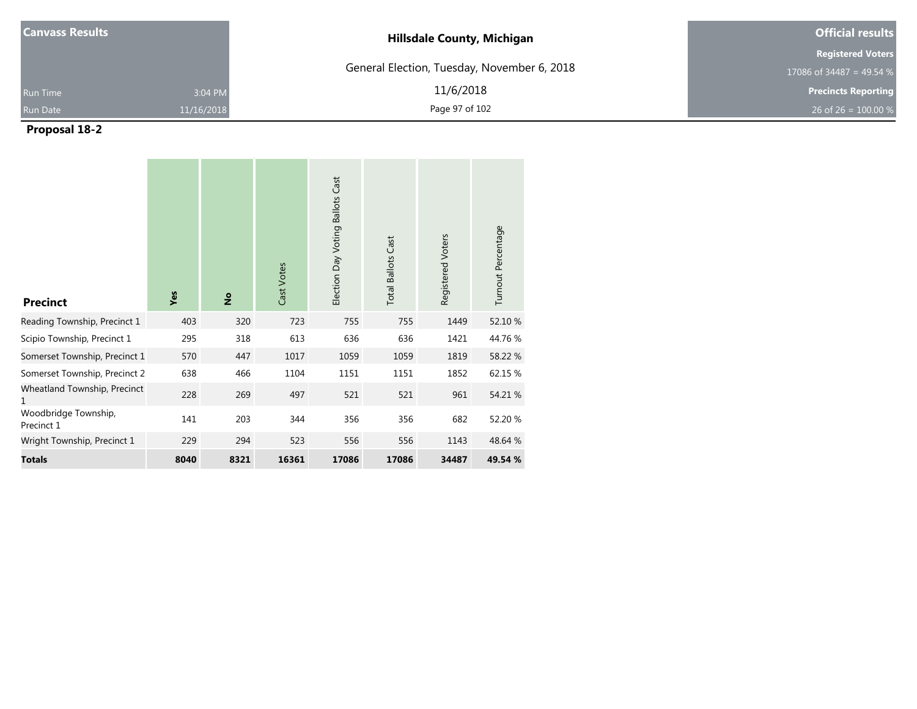| <b>Canvass Results</b> |            | <b>Hillsdale County, Michigan</b>           | <b>Official results</b>    |  |  |
|------------------------|------------|---------------------------------------------|----------------------------|--|--|
|                        |            |                                             | <b>Registered Voters</b>   |  |  |
|                        |            | General Election, Tuesday, November 6, 2018 | 17086 of 34487 = 49.54 %   |  |  |
| <b>Run Time</b>        | 3:04 PM    | 11/6/2018                                   | <b>Precincts Reporting</b> |  |  |
| <b>Run Date</b>        | 11/16/2018 | Page 97 of 102                              | 26 of 26 = $100.00\%$      |  |  |

| <b>Precinct</b>                    | Yes  | $\frac{1}{2}$ | Cast Votes | Election Day Voting Ballots Cast | <b>Total Ballots Cast</b> | Registered Voters | Turnout Percentage |
|------------------------------------|------|---------------|------------|----------------------------------|---------------------------|-------------------|--------------------|
| Reading Township, Precinct 1       | 403  | 320           | 723        | 755                              | 755                       | 1449              | 52.10 %            |
| Scipio Township, Precinct 1        | 295  | 318           | 613        | 636                              | 636                       | 1421              | 44.76%             |
| Somerset Township, Precinct 1      | 570  | 447           | 1017       | 1059                             | 1059                      | 1819              | 58.22 %            |
| Somerset Township, Precinct 2      | 638  | 466           | 1104       | 1151                             | 1151                      | 1852              | 62.15 %            |
| Wheatland Township, Precinct<br>1  | 228  | 269           | 497        | 521                              | 521                       | 961               | 54.21 %            |
| Woodbridge Township,<br>Precinct 1 | 141  | 203           | 344        | 356                              | 356                       | 682               | 52.20 %            |
| Wright Township, Precinct 1        | 229  | 294           | 523        | 556                              | 556                       | 1143              | 48.64 %            |
| <b>Totals</b>                      | 8040 | 8321          | 16361      | 17086                            | 17086                     | 34487             | 49.54 %            |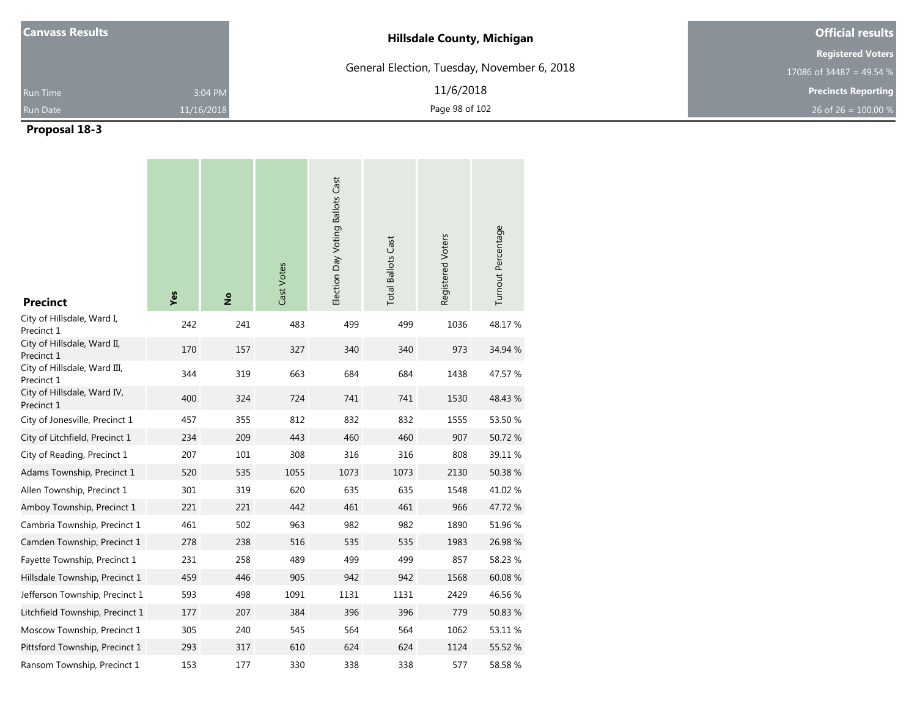| <b>Canvass Results</b> |            | <b>Hillsdale County, Michigan</b>           | <b>Official results</b>    |
|------------------------|------------|---------------------------------------------|----------------------------|
|                        |            |                                             | <b>Registered Voters</b>   |
|                        |            | General Election, Tuesday, November 6, 2018 | 17086 of 34487 = 49.54 %   |
| <b>Run Time</b>        | 3:04 PM    | 11/6/2018                                   | <b>Precincts Reporting</b> |
| <b>Run Date</b>        | 11/16/2018 | Page 98 of 102                              | 26 of 26 = $100.00\%$      |

| <b>Precinct</b>                            | Yes | $\frac{1}{2}$ | Cast Votes | Election Day Voting Ballots Cast | <b>Total Ballots Cast</b> | Registered Voters | Turnout Percentage |
|--------------------------------------------|-----|---------------|------------|----------------------------------|---------------------------|-------------------|--------------------|
| City of Hillsdale, Ward I,<br>Precinct 1   | 242 | 241           | 483        | 499                              | 499                       | 1036              | 48.17%             |
| City of Hillsdale, Ward II,<br>Precinct 1  | 170 | 157           | 327        | 340                              | 340                       | 973               | 34.94 %            |
| City of Hillsdale, Ward III,<br>Precinct 1 | 344 | 319           | 663        | 684                              | 684                       | 1438              | 47.57 %            |
| City of Hillsdale, Ward IV,<br>Precinct 1  | 400 | 324           | 724        | 741                              | 741                       | 1530              | 48.43 %            |
| City of Jonesville, Precinct 1             | 457 | 355           | 812        | 832                              | 832                       | 1555              | 53.50 %            |
| City of Litchfield, Precinct 1             | 234 | 209           | 443        | 460                              | 460                       | 907               | 50.72 %            |
| City of Reading, Precinct 1                | 207 | 101           | 308        | 316                              | 316                       | 808               | 39.11 %            |
| Adams Township, Precinct 1                 | 520 | 535           | 1055       | 1073                             | 1073                      | 2130              | 50.38%             |
| Allen Township, Precinct 1                 | 301 | 319           | 620        | 635                              | 635                       | 1548              | 41.02%             |
| Amboy Township, Precinct 1                 | 221 | 221           | 442        | 461                              | 461                       | 966               | 47.72%             |
| Cambria Township, Precinct 1               | 461 | 502           | 963        | 982                              | 982                       | 1890              | 51.96 %            |
| Camden Township, Precinct 1                | 278 | 238           | 516        | 535                              | 535                       | 1983              | 26.98 %            |
| Fayette Township, Precinct 1               | 231 | 258           | 489        | 499                              | 499                       | 857               | 58.23 %            |
| Hillsdale Township, Precinct 1             | 459 | 446           | 905        | 942                              | 942                       | 1568              | 60.08 %            |
| Jefferson Township, Precinct 1             | 593 | 498           | 1091       | 1131                             | 1131                      | 2429              | 46.56 %            |
| Litchfield Township, Precinct 1            | 177 | 207           | 384        | 396                              | 396                       | 779               | 50.83 %            |
| Moscow Township, Precinct 1                | 305 | 240           | 545        | 564                              | 564                       | 1062              | 53.11 %            |
| Pittsford Township, Precinct 1             | 293 | 317           | 610        | 624                              | 624                       | 1124              | 55.52 %            |
| Ransom Township, Precinct 1                | 153 | 177           | 330        | 338                              | 338                       | 577               | 58.58%             |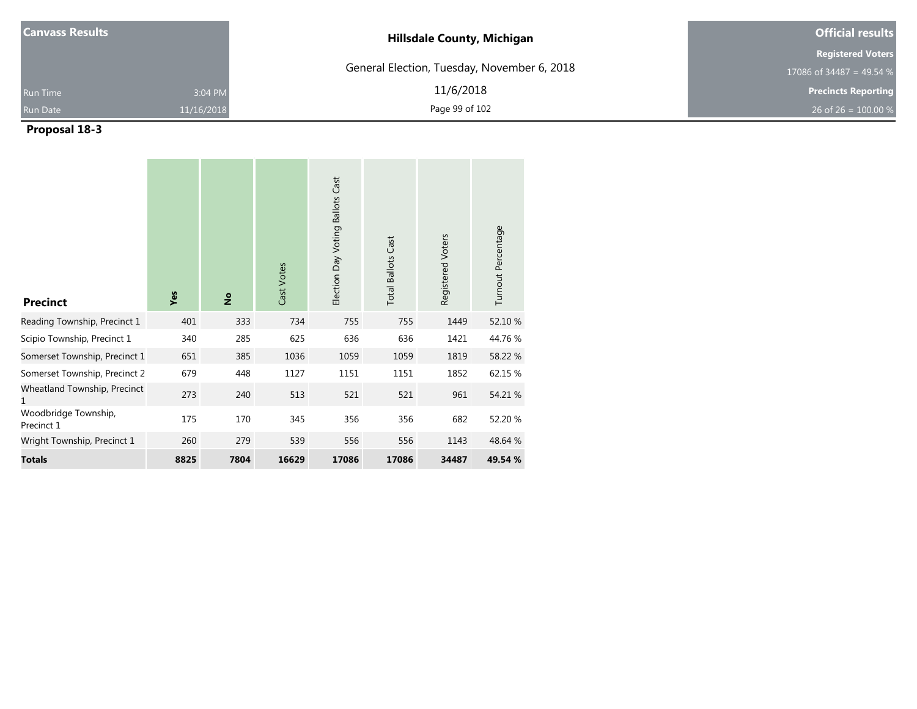| <b>Canvass Results</b> |            | <b>Hillsdale County, Michigan</b>           | <b>Official results</b>    |  |  |
|------------------------|------------|---------------------------------------------|----------------------------|--|--|
|                        |            |                                             | <b>Registered Voters</b>   |  |  |
|                        |            | General Election, Tuesday, November 6, 2018 | 17086 of 34487 = 49.54 %   |  |  |
| <b>Run Time</b>        | 3:04 PM    | 11/6/2018                                   | <b>Precincts Reporting</b> |  |  |
| <b>Run Date</b>        | 11/16/2018 | Page 99 of 102                              | 26 of 26 = $100.00\%$      |  |  |

| <b>Precinct</b>                    | Yes  | $\frac{1}{2}$ | Cast Votes | Election Day Voting Ballots Cast | <b>Total Ballots Cast</b> | Registered Voters | Turnout Percentage |
|------------------------------------|------|---------------|------------|----------------------------------|---------------------------|-------------------|--------------------|
| Reading Township, Precinct 1       | 401  | 333           | 734        | 755                              | 755                       | 1449              | 52.10 %            |
| Scipio Township, Precinct 1        | 340  | 285           | 625        | 636                              | 636                       | 1421              | 44.76%             |
| Somerset Township, Precinct 1      | 651  | 385           | 1036       | 1059                             | 1059                      | 1819              | 58.22 %            |
| Somerset Township, Precinct 2      | 679  | 448           | 1127       | 1151                             | 1151                      | 1852              | 62.15 %            |
| Wheatland Township, Precinct<br>1  | 273  | 240           | 513        | 521                              | 521                       | 961               | 54.21 %            |
| Woodbridge Township,<br>Precinct 1 | 175  | 170           | 345        | 356                              | 356                       | 682               | 52.20 %            |
| Wright Township, Precinct 1        | 260  | 279           | 539        | 556                              | 556                       | 1143              | 48.64 %            |
| <b>Totals</b>                      | 8825 | 7804          | 16629      | 17086                            | 17086                     | 34487             | 49.54 %            |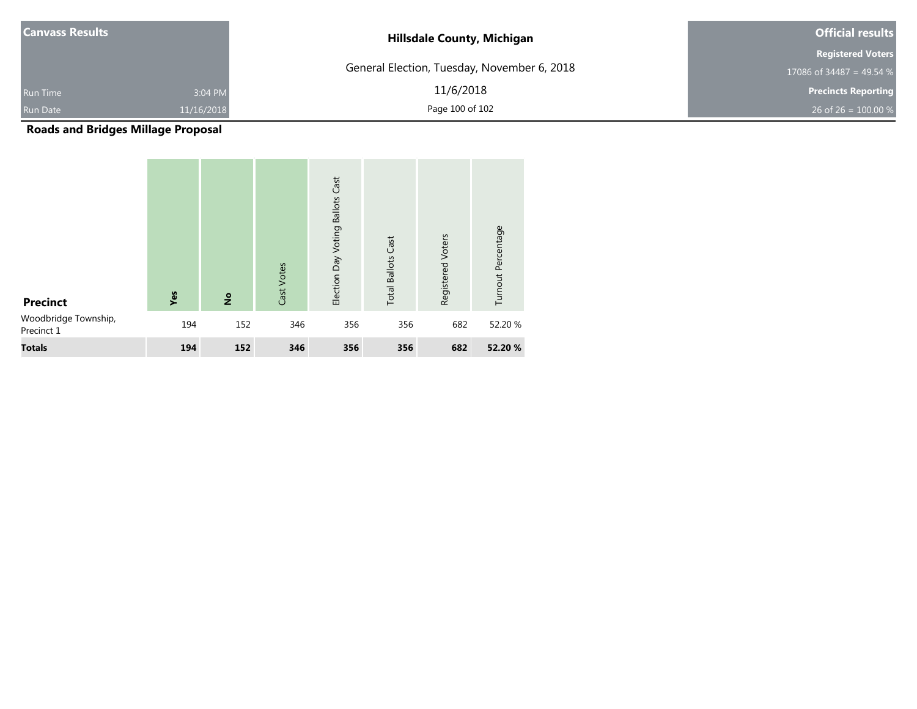| <b>Canvass Results</b>        | <b>Hillsdale County, Michigan</b>           | <b>Official results</b>    |  |
|-------------------------------|---------------------------------------------|----------------------------|--|
|                               |                                             | <b>Registered Voters</b>   |  |
|                               | General Election, Tuesday, November 6, 2018 | 17086 of 34487 = 49.54 %   |  |
| 3:04 PM<br><b>Run Time</b>    | 11/6/2018                                   | <b>Precincts Reporting</b> |  |
| <b>Run Date</b><br>11/16/2018 | Page 100 of 102                             | 26 of 26 = $100.00\%$      |  |

**Roads and Bridges Millage Proposal**

| <b>Precinct</b>                    | Yes | $\overset{\mathtt{o}}{z}$ | Cast Votes | Election Day Voting Ballots Cast | <b>Total Ballots Cast</b> | Registered Voters | Turnout Percentage |
|------------------------------------|-----|---------------------------|------------|----------------------------------|---------------------------|-------------------|--------------------|
| Woodbridge Township,<br>Precinct 1 | 194 | 152                       | 346        | 356                              | 356                       | 682               | 52.20 %            |
| <b>Totals</b>                      | 194 | 152                       | 346        | 356                              | 356                       | 682               | 52.20 %            |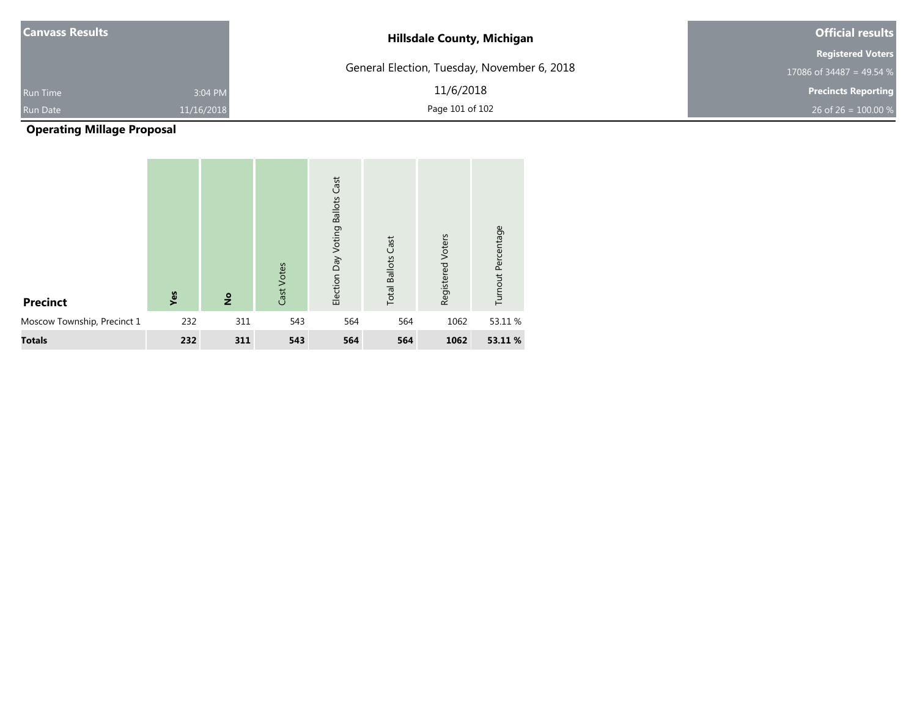| <b>Canvass Results</b> |            | <b>Hillsdale County, Michigan</b>           | <b>Official results</b>    |  |  |
|------------------------|------------|---------------------------------------------|----------------------------|--|--|
|                        |            |                                             | <b>Registered Voters</b>   |  |  |
|                        |            | General Election, Tuesday, November 6, 2018 | 17086 of 34487 = 49.54 %   |  |  |
| <b>Run Time</b>        | 3:04 PM    | 11/6/2018                                   | <b>Precincts Reporting</b> |  |  |
| <b>Run Date</b>        | 11/16/2018 | Page 101 of 102                             | 26 of 26 = $100.00\%$      |  |  |

# **Operating Millage Proposal**

| <b>Precinct</b>             | Yes | $\frac{1}{2}$ | Cast Votes | <b>Voting Ballots Cast</b><br>Election Day | <b>Total Ballots Cast</b> | Registered Voters | Turnout Percentage |
|-----------------------------|-----|---------------|------------|--------------------------------------------|---------------------------|-------------------|--------------------|
| Moscow Township, Precinct 1 | 232 | 311           | 543        | 564                                        | 564                       | 1062              | 53.11 %            |
| <b>Totals</b>               | 232 | 311           | 543        | 564                                        | 564                       | 1062              | 53.11%             |